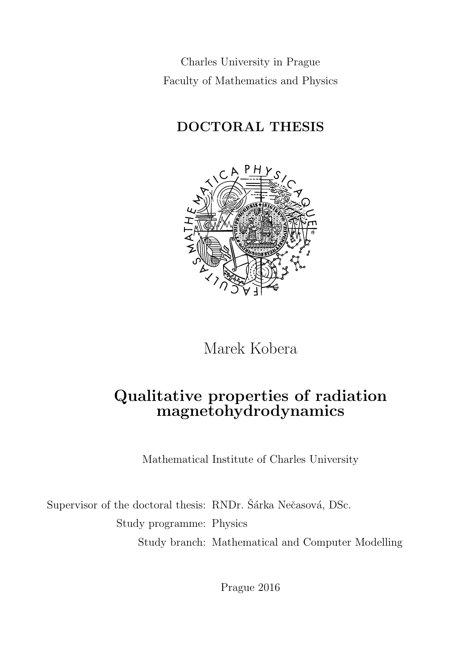Charles University in Prague Faculty of Mathematics and Physics

## DOCTORAL THESIS



Marek Kobera

## Qualitative properties of radiation magnetohydrodynamics

Mathematical Institute of Charles University

Supervisor of the doctoral thesis: RNDr. Šárka Nečasová, DSc. Study programme: Physics Study branch: Mathematical and Computer Modelling

Prague 2016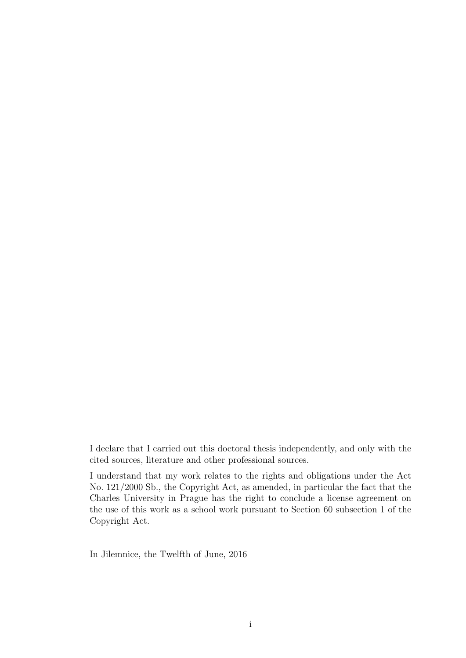I declare that I carried out this doctoral thesis independently, and only with the cited sources, literature and other professional sources.

I understand that my work relates to the rights and obligations under the Act No. 121/2000 Sb., the Copyright Act, as amended, in particular the fact that the Charles University in Prague has the right to conclude a license agreement on the use of this work as a school work pursuant to Section 60 subsection 1 of the Copyright Act.

In Jilemnice, the Twelfth of June, 2016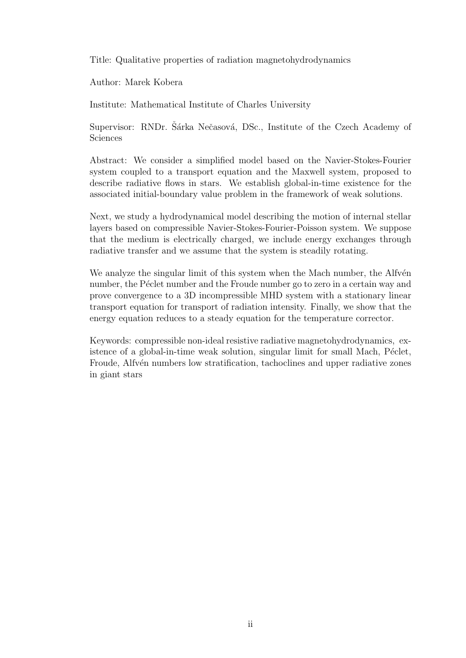Title: Qualitative properties of radiation magnetohydrodynamics

Author: Marek Kobera

Institute: Mathematical Institute of Charles University

Supervisor: RNDr. Sárka Nečasová, DSc., Institute of the Czech Academy of Sciences

Abstract: We consider a simplified model based on the Navier-Stokes-Fourier system coupled to a transport equation and the Maxwell system, proposed to describe radiative flows in stars. We establish global-in-time existence for the associated initial-boundary value problem in the framework of weak solutions.

Next, we study a hydrodynamical model describing the motion of internal stellar layers based on compressible Navier-Stokes-Fourier-Poisson system. We suppose that the medium is electrically charged, we include energy exchanges through radiative transfer and we assume that the system is steadily rotating.

We analyze the singular limit of this system when the Mach number, the Alfvén number, the Péclet number and the Froude number go to zero in a certain way and prove convergence to a 3D incompressible MHD system with a stationary linear transport equation for transport of radiation intensity. Finally, we show that the energy equation reduces to a steady equation for the temperature corrector.

Keywords: compressible non-ideal resistive radiative magnetohydrodynamics, existence of a global-in-time weak solution, singular limit for small Mach, Péclet, Froude, Alfvén numbers low stratification, tachoclines and upper radiative zones in giant stars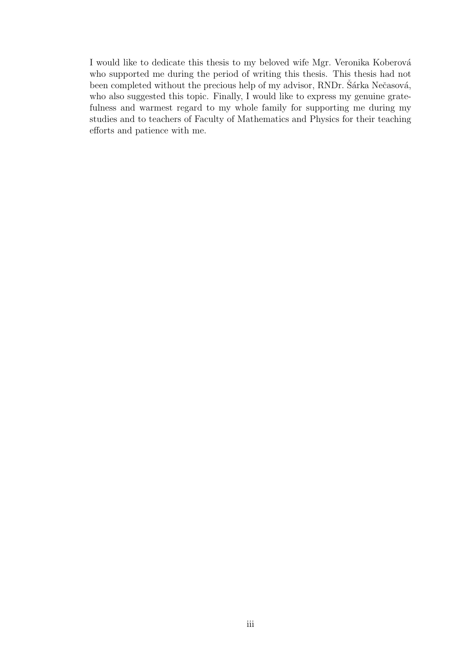I would like to dedicate this thesis to my beloved wife Mgr. Veronika Koberová who supported me during the period of writing this thesis. This thesis had not been completed without the precious help of my advisor, RNDr. Sarka Nečasová, who also suggested this topic. Finally, I would like to express my genuine gratefulness and warmest regard to my whole family for supporting me during my studies and to teachers of Faculty of Mathematics and Physics for their teaching efforts and patience with me.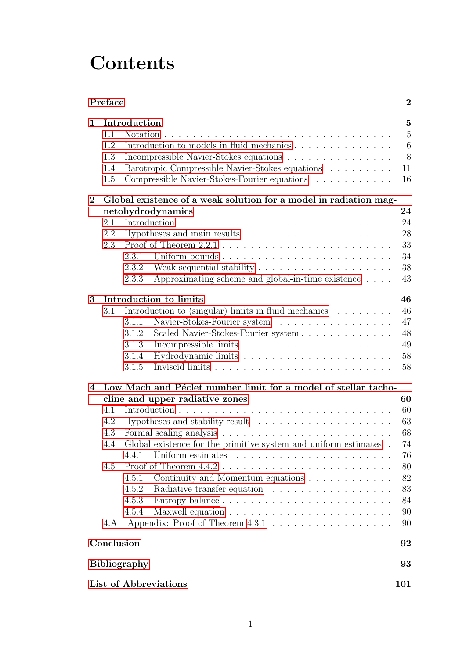# **Contents**

|                       | Preface                                |                                                                                                                                                                                                                                                                                                           | $\bf{2}$                                                             |
|-----------------------|----------------------------------------|-----------------------------------------------------------------------------------------------------------------------------------------------------------------------------------------------------------------------------------------------------------------------------------------------------------|----------------------------------------------------------------------|
| 1                     | 1.1<br>1.2<br>1.3<br>1.4<br>1.5        | Introduction<br>Notation.<br>Introduction to models in fluid mechanics<br>Incompressible Navier-Stokes equations<br>Barotropic Compressible Navier-Stokes equations<br>Compressible Navier-Stokes-Fourier equations                                                                                       | 5<br>$\overline{5}$<br>6<br>8<br>11<br>16                            |
| $\bf{2}$              | 2.1<br>2.2<br>2.3                      | Global existence of a weak solution for a model in radiation mag-<br>netohydrodynamics<br>Uniform bounds<br>2.3.1<br>2.3.2<br>Approximating scheme and global-in-time existence<br>2.3.3                                                                                                                  | 24<br>24<br>28<br>33<br>34<br>38<br>43                               |
| 3                     | 3.1                                    | Introduction to limits<br>Introduction to (singular) limits in fluid mechanics $\dots \dots$<br>Navier-Stokes-Fourier system<br>3.1.1<br>Scaled Navier-Stokes-Fourier system<br>3.1.2<br>3.1.3<br>3.1.4<br>3.1.5                                                                                          | 46<br>46<br>47<br>48<br>49<br>58<br>58                               |
| $\overline{4}$        | 4.1<br>4.2<br>4.3<br>4.4<br>4.5<br>4.A | Low Mach and Péclet number limit for a model of stellar tacho-<br>cline and upper radiative zones<br>Global existence for the primitive system and uniform estimates.<br>4.4.1<br>Continuity and Momentum equations<br>4.5.1<br>Radiative transfer equation<br>4.5.2<br>Entropy balance<br>4.5.3<br>4.5.4 | 60<br>60<br>63<br>68<br>74<br>76<br>80<br>82<br>83<br>84<br>90<br>90 |
|                       | Conclusion                             |                                                                                                                                                                                                                                                                                                           | 92                                                                   |
| <b>Bibliography</b>   |                                        |                                                                                                                                                                                                                                                                                                           | 93                                                                   |
| List of Abbreviations |                                        |                                                                                                                                                                                                                                                                                                           | 101                                                                  |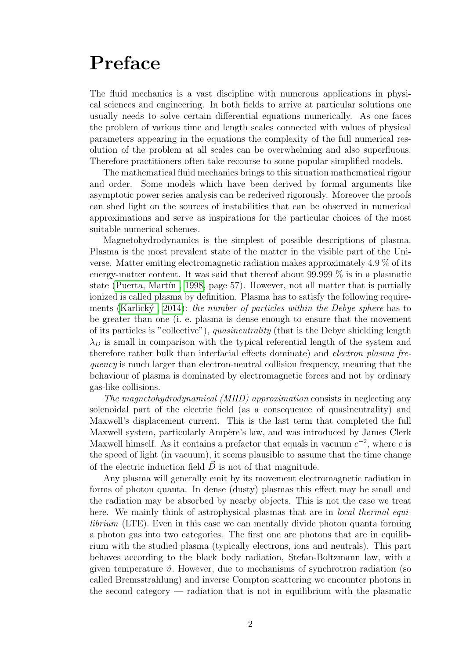# <span id="page-5-0"></span>Preface

The fluid mechanics is a vast discipline with numerous applications in physical sciences and engineering. In both fields to arrive at particular solutions one usually needs to solve certain differential equations numerically. As one faces the problem of various time and length scales connected with values of physical parameters appearing in the equations the complexity of the full numerical resolution of the problem at all scales can be overwhelming and also superfluous. Therefore practitioners often take recourse to some popular simplified models.

The mathematical fluid mechanics brings to this situation mathematical rigour and order. Some models which have been derived by formal arguments like asymptotic power series analysis can be rederived rigorously. Moreover the proofs can shed light on the sources of instabilities that can be observed in numerical approximations and serve as inspirations for the particular choices of the most suitable numerical schemes.

Magnetohydrodynamics is the simplest of possible descriptions of plasma. Plasma is the most prevalent state of the matter in the visible part of the Universe. Matter emiting electromagnetic radiation makes approximately 4.9 % of its energy-matter content. It was said that thereof about 99.999 % is in a plasmatic state (Puerta, Martín, 1998, page 57). However, not all matter that is partially ionized is called plasma by definition. Plasma has to satisfy the following requirements (Karlický, 2014): the number of particles within the Debye sphere has to be greater than one (i. e. plasma is dense enough to ensure that the movement of its particles is "collective"), quasineutrality (that is the Debye shielding length  $\lambda_D$  is small in comparison with the typical referential length of the system and therefore rather bulk than interfacial effects dominate) and electron plasma frequency is much larger than electron-neutral collision frequency, meaning that the behaviour of plasma is dominated by electromagnetic forces and not by ordinary gas-like collisions.

The magnetohydrodynamical (MHD) approximation consists in neglecting any solenoidal part of the electric field (as a consequence of quasineutrality) and Maxwell's displacement current. This is the last term that completed the full Maxwell system, particularly Ampère's law, and was introduced by James Clerk Maxwell himself. As it contains a prefactor that equals in vacuum  $c^{-2}$ , where c is the speed of light (in vacuum), it seems plausible to assume that the time change of the electric induction field  $\vec{D}$  is not of that magnitude.

Any plasma will generally emit by its movement electromagnetic radiation in forms of photon quanta. In dense (dusty) plasmas this effect may be small and the radiation may be absorbed by nearby objects. This is not the case we treat here. We mainly think of astrophysical plasmas that are in *local thermal equi*librium (LTE). Even in this case we can mentally divide photon quanta forming a photon gas into two categories. The first one are photons that are in equilibrium with the studied plasma (typically electrons, ions and neutrals). This part behaves according to the black body radiation, Stefan-Boltzmann law, with a given temperature  $\vartheta$ . However, due to mechanisms of synchrotron radiation (so called Bremsstrahlung) and inverse Compton scattering we encounter photons in the second category — radiation that is not in equilibrium with the plasmatic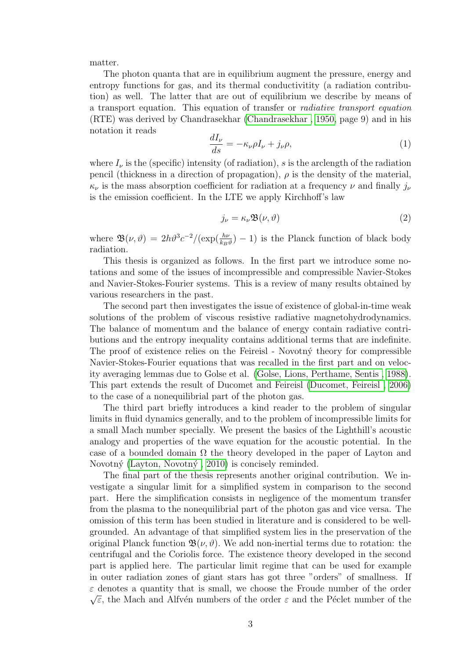matter.

The photon quanta that are in equilibrium augment the pressure, energy and entropy functions for gas, and its thermal conductivitity (a radiation contribution) as well. The latter that are out of equilibrium we describe by means of a transport equation. This equation of transfer or radiative transport equation (RTE) was derived by Chandrasekhar [\(Chandrasekhar , 1950,](#page-97-0) page 9) and in his notation it reads

$$
\frac{dI_{\nu}}{ds} = -\kappa_{\nu}\rho I_{\nu} + j_{\nu}\rho, \tag{1}
$$

where  $I_{\nu}$  is the (specific) intensity (of radiation), s is the arclength of the radiation pencil (thickness in a direction of propagation),  $\rho$  is the density of the material,  $\kappa_{\nu}$  is the mass absorption coefficient for radiation at a frequency  $\nu$  and finally  $j_{\nu}$ is the emission coefficient. In the LTE we apply Kirchhoff's law

$$
j_{\nu} = \kappa_{\nu} \mathfrak{B}(\nu, \vartheta) \tag{2}
$$

where  $\mathfrak{B}(\nu,\vartheta) = 2h\vartheta^3 c^{-2}/(\exp(\frac{h\nu}{k_B\vartheta})-1)$  is the Planck function of black body radiation.

This thesis is organized as follows. In the first part we introduce some notations and some of the issues of incompressible and compressible Navier-Stokes and Navier-Stokes-Fourier systems. This is a review of many results obtained by various researchers in the past.

The second part then investigates the issue of existence of global-in-time weak solutions of the problem of viscous resistive radiative magnetohydrodynamics. The balance of momentum and the balance of energy contain radiative contributions and the entropy inequality contains additional terms that are indefinite. The proof of existence relies on the Feireisl - Novotný theory for compressible Navier-Stokes-Fourier equations that was recalled in the first part and on velocity averaging lemmas due to Golse et al. [\(Golse, Lions, Perthame, Sentis , 1988\)](#page-99-0). This part extends the result of Ducomet and Feireisl [\(Ducomet, Feireisl , 2006\)](#page-98-0) to the case of a nonequilibrial part of the photon gas.

The third part briefly introduces a kind reader to the problem of singular limits in fluid dynamics generally, and to the problem of incompressible limits for a small Mach number specially. We present the basics of the Lighthill's acoustic analogy and properties of the wave equation for the acoustic potential. In the case of a bounded domain  $\Omega$  the theory developed in the paper of Layton and Novotný (Layton, Novotný, 2010) is concisely reminded.

The final part of the thesis represents another original contribution. We investigate a singular limit for a simplified system in comparison to the second part. Here the simplification consists in negligence of the momentum transfer from the plasma to the nonequilibrial part of the photon gas and vice versa. The omission of this term has been studied in literature and is considered to be wellgrounded. An advantage of that simplified system lies in the preservation of the original Planck function  $\mathfrak{B}(\nu, \vartheta)$ . We add non-inertial terms due to rotation: the centrifugal and the Coriolis force. The existence theory developed in the second part is applied here. The particular limit regime that can be used for example in outer radiation zones of giant stars has got three "orders" of smallness. If  $\varepsilon$  denotes a quantity that is small, we choose the Froude number of the order  $\sqrt{\varepsilon}$ , the Mach and Alfvén numbers of the order  $\varepsilon$  and the Péclet number of the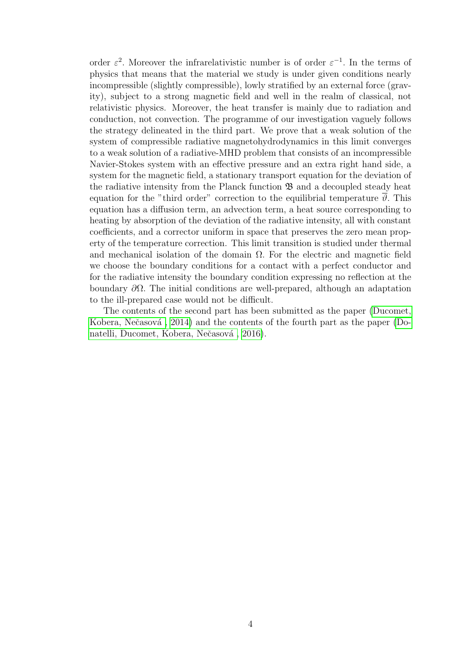order  $\varepsilon^2$ . Moreover the infrarelativistic number is of order  $\varepsilon^{-1}$ . In the terms of physics that means that the material we study is under given conditions nearly incompressible (slightly compressible), lowly stratified by an external force (gravity), subject to a strong magnetic field and well in the realm of classical, not relativistic physics. Moreover, the heat transfer is mainly due to radiation and conduction, not convection. The programme of our investigation vaguely follows the strategy delineated in the third part. We prove that a weak solution of the system of compressible radiative magnetohydrodynamics in this limit converges to a weak solution of a radiative-MHD problem that consists of an incompressible Navier-Stokes system with an effective pressure and an extra right hand side, a system for the magnetic field, a stationary transport equation for the deviation of the radiative intensity from the Planck function  $\mathfrak{B}$  and a decoupled steady heat equation for the "third order" correction to the equilibrial temperature  $\overline{\vartheta}$ . This equation has a diffusion term, an advection term, a heat source corresponding to heating by absorption of the deviation of the radiative intensity, all with constant coefficients, and a corrector uniform in space that preserves the zero mean property of the temperature correction. This limit transition is studied under thermal and mechanical isolation of the domain  $\Omega$ . For the electric and magnetic field we choose the boundary conditions for a contact with a perfect conductor and for the radiative intensity the boundary condition expressing no reflection at the boundary  $\partial\Omega$ . The initial conditions are well-prepared, although an adaptation to the ill-prepared case would not be difficult.

The contents of the second part has been submitted as the paper [\(Ducomet,](#page-98-1) Kobera, Nečasová, 2014) and the contents of the fourth part as the paper [\(Do](#page-97-1)natelli, Ducomet, Kobera, Nečasová, 2016).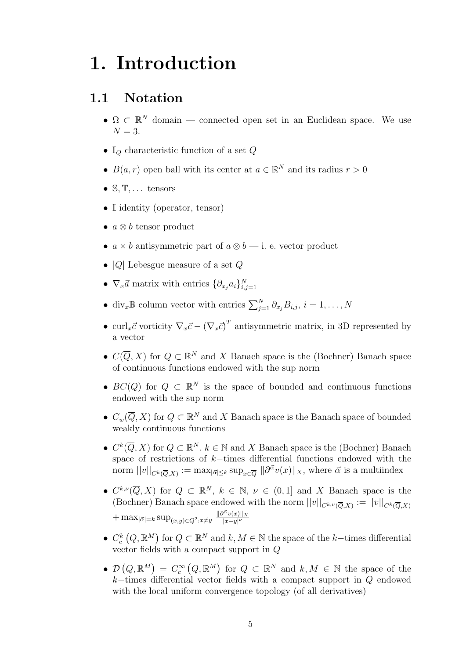# <span id="page-8-0"></span>1. Introduction

#### <span id="page-8-1"></span>1.1 Notation

- $\Omega \subset \mathbb{R}^N$  domain connected open set in an Euclidean space. We use  $N = 3$ .
- $\mathbb{I}_{Q}$  characteristic function of a set  $Q$
- $B(a, r)$  open ball with its center at  $a \in \mathbb{R}^N$  and its radius  $r > 0$
- $\mathbb{S}, \mathbb{T}, \ldots$  tensors
- I identity (operator, tensor)
- $a \otimes b$  tensor product
- $a \times b$  antisymmetric part of  $a \otimes b$  i. e. vector product
- $|Q|$  Lebesgue measure of a set  $Q$
- $\nabla_x \vec{a}$  matrix with entries  $\{\partial_{x_j} a_i\}_{i,j=1}^N$
- div<sub>x</sub><sup>B</sup> column vector with entries  $\sum_{j=1}^{N} \partial_{x_j} B_{i,j}, i = 1, ..., N$
- curl<sub>x</sub> $\vec{c}$  vorticity  $\nabla_x \vec{c} (\nabla_x \vec{c})^T$  antisymmetric matrix, in 3D represented by a vector
- $C(\overline{Q}, X)$  for  $Q \subset \mathbb{R}^N$  and X Banach space is the (Bochner) Banach space of continuous functions endowed with the sup norm
- $BC(Q)$  for  $Q \subset \mathbb{R}^N$  is the space of bounded and continuous functions endowed with the sup norm
- $C_w(\overline{Q}, X)$  for  $Q \subset \mathbb{R}^N$  and X Banach space is the Banach space of bounded weakly continuous functions
- $C^k(\overline{Q}, X)$  for  $Q \subset \mathbb{R}^N$ ,  $k \in \mathbb{N}$  and X Banach space is the (Bochner) Banach space of restrictions of k−times differential functions endowed with the norm  $||v||_{C^k(\overline{Q},X)} := \max_{|\vec{\alpha}| \leq k} \sup_{x \in \overline{Q}} ||\partial^{\vec{\alpha}}v(x)||_X$ , where  $\vec{\alpha}$  is a multiindex
- $C^{k,\nu}(\overline{Q},X)$  for  $Q \subset \mathbb{R}^N$ ,  $k \in \mathbb{N}$ ,  $\nu \in (0,1]$  and X Banach space is the (Bochner) Banach space endowed with the norm  $||v||_{C^{k,\nu}(\overline{Q},X)} := ||v||_{C^k(\overline{Q},X)}$  $+\max_{|\vec{\alpha}|=k} \sup_{(x,y)\in Q^2:x\neq y}$  $\|\partial^{\vec{\alpha}}v(x)\|_X$  $|x-y|<sup>ν</sup>$
- $C_c^k(Q, \mathbb{R}^M)$  for  $Q \subset \mathbb{R}^N$  and  $k, M \in \mathbb{N}$  the space of the k-times differential vector fields with a compact support in Q
- $\mathcal{D}(Q,\mathbb{R}^M) = C_c^{\infty}(Q,\mathbb{R}^M)$  for  $Q \subset \mathbb{R}^N$  and  $k, M \in \mathbb{N}$  the space of the  $k$ −times differential vector fields with a compact support in  $Q$  endowed with the local uniform convergence topology (of all derivatives)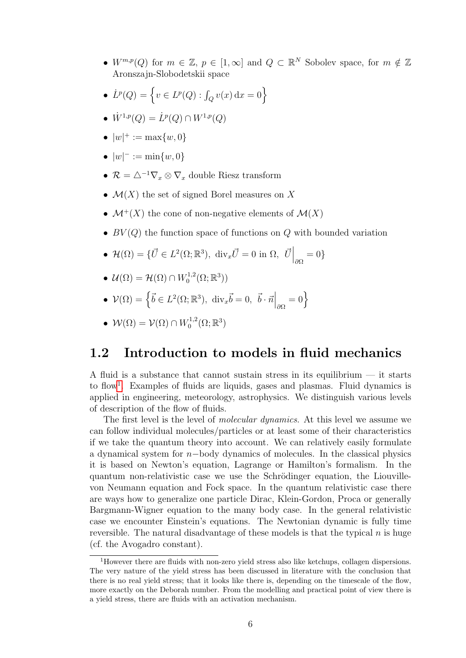- $W^{m,p}(Q)$  for  $m \in \mathbb{Z}$ ,  $p \in [1,\infty]$  and  $Q \subset \mathbb{R}^N$  Sobolev space, for  $m \notin \mathbb{Z}$ Aronszajn-Slobodetskii space
- $\dot{L}^p(Q) = \left\{ v \in L^p(Q) : \int_Q v(x) \, dx = 0 \right\}$
- $\dot{W}^{1,p}(Q) = \dot{L}^p(Q) \cap W^{1,p}(Q)$
- $|w|^+ := \max\{w, 0\}$
- $|w|^- := \min\{w, 0\}$
- $\mathcal{R} = \triangle^{-1} \nabla_x \otimes \nabla_x$  double Riesz transform
- $\mathcal{M}(X)$  the set of signed Borel measures on X
- $\mathcal{M}^+(X)$  the cone of non-negative elements of  $\mathcal{M}(X)$
- $BV(Q)$  the function space of functions on Q with bounded variation
- $\mathcal{H}(\Omega) = {\{\vec{U} \in L^2(\Omega;\mathbb{R}^3), \dim_x \vec{U} = 0 \text{ in } \Omega, \left. \vec{U} \right|_{\partial \Omega} = 0 \}}$
- $\bullet \ \mathcal{U}(\Omega) = \mathcal{H}(\Omega) \cap W_0^{1,2}$  $\mathcal{C}_0^{1,2}(\Omega;\mathbb{R}^3))$
- $\mathcal{V}(\Omega) = \left\{ \vec{b} \in L^2(\Omega; \mathbb{R}^3), \text{ div}_x \vec{b} = 0, \vec{b} \cdot \vec{n} \Big|_{\partial \Omega} = 0 \right\}$
- $\bullet \ \mathcal{W}(\Omega) = \mathcal{V}(\Omega) \cap W_0^{1,2}$  $\mathcal{C}_0^{1,2}(\Omega;\mathbb{R}^3)$

#### <span id="page-9-0"></span>1.2 Introduction to models in fluid mechanics

A fluid is a substance that cannot sustain stress in its equilibrium — it starts to flow<sup>[1](#page-9-1)</sup>. Examples of fluids are liquids, gases and plasmas. Fluid dynamics is applied in engineering, meteorology, astrophysics. We distinguish various levels of description of the flow of fluids.

The first level is the level of *molecular dynamics*. At this level we assume we can follow individual molecules/particles or at least some of their characteristics if we take the quantum theory into account. We can relatively easily formulate a dynamical system for n−body dynamics of molecules. In the classical physics it is based on Newton's equation, Lagrange or Hamilton's formalism. In the quantum non-relativistic case we use the Schrödinger equation, the Liouvillevon Neumann equation and Fock space. In the quantum relativistic case there are ways how to generalize one particle Dirac, Klein-Gordon, Proca or generally Bargmann-Wigner equation to the many body case. In the general relativistic case we encounter Einstein's equations. The Newtonian dynamic is fully time reversible. The natural disadvantage of these models is that the typical  $n$  is huge (cf. the Avogadro constant).

<span id="page-9-1"></span><sup>1</sup>However there are fluids with non-zero yield stress also like ketchups, collagen dispersions. The very nature of the yield stress has been discussed in literature with the conclusion that there is no real yield stress; that it looks like there is, depending on the timescale of the flow, more exactly on the Deborah number. From the modelling and practical point of view there is a yield stress, there are fluids with an activation mechanism.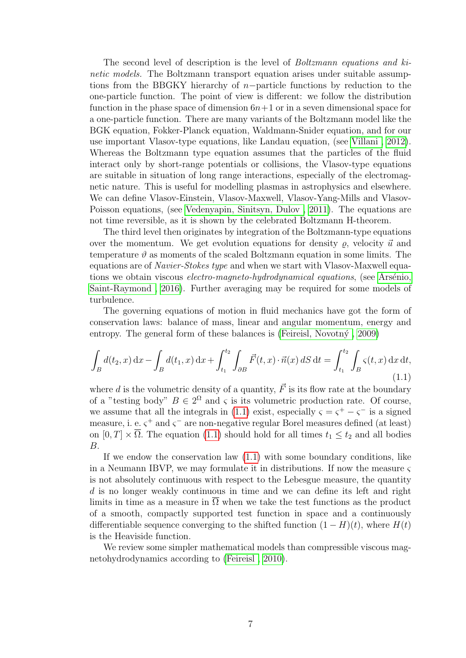The second level of description is the level of Boltzmann equations and kinetic models. The Boltzmann transport equation arises under suitable assumptions from the BBGKY hierarchy of  $n$ -particle functions by reduction to the one-particle function. The point of view is different: we follow the distribution function in the phase space of dimension  $6n+1$  or in a seven dimensional space for a one-particle function. There are many variants of the Boltzmann model like the BGK equation, Fokker-Planck equation, Waldmann-Snider equation, and for our use important Vlasov-type equations, like Landau equation, (see [Villani , 2012\)](#page-103-0). Whereas the Boltzmann type equation assumes that the particles of the fluid interact only by short-range potentials or collisions, the Vlasov-type equations are suitable in situation of long range interactions, especially of the electromagnetic nature. This is useful for modelling plasmas in astrophysics and elsewhere. We can define Vlasov-Einstein, Vlasov-Maxwell, Vlasov-Yang-Mills and Vlasov-Poisson equations, (see [Vedenyapin, Sinitsyn, Dulov , 2011\)](#page-103-1). The equations are not time reversible, as it is shown by the celebrated Boltzmann H-theorem.

The third level then originates by integration of the Boltzmann-type equations over the momentum. We get evolution equations for density  $\rho$ , velocity  $\vec{u}$  and temperature  $\vartheta$  as moments of the scaled Boltzmann equation in some limits. The equations are of *Navier-Stokes type* and when we start with Vlasov-Maxwell equations we obtain viscous *electro-magneto-hydrodynamical equations*, (see Arsénio, [Saint-Raymond , 2016\)](#page-96-1). Further averaging may be required for some models of turbulence.

The governing equations of motion in fluid mechanics have got the form of conservation laws: balance of mass, linear and angular momentum, energy and entropy. The general form of these balances is (Feireisl, Novotn $\acute{y}$ , 2009)

<span id="page-10-0"></span>
$$
\int_{B} d(t_2, x) dx - \int_{B} d(t_1, x) dx + \int_{t_1}^{t_2} \int_{\partial B} \vec{F}(t, x) \cdot \vec{n}(x) dS dt = \int_{t_1}^{t_2} \int_{B} \varsigma(t, x) dx dt,
$$
\n(1.1)

where d is the volumetric density of a quantity,  $\vec{F}$  is its flow rate at the boundary of a "testing body"  $B \in 2^{\Omega}$  and  $\varsigma$  is its volumetric production rate. Of course, we assume that all the integrals in [\(1.1\)](#page-10-0) exist, especially  $\varsigma = \varsigma^+ - \varsigma^-$  is a signed measure, i. e.  $\varsigma^+$  and  $\varsigma^-$  are non-negative regular Borel measures defined (at least) on  $[0, T] \times \overline{\Omega}$ . The equation [\(1.1\)](#page-10-0) should hold for all times  $t_1 \leq t_2$  and all bodies B.

If we endow the conservation law [\(1.1\)](#page-10-0) with some boundary conditions, like in a Neumann IBVP, we may formulate it in distributions. If now the measure  $\varsigma$ is not absolutely continuous with respect to the Lebesgue measure, the quantity d is no longer weakly continuous in time and we can define its left and right limits in time as a measure in  $\Omega$  when we take the test functions as the product of a smooth, compactly supported test function in space and a continuously differentiable sequence converging to the shifted function  $(1 - H)(t)$ , where  $H(t)$ is the Heaviside function.

We review some simpler mathematical models than compressible viscous magnetohydrodynamics according to [\(Feireisl , 2010\)](#page-99-2).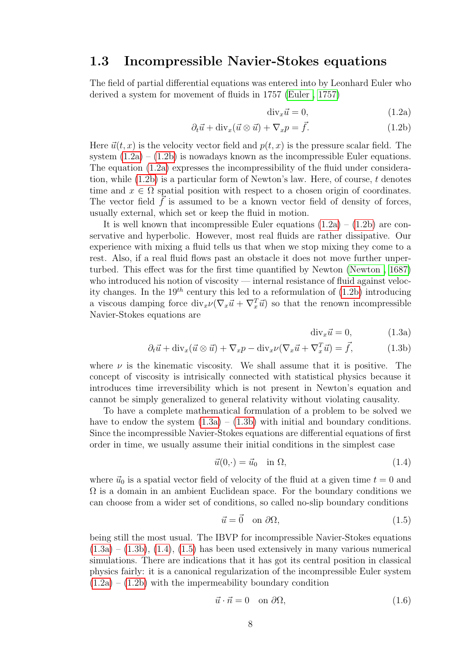#### <span id="page-11-0"></span>1.3 Incompressible Navier-Stokes equations

The field of partial differential equations was entered into by Leonhard Euler who derived a system for movement of fluids in 1757 [\(Euler , 1757\)](#page-99-3)

<span id="page-11-2"></span><span id="page-11-1"></span>
$$
\operatorname{div}_x \vec{u} = 0,\t(1.2a)
$$

$$
\partial_t \vec{u} + \text{div}_x(\vec{u} \otimes \vec{u}) + \nabla_x p = \vec{f}.\tag{1.2b}
$$

Here  $\vec{u}(t, x)$  is the velocity vector field and  $p(t, x)$  is the pressure scalar field. The system  $(1.2a) - (1.2b)$  $(1.2a) - (1.2b)$  is nowadays known as the incompressible Euler equations. The equation [\(1.2a\)](#page-11-1) expresses the incompressibility of the fluid under consideration, while  $(1.2b)$  is a particular form of Newton's law. Here, of course, t denotes time and  $x \in \Omega$  spatial position with respect to a chosen origin of coordinates. The vector field  $\vec{f}$  is assumed to be a known vector field of density of forces, usually external, which set or keep the fluid in motion.

It is well known that incompressible Euler equations  $(1.2a) - (1.2b)$  $(1.2a) - (1.2b)$  are conservative and hyperbolic. However, most real fluids are rather dissipative. Our experience with mixing a fluid tells us that when we stop mixing they come to a rest. Also, if a real fluid flows past an obstacle it does not move further unperturbed. This effect was for the first time quantified by Newton [\(Newton , 1687\)](#page-102-1) who introduced his notion of viscosity — internal resistance of fluid against velocity changes. In the  $19^{th}$  century this led to a reformulation of  $(1.2b)$  introducing a viscous damping force  $\text{div}_x \nu (\nabla_x \vec{u} + \nabla_x^T \vec{u})$  so that the renown incompressible Navier-Stokes equations are

<span id="page-11-4"></span><span id="page-11-3"></span>
$$
\text{div}_x \vec{u} = 0, \qquad (1.3a)
$$

$$
\partial_t \vec{u} + \text{div}_x(\vec{u} \otimes \vec{u}) + \nabla_x p - \text{div}_x \nu (\nabla_x \vec{u} + \nabla_x^T \vec{u}) = \vec{f}, \tag{1.3b}
$$

where  $\nu$  is the kinematic viscosity. We shall assume that it is positive. The concept of viscosity is intrisically connected with statistical physics because it introduces time irreversibility which is not present in Newton's equation and cannot be simply generalized to general relativity without violating causality.

To have a complete mathematical formulation of a problem to be solved we have to endow the system  $(1.3a) - (1.3b)$  $(1.3a) - (1.3b)$  with initial and boundary conditions. Since the incompressible Navier-Stokes equations are differential equations of first order in time, we usually assume their initial conditions in the simplest case

<span id="page-11-5"></span>
$$
\vec{u}(0,\cdot) = \vec{u}_0 \quad \text{in } \Omega,\tag{1.4}
$$

where  $\vec{u}_0$  is a spatial vector field of velocity of the fluid at a given time  $t = 0$  and  $\Omega$  is a domain in an ambient Euclidean space. For the boundary conditions we can choose from a wider set of conditions, so called no-slip boundary conditions

<span id="page-11-6"></span>
$$
\vec{u} = \vec{0} \quad \text{on } \partial\Omega,\tag{1.5}
$$

being still the most usual. The IBVP for incompressible Navier-Stokes equations  $(1.3a) - (1.3b), (1.4), (1.5)$  $(1.3a) - (1.3b), (1.4), (1.5)$  $(1.3a) - (1.3b), (1.4), (1.5)$  $(1.3a) - (1.3b), (1.4), (1.5)$  $(1.3a) - (1.3b), (1.4), (1.5)$  $(1.3a) - (1.3b), (1.4), (1.5)$  $(1.3a) - (1.3b), (1.4), (1.5)$  has been used extensively in many various numerical simulations. There are indications that it has got its central position in classical physics fairly: it is a canonical regularization of the incompressible Euler system  $(1.2a) - (1.2b)$  $(1.2a) - (1.2b)$  $(1.2a) - (1.2b)$  with the impermeability boundary condition

<span id="page-11-7"></span>
$$
\vec{u} \cdot \vec{n} = 0 \quad \text{on } \partial\Omega,\tag{1.6}
$$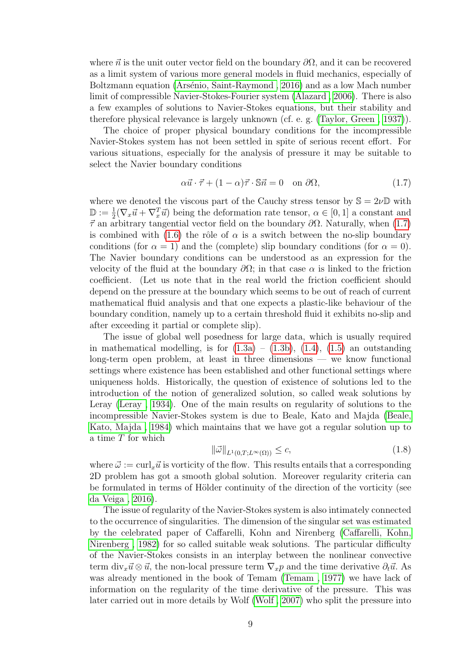where  $\vec{n}$  is the unit outer vector field on the boundary  $\partial\Omega$ , and it can be recovered as a limit system of various more general models in fluid mechanics, especially of Boltzmann equation (Arsénio, Saint-Raymond, 2016) and as a low Mach number limit of compressible Navier-Stokes-Fourier system [\(Alazard , 2006\)](#page-96-2). There is also a few examples of solutions to Navier-Stokes equations, but their stability and therefore physical relevance is largely unknown (cf. e. g. [\(Taylor, Green , 1937\)](#page-103-2)).

The choice of proper physical boundary conditions for the incompressible Navier-Stokes system has not been settled in spite of serious recent effort. For various situations, especially for the analysis of pressure it may be suitable to select the Navier boundary conditions

<span id="page-12-0"></span>
$$
\alpha \vec{u} \cdot \vec{\tau} + (1 - \alpha)\vec{\tau} \cdot \mathbb{S}\vec{n} = 0 \quad \text{on } \partial \Omega,
$$
 (1.7)

where we denoted the viscous part of the Cauchy stress tensor by  $\mathbb{S} = 2\nu\mathbb{D}$  with  $\mathbb{D} := \frac{1}{2}(\nabla_x \vec{u} + \nabla_x^T \vec{u})$  being the deformation rate tensor,  $\alpha \in [0, 1]$  a constant and  $\vec{\tau}$  an arbitrary tangential vector field on the boundary  $\partial\Omega$ . Naturally, when [\(1.7\)](#page-12-0) is combined with [\(1.6\)](#page-11-7) the rôle of  $\alpha$  is a switch between the no-slip boundary conditions (for  $\alpha = 1$ ) and the (complete) slip boundary conditions (for  $\alpha = 0$ ). The Navier boundary conditions can be understood as an expression for the velocity of the fluid at the boundary  $\partial\Omega$ ; in that case  $\alpha$  is linked to the friction coefficient. (Let us note that in the real world the friction coefficient should depend on the pressure at the boundary which seems to be out of reach of current mathematical fluid analysis and that one expects a plastic-like behaviour of the boundary condition, namely up to a certain threshold fluid it exhibits no-slip and after exceeding it partial or complete slip).

The issue of global well posedness for large data, which is usually required in mathematical modelling, is for  $(1.3a) - (1.3b)$  $(1.3a) - (1.3b)$ ,  $(1.4)$ ,  $(1.5)$  an outstanding long-term open problem, at least in three dimensions — we know functional settings where existence has been established and other functional settings where uniqueness holds. Historically, the question of existence of solutions led to the introduction of the notion of generalized solution, so called weak solutions by Leray [\(Leray , 1934\)](#page-101-1). One of the main results on regularity of solutions to the incompressible Navier-Stokes system is due to Beale, Kato and Majda [\(Beale,](#page-96-3) [Kato, Majda , 1984\)](#page-96-3) which maintains that we have got a regular solution up to a time T for which

$$
\|\vec{\omega}\|_{L^1(0,T;L^\infty(\Omega))} \le c,\tag{1.8}
$$

where  $\vec{\omega} := \text{curl}_x \vec{u}$  is vorticity of the flow. This results entails that a corresponding 2D problem has got a smooth global solution. Moreover regularity criteria can be formulated in terms of Hölder continuity of the direction of the vorticity (see [da Veiga , 2016\)](#page-99-4).

The issue of regularity of the Navier-Stokes system is also intimately connected to the occurrence of singularities. The dimension of the singular set was estimated by the celebrated paper of Caffarelli, Kohn and Nirenberg [\(Caffarelli, Kohn,](#page-97-2) [Nirenberg , 1982\)](#page-97-2) for so called suitable weak solutions. The particular difficulty of the Navier-Stokes consists in an interplay between the nonlinear convective term div<sub>x</sub> $\vec{u} \otimes \vec{u}$ , the non-local pressure term  $\nabla_x p$  and the time derivative  $\partial_t \vec{u}$ . As was already mentioned in the book of Temam [\(Temam , 1977\)](#page-103-3) we have lack of information on the regularity of the time derivative of the pressure. This was later carried out in more details by Wolf [\(Wolf , 2007\)](#page-103-4) who split the pressure into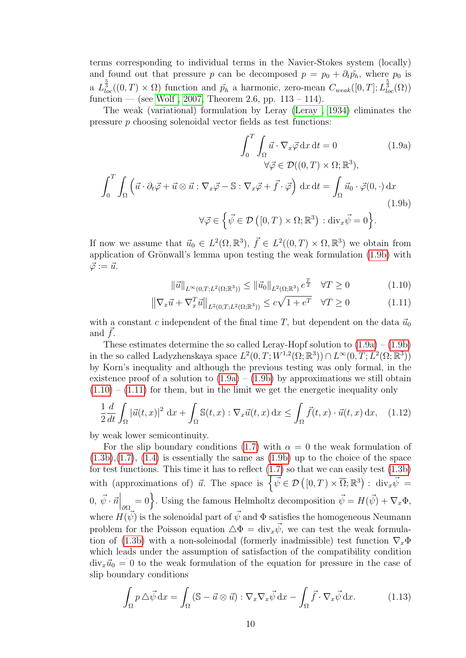terms corresponding to individual terms in the Navier-Stokes system (locally) and found out that pressure p can be decomposed  $p = p_0 + \partial_t \tilde{p}_h$ , where  $p_0$  is a  $L_{loc}^{\frac{5}{3}}((0,T)\times\Omega)$  function and  $\tilde{p}_h$  a harmonic, zero-mean  $C_{weak}([0,T];L_{loc}^{\frac{5}{3}}(\Omega))$ function — (see Wolf, 2007, Theorem 2.6, pp.  $113 - 114$ ).

The weak (variational) formulation by Leray [\(Leray , 1934\)](#page-101-1) eliminates the pressure p choosing solenoidal vector fields as test functions:

$$
\int_{0}^{T} \int_{\Omega} \vec{u} \cdot \nabla_{x} \vec{\varphi} \, dx \, dt = 0 \qquad (1.9a)
$$

$$
\forall \vec{\varphi} \in \mathcal{D}((0, T) \times \Omega; \mathbb{R}^{3}),
$$

$$
\int_{0}^{T} \int_{\Omega} (\vec{u} \cdot \partial_{t} \vec{\varphi} + \vec{u} \otimes \vec{u} : \nabla_{x} \vec{\varphi} - \mathbb{S} : \nabla_{x} \vec{\varphi} + \vec{f} \cdot \vec{\varphi}) \, dx \, dt = \int_{\Omega} \vec{u}_{0} \cdot \vec{\varphi}(0, \cdot) \, dx
$$

$$
\forall \vec{\varphi} \in \left\{ \vec{\psi} \in \mathcal{D}([0, T) \times \Omega; \mathbb{R}^{3}) : \text{div}_{x} \vec{\psi} = 0 \right\}. \qquad (1.9b)
$$

If now we assume that  $\vec{u}_0 \in L^2(\Omega, \mathbb{R}^3)$ ,  $\vec{f} \in L^2((0,T) \times \Omega, \mathbb{R}^3)$  we obtain from application of Grönwall's lemma upon testing the weak formulation  $(1.9b)$  with  $\vec{\varphi} := \vec{u}.$ 

<span id="page-13-3"></span><span id="page-13-2"></span><span id="page-13-1"></span><span id="page-13-0"></span>
$$
\|\vec{u}\|_{L^{\infty}(0,T;L^{2}(\Omega;\mathbb{R}^{3}))} \leq \|\vec{u}_{0}\|_{L^{2}(\Omega;\mathbb{R}^{3})} e^{\frac{T}{2}} \quad \forall T \geq 0 \tag{1.10}
$$

$$
\left\|\nabla_x \vec{u} + \nabla_x^T \vec{u}\right\|_{L^2(0,T;L^2(\Omega;\mathbb{R}^3))} \le c\sqrt{1 + e^T} \quad \forall T \ge 0 \tag{1.11}
$$

with a constant c independent of the final time T, but dependent on the data  $\vec{u}_0$ and  $f$ .

These estimates determine the so called Leray-Hopf solution to  $(1.9a) - (1.9b)$  $(1.9a) - (1.9b)$ in the so called Ladyzhenskaya space  $L^2(0,T;W^{1,2}(\Omega;\mathbb{R}^3)) \cap L^\infty(0,T;L^2(\Omega;\mathbb{R}^3))$ by Korn's inequality and although the previous testing was only formal, in the existence proof of a solution to  $(1.9a) - (1.9b)$  $(1.9a) - (1.9b)$  by approximations we still obtain  $(1.10) - (1.11)$  $(1.10) - (1.11)$  $(1.10) - (1.11)$  for them, but in the limit we get the energetic inequality only

<span id="page-13-4"></span>
$$
\frac{1}{2}\frac{d}{dt}\int_{\Omega}|\vec{u}(t,x)|^2\,\mathrm{d}x + \int_{\Omega}\mathbb{S}(t,x): \nabla_x\vec{u}(t,x)\,\mathrm{d}x \le \int_{\Omega}\vec{f}(t,x)\cdot\vec{u}(t,x)\,\mathrm{d}x,\tag{1.12}
$$

by weak lower semicontinuity.

For the slip boundary conditions [\(1.7\)](#page-12-0) with  $\alpha = 0$  the weak formulation of  $(1.3b),(1.7), (1.4)$  $(1.3b),(1.7), (1.4)$  $(1.3b),(1.7), (1.4)$  $(1.3b),(1.7), (1.4)$  $(1.3b),(1.7), (1.4)$  is essentially the same as  $(1.9b)$  up to the choice of the space for test functions. This time it has to reflect  $(1.7)$  so that we can easily test  $(1.3b)$ with (approximations of)  $\vec{u}$ . The space is  $\oint \vec{\psi} \in \mathcal{D}([0,T) \times \overline{\Omega}; \mathbb{R}^3)$ :  $\text{div}_x \vec{\psi} =$  $(0, \vec{\psi} \cdot \vec{n} \big|_{\partial \Omega} = 0$ . Using the famous Helmholtz decomposition  $\vec{\psi} = H(\vec{\psi}) + \nabla_x \Phi$ , where  $H(\vec{\psi})$  is the solenoidal part of  $\vec{\psi}$  and  $\Phi$  satisfies the homogeneous Neumann problem for the Poisson equation  $\Delta \Phi = \text{div}_x \vec{\psi}$ , we can test the weak formula-tion of [\(1.3b\)](#page-11-4) with a non-soleinodal (formerly inadmissible) test function  $\nabla_x \Phi$ which leads under the assumption of satisfaction of the compatibility condition  $div_x\vec{u}_0 = 0$  to the weak formulation of the equation for pressure in the case of slip boundary conditions

$$
\int_{\Omega} p \,\Delta \vec{\psi} \,dx = \int_{\Omega} (\mathbb{S} - \vec{u} \otimes \vec{u}) : \nabla_x \nabla_x \vec{\psi} \,dx - \int_{\Omega} \vec{f} \cdot \nabla_x \vec{\psi} \,dx. \tag{1.13}
$$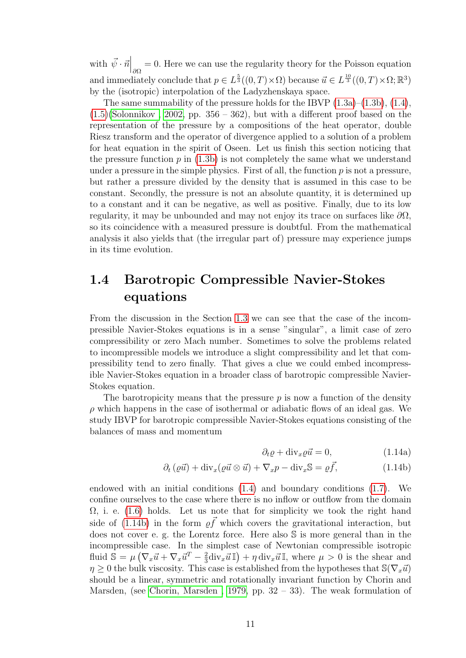with  $\vec{\psi} \cdot \vec{n} \Big|_{\partial \Omega} = 0$ . Here we can use the regularity theory for the Poisson equation and immediately conclude that  $p \in L^{\frac{5}{3}}((0,T) \times \Omega)$  because  $\vec{u} \in L^{\frac{10}{3}}((0,T) \times \Omega; \mathbb{R}^3)$ by the (isotropic) interpolation of the Ladyzhenskaya space.

The same summability of the pressure holds for the IBVP  $(1.3a)$ – $(1.3b)$ ,  $(1.4)$ ,  $(1.5)(Solomikov, 2002, pp. 356 - 362)$  $(1.5)(Solomikov, 2002, pp. 356 - 362)$ , but with a different proof based on the representation of the pressure by a compositions of the heat operator, double Riesz transform and the operator of divergence applied to a solution of a problem for heat equation in the spirit of Oseen. Let us finish this section noticing that the pressure function p in  $(1.3b)$  is not completely the same what we understand under a pressure in the simple physics. First of all, the function  $p$  is not a pressure, but rather a pressure divided by the density that is assumed in this case to be constant. Secondly, the pressure is not an absolute quantity, it is determined up to a constant and it can be negative, as well as positive. Finally, due to its low regularity, it may be unbounded and may not enjoy its trace on surfaces like  $\partial\Omega$ , so its coincidence with a measured pressure is doubtful. From the mathematical analysis it also yields that (the irregular part of) pressure may experience jumps in its time evolution.

### <span id="page-14-0"></span>1.4 Barotropic Compressible Navier-Stokes equations

From the discussion in the Section [1.3](#page-11-0) we can see that the case of the incompressible Navier-Stokes equations is in a sense "singular", a limit case of zero compressibility or zero Mach number. Sometimes to solve the problems related to incompressible models we introduce a slight compressibility and let that compressibility tend to zero finally. That gives a clue we could embed incompressible Navier-Stokes equation in a broader class of barotropic compressible Navier-Stokes equation.

The barotropicity means that the pressure  $p$  is now a function of the density  $\rho$  which happens in the case of isothermal or adiabatic flows of an ideal gas. We study IBVP for barotropic compressible Navier-Stokes equations consisting of the balances of mass and momentum

<span id="page-14-2"></span><span id="page-14-1"></span>
$$
\partial_t \varrho + \text{div}_x \varrho \vec{u} = 0,\tag{1.14a}
$$

$$
\partial_t \left( \varrho \vec{u} \right) + \text{div}_x \left( \varrho \vec{u} \otimes \vec{u} \right) + \nabla_x p - \text{div}_x \mathbb{S} = \varrho \vec{f}, \tag{1.14b}
$$

endowed with an initial conditions [\(1.4\)](#page-11-5) and boundary conditions [\(1.7\)](#page-12-0). We confine ourselves to the case where there is no inflow or outflow from the domain  $\Omega$ , i. e. [\(1.6\)](#page-11-7) holds. Let us note that for simplicity we took the right hand side of [\(1.14b\)](#page-14-1) in the form  $\varrho \vec{f}$  which covers the gravitational interaction, but does not cover e. g. the Lorentz force. Here also S is more general than in the incompressible case. In the simplest case of Newtonian compressible isotropic fluid  $\overline{\mathbb{S}} = \mu \left( \nabla_x \vec{u} + \nabla_x \vec{u}^T - \frac{2}{3} \right)$  $\frac{2}{3}$ div<sub>x</sub> $\vec{u}$  I,  $\eta$  div<sub>x</sub> $\vec{u}$  I, where  $\mu > 0$  is the shear and  $\eta > 0$  the bulk viscosity. This case is established from the hypotheses that  $\mathcal{S}(\nabla_x \vec{u})$ should be a linear, symmetric and rotationally invariant function by Chorin and Marsden, (see Chorin, Marsden, 1979, pp.  $32 - 33$ ). The weak formulation of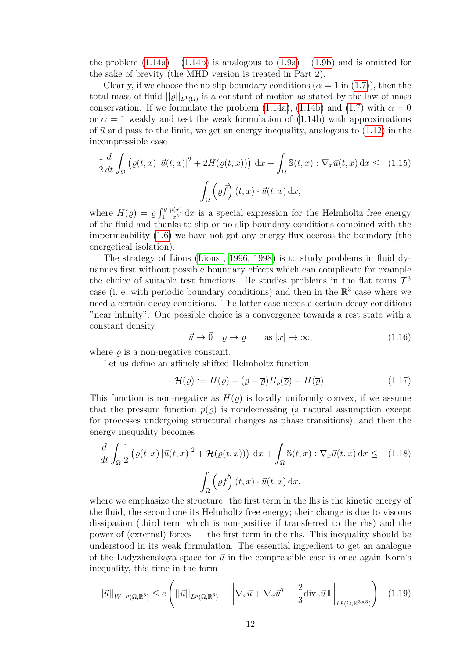the problem  $(1.14a) - (1.14b)$  $(1.14a) - (1.14b)$  is analogous to  $(1.9a) - (1.9b)$  $(1.9a) - (1.9b)$  and is omitted for the sake of brevity (the MHD version is treated in Part 2).

Clearly, if we choose the no-slip boundary conditions  $(\alpha = 1 \text{ in } (1.7))$  $(\alpha = 1 \text{ in } (1.7))$  $(\alpha = 1 \text{ in } (1.7))$ , then the total mass of fluid  $||\varrho||_{L^1(\Omega)}$  is a constant of motion as stated by the law of mass conservation. If we formulate the problem [\(1.14a\)](#page-14-2), [\(1.14b\)](#page-14-1) and [\(1.7\)](#page-12-0) with  $\alpha = 0$ or  $\alpha = 1$  weakly and test the weak formulation of  $(1.14b)$  with approximations of  $\vec{u}$  and pass to the limit, we get an energy inequality, analogous to [\(1.12\)](#page-13-4) in the incompressible case

<span id="page-15-0"></span>
$$
\frac{1}{2}\frac{d}{dt}\int_{\Omega} \left(\varrho(t,x)\left|\vec{u}(t,x)\right|^2 + 2H(\varrho(t,x))\right) dx + \int_{\Omega} \mathbb{S}(t,x) : \nabla_x \vec{u}(t,x) dx \leq (1.15)
$$
\n
$$
\int_{\Omega} \left(\varrho \vec{f}\right)(t,x) \cdot \vec{u}(t,x) dx,
$$

where  $H(\varrho) = \varrho \int_1^{\varrho}$  $\frac{p(x)}{x^2}$  dx is a special expression for the Helmholtz free energy of the fluid and thanks to slip or no-slip boundary conditions combined with the impermeability [\(1.6\)](#page-11-7) we have not got any energy flux accross the boundary (the energetical isolation).

The strategy of Lions [\(Lions , 1996, 1998\)](#page-101-2) is to study problems in fluid dynamics first without possible boundary effects which can complicate for example the choice of suitable test functions. He studies problems in the flat torus  $\mathcal{T}^3$ case (i. e. with periodic boundary conditions) and then in the  $\mathbb{R}^3$  case where we need a certain decay conditions. The latter case needs a certain decay conditions "near infinity". One possible choice is a convergence towards a rest state with a constant density

<span id="page-15-2"></span>
$$
\vec{u} \to \vec{0} \quad \varrho \to \overline{\varrho} \qquad \text{as } |x| \to \infty,
$$
\n(1.16)

where  $\bar{\rho}$  is a non-negative constant.

Let us define an affinely shifted Helmholtz function

<span id="page-15-4"></span>
$$
\mathcal{H}(\varrho) := H(\varrho) - (\varrho - \overline{\varrho}) H_{\varrho}(\overline{\varrho}) - H(\overline{\varrho}). \tag{1.17}
$$

This function is non-negative as  $H(\varrho)$  is locally uniformly convex, if we assume that the pressure function  $p(\rho)$  is nondecreasing (a natural assumption except for processes undergoing structural changes as phase transitions), and then the energy inequality becomes

<span id="page-15-1"></span>
$$
\frac{d}{dt} \int_{\Omega} \frac{1}{2} \left( \varrho(t, x) \left| \vec{u}(t, x) \right|^{2} + \mathcal{H}(\varrho(t, x)) \right) dx + \int_{\Omega} \mathbb{S}(t, x) : \nabla_{x} \vec{u}(t, x) dx \leq (1.18)
$$
\n
$$
\int_{\Omega} \left( \varrho \vec{f} \right) (t, x) \cdot \vec{u}(t, x) dx,
$$

where we emphasize the structure: the first term in the lhs is the kinetic energy of the fluid, the second one its Helmholtz free energy; their change is due to viscous dissipation (third term which is non-positive if transferred to the rhs) and the power of (external) forces — the first term in the rhs. This inequality should be understood in its weak formulation. The essential ingredient to get an analogue of the Ladyzhenskaya space for  $\vec{u}$  in the compressible case is once again Korn's inequality, this time in the form

<span id="page-15-3"></span>
$$
||\vec{u}||_{W^{1,p}(\Omega,\mathbb{R}^3)} \le c \left( ||\vec{u}||_{L^p(\Omega,\mathbb{R}^3)} + \left\| \nabla_x \vec{u} + \nabla_x \vec{u}^T - \frac{2}{3} \text{div}_x \vec{u} \mathbb{I} \right\|_{L^p(\Omega,\mathbb{R}^{3\times 3})} \right) (1.19)
$$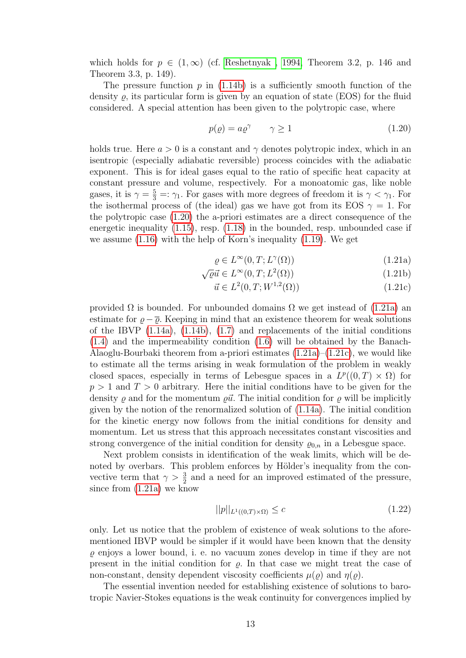which holds for  $p \in (1,\infty)$  (cf. Reshetnyak, 1994, Theorem 3.2, p. 146 and Theorem 3.3, p. 149).

The pressure function  $p$  in [\(1.14b\)](#page-14-1) is a sufficiently smooth function of the density  $\varrho$ , its particular form is given by an equation of state (EOS) for the fluid considered. A special attention has been given to the polytropic case, where

<span id="page-16-0"></span>
$$
p(\varrho) = a\varrho^{\gamma} \qquad \gamma \ge 1 \tag{1.20}
$$

holds true. Here  $a > 0$  is a constant and  $\gamma$  denotes polytropic index, which in an isentropic (especially adiabatic reversible) process coincides with the adiabatic exponent. This is for ideal gases equal to the ratio of specific heat capacity at constant pressure and volume, respectively. For a monoatomic gas, like noble gases, it is  $\gamma = \frac{5}{3} =: \gamma_1$ . For gases with more degrees of freedom it is  $\gamma < \gamma_1$ . For the isothermal process of (the ideal) gas we have got from its EOS  $\gamma = 1$ . For the polytropic case [\(1.20\)](#page-16-0) the a-priori estimates are a direct consequence of the energetic inequality [\(1.15\)](#page-15-0), resp. [\(1.18\)](#page-15-1) in the bounded, resp. unbounded case if we assume [\(1.16\)](#page-15-2) with the help of Korn's inequality [\(1.19\)](#page-15-3). We get

<span id="page-16-1"></span>
$$
\varrho \in L^{\infty}(0, T; L^{\gamma}(\Omega))
$$
\n(1.21a)

$$
\sqrt{\varrho}\vec{u} \in L^{\infty}(0, T; L^{2}(\Omega))
$$
\n(1.21b)

<span id="page-16-2"></span>
$$
\vec{u} \in L^2(0, T; W^{1,2}(\Omega))
$$
\n(1.21c)

provided  $\Omega$  is bounded. For unbounded domains  $\Omega$  we get instead of [\(1.21a\)](#page-16-1) an estimate for  $\varrho - \overline{\varrho}$ . Keeping in mind that an existence theorem for weak solutions of the IBVP  $(1.14a)$ ,  $(1.14b)$ ,  $(1.7)$  and replacements of the initial conditions [\(1.4\)](#page-11-5) and the impermeability condition [\(1.6\)](#page-11-7) will be obtained by the Banach-Alaoglu-Bourbaki theorem from a-priori estimates  $(1.21a)$ – $(1.21c)$ , we would like to estimate all the terms arising in weak formulation of the problem in weakly closed spaces, especially in terms of Lebesgue spaces in a  $L^p((0,T) \times \Omega)$  for  $p > 1$  and  $T > 0$  arbitrary. Here the initial conditions have to be given for the density  $\rho$  and for the momentum  $\rho \vec{u}$ . The initial condition for  $\rho$  will be implicitly given by the notion of the renormalized solution of [\(1.14a\)](#page-14-2). The initial condition for the kinetic energy now follows from the initial conditions for density and momentum. Let us stress that this approach necessitates constant viscosities and strong convergence of the initial condition for density  $\varrho_{0,n}$  in a Lebesgue space.

Next problem consists in identification of the weak limits, which will be denoted by overbars. This problem enforces by Hölder's inequality from the convective term that  $\gamma > \frac{3}{2}$  and a need for an improved estimated of the pressure, since from [\(1.21a\)](#page-16-1) we know

$$
||p||_{L^{1}((0,T)\times\Omega)} \leq c \tag{1.22}
$$

only. Let us notice that the problem of existence of weak solutions to the aforementioned IBVP would be simpler if it would have been known that the density  $\rho$  enjoys a lower bound, i. e. no vacuum zones develop in time if they are not present in the initial condition for  $\rho$ . In that case we might treat the case of non-constant, density dependent viscosity coefficients  $\mu(\rho)$  and  $\eta(\rho)$ .

The essential invention needed for establishing existence of solutions to barotropic Navier-Stokes equations is the weak continuity for convergences implied by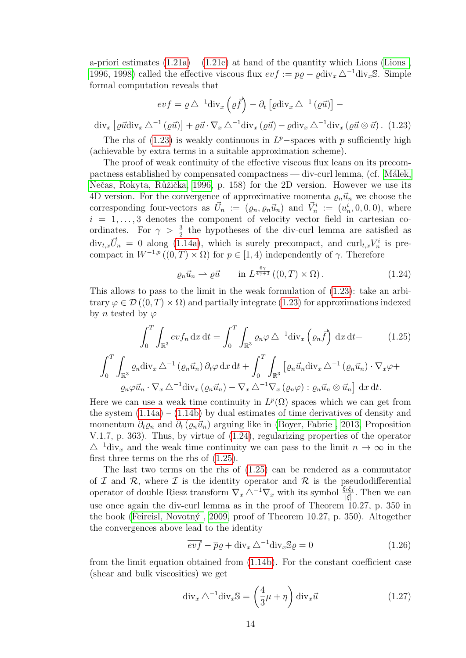a-priori estimates  $(1.21a) - (1.21c)$  $(1.21a) - (1.21c)$  at hand of the quantity which Lions (Lions, [1996, 1998\)](#page-101-2) called the effective viscous flux  $evf := p\varrho - \varrho \text{div}_x \Delta^{-1} \text{div}_x \mathbb{S}$ . Simple formal computation reveals that

$$
evf = \varrho \Delta^{-1} \text{div}_x \left( \varrho \vec{f} \right) - \partial_t \left[ \varrho \text{div}_x \Delta^{-1} \left( \varrho \vec{u} \right) \right] -
$$

<span id="page-17-0"></span> $\text{div}_x \left[ \varrho \vec{u} \text{div}_x \Delta^{-1} (\varrho \vec{u}) \right] + \varrho \vec{u} \cdot \nabla_x \Delta^{-1} \text{div}_x (\varrho \vec{u}) - \varrho \text{div}_x \Delta^{-1} \text{div}_x (\varrho \vec{u} \otimes \vec{u})$ . (1.23)

The rhs of  $(1.23)$  is weakly continuous in  $L^p$ -spaces with p sufficiently high (achievable by extra terms in a suitable approximation scheme).

The proof of weak continuity of the effective viscous flux leans on its precompactness established by compensated compactness — div-curl lemma, (cf. Málek, Nečas, Rokyta, Růžička, 1996, p. 158) for the 2D version. However we use its 4D version. For the convergence of approximative momenta  $\varrho_n\vec{u}_n$  we choose the corresponding four-vectors as  $\vec{U}_n := (\varrho_n, \varrho_n \vec{u}_n)$  and  $\vec{V}_n^i := (u_n^i, 0, 0, 0)$ , where  $i = 1, \ldots, 3$  denotes the component of velocity vector field in cartesian coordinates. For  $\gamma > \frac{3}{2}$  the hypotheses of the div-curl lemma are satisfied as  $\text{div}_{t,x}\vec{U}_n = 0$  along [\(1.14a\)](#page-14-2), which is surely precompact, and  $\text{curl}_{t,x}V_n^i$  is precompact in  $W^{-1,p}((0,T)\times\Omega)$  for  $p\in[1,4)$  independently of  $\gamma$ . Therefore

<span id="page-17-1"></span>
$$
\varrho_n \vec{u}_n \rightharpoonup \varrho \vec{u} \qquad \text{in } L^{\frac{6\gamma}{4\gamma+3}}((0,T) \times \Omega). \tag{1.24}
$$

This allows to pass to the limit in the weak formulation of [\(1.23\)](#page-17-0): take an arbitrary  $\varphi \in \mathcal{D}((0,T) \times \Omega)$  and partially integrate [\(1.23\)](#page-17-0) for approximations indexed by *n* tested by  $\varphi$ 

<span id="page-17-2"></span>
$$
\int_0^T \int_{\mathbb{R}^3} ev f_n \, dx \, dt = \int_0^T \int_{\mathbb{R}^3} \varrho_n \varphi \, \Delta^{-1} \text{div}_x \left( \varrho_n \vec{f} \right) \, dx \, dt + \qquad (1.25)
$$

$$
\int_0^T \int_{\mathbb{R}^3} \varrho_n \text{div}_x \, \Delta^{-1} \left( \varrho_n \vec{u}_n \right) \partial_t \varphi \, dx \, dt + \int_0^T \int_{\mathbb{R}^3} \left[ \varrho_n \vec{u}_n \text{div}_x \, \Delta^{-1} \left( \varrho_n \vec{u}_n \right) \cdot \nabla_x \varphi + \varrho_n \varphi \vec{u}_n \cdot \nabla_x \Delta^{-1} \text{div}_x \left( \varrho_n \vec{u}_n \right) - \nabla_x \Delta^{-1} \nabla_x \left( \varrho_n \varphi \right) : \varrho_n \vec{u}_n \otimes \vec{u}_n \right] \, dx \, dt.
$$

Here we can use a weak time continuity in  $L^p(\Omega)$  spaces which we can get from the system  $(1.14a) - (1.14b)$  $(1.14a) - (1.14b)$  by dual estimates of time derivatives of density and momentum  $\partial_t \varrho_n$  and  $\partial_t (\varrho_n \vec{u}_n)$  arguing like in [\(Boyer, Fabrie , 2013,](#page-96-4) Proposition V.1.7, p. 363). Thus, by virtue of [\(1.24\)](#page-17-1), regularizing properties of the operator  $\Delta^{-1}$ div<sub>x</sub> and the weak time continuity we can pass to the limit  $n \to \infty$  in the first three terms on the rhs of [\(1.25\)](#page-17-2).

The last two terms on the rhs of [\(1.25\)](#page-17-2) can be rendered as a commutator of  $\mathcal I$  and  $\mathcal R$ , where  $\mathcal I$  is the identity operator and  $\mathcal R$  is the pseudodifferential operator of double Riesz transform  $\nabla_x \Delta^{-1} \nabla_x$  with its symbol  $\frac{\xi_i \xi_j}{|\xi|}$ . Then we can use once again the div-curl lemma as in the proof of Theorem 10.27, p. 350 in the book (Feireisl, Novotný, 2009, proof of Theorem 10.27, p. 350). Altogether the convergences above lead to the identity

<span id="page-17-3"></span>
$$
\overline{evf} - \overline{p}\varrho + \operatorname{div}_x \Delta^{-1} \operatorname{div}_x \mathbb{S}\varrho = 0 \tag{1.26}
$$

from the limit equation obtained from [\(1.14b\)](#page-14-1). For the constant coefficient case (shear and bulk viscosities) we get

$$
\operatorname{div}_x \triangle^{-1} \operatorname{div}_x \mathbb{S} = \left(\frac{4}{3}\mu + \eta\right) \operatorname{div}_x \vec{u}
$$
\n(1.27)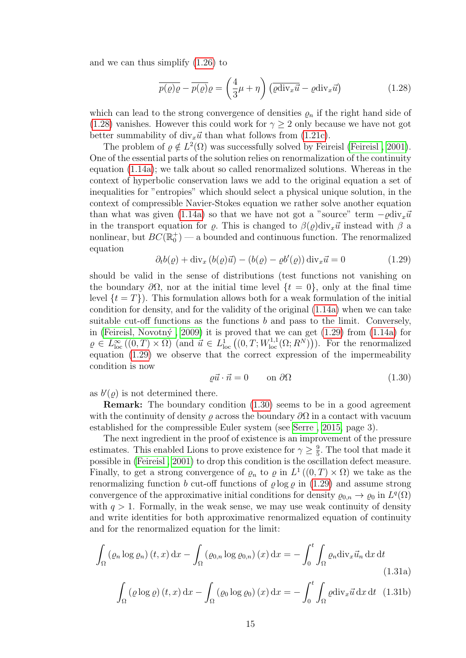and we can thus simplify [\(1.26\)](#page-17-3) to

<span id="page-18-0"></span>
$$
\overline{p(\varrho)\varrho} - \overline{p(\varrho)}\varrho = \left(\frac{4}{3}\mu + \eta\right) \left(\overline{\varrho \text{div}_x \vec{u}} - \varrho \text{div}_x \vec{u}\right)
$$
(1.28)

which can lead to the strong convergence of densities  $\varrho_n$  if the right hand side of [\(1.28\)](#page-18-0) vanishes. However this could work for  $\gamma \geq 2$  only because we have not got better summability of  $div_x\vec{u}$  than what follows from [\(1.21c\)](#page-16-2).

The problem of  $\varrho \notin L^2(\Omega)$  was successfully solved by Feireisl (Feireisl, 2001). One of the essential parts of the solution relies on renormalization of the continuity equation [\(1.14a\)](#page-14-2); we talk about so called renormalized solutions. Whereas in the context of hyperbolic conservation laws we add to the original equation a set of inequalities for "entropies" which should select a physical unique solution, in the context of compressible Navier-Stokes equation we rather solve another equation than what was given [\(1.14a\)](#page-14-2) so that we have not got a "source" term  $-\varrho \text{div}_x \vec{u}$ in the transport equation for  $\rho$ . This is changed to  $\beta(\rho)div_x\vec{u}$  instead with  $\beta$  a nonlinear, but  $BC(\mathbb{R}^+_0)$  — a bounded and continuous function. The renormalized equation

<span id="page-18-1"></span>
$$
\partial_t b(\varrho) + \text{div}_x \left( b(\varrho) \vec{u} \right) - \left( b(\varrho) - \varrho b'(\varrho) \right) \text{div}_x \vec{u} = 0 \tag{1.29}
$$

should be valid in the sense of distributions (test functions not vanishing on the boundary  $\partial\Omega$ , nor at the initial time level  $\{t = 0\}$ , only at the final time level  $\{t = T\}$ ). This formulation allows both for a weak formulation of the initial condition for density, and for the validity of the original [\(1.14a\)](#page-14-2) when we can take suitable cut-off functions as the functions b and pass to the limit. Conversely, in (Feireisl, Novotný, 2009) it is proved that we can get  $(1.29)$  from  $(1.14a)$  for  $\rho \in L^{\infty}_{loc}((0,T) \times \Omega)$  (and  $\vec{u} \in L^{1}_{loc}((0,T;W^{1,1}_{loc}(\Omega;R^N))).$  For the renormalized equation [\(1.29\)](#page-18-1) we observe that the correct expression of the impermeability condition is now

<span id="page-18-3"></span><span id="page-18-2"></span>
$$
\varrho \vec{u} \cdot \vec{n} = 0 \qquad \text{on } \partial \Omega \tag{1.30}
$$

as  $b'(\varrho)$  is not determined there.

Remark: The boundary condition [\(1.30\)](#page-18-2) seems to be in a good agreement with the continuity of density  $\rho$  across the boundary  $\partial\Omega$  in a contact with vacuum established for the compressible Euler system (see [Serre , 2015,](#page-103-6) page 3).

The next ingredient in the proof of existence is an improvement of the pressure estimates. This enabled Lions to prove existence for  $\gamma \geq \frac{9}{5}$  $\frac{9}{5}$ . The tool that made it possible in [\(Feireisl , 2001\)](#page-99-5) to drop this condition is the oscillation defect measure. Finally, to get a strong convergence of  $\varrho_n$  to  $\varrho$  in  $L^1((0,T)\times\Omega)$  we take as the renormalizing function b cut-off functions of  $\varrho \log \varrho$  in [\(1.29\)](#page-18-1) and assume strong convergence of the approximative initial conditions for density  $\varrho_{0,n} \to \varrho_0$  in  $L^q(\Omega)$ with  $q > 1$ . Formally, in the weak sense, we may use weak continuity of density and write identities for both approximative renormalized equation of continuity and for the renormalized equation for the limit:

$$
\int_{\Omega} \left( \varrho_n \log \varrho_n \right) (t, x) \, \mathrm{d}x - \int_{\Omega} \left( \varrho_{0,n} \log \varrho_{0,n} \right) (x) \, \mathrm{d}x = - \int_0^t \int_{\Omega} \varrho_n \mathrm{div}_x \vec{u}_n \, \mathrm{d}x \, \mathrm{d}t \tag{1.31a}
$$

<span id="page-18-4"></span>
$$
\int_{\Omega} (\varrho \log \varrho) (t, x) dx - \int_{\Omega} (\varrho_0 \log \varrho_0) (x) dx = - \int_0^t \int_{\Omega} \varrho \operatorname{div}_x \vec{u} dx dt \quad (1.31b)
$$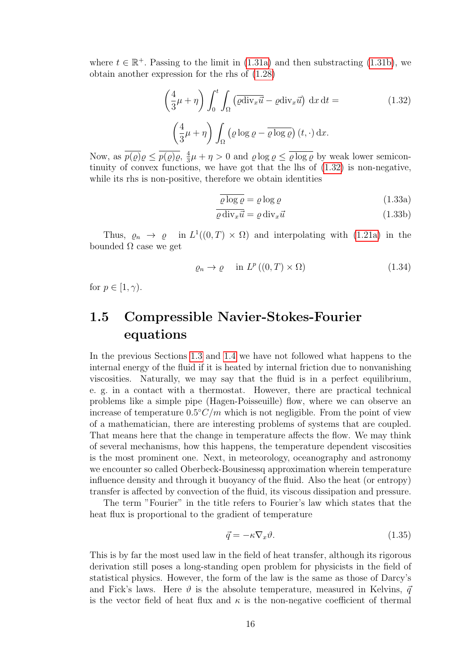where  $t \in \mathbb{R}^+$ . Passing to the limit in [\(1.31a\)](#page-18-3) and then substracting [\(1.31b\)](#page-18-4), we obtain another expression for the rhs of [\(1.28\)](#page-18-0)

<span id="page-19-1"></span>
$$
\left(\frac{4}{3}\mu + \eta\right) \int_0^t \int_{\Omega} \left(\overline{\varrho} \operatorname{div}_x \overline{u} - \varrho \operatorname{div}_x \overline{u}\right) dx dt =
$$
\n
$$
\left(\frac{4}{3}\mu + \eta\right) \int_{\Omega} \left(\varrho \log \varrho - \overline{\varrho \log \varrho}\right) (t, \cdot) dx.
$$
\n(1.32)

Now, as  $\overline{p(\varrho)}\varrho \leq \overline{p(\varrho)}\varrho$ ,  $\frac{4}{3}\mu + \eta > 0$  and  $\varrho \log \varrho \leq \overline{\varrho \log \varrho}$  by weak lower semicontinuity of convex functions, we have got that the lhs of [\(1.32\)](#page-19-1) is non-negative, while its rhs is non-positive, therefore we obtain identities

$$
\overline{\varrho \log \varrho} = \varrho \log \varrho \tag{1.33a}
$$

$$
\overline{\varrho \operatorname{div}_x \vec{u}} = \varrho \operatorname{div}_x \vec{u} \tag{1.33b}
$$

Thus,  $\rho_n \to \rho$  in  $L^1((0,T) \times \Omega)$  and interpolating with [\(1.21a\)](#page-16-1) in the bounded  $Ω$  case we get

$$
\varrho_n \to \varrho \quad \text{in } L^p((0,T) \times \Omega) \tag{1.34}
$$

for  $p \in [1, \gamma)$ .

### <span id="page-19-0"></span>1.5 Compressible Navier-Stokes-Fourier equations

In the previous Sections [1.3](#page-11-0) and [1.4](#page-14-0) we have not followed what happens to the internal energy of the fluid if it is heated by internal friction due to nonvanishing viscosities. Naturally, we may say that the fluid is in a perfect equilibrium, e. g. in a contact with a thermostat. However, there are practical technical problems like a simple pipe (Hagen-Poisseuille) flow, where we can observe an increase of temperature  $0.5\degree C/m$  which is not negligible. From the point of view of a mathematician, there are interesting problems of systems that are coupled. That means here that the change in temperature affects the flow. We may think of several mechanisms, how this happens, the temperature dependent viscosities is the most prominent one. Next, in meteorology, oceanography and astronomy we encounter so called Oberbeck-Bousinessq approximation wherein temperature influence density and through it buoyancy of the fluid. Also the heat (or entropy) transfer is affected by convection of the fluid, its viscous dissipation and pressure.

The term "Fourier" in the title refers to Fourier's law which states that the heat flux is proportional to the gradient of temperature

<span id="page-19-2"></span>
$$
\vec{q} = -\kappa \nabla_x \vartheta. \tag{1.35}
$$

This is by far the most used law in the field of heat transfer, although its rigorous derivation still poses a long-standing open problem for physicists in the field of statistical physics. However, the form of the law is the same as those of Darcy's and Fick's laws. Here  $\vartheta$  is the absolute temperature, measured in Kelvins,  $\vec{q}$ is the vector field of heat flux and  $\kappa$  is the non-negative coefficient of thermal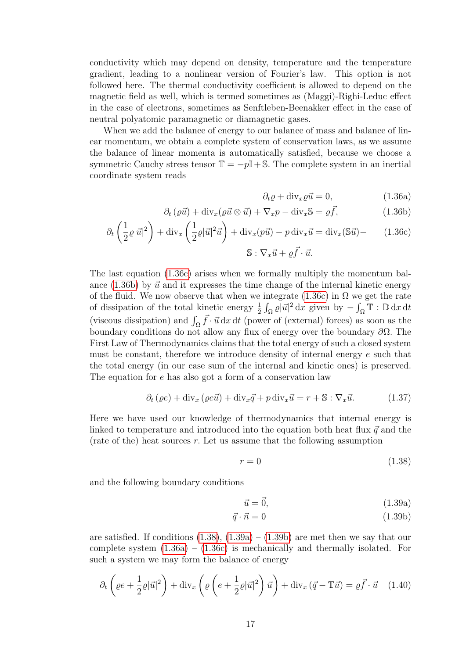conductivity which may depend on density, temperature and the temperature gradient, leading to a nonlinear version of Fourier's law. This option is not followed here. The thermal conductivity coefficient is allowed to depend on the magnetic field as well, which is termed sometimes as (Maggi)-Righi-Leduc effect in the case of electrons, sometimes as Senftleben-Beenakker effect in the case of neutral polyatomic paramagnetic or diamagnetic gases.

When we add the balance of energy to our balance of mass and balance of linear momentum, we obtain a complete system of conservation laws, as we assume the balance of linear momenta is automatically satisfied, because we choose a symmetric Cauchy stress tensor  $\mathbb{T} = -p\mathbb{I} + \mathbb{S}$ . The complete system in an inertial coordinate system reads

<span id="page-20-5"></span><span id="page-20-1"></span><span id="page-20-0"></span>
$$
\partial_t \varrho + \text{div}_x \varrho \vec{u} = 0, \qquad (1.36a)
$$

$$
\partial_t \left( \varrho \vec{u} \right) + \text{div}_x \left( \varrho \vec{u} \otimes \vec{u} \right) + \nabla_x p - \text{div}_x \mathbb{S} = \varrho \vec{f}, \tag{1.36b}
$$

$$
\partial_t \left( \frac{1}{2} \varrho |\vec{u}|^2 \right) + \text{div}_x \left( \frac{1}{2} \varrho |\vec{u}|^2 \vec{u} \right) + \text{div}_x(p\vec{u}) - p \text{ div}_x \vec{u} = \text{div}_x(\mathbb{S}\vec{u}) - (1.36c)
$$

$$
\mathbb{S} : \nabla_x \vec{u} + \varrho \vec{f} \cdot \vec{u}.
$$

The last equation [\(1.36c\)](#page-20-0) arises when we formally multiply the momentum balance  $(1.36b)$  by  $\vec{u}$  and it expresses the time change of the internal kinetic energy of the fluid. We now observe that when we integrate [\(1.36c\)](#page-20-0) in  $\Omega$  we get the rate of dissipation of the total kinetic energy  $\frac{1}{2} \int_{\Omega} \varrho |\vec{u}|^2 dx$  given by  $-\int_{\Omega} \mathbb{T} : \mathbb{D} dx dt$ (viscous dissipation) and  $\int_{\Omega} \vec{f} \cdot \vec{u} \,dx \,dt$  (power of (external) forces) as soon as the boundary conditions do not allow any flux of energy over the boundary  $\partial\Omega$ . The First Law of Thermodynamics claims that the total energy of such a closed system must be constant, therefore we introduce density of internal energy e such that the total energy (in our case sum of the internal and kinetic ones) is preserved. The equation for e has also got a form of a conservation law

<span id="page-20-6"></span>
$$
\partial_t (\varrho e) + \text{div}_x (\varrho e \vec{u}) + \text{div}_x \vec{q} + p \text{div}_x \vec{u} = r + \mathbb{S} : \nabla_x \vec{u}.
$$
 (1.37)

Here we have used our knowledge of thermodynamics that internal energy is linked to temperature and introduced into the equation both heat flux  $\vec{q}$  and the (rate of the) heat sources  $r$ . Let us assume that the following assumption

<span id="page-20-2"></span>
$$
r = 0\tag{1.38}
$$

and the following boundary conditions

<span id="page-20-4"></span><span id="page-20-3"></span>
$$
\vec{u} = \vec{0},\tag{1.39a}
$$

$$
\vec{q} \cdot \vec{n} = 0 \tag{1.39b}
$$

are satisfied. If conditions  $(1.38)$ ,  $(1.39a) - (1.39b)$  $(1.39a) - (1.39b)$  are met then we say that our complete system  $(1.36a) - (1.36c)$  $(1.36a) - (1.36c)$  is mechanically and thermally isolated. For such a system we may form the balance of energy

<span id="page-20-7"></span>
$$
\partial_t \left( \varrho e + \frac{1}{2} \varrho |\vec{u}|^2 \right) + \text{div}_x \left( \varrho \left( e + \frac{1}{2} \varrho |\vec{u}|^2 \right) \vec{u} \right) + \text{div}_x \left( \vec{q} - \mathbb{T} \vec{u} \right) = \varrho \vec{f} \cdot \vec{u} \quad (1.40)
$$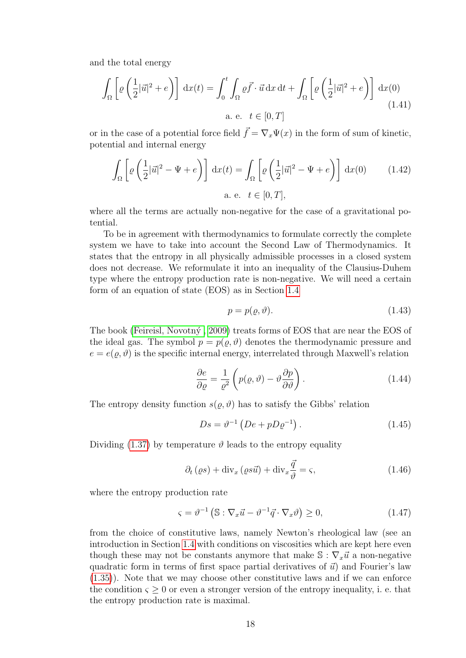and the total energy

$$
\int_{\Omega} \left[ \varrho \left( \frac{1}{2} |\vec{u}|^2 + e \right) \right] dx(t) = \int_{0}^{t} \int_{\Omega} \varrho \vec{f} \cdot \vec{u} \, dx \, dt + \int_{\Omega} \left[ \varrho \left( \frac{1}{2} |\vec{u}|^2 + e \right) \right] dx(0)
$$
\na. e.  $t \in [0, T]$  (1.41)

or in the case of a potential force field  $\vec{f} = \nabla_x \Psi(x)$  in the form of sum of kinetic, potential and internal energy

$$
\int_{\Omega} \left[ \varrho \left( \frac{1}{2} |\vec{u}|^2 - \Psi + e \right) \right] dx(t) = \int_{\Omega} \left[ \varrho \left( \frac{1}{2} |\vec{u}|^2 - \Psi + e \right) \right] dx(0) \qquad (1.42)
$$
  
a. e.  $t \in [0, T],$ 

where all the terms are actually non-negative for the case of a gravitational potential.

To be in agreement with thermodynamics to formulate correctly the complete system we have to take into account the Second Law of Thermodynamics. It states that the entropy in all physically admissible processes in a closed system does not decrease. We reformulate it into an inequality of the Clausius-Duhem type where the entropy production rate is non-negative. We will need a certain form of an equation of state (EOS) as in Section [1.4](#page-14-0)

$$
p = p(\varrho, \vartheta). \tag{1.43}
$$

The book (Feireisl, Novotný, 2009) treats forms of EOS that are near the EOS of the ideal gas. The symbol  $p = p(\rho, \vartheta)$  denotes the thermodynamic pressure and  $e = e(\rho, \vartheta)$  is the specific internal energy, interrelated through Maxwell's relation

<span id="page-21-2"></span>
$$
\frac{\partial e}{\partial \varrho} = \frac{1}{\varrho^2} \left( p(\varrho, \vartheta) - \vartheta \frac{\partial p}{\partial \vartheta} \right). \tag{1.44}
$$

The entropy density function  $s(\varrho, \vartheta)$  has to satisfy the Gibbs' relation

$$
Ds = \vartheta^{-1} \left( De + pD\varrho^{-1} \right). \tag{1.45}
$$

Dividing [\(1.37\)](#page-20-6) by temperature  $\vartheta$  leads to the entropy equality

<span id="page-21-0"></span>
$$
\partial_t (\varrho s) + \text{div}_x (\varrho s \vec{u}) + \text{div}_x \frac{\vec{q}}{\vartheta} = \varsigma,
$$
\n(1.46)

where the entropy production rate

<span id="page-21-1"></span>
$$
\varsigma = \vartheta^{-1} \left( \mathbb{S} : \nabla_x \vec{u} - \vartheta^{-1} \vec{q} \cdot \nabla_x \vartheta \right) \ge 0, \tag{1.47}
$$

from the choice of constitutive laws, namely Newton's rheological law (see an introduction in Section [1.4](#page-14-0) with conditions on viscosities which are kept here even though these may not be constants anymore that make  $\mathbb{S} : \nabla_x \vec{u}$  a non-negative quadratic form in terms of first space partial derivatives of  $\vec{u}$ ) and Fourier's law [\(1.35\)](#page-19-2)). Note that we may choose other constitutive laws and if we can enforce the condition  $\varsigma \geq 0$  or even a stronger version of the entropy inequality, i. e. that the entropy production rate is maximal.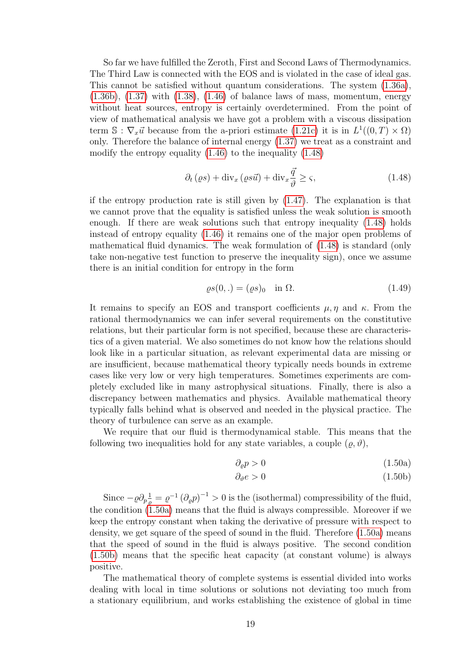So far we have fulfilled the Zeroth, First and Second Laws of Thermodynamics. The Third Law is connected with the EOS and is violated in the case of ideal gas. This cannot be satisfied without quantum considerations. The system [\(1.36a\)](#page-20-5),  $(1.36b)$ ,  $(1.37)$  with  $(1.38)$ ,  $(1.46)$  of balance laws of mass, momentum, energy without heat sources, entropy is certainly overdetermined. From the point of view of mathematical analysis we have got a problem with a viscous dissipation term S:  $\nabla_x \vec{u}$  because from the a-priori estimate [\(1.21c\)](#page-16-2) it is in  $L^1((0,T) \times \Omega)$ only. Therefore the balance of internal energy [\(1.37\)](#page-20-6) we treat as a constraint and modify the entropy equality [\(1.46\)](#page-21-0) to the inequality [\(1.48\)](#page-22-0)

<span id="page-22-0"></span>
$$
\partial_{t} \left(\varrho s\right) + \operatorname{div}_{x} \left(\varrho s \vec{u}\right) + \operatorname{div}_{x} \frac{\vec{q}}{\vartheta} \ge \varsigma, \tag{1.48}
$$

if the entropy production rate is still given by [\(1.47\)](#page-21-1). The explanation is that we cannot prove that the equality is satisfied unless the weak solution is smooth enough. If there are weak solutions such that entropy inequality [\(1.48\)](#page-22-0) holds instead of entropy equality [\(1.46\)](#page-21-0) it remains one of the major open problems of mathematical fluid dynamics. The weak formulation of [\(1.48\)](#page-22-0) is standard (only take non-negative test function to preserve the inequality sign), once we assume there is an initial condition for entropy in the form

$$
\varrho s(0,.) = (\varrho s)_0 \quad \text{in } \Omega. \tag{1.49}
$$

It remains to specify an EOS and transport coefficients  $\mu, \eta$  and  $\kappa$ . From the rational thermodynamics we can infer several requirements on the constitutive relations, but their particular form is not specified, because these are characteristics of a given material. We also sometimes do not know how the relations should look like in a particular situation, as relevant experimental data are missing or are insufficient, because mathematical theory typically needs bounds in extreme cases like very low or very high temperatures. Sometimes experiments are completely excluded like in many astrophysical situations. Finally, there is also a discrepancy between mathematics and physics. Available mathematical theory typically falls behind what is observed and needed in the physical practice. The theory of turbulence can serve as an example.

We require that our fluid is thermodynamical stable. This means that the following two inequalities hold for any state variables, a couple  $(\rho, \vartheta)$ ,

<span id="page-22-2"></span><span id="page-22-1"></span>
$$
\partial_{\varrho} p > 0 \tag{1.50a}
$$

$$
\partial_{\vartheta} e > 0 \tag{1.50b}
$$

Since  $-\varrho \partial_p \frac{1}{\varrho} = \varrho^{-1} (\partial_\varrho p)^{-1} > 0$  is the (isothermal) compressibility of the fluid, the condition [\(1.50a\)](#page-22-1) means that the fluid is always compressible. Moreover if we keep the entropy constant when taking the derivative of pressure with respect to density, we get square of the speed of sound in the fluid. Therefore [\(1.50a\)](#page-22-1) means that the speed of sound in the fluid is always positive. The second condition [\(1.50b\)](#page-22-2) means that the specific heat capacity (at constant volume) is always positive.

The mathematical theory of complete systems is essential divided into works dealing with local in time solutions or solutions not deviating too much from a stationary equilibrium, and works establishing the existence of global in time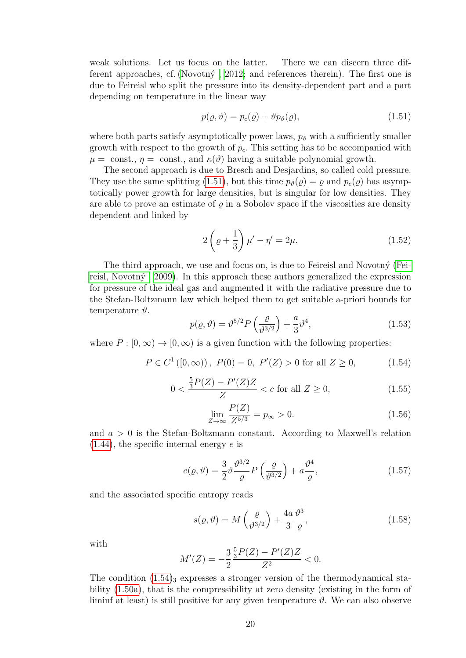weak solutions. Let us focus on the latter. There we can discern three different approaches, cf. (Novotn $\circ$ , 2012; and references therein). The first one is due to Feireisl who split the pressure into its density-dependent part and a part depending on temperature in the linear way

<span id="page-23-0"></span>
$$
p(\varrho, \vartheta) = p_c(\varrho) + \vartheta p_{\vartheta}(\varrho), \qquad (1.51)
$$

where both parts satisfy asymptotically power laws,  $p_{\theta}$  with a sufficiently smaller growth with respect to the growth of  $p_c$ . This setting has to be accompanied with  $\mu = \text{const.}, \eta = \text{const.}, \text{ and } \kappa(\vartheta)$  having a suitable polynomial growth.

The second approach is due to Bresch and Desjardins, so called cold pressure. They use the same splitting [\(1.51\)](#page-23-0), but this time  $p_{\theta}(\rho) = \rho$  and  $p_c(\rho)$  has asymptotically power growth for large densities, but is singular for low densities. They are able to prove an estimate of  $\rho$  in a Sobolev space if the viscosities are density dependent and linked by

$$
2\left(\varrho + \frac{1}{3}\right)\mu' - \eta' = 2\mu.
$$
\n(1.52)

The third approach, we use and focus on, is due to Feireisl and Novotný [\(Fei](#page-99-1)reisl, Novotný,  $2009$ ). In this approach these authors generalized the expression for pressure of the ideal gas and augmented it with the radiative pressure due to the Stefan-Boltzmann law which helped them to get suitable a-priori bounds for temperature  $\vartheta$ .

<span id="page-23-4"></span>
$$
p(\varrho,\vartheta) = \vartheta^{5/2} P\left(\frac{\varrho}{\vartheta^{3/2}}\right) + \frac{a}{3} \vartheta^4,\tag{1.53}
$$

where  $P : [0, \infty) \to [0, \infty)$  is a given function with the following properties:

<span id="page-23-1"></span>
$$
P \in C^{1}([0, \infty)), P(0) = 0, P'(Z) > 0 \text{ for all } Z \ge 0,
$$
 (1.54)

<span id="page-23-3"></span>
$$
0 < \frac{\frac{5}{3}P(Z) - P'(Z)Z}{Z} < c \text{ for all } Z \ge 0,\tag{1.55}
$$

<span id="page-23-2"></span>
$$
\lim_{Z \to \infty} \frac{P(Z)}{Z^{5/3}} = p_{\infty} > 0.
$$
\n(1.56)

and  $a > 0$  is the Stefan-Boltzmann constant. According to Maxwell's relation  $(1.44)$ , the specific internal energy e is

$$
e(\varrho,\vartheta) = \frac{3}{2}\vartheta \frac{\vartheta^{3/2}}{\varrho} P\left(\frac{\varrho}{\vartheta^{3/2}}\right) + a\frac{\vartheta^4}{\varrho},\tag{1.57}
$$

and the associated specific entropy reads

$$
s(\varrho, \vartheta) = M\left(\frac{\varrho}{\vartheta^{3/2}}\right) + \frac{4a}{3} \frac{\vartheta^3}{\varrho},\tag{1.58}
$$

with

$$
M'(Z) = -\frac{3}{2} \frac{\frac{5}{3}P(Z) - P'(Z)Z}{Z^2} < 0.
$$

The condition  $(1.54)_{3}$  expresses a stronger version of the thermodynamical stability [\(1.50a\)](#page-22-1), that is the compressibility at zero density (existing in the form of liminf at least) is still positive for any given temperature  $\vartheta$ . We can also observe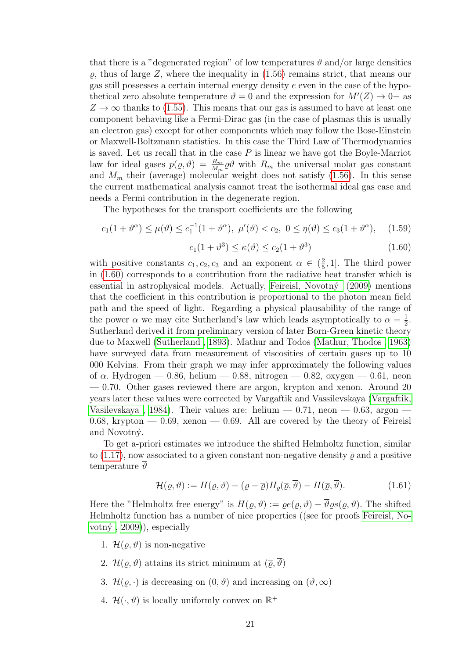that there is a "degenerated region" of low temperatures  $\vartheta$  and/or large densities  $\rho$ , thus of large Z, where the inequality in [\(1.56\)](#page-23-2) remains strict, that means our gas still possesses a certain internal energy density  $e$  even in the case of the hypothetical zero absolute temperature  $\vartheta = 0$  and the expression for  $M'(Z) \to 0^-$  as  $Z \rightarrow \infty$  thanks to [\(1.55\)](#page-23-3). This means that our gas is assumed to have at least one component behaving like a Fermi-Dirac gas (in the case of plasmas this is usually an electron gas) except for other components which may follow the Bose-Einstein or Maxwell-Boltzmann statistics. In this case the Third Law of Thermodynamics is saved. Let us recall that in the case  $P$  is linear we have got the Boyle-Marriot law for ideal gases  $p(\rho, \vartheta) = \frac{R_m}{M_m} \rho \vartheta$  with  $R_m$  the universal molar gas constant and  $M_m$  their (average) molecular weight does not satisfy [\(1.56\)](#page-23-2). In this sense the current mathematical analysis cannot treat the isothermal ideal gas case and needs a Fermi contribution in the degenerate region.

The hypotheses for the transport coefficients are the following

<span id="page-24-1"></span>
$$
c_1(1+\vartheta^{\alpha}) \le \mu(\vartheta) \le c_1^{-1}(1+\vartheta^{\alpha}), \ \mu'(\vartheta) < c_2, \ 0 \le \eta(\vartheta) \le c_3(1+\vartheta^{\alpha}), \tag{1.59}
$$

<span id="page-24-0"></span>
$$
c_1(1+\vartheta^3) \le \kappa(\vartheta) \le c_2(1+\vartheta^3) \tag{1.60}
$$

with positive constants  $c_1, c_2, c_3$  and an exponent  $\alpha \in (\frac{2}{5})$  $(\frac{2}{5}, 1]$ . The third power in [\(1.60\)](#page-24-0) corresponds to a contribution from the radiative heat transfer which is essential in astrophysical models. Actually, Feireisl, Novotný  $(2009)$  mentions that the coefficient in this contribution is proportional to the photon mean field path and the speed of light. Regarding a physical plausability of the range of the power  $\alpha$  we may cite Sutherland's law which leads asymptotically to  $\alpha = \frac{1}{2}$  $rac{1}{2}$ . Sutherland derived it from preliminary version of later Born-Green kinetic theory due to Maxwell [\(Sutherland , 1893\)](#page-103-7). Mathur and Todos [\(Mathur, Thodos , 1963\)](#page-101-4) have surveyed data from measurement of viscosities of certain gases up to 10 000 Kelvins. From their graph we may infer approximately the following values of  $\alpha$ . Hydrogen — 0.86, helium — 0.88, nitrogen — 0.82, oxygen — 0.61, neon — 0.70. Other gases reviewed there are argon, krypton and xenon. Around 20 years later these values were corrected by Vargaftik and Vassilevskaya [\(Vargaftik,](#page-103-8) Vasilevskaya, 1984). Their values are: helium  $-0.71$ , neon  $-0.63$ , argon  $-$ 0.68, krypton  $-$  0.69, xenon  $-$  0.69. All are covered by the theory of Feireisl and Novotný.

To get a-priori estimates we introduce the shifted Helmholtz function, similar to [\(1.17\)](#page-15-4), now associated to a given constant non-negative density  $\bar{\varrho}$  and a positive temperature  $\vartheta$ 

$$
\mathcal{H}(\varrho, \vartheta) := H(\varrho, \vartheta) - (\varrho - \overline{\varrho}) H_{\varrho}(\overline{\varrho}, \overline{\vartheta}) - H(\overline{\varrho}, \overline{\vartheta}). \tag{1.61}
$$

Here the "Helmholtz free energy" is  $H(\varrho, \vartheta) := \varrho e(\varrho, \vartheta) - \overline{\vartheta} \varrho s(\varrho, \vartheta)$ . The shifted Helmholtz function has a number of nice properties ((see for proofs [Feireisl, No](#page-99-1)votný,  $(2009)$ , especially

- 1.  $\mathcal{H}(\rho, \vartheta)$  is non-negative
- 2.  $\mathcal{H}(\rho, \vartheta)$  attains its strict minimum at  $(\overline{\rho}, \overline{\vartheta})$
- 3.  $\mathcal{H}(\varrho, \cdot)$  is decreasing on  $(0, \overline{\vartheta})$  and increasing on  $(\overline{\vartheta}, \infty)$
- 4.  $\mathcal{H}(\cdot, \vartheta)$  is locally uniformly convex on  $\mathbb{R}^+$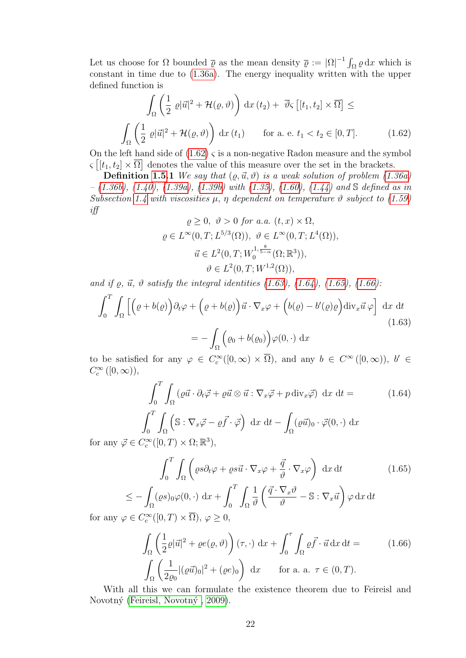Let us choose for  $\Omega$  bounded  $\bar{\varrho}$  as the mean density  $\bar{\varrho} := |\Omega|^{-1} \int_{\Omega} \varrho dx$  which is constant in time due to [\(1.36a\)](#page-20-5). The energy inequality written with the upper defined function is

<span id="page-25-0"></span>
$$
\int_{\Omega} \left( \frac{1}{2} \varrho |\vec{u}|^2 + \mathcal{H}(\varrho, \vartheta) \right) dx (t_2) + \overline{\vartheta}_{\varsigma} \left[ [t_1, t_2] \times \overline{\Omega} \right] \le
$$
\n
$$
\int_{\Omega} \left( \frac{1}{2} \varrho |\vec{u}|^2 + \mathcal{H}(\varrho, \vartheta) \right) dx (t_1) \quad \text{for a. e. } t_1 < t_2 \in [0, T]. \tag{1.62}
$$

On the left hand side of  $(1.62)$   $\varsigma$  is a non-negative Radon measure and the symbol  $\varsigma\left[[t_1,t_2]\times\overline{\Omega}\right]$  denotes the value of this measure over the set in the brackets.

**Definition [1.5.](#page-19-0)1** We say that  $(\rho, \vec{u}, \vartheta)$  is a weak solution of problem [\(1.36a\)](#page-20-5)  $-$  [\(1.36b\)](#page-20-1), [\(1.40\)](#page-20-7), [\(1.39a\)](#page-20-3), [\(1.39b\)](#page-20-4) with [\(1.35\)](#page-19-2), [\(1.60\)](#page-24-0), [\(1.44\)](#page-21-2) and S defined as in Subsection [1.4](#page-14-0) with viscosities  $\mu$ ,  $\eta$  dependent on temperature  $\vartheta$  subject to [\(1.59\)](#page-24-1) iff

$$
\varrho \geq 0, \quad \vartheta > 0 \text{ for a.a. } (t, x) \times \Omega,
$$
  

$$
\varrho \in L^{\infty}(0, T; L^{5/3}(\Omega)), \quad \vartheta \in L^{\infty}(0, T; L^{4}(\Omega)),
$$
  

$$
\vec{u} \in L^{2}(0, T; W_{0}^{1, \frac{s}{5-\alpha}}(\Omega; \mathbb{R}^{3})),
$$
  

$$
\vartheta \in L^{2}(0, T; W^{1,2}(\Omega)),
$$

and if  $\rho$ ,  $\vec{u}$ ,  $\vartheta$  satisfy the integral identities [\(1.63\)](#page-25-1), [\(1.64\)](#page-25-2), [\(1.65\)](#page-25-3), [\(1.66\)](#page-25-4):

Ω

<span id="page-25-1"></span>
$$
\int_0^T \int_{\Omega} \left[ \left( \varrho + b(\varrho) \right) \partial_t \varphi + \left( \varrho + b(\varrho) \right) \vec{u} \cdot \nabla_x \varphi + \left( b(\varrho) - b'(\varrho) \varrho \right) \mathrm{div}_x \vec{u} \, \varphi \right] \, \mathrm{d}x \, \mathrm{d}t
$$
\n
$$
= - \int \left( \varrho_0 + b(\varrho_0) \right) \varphi(0, \cdot) \, \mathrm{d}x \tag{1.63}
$$

to be satisfied for any  $\varphi \in C_c^{\infty}([0,\infty) \times \overline{\Omega})$ , and any  $b \in C^{\infty}([0,\infty))$ ,  $b' \in$  $C_c^{\infty}([0,\infty)),$ 

<span id="page-25-2"></span>
$$
\int_0^T \int_{\Omega} (\varrho \vec{u} \cdot \partial_t \vec{\varphi} + \varrho \vec{u} \otimes \vec{u} : \nabla_x \vec{\varphi} + p \operatorname{div}_x \vec{\varphi}) dx dt =
$$
\n
$$
\int_0^T \int_{\Omega} \left( \mathbb{S} : \nabla_x \vec{\varphi} - \varrho \vec{f} \cdot \vec{\varphi} \right) dx dt - \int_{\Omega} (\varrho \vec{u})_0 \cdot \vec{\varphi}(0, \cdot) dx
$$
\n
$$
\int_{\widetilde{\varphi}}^{\infty} ([0, T) \times \Omega; \mathbb{R}^3),
$$
\n(1.64)

for any  $\vec{\varphi} \in C_c^{\infty}([0, T) \times \Omega; \mathbb{R}^3)$ ,

<span id="page-25-3"></span>
$$
\int_0^T \int_{\Omega} \left( \varrho s \partial_t \varphi + \varrho s \vec{u} \cdot \nabla_x \varphi + \frac{\vec{q}}{\vartheta} \cdot \nabla_x \varphi \right) dx dt \qquad (1.65)
$$

$$
\int (\varrho s)_{\Omega} \varphi(0, \cdot) dx + \int_0^T \int \frac{1}{\tau} \left( \frac{\vec{q} \cdot \nabla_x \vartheta}{\tau} - \mathbb{S} : \nabla_x \vec{u} \right) \varphi dx dt
$$

$$
\leq -\int_{\Omega} (\varrho s)_0 \varphi(0, \cdot) \, dx + \int_0^T \int_{\Omega} \frac{1}{\vartheta} \left( \frac{\vec{q} \cdot \nabla_x \vartheta}{\vartheta} - \mathbb{S} : \nabla_x \vec{u} \right) \varphi \, d\xi
$$
  
  $\varphi \in C_c^{\infty}([0, T) \times \overline{\Omega}), \varphi \geq 0,$ 

for any c

<span id="page-25-4"></span>
$$
\int_{\Omega} \left( \frac{1}{2} \varrho |\vec{u}|^2 + \varrho e(\varrho, \vartheta) \right) (\tau, \cdot) \, dx + \int_0^{\tau} \int_{\Omega} \varrho \vec{f} \cdot \vec{u} \, dx \, dt = \qquad (1.66)
$$
\n
$$
\int_{\Omega} \left( \frac{1}{2 \varrho_0} |(\varrho \vec{u})_0|^2 + (\varrho e)_0 \right) \, dx \qquad \text{for a. a. } \tau \in (0, T).
$$

With all this we can formulate the existence theorem due to Feireisl and Novotný (Feireisl, Novotný, 2009).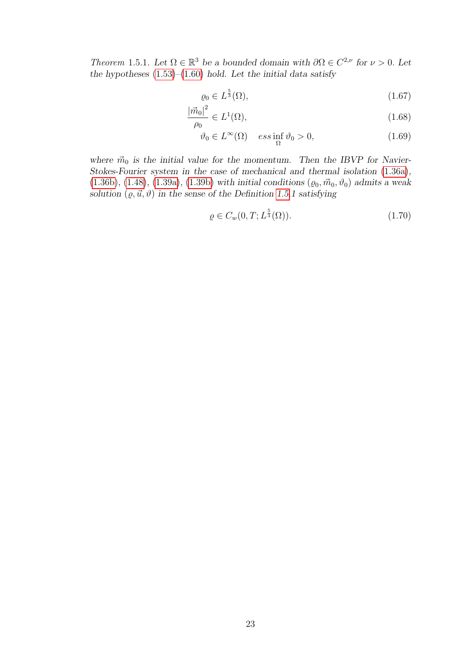Theorem 1.5.1. Let  $\Omega \in \mathbb{R}^3$  be a bounded domain with  $\partial \Omega \in C^{2,\nu}$  for  $\nu > 0$ . Let the hypotheses  $(1.53)$ – $(1.60)$  hold. Let the initial data satisfy

$$
\varrho_0 \in L^{\frac{5}{3}}(\Omega),\tag{1.67}
$$

$$
\frac{\left|\vec{m}_0\right|^2}{\rho_0} \in L^1(\Omega),\tag{1.68}
$$

$$
\vartheta_0 \in L^{\infty}(\Omega) \quad \text{ess} \inf_{\Omega} \vartheta_0 > 0,
$$
\n(1.69)

where  $\vec{m}_0$  is the initial value for the momentum. Then the IBVP for Navier-Stokes-Fourier system in the case of mechanical and thermal isolation [\(1.36a\)](#page-20-5),  $(1.36b)$ ,  $(1.48)$ ,  $(1.39a)$ ,  $(1.39b)$  with initial conditions  $(\varrho_0, \vec{m}_0, \vartheta_0)$  admits a weak solution  $(\varrho, \vec{u}, \vartheta)$  in the sense of the Definition [1.5.](#page-19-0)1 satisfying

$$
\varrho \in C_w(0, T; L^{\frac{5}{3}}(\Omega)).\tag{1.70}
$$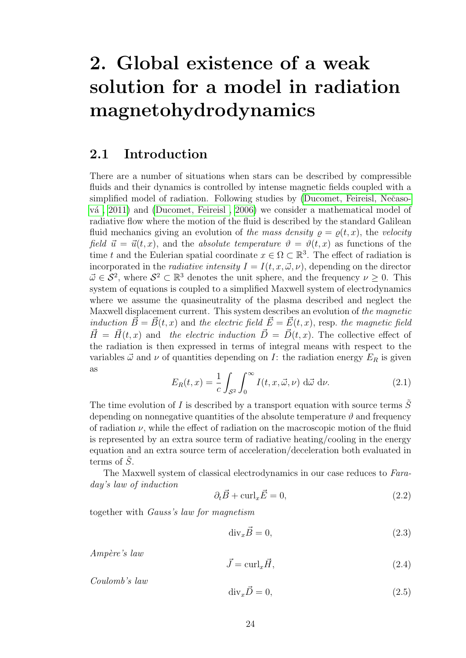# <span id="page-27-0"></span>2. Global existence of a weak solution for a model in radiation magnetohydrodynamics

#### <span id="page-27-1"></span>2.1 Introduction

There are a number of situations when stars can be described by compressible fluids and their dynamics is controlled by intense magnetic fields coupled with a simplified model of radiation. Following studies by (Ducomet, Feireisl, Nečaso-vá. 2011) and [\(Ducomet, Feireisl , 2006\)](#page-98-0) we consider a mathematical model of radiative flow where the motion of the fluid is described by the standard Galilean fluid mechanics giving an evolution of the mass density  $\rho = \rho(t, x)$ , the velocity field  $\vec{u} = \vec{u}(t, x)$ , and the absolute temperature  $\vartheta = \vartheta(t, x)$  as functions of the time t and the Eulerian spatial coordinate  $x \in \Omega \subset \mathbb{R}^3$ . The effect of radiation is incorporated in the *radiative intensity*  $I = I(t, x, \vec{\omega}, \nu)$ , depending on the director  $\vec{\omega} \in \mathcal{S}^2$ , where  $\mathcal{S}^2 \subset \mathbb{R}^3$  denotes the unit sphere, and the frequency  $\nu \geq 0$ . This system of equations is coupled to a simplified Maxwell system of electrodynamics where we assume the quasineutrality of the plasma described and neglect the Maxwell displacement current. This system describes an evolution of the magnetic induction  $\vec{B} = \vec{B}(t, x)$  and the electric field  $\vec{E} = \vec{E}(t, x)$ , resp. the magnetic field  $\vec{H} = \vec{H}(t, x)$  and the electric induction  $\vec{D} = \vec{D}(t, x)$ . The collective effect of the radiation is then expressed in terms of integral means with respect to the variables  $\vec{\omega}$  and  $\nu$  of quantities depending on I: the radiation energy  $E_R$  is given as

<span id="page-27-3"></span>
$$
E_R(t,x) = \frac{1}{c} \int_{\mathcal{S}^2} \int_0^\infty I(t,x,\vec{\omega},\nu) \, d\vec{\omega} \, d\nu. \tag{2.1}
$$

The time evolution of  $I$  is described by a transport equation with source terms  $S$ depending on nonnegative quantities of the absolute temperature  $\vartheta$  and frequency of radiation  $\nu$ , while the effect of radiation on the macroscopic motion of the fluid is represented by an extra source term of radiative heating/cooling in the energy equation and an extra source term of acceleration/deceleration both evaluated in terms of  $\tilde{S}$ .

The Maxwell system of classical electrodynamics in our case reduces to Faraday's law of induction

<span id="page-27-2"></span>
$$
\partial_t \vec{B} + \text{curl}_x \vec{E} = 0,\tag{2.2}
$$

together with Gauss's law for magnetism

$$
\text{div}_x \vec{B} = 0,\tag{2.3}
$$

Ampère's law

$$
\vec{J} = \text{curl}_x \vec{H},\tag{2.4}
$$

Coulomb's law

$$
\operatorname{div}_x \vec{D} = 0,\tag{2.5}
$$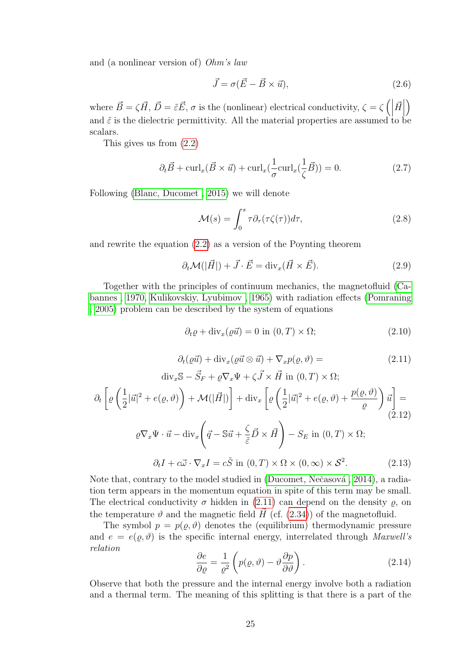and (a nonlinear version of) Ohm's law

<span id="page-28-5"></span>
$$
\vec{J} = \sigma(\vec{E} - \vec{B} \times \vec{u}),\tag{2.6}
$$

where  $\vec{B} = \zeta \vec{H}$ ,  $\vec{D} = \tilde{\varepsilon} \vec{E}$ ,  $\sigma$  is the (nonlinear) electrical conductivity,  $\zeta = \zeta$  (  $\vec{H}$  $\setminus$ and  $\tilde{\varepsilon}$  is the dielectric permittivity. All the material properties are assumed to be scalars.

This gives us from [\(2.2\)](#page-27-2)

$$
\partial_t \vec{B} + \operatorname{curl}_x(\vec{B} \times \vec{u}) + \operatorname{curl}_x(\frac{1}{\sigma} \operatorname{curl}_x(\frac{1}{\zeta} \vec{B})) = 0. \tag{2.7}
$$

Following [\(Blanc, Ducomet , 2015\)](#page-96-5) we will denote

$$
\mathcal{M}(s) = \int_0^s \tau \partial_\tau (\tau \zeta(\tau)) d\tau,
$$
\n(2.8)

and rewrite the equation [\(2.2\)](#page-27-2) as a version of the Poynting theorem

$$
\partial_t \mathcal{M}(|\vec{H}|) + \vec{J} \cdot \vec{E} = \text{div}_x(\vec{H} \times \vec{E}). \tag{2.9}
$$

Together with the principles of continuum mechanics, the magnetofluid [\(Ca](#page-97-4)[bannes , 1970,](#page-97-4) [Kulikovskiy, Lyubimov , 1965\)](#page-100-1) with radiation effects [\(Pomraning](#page-102-4) [, 2005\)](#page-102-4) problem can be described by the system of equations

<span id="page-28-2"></span>
$$
\partial_t \varrho + \text{div}_x(\varrho \vec{u}) = 0 \text{ in } (0, T) \times \Omega; \tag{2.10}
$$

<span id="page-28-0"></span>
$$
\partial_t(\varrho \vec{u}) + \text{div}_x(\varrho \vec{u} \otimes \vec{u}) + \nabla_x p(\varrho, \vartheta) = \tag{2.11}
$$

<span id="page-28-4"></span>
$$
\operatorname{div}_{x} \mathbb{S} - \vec{S}_{F} + \varrho \nabla_{x} \Psi + \zeta \vec{J} \times \vec{H} \text{ in } (0, T) \times \Omega;
$$
  

$$
\partial_{t} \left[ \varrho \left( \frac{1}{2} |\vec{u}|^{2} + e(\varrho, \vartheta) \right) + \mathcal{M}(|\vec{H}|) \right] + \operatorname{div}_{x} \left[ \varrho \left( \frac{1}{2} |\vec{u}|^{2} + e(\varrho, \vartheta) + \frac{p(\varrho, \vartheta)}{\varrho} \right) \vec{u} \right] =
$$

$$
\varrho \nabla_{x} \Psi \cdot \vec{u} - \operatorname{div}_{x} \left( \vec{q} - \mathbb{S} \vec{u} + \frac{\zeta}{\tilde{\varepsilon}} \vec{D} \times \vec{H} \right) - S_{E} \text{ in } (0, T) \times \Omega;
$$

$$
\partial_{t} I + c \vec{\omega} \cdot \nabla_{x} I = c \tilde{S} \text{ in } (0, T) \times \Omega \times (0, \infty) \times \mathcal{S}^{2}.
$$
(2.13)

<span id="page-28-1"></span>Note that, contrary to the model studied in  $(Du^c)$ , Nečasová, 2014), a radiation term appears in the momentum equation in spite of this term may be small. The electrical conductivity  $\sigma$  hidden in [\(2.11\)](#page-28-0) can depend on the density  $\rho$ , on the temperature  $\vartheta$  and the magnetic field  $\vec{H}$  (cf. [\(2.34\)](#page-32-0)) of the magnetofluid.

The symbol  $p = p(\rho, \vartheta)$  denotes the (equilibrium) thermodynamic pressure and  $e = e(\rho, \vartheta)$  is the specific internal energy, interrelated through Maxwell's relation

<span id="page-28-3"></span>
$$
\frac{\partial e}{\partial \varrho} = \frac{1}{\varrho^2} \left( p(\varrho, \vartheta) - \vartheta \frac{\partial p}{\partial \vartheta} \right). \tag{2.14}
$$

Observe that both the pressure and the internal energy involve both a radiation and a thermal term. The meaning of this splitting is that there is a part of the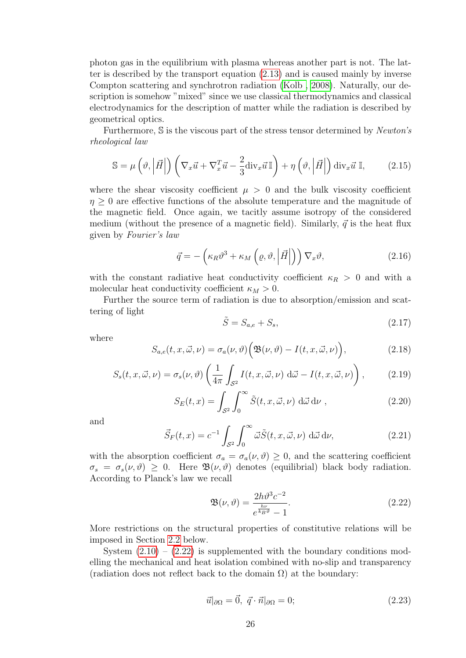photon gas in the equilibrium with plasma whereas another part is not. The latter is described by the transport equation [\(2.13\)](#page-28-1) and is caused mainly by inverse Compton scattering and synchrotron radiation [\(Kolb , 2008\)](#page-100-2). Naturally, our description is somehow "mixed" since we use classical thermodynamics and classical electrodynamics for the description of matter while the radiation is described by geometrical optics.

Furthermore, S is the viscous part of the stress tensor determined by Newton's rheological law

<span id="page-29-2"></span>
$$
\mathbb{S} = \mu\left(\vartheta, \left|\vec{H}\right|\right) \left(\nabla_x \vec{u} + \nabla_x^T \vec{u} - \frac{2}{3} \text{div}_x \vec{u}\,\mathbb{I}\right) + \eta\left(\vartheta, \left|\vec{H}\right|\right) \text{div}_x \vec{u}\,\mathbb{I},\tag{2.15}
$$

where the shear viscosity coefficient  $\mu > 0$  and the bulk viscosity coefficient  $\eta > 0$  are effective functions of the absolute temperature and the magnitude of the magnetic field. Once again, we tacitly assume isotropy of the considered medium (without the presence of a magnetic field). Similarly,  $\vec{q}$  is the heat flux given by Fourier's law

<span id="page-29-3"></span>
$$
\vec{q} = -\left(\kappa_R \vartheta^3 + \kappa_M \left(\varrho, \vartheta, \left| \vec{H} \right| \right) \right) \nabla_x \vartheta, \tag{2.16}
$$

with the constant radiative heat conductivity coefficient  $\kappa_R > 0$  and with a molecular heat conductivity coefficient  $\kappa_M > 0$ .

Further the source term of radiation is due to absorption/emission and scattering of light

$$
\tilde{S} = S_{a,e} + S_s,\tag{2.17}
$$

where

$$
S_{a,e}(t,x,\vec{\omega},\nu) = \sigma_a(\nu,\vartheta) \Big( \mathfrak{B}(\nu,\vartheta) - I(t,x,\vec{\omega},\nu) \Big), \tag{2.18}
$$

$$
S_s(t, x, \vec{\omega}, \nu) = \sigma_s(\nu, \vartheta) \left( \frac{1}{4\pi} \int_{\mathcal{S}^2} I(t, x, \vec{\omega}, \nu) \, d\vec{\omega} - I(t, x, \vec{\omega}, \nu) \right), \tag{2.19}
$$

$$
S_E(t,x) = \int_{\mathcal{S}^2} \int_0^\infty \tilde{S}(t,x,\vec{\omega},\nu) \, d\vec{\omega} \, d\nu , \qquad (2.20)
$$

and

$$
\vec{S}_F(t,x) = c^{-1} \int_{\mathcal{S}^2} \int_0^\infty \vec{\omega} \tilde{S}(t,x,\vec{\omega},\nu) \, d\vec{\omega} \, d\nu,\tag{2.21}
$$

with the absorption coefficient  $\sigma_a = \sigma_a(\nu, \vartheta) \geq 0$ , and the scattering coefficient  $\sigma_s = \sigma_s(\nu, \vartheta) \geq 0$ . Here  $\mathfrak{B}(\nu, \vartheta)$  denotes (equilibrial) black body radiation. According to Planck's law we recall

<span id="page-29-0"></span>
$$
\mathfrak{B}(\nu,\vartheta) = \frac{2h\vartheta^3 c^{-2}}{e^{\frac{h\nu}{k_B \vartheta}} - 1}.
$$
\n(2.22)

More restrictions on the structural properties of constitutive relations will be imposed in Section [2.2](#page-31-0) below.

System  $(2.10) - (2.22)$  $(2.10) - (2.22)$  is supplemented with the boundary conditions modelling the mechanical and heat isolation combined with no-slip and transparency (radiation does not reflect back to the domain  $\Omega$ ) at the boundary:

<span id="page-29-1"></span>
$$
\vec{u}|_{\partial\Omega} = \vec{0}, \ \vec{q} \cdot \vec{n}|_{\partial\Omega} = 0; \tag{2.23}
$$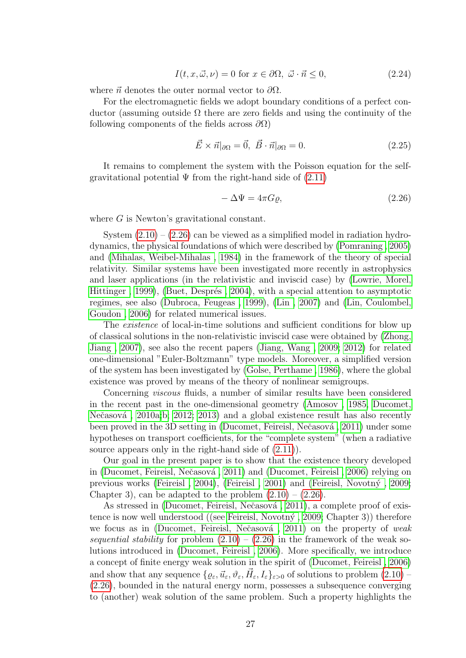<span id="page-30-1"></span>
$$
I(t, x, \vec{\omega}, \nu) = 0 \text{ for } x \in \partial\Omega, \ \vec{\omega} \cdot \vec{n} \le 0,
$$
\n(2.24)

where  $\vec{n}$  denotes the outer normal vector to  $\partial\Omega$ .

For the electromagnetic fields we adopt boundary conditions of a perfect conductor (assuming outside  $\Omega$  there are zero fields and using the continuity of the following components of the fields across  $\partial\Omega$ )

<span id="page-30-2"></span>
$$
\vec{E} \times \vec{n}|_{\partial\Omega} = \vec{0}, \ \vec{B} \cdot \vec{n}|_{\partial\Omega} = 0. \tag{2.25}
$$

It remains to complement the system with the Poisson equation for the selfgravitational potential  $\Psi$  from the right-hand side of  $(2.11)$ 

<span id="page-30-0"></span>
$$
-\Delta\Psi = 4\pi G\varrho,\tag{2.26}
$$

where G is Newton's gravitational constant.

System  $(2.10) - (2.26)$  $(2.10) - (2.26)$  can be viewed as a simplified model in radiation hydrodynamics, the physical foundations of which were described by [\(Pomraning , 2005\)](#page-102-4) and [\(Mihalas, Weibel-Mihalas , 1984\)](#page-101-5) in the framework of the theory of special relativity. Similar systems have been investigated more recently in astrophysics and laser applications (in the relativistic and inviscid case) by [\(Lowrie, Morel,](#page-101-6) Hittinger, 1999), (Buet, Després, 2004), with a special attention to asymptotic regimes, see also [\(Dubroca, Feugeas , 1999\)](#page-98-4), [\(Lin , 2007\)](#page-101-7) and [\(Lin, Coulombel,](#page-101-8) [Goudon , 2006\)](#page-101-8) for related numerical issues.

The *existence* of local-in-time solutions and sufficient conditions for blow up of classical solutions in the non-relativistic inviscid case were obtained by [\(Zhong,](#page-103-9) [Jiang , 2007\)](#page-103-9), see also the recent papers [\(Jiang, Wang , 2009;](#page-100-3) [2012\)](#page-100-4) for related one-dimensional "Euler-Boltzmann" type models. Moreover, a simplified version of the system has been investigated by [\(Golse, Perthame , 1986\)](#page-99-6), where the global existence was proved by means of the theory of nonlinear semigroups.

Concerning *viscous* fluids, a number of similar results have been considered in the recent past in the one-dimensional geometry [\(Amosov , 1985,](#page-96-6) [Ducomet,](#page-98-5) Nečasová, 2010a[;b;](#page-98-6) [2012;](#page-98-7) [2013\)](#page-98-8) and a global existence result has also recently been proved in the 3D setting in (Ducomet, Feireisl, Nečasová, 2011) under some hypotheses on transport coefficients, for the "complete system" (when a radiative source appears only in the right-hand side of [\(2.11\)](#page-28-0)).

Our goal in the present paper is to show that the existence theory developed in (Ducomet, Feireisl, Nečasová, 2011) and (Ducomet, Feireisl, 2006) relying on previous works (Feireisl, 2004), (Feireisl, 2001) and (Feireisl, Novotný, 2009; Chapter 3), can be adapted to the problem  $(2.10) - (2.26)$  $(2.10) - (2.26)$ .

As stressed in (Ducomet, Feireisl, Nečasová, 2011), a complete proof of existence is now well understood ((see Feireisl, Novotný, 2009; Chapter 3)) therefore we focus as in (Ducomet, Feireisl, Nečasová, 2011) on the property of *weak* sequential stability for problem  $(2.10) - (2.26)$  $(2.10) - (2.26)$  in the framework of the weak solutions introduced in [\(Ducomet, Feireisl , 2006\)](#page-98-0). More specifically, we introduce a concept of finite energy weak solution in the spirit of [\(Ducomet, Feireisl , 2006\)](#page-98-0) and show that any sequence  $\{ \varrho_{\varepsilon}, \vec{u}_{\varepsilon}, \vartheta_{\varepsilon}, \vec{H}_{\varepsilon}, I_{\varepsilon} \}_{\varepsilon > 0}$  of solutions to problem  $(2.10)$  -[\(2.26\)](#page-30-0), bounded in the natural energy norm, possesses a subsequence converging to (another) weak solution of the same problem. Such a property highlights the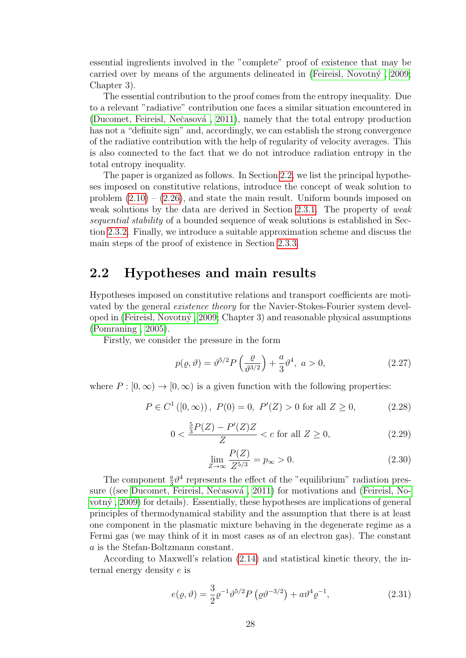essential ingredients involved in the "complete" proof of existence that may be carried over by means of the arguments delineated in (Feireisl, Novotn $\acute{y}$ , 2009; Chapter 3).

The essential contribution to the proof comes from the entropy inequality. Due to a relevant "radiative" contribution one faces a similar situation encountered in (Ducomet, Feireisl, Nečasová, 2011), namely that the total entropy production has not a "definite sign" and, accordingly, we can establish the strong convergence of the radiative contribution with the help of regularity of velocity averages. This is also connected to the fact that we do not introduce radiation entropy in the total entropy inequality.

The paper is organized as follows. In Section [2.2,](#page-31-0) we list the principal hypotheses imposed on constitutive relations, introduce the concept of weak solution to problem  $(2.10) - (2.26)$  $(2.10) - (2.26)$ , and state the main result. Uniform bounds imposed on weak solutions by the data are derived in Section [2.3.1.](#page-37-0) The property of weak sequential stability of a bounded sequence of weak solutions is established in Section [2.3.2.](#page-41-0) Finally, we introduce a suitable approximation scheme and discuss the main steps of the proof of existence in Section [2.3.3.](#page-46-0)

#### <span id="page-31-0"></span>2.2 Hypotheses and main results

Hypotheses imposed on constitutive relations and transport coefficients are motivated by the general existence theory for the Navier-Stokes-Fourier system developed in [\(Feireisl, Novotn´y , 2009;](#page-99-1) Chapter 3) and reasonable physical assumptions [\(Pomraning , 2005\)](#page-102-4).

Firstly, we consider the pressure in the form

$$
p(\varrho, \vartheta) = \vartheta^{5/2} P\left(\frac{\varrho}{\vartheta^{3/2}}\right) + \frac{a}{3} \vartheta^4, \ a > 0,
$$
 (2.27)

where  $P : [0, \infty) \to [0, \infty)$  is a given function with the following properties:

$$
P \in C^{1}([0, \infty)), P(0) = 0, P'(Z) > 0 \text{ for all } Z \ge 0,
$$
 (2.28)

<span id="page-31-1"></span>
$$
0 < \frac{\frac{5}{3}P(Z) - P'(Z)Z}{Z} < c \text{ for all } Z \ge 0,\tag{2.29}
$$

$$
\lim_{Z \to \infty} \frac{P(Z)}{Z^{5/3}} = p_{\infty} > 0.
$$
\n(2.30)

The component  $\frac{a}{3}\theta^4$  represents the effect of the "equilibrium" radiation pres-sure ((see Ducomet, Feireisl, Nečasová, 2011) for motivations and [\(Feireisl, No](#page-99-1)[votn´y , 2009\)](#page-99-1) for details). Essentially, these hypotheses are implications of general principles of thermodynamical stability and the assumption that there is at least one component in the plasmatic mixture behaving in the degenerate regime as a Fermi gas (we may think of it in most cases as of an electron gas). The constant a is the Stefan-Boltzmann constant.

According to Maxwell's relation [\(2.14\)](#page-28-3) and statistical kinetic theory, the internal energy density e is

$$
e(\varrho, \vartheta) = \frac{3}{2} \varrho^{-1} \vartheta^{5/2} P\left(\varrho \vartheta^{-3/2}\right) + a \vartheta^4 \varrho^{-1}, \tag{2.31}
$$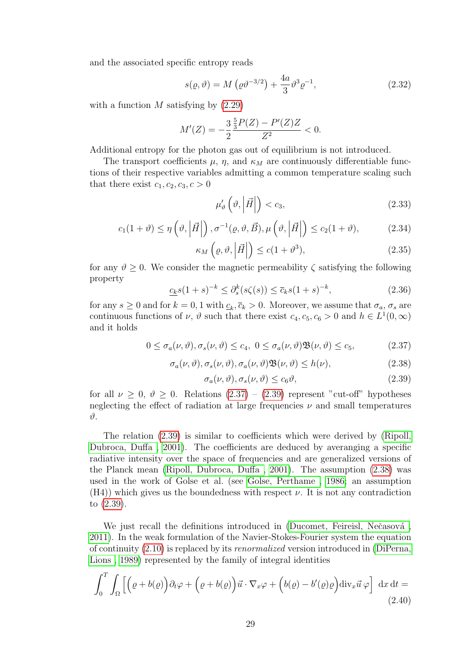and the associated specific entropy reads

$$
s(\rho, \vartheta) = M(\rho \vartheta^{-3/2}) + \frac{4a}{3} \vartheta^3 \varrho^{-1},
$$
\n(2.32)

with a function  $M$  satisfying by  $(2.29)$ 

$$
M'(Z) = -\frac{3}{2} \frac{\frac{5}{3}P(Z) - P'(Z)Z}{Z^2} < 0.
$$

Additional entropy for the photon gas out of equilibrium is not introduced.

µ

The transport coefficients  $\mu$ ,  $\eta$ , and  $\kappa_M$  are continuously differentiable functions of their respective variables admitting a common temperature scaling such that there exist  $c_1, c_2, c_3, c > 0$ 

$$
u'_{\vartheta}\left(\vartheta,\left|\vec{H}\right|\right)
$$

<span id="page-32-0"></span>
$$
c_1(1+\vartheta) \le \eta\left(\vartheta, \left|\vec{H}\right|\right), \sigma^{-1}(\varrho, \vartheta, \vec{B}), \mu\left(\vartheta, \left|\vec{H}\right|\right) \le c_2(1+\vartheta),\tag{2.34}
$$

$$
\kappa_M\left(\varrho,\vartheta,\left|\vec{H}\right|\right) \le c(1+\vartheta^3),\tag{2.35}
$$

for any  $\vartheta \geq 0$ . We consider the magnetic permeability  $\zeta$  satisfying the following property

$$
\underline{c_k}s(1+s)^{-k} \le \partial_s^k(s\zeta(s)) \le \overline{c}_ks(1+s)^{-k},\tag{2.36}
$$

for any  $s \geq 0$  and for  $k = 0, 1$  with  $c_k, \bar{c}_k > 0$ . Moreover, we assume that  $\sigma_a$ ,  $\sigma_s$  are continuous functions of  $\nu$ ,  $\vartheta$  such that there exist  $c_4$ ,  $c_5$ ,  $c_6 > 0$  and  $h \in L^1(0, \infty)$ and it holds

<span id="page-32-1"></span>
$$
0 \le \sigma_a(\nu, \vartheta), \sigma_s(\nu, \vartheta) \le c_4, \ 0 \le \sigma_a(\nu, \vartheta) \mathfrak{B}(\nu, \vartheta) \le c_5, \tag{2.37}
$$

<span id="page-32-3"></span>
$$
\sigma_a(\nu,\vartheta), \sigma_s(\nu,\vartheta), \sigma_a(\nu,\vartheta)\mathfrak{B}(\nu,\vartheta) \le h(\nu),\tag{2.38}
$$

<span id="page-32-2"></span>
$$
\sigma_a(\nu,\vartheta), \sigma_s(\nu,\vartheta) \le c_6 \vartheta,\tag{2.39}
$$

for all  $\nu \geq 0$ ,  $\vartheta \geq 0$ . Relations [\(2.37\)](#page-32-1) – [\(2.39\)](#page-32-2) represent "cut-off" hypotheses neglecting the effect of radiation at large frequencies  $\nu$  and small temperatures ϑ.

The relation [\(2.39\)](#page-32-2) is similar to coefficients which were derived by [\(Ripoll,](#page-102-5) [Dubroca, Duffa , 2001\)](#page-102-5). The coefficients are deduced by averanging a specific radiative intensity over the space of frequencies and are generalized versions of the Planck mean [\(Ripoll, Dubroca, Duffa , 2001\)](#page-102-5). The assumption [\(2.38\)](#page-32-3) was used in the work of Golse et al. (see [Golse, Perthame , 1986;](#page-99-6) an assumption  $(H4)$ ) which gives us the boundedness with respect  $\nu$ . It is not any contradiction to [\(2.39\)](#page-32-2).

We just recall the definitions introduced in (Ducomet, Feireisl, Nečasová, [2011\)](#page-98-2). In the weak formulation of the Navier-Stokes-Fourier system the equation of continuity [\(2.10\)](#page-28-2) is replaced by its renormalized version introduced in [\(DiPerna,](#page-97-6) [Lions , 1989\)](#page-97-6) represented by the family of integral identities

<span id="page-32-4"></span>
$$
\int_0^T \int_{\Omega} \left[ \left( \varrho + b(\varrho) \right) \partial_t \varphi + \left( \varrho + b(\varrho) \right) \vec{u} \cdot \nabla_x \varphi + \left( b(\varrho) - b'(\varrho) \varrho \right) \mathrm{div}_x \vec{u} \, \varphi \right] \, \mathrm{d}x \, \mathrm{d}t = \tag{2.40}
$$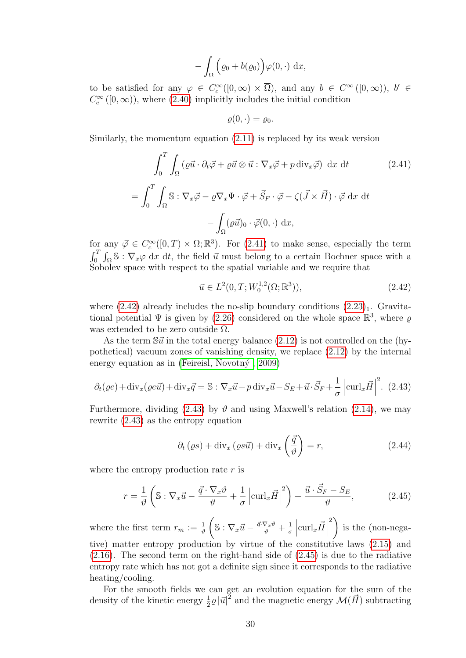$$
-\int_{\Omega} \Big(\varrho_0 + b(\varrho_0)\Big) \varphi(0,\cdot) \, \mathrm{d}x,
$$

to be satisfied for any  $\varphi \in C_c^{\infty}([0,\infty) \times \overline{\Omega})$ , and any  $b \in C^{\infty}([0,\infty))$ ,  $b' \in$  $C_c^{\infty}([0,\infty))$ , where [\(2.40\)](#page-32-4) implicitly includes the initial condition

$$
\varrho(0,\cdot)=\varrho_0.
$$

Similarly, the momentum equation [\(2.11\)](#page-28-0) is replaced by its weak version

<span id="page-33-0"></span>
$$
\int_0^T \int_{\Omega} (\varrho \vec{u} \cdot \partial_t \vec{\varphi} + \varrho \vec{u} \otimes \vec{u} : \nabla_x \vec{\varphi} + p \operatorname{div}_x \vec{\varphi}) \, dx \, dt \qquad (2.41)
$$

$$
= \int_0^T \int_{\Omega} \mathbb{S} : \nabla_x \vec{\varphi} - \varrho \nabla_x \Psi \cdot \vec{\varphi} + \vec{S}_F \cdot \vec{\varphi} - \zeta (\vec{J} \times \vec{H}) \cdot \vec{\varphi} \, dx \, dt
$$

$$
- \int_{\Omega} (\varrho \vec{u})_0 \cdot \vec{\varphi}(0, \cdot) \, dx,
$$

for any  $\vec{\varphi} \in C_c^{\infty}([0,T) \times \Omega;\mathbb{R}^3)$ . For  $(2.41)$  to make sense, especially the term  $\int_0^T \int_{\Omega} \mathbb{S} : \nabla_x \varphi \, dx \, dt$ , the field  $\vec{u}$  must belong to a certain Bochner space with a Sobolev space with respect to the spatial variable and we require that

<span id="page-33-1"></span>
$$
\vec{u} \in L^2(0, T; W_0^{1,2}(\Omega; \mathbb{R}^3)), \tag{2.42}
$$

where  $(2.42)$  already includes the no-slip boundary conditions  $(2.23)<sub>1</sub>$ . Gravitational potential  $\Psi$  is given by [\(2.26\)](#page-30-0) considered on the whole space  $\mathbb{R}^3$ , where  $\varrho$ was extended to be zero outside  $\Omega$ .

As the term  $\mathbb{S}\vec{u}$  in the total energy balance [\(2.12\)](#page-28-4) is not controlled on the (hypothetical) vacuum zones of vanishing density, we replace [\(2.12\)](#page-28-4) by the internal energy equation as in (Feireisl, Novotný,  $2009$ )

<span id="page-33-2"></span>
$$
\partial_t(\varrho e) + \text{div}_x(\varrho e \vec{u}) + \text{div}_x \vec{q} = \mathbb{S} : \nabla_x \vec{u} - p \text{div}_x \vec{u} - S_E + \vec{u} \cdot \vec{S}_F + \frac{1}{\sigma} \left| \text{curl}_x \vec{H} \right|^2.
$$
 (2.43)

Furthermore, dividing [\(2.43\)](#page-33-2) by  $\vartheta$  and using Maxwell's relation [\(2.14\)](#page-28-3), we may rewrite [\(2.43\)](#page-33-2) as the entropy equation

<span id="page-33-4"></span>
$$
\partial_t (\varrho s) + \text{div}_x (\varrho s \vec{u}) + \text{div}_x \left( \frac{\vec{q}}{\vartheta} \right) = r,
$$
\n(2.44)

where the entropy production rate  $r$  is

<span id="page-33-3"></span>
$$
r = \frac{1}{\vartheta} \left( \mathbb{S} : \nabla_x \vec{u} - \frac{\vec{q} \cdot \nabla_x \vartheta}{\vartheta} + \frac{1}{\sigma} \left| \operatorname{curl}_x \vec{H} \right|^2 \right) + \frac{\vec{u} \cdot \vec{S}_F - S_E}{\vartheta},\tag{2.45}
$$

where the first term  $r_m := \frac{1}{\vartheta}$  $\left(\mathbb{S}:\nabla_x\vec{u}-\frac{\vec{q}\cdot\nabla_x\vartheta}{\vartheta}+\frac{1}{\sigma}\right)$ σ  $\begin{array}{c} \begin{array}{c} \begin{array}{c} \end{array} \\ \begin{array}{c} \end{array} \end{array} \end{array}$  $\operatorname{curl}_x \vec{H}$  $\left| \right\rangle$ is the (non-negative) matter entropy production by virtue of the constitutive laws [\(2.15\)](#page-29-2) and  $(2.16)$ . The second term on the right-hand side of  $(2.45)$  is due to the radiative entropy rate which has not got a definite sign since it corresponds to the radiative heating/cooling.

For the smooth fields we can get an evolution equation for the sum of the density of the kinetic energy  $\frac{1}{2}\varrho |\vec{u}|^2$  and the magnetic energy  $\mathcal{M}(\vec{H})$  subtracting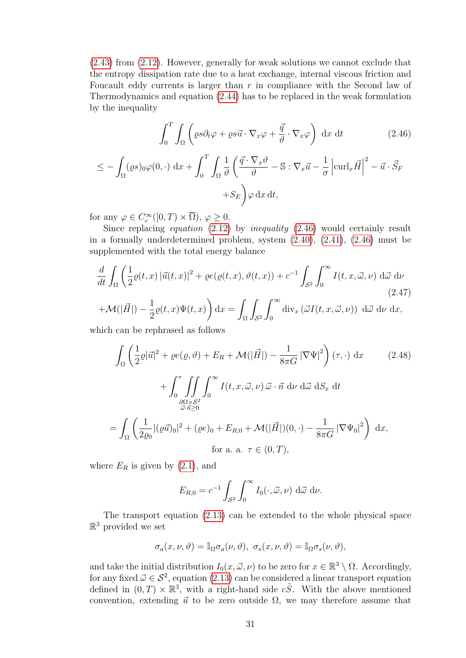[\(2.43\)](#page-33-2) from [\(2.12\)](#page-28-4). However, generally for weak solutions we cannot exclude that the entropy dissipation rate due to a heat exchange, internal viscous friction and Foucault eddy currents is larger than  $r$  in compliance with the Second law of Thermodynamics and equation [\(2.44\)](#page-33-4) has to be replaced in the weak formulation by the inequality

<span id="page-34-0"></span>
$$
\int_0^T \int_{\Omega} \left( \varrho s \partial_t \varphi + \varrho s \vec{u} \cdot \nabla_x \varphi + \frac{\vec{q}}{\vartheta} \cdot \nabla_x \varphi \right) dx dt \qquad (2.46)
$$

$$
\leq -\int_{\Omega} (\varrho s)_0 \varphi(0, \cdot) \, dx + \int_0^T \int_{\Omega} \frac{1}{\vartheta} \left( \frac{\vec{q} \cdot \nabla_x \vartheta}{\vartheta} - \mathbb{S} : \nabla_x \vec{u} - \frac{1}{\sigma} \left| \operatorname{curl}_x \vec{H} \right|^2 - \vec{u} \cdot \vec{S}_F + S_E \right) \varphi \, dx \, dt,
$$

for any  $\varphi \in C_c^{\infty}([0, T) \times \overline{\Omega}), \varphi \ge 0.$ 

Since replacing equation [\(2.12\)](#page-28-4) by inequality [\(2.46\)](#page-34-0) would certainly result in a formally underdetermined problem, system [\(2.40\)](#page-32-4), [\(2.41\)](#page-33-0), [\(2.46\)](#page-34-0) must be supplemented with the total energy balance

$$
\frac{d}{dt} \int_{\Omega} \left( \frac{1}{2} \varrho(t, x) \left| \vec{u}(t, x) \right|^{2} + \varrho e(\varrho(t, x), \vartheta(t, x)) + c^{-1} \int_{\mathcal{S}^{2}} \int_{0}^{\infty} I(t, x, \vec{\omega}, \nu) \, d\vec{\omega} \, d\nu \right)
$$
\n
$$
+ \mathcal{M}(|\vec{H}|) - \frac{1}{2} \varrho(t, x) \Psi(t, x) \right) dx = \int_{\Omega} \int_{\mathcal{S}^{2}} \int_{0}^{\infty} \text{div}_{x} \left( \vec{\omega} I(t, x, \vec{\omega}, \nu) \right) \, d\vec{\omega} \, d\nu \, dx,
$$
\n(2.47)

which can be rephrased as follows

<span id="page-34-1"></span>
$$
\int_{\Omega} \left( \frac{1}{2} \varrho |\vec{u}|^2 + \varrho e(\varrho, \vartheta) + E_R + \mathcal{M}(|\vec{H}|) - \frac{1}{8\pi G} |\nabla \Psi|^2 \right) (\tau, \cdot) dx \qquad (2.48)
$$

$$
+ \int_0^{\tau} \iint_{\substack{\partial \Omega \times S^2 \\ \vec{\omega} \cdot \vec{n} \ge 0}} \int_0^{\infty} I(t, x, \vec{\omega}, \nu) \vec{\omega} \cdot \vec{n} d\nu d\vec{\omega} dS_x dt
$$

$$
= \int_{\Omega} \left( \frac{1}{2\varrho_0} |(\varrho \vec{u})_0|^2 + (\varrho e)_0 + E_{R,0} + \mathcal{M}(|\vec{H}|)(0, \cdot) - \frac{1}{8\pi G} |\nabla \Psi_0|^2 \right) dx,
$$
for a. a.  $\tau \in (0, T),$ 

where  $E_R$  is given by  $(2.1)$ , and

$$
E_{R,0} = c^{-1} \int_{\mathcal{S}^2} \int_0^\infty I_0(\cdot, \vec{\omega}, \nu) \, d\vec{\omega} \, d\nu.
$$

The transport equation [\(2.13\)](#page-28-1) can be extended to the whole physical space  $\mathbb{R}^3$  provided we set

$$
\sigma_a(x,\nu,\vartheta)=\mathbb{I}_\Omega\sigma_a(\nu,\vartheta),\ \sigma_s(x,\nu,\vartheta)=\mathbb{I}_\Omega\sigma_s(\nu,\vartheta),
$$

and take the initial distribution  $I_0(x, \vec{\omega}, \nu)$  to be zero for  $x \in \mathbb{R}^3 \setminus \Omega$ . Accordingly, for any fixed  $\vec{\omega} \in \mathcal{S}^2$ , equation [\(2.13\)](#page-28-1) can be considered a linear transport equation defined in  $(0, T) \times \mathbb{R}^3$ , with a right-hand side  $c\tilde{S}$ . With the above mentioned convention, extending  $\vec{u}$  to be zero outside  $\Omega$ , we may therefore assume that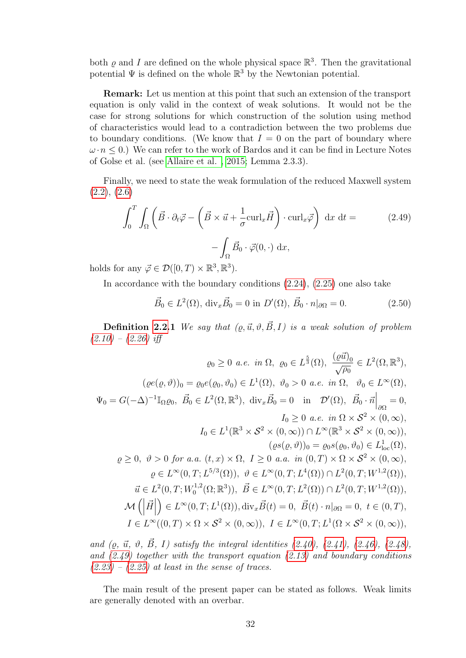both  $\varrho$  and I are defined on the whole physical space  $\mathbb{R}^3$ . Then the gravitational potential  $\Psi$  is defined on the whole  $\mathbb{R}^3$  by the Newtonian potential.

Remark: Let us mention at this point that such an extension of the transport equation is only valid in the context of weak solutions. It would not be the case for strong solutions for which construction of the solution using method of characteristics would lead to a contradiction between the two problems due to boundary conditions. (We know that  $I = 0$  on the part of boundary where  $\omega \cdot n \leq 0$ .) We can refer to the work of Bardos and it can be find in Lecture Notes of Golse et al. (see [Allaire et al. , 2015;](#page-96-7) Lemma 2.3.3).

Finally, we need to state the weak formulation of the reduced Maxwell system  $(2.2), (2.6)$  $(2.2), (2.6)$  $(2.2), (2.6)$ 

<span id="page-35-0"></span>
$$
\int_0^T \int_{\Omega} \left( \vec{B} \cdot \partial_t \vec{\varphi} - \left( \vec{B} \times \vec{u} + \frac{1}{\sigma} \text{curl}_x \vec{H} \right) \cdot \text{curl}_x \vec{\varphi} \right) dx dt =
$$
\n
$$
- \int_{\Omega} \vec{B}_0 \cdot \vec{\varphi}(0, \cdot) dx,
$$
\n(2.49)

holds for any  $\vec{\varphi} \in \mathcal{D}([0,T) \times \mathbb{R}^3, \mathbb{R}^3)$ .

In accordance with the boundary conditions [\(2.24\)](#page-30-1), [\(2.25\)](#page-30-2) one also take

$$
\vec{B}_0 \in L^2(\Omega), \operatorname{div}_x \vec{B}_0 = 0 \text{ in } D'(\Omega), \ \vec{B}_0 \cdot n|_{\partial \Omega} = 0. \tag{2.50}
$$

**Definition [2.2.](#page-31-0)1** We say that  $(\rho, \vec{u}, \vartheta, \vec{B}, I)$  is a weak solution of problem  $(2.10) - (2.26)$  $(2.10) - (2.26)$  $(2.10) - (2.26)$  iff

$$
\varrho_{0} \geq 0 \ a.e. \ in \ \Omega, \ \varrho_{0} \in L^{\frac{5}{3}}(\Omega), \ \frac{(\varrho \vec{u})_{0}}{\sqrt{\rho_{0}}} \in L^{2}(\Omega, \mathbb{R}^{3}),
$$

$$
(\varrho e(\varrho, \vartheta))_{0} = \varrho_{0}e(\varrho_{0}, \vartheta_{0}) \in L^{1}(\Omega), \ \vartheta_{0} > 0 \ a.e. \ in \ \Omega, \ \vartheta_{0} \in L^{\infty}(\Omega),
$$

$$
\Psi_{0} = G(-\Delta)^{-1}\mathbb{I}_{\Omega}\varrho_{0}, \ \vec{B}_{0} \in L^{2}(\Omega, \mathbb{R}^{3}), \ \text{div}_{x}\vec{B}_{0} = 0 \ \text{ in } \ \mathcal{D}'(\Omega), \ \vec{B}_{0} \cdot \vec{n}\Big|_{\partial\Omega} = 0,
$$

$$
I_{0} \geq 0 \ a.e. \ in \ \Omega \times S^{2} \times (0, \infty),
$$

$$
I_{0} \in L^{1}(\mathbb{R}^{3} \times S^{2} \times (0, \infty)) \cap L^{\infty}(\mathbb{R}^{3} \times S^{2} \times (0, \infty)),
$$

$$
(\varrho s(\varrho, \vartheta))_{0} = \varrho_{0} s(\varrho_{0}, \vartheta_{0}) \in L^{1}_{\text{loc}}(\Omega),
$$

$$
\varrho \geq 0, \ \vartheta > 0 \ \text{for} \ a.a. \ (t, x) \times \Omega, \ I \geq 0 \ a.a. \ in \ (0, T) \times \Omega \times S^{2} \times (0, \infty),
$$

$$
\varrho \in L^{\infty}(0, T; L^{5/3}(\Omega)), \ \vartheta \in L^{\infty}(0, T; L^{4}(\Omega)) \cap L^{2}(0, T; W^{1,2}(\Omega)),
$$

$$
\vec{u} \in L^{2}(0, T; W^{1,2}_{0}(\Omega; \mathbb{R}^{3})), \ \vec{B} \in L^{\infty}(0, T; L^{2}(\Omega)) \cap L^{2}(0, T; W^{1,2}(\Omega)),
$$

$$
\mathcal{M}(\left|\vec{H}\right|) \in L^{\infty}(0, T; L^{1}(\Omega)), \text{div}_{x}\vec{B}(t) =
$$

and ( $\rho$ ,  $\vec{u}$ ,  $\vartheta$ ,  $\vec{B}$ , I) satisfy the integral identities [\(2.40\)](#page-32-4), [\(2.41\)](#page-33-0), [\(2.46\)](#page-34-0), [\(2.48\)](#page-34-1), and  $(2.49)$  together with the transport equation  $(2.13)$  and boundary conditions  $(2.23) - (2.25)$  $(2.23) - (2.25)$  $(2.23) - (2.25)$  at least in the sense of traces.

The main result of the present paper can be stated as follows. Weak limits are generally denoted with an overbar.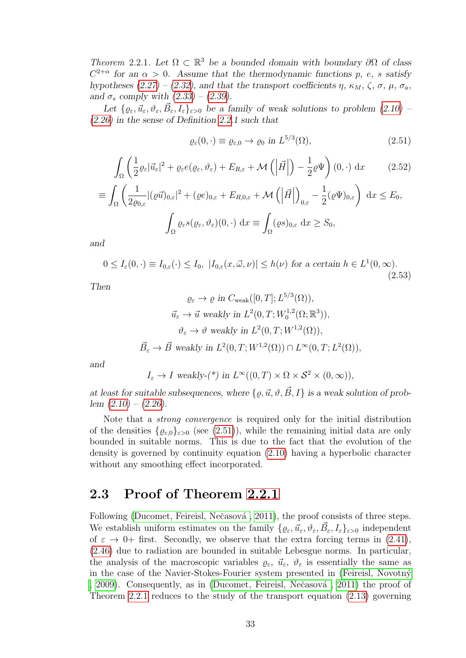<span id="page-36-1"></span>Theorem 2.2.1. Let  $\Omega \subset \mathbb{R}^3$  be a bounded domain with boundary  $\partial \Omega$  of class  $C^{2+\alpha}$  for an  $\alpha > 0$ . Assume that the thermodynamic functions p, e, s satisfy hypotheses [\(2.27\)](#page-31-0) – [\(2.32\)](#page-32-0), and that the transport coefficients  $\eta$ ,  $\kappa_M$ ,  $\zeta$ ,  $\sigma$ ,  $\mu$ ,  $\sigma_a$ , and  $\sigma_s$  comply with  $(2.33) - (2.39)$  $(2.33) - (2.39)$  $(2.33) - (2.39)$ .

Let  $\{ \varrho_{\varepsilon}, \vec{u}_{\varepsilon}, \vartheta_{\varepsilon}, \vec{B}_{\varepsilon}, I_{\varepsilon} \}_{\varepsilon > 0}$  be a family of weak solutions to problem  $(2.10)$  -[\(2.26\)](#page-30-0) in the sense of Definition [2.2.](#page-31-1)1 such that

<span id="page-36-0"></span>
$$
\varrho_{\varepsilon}(0,\cdot) \equiv \varrho_{\varepsilon,0} \to \varrho_0 \text{ in } L^{5/3}(\Omega),\tag{2.51}
$$

$$
\int_{\Omega} \left( \frac{1}{2} \varrho_{\varepsilon} |\vec{u}_{\varepsilon}|^2 + \varrho_{\varepsilon} e(\varrho_{\varepsilon}, \vartheta_{\varepsilon}) + E_{R, \varepsilon} + \mathcal{M} \left( \left| \vec{H} \right| \right) - \frac{1}{2} \varrho \Psi \right) (0, \cdot) dx \tag{2.52}
$$

$$
\equiv \int_{\Omega} \left( \frac{1}{2\varrho_{0,\varepsilon}} |(\varrho \vec{u})_{0,\varepsilon}|^2 + (\varrho e)_{0,\varepsilon} + E_{R,0,\varepsilon} + \mathcal{M} \left( \left| \vec{H} \right| \right)_{0,\varepsilon} - \frac{1}{2} (\varrho \Psi)_{0,\varepsilon} \right) dx \le E_0,
$$
  

$$
\int_{\Omega} \varrho_{\varepsilon} s(\varrho_{\varepsilon}, \vartheta_{\varepsilon}) (0, \cdot) dx \equiv \int_{\Omega} (\varrho s)_{0,\varepsilon} dx \ge S_0,
$$

and

<span id="page-36-2"></span>
$$
0 \le I_{\varepsilon}(0,\cdot) \equiv I_{0,\varepsilon}(\cdot) \le I_0, \ |I_{0,\varepsilon}(x,\vec{\omega},\nu)| \le h(\nu) \text{ for a certain } h \in L^1(0,\infty).
$$
\n(2.53)

Then

$$
\varrho_{\varepsilon} \to \varrho \text{ in } C_{\text{weak}}([0,T]; L^{5/3}(\Omega)),
$$
  

$$
\vec{u}_{\varepsilon} \to \vec{u} \text{ weakly in } L^{2}(0,T; W_{0}^{1,2}(\Omega; \mathbb{R}^{3})),
$$
  

$$
\vartheta_{\varepsilon} \to \vartheta \text{ weakly in } L^{2}(0,T; W^{1,2}(\Omega)),
$$
  

$$
\vec{B}_{\varepsilon} \to \vec{B} \text{ weakly in } L^{2}(0,T; W^{1,2}(\Omega)) \cap L^{\infty}(0,T; L^{2}(\Omega)),
$$

and

$$
I_{\varepsilon} \to I
$$
 weakly-(\*) in  $L^{\infty}((0,T) \times \Omega \times S^2 \times (0,\infty)),$ 

at least for suitable subsequences, where  $\{\rho, \vec{u}, \vartheta, \vec{B}, I\}$  is a weak solution of prob- $lem (2.10) - (2.26).$  $lem (2.10) - (2.26).$  $lem (2.10) - (2.26).$  $lem (2.10) - (2.26).$  $lem (2.10) - (2.26).$ 

Note that a strong convergence is required only for the initial distribution of the densities  $\{ \varrho_{\varepsilon,0} \}_{\varepsilon>0}$  (see [\(2.51\)](#page-36-0)), while the remaining initial data are only bounded in suitable norms. This is due to the fact that the evolution of the density is governed by continuity equation [\(2.10\)](#page-28-0) having a hyperbolic character without any smoothing effect incorporated.

## 2.3 Proof of Theorem [2.2.1](#page-36-1)

Following (Ducomet, Feireisl, Nečasová, 2011), the proof consists of three steps. We establish uniform estimates on the family  $\{ \varrho_{\varepsilon}, \vec{u}_{\varepsilon}, \vartheta_{\varepsilon}, \vec{B}_{\varepsilon}, I_{\varepsilon} \}_{\varepsilon > 0}$  independent of  $\varepsilon \to 0^+$  first. Secondly, we observe that the extra forcing terms in [\(2.41\)](#page-33-0), [\(2.46\)](#page-34-0) due to radiation are bounded in suitable Lebesgue norms. In particular, the analysis of the macroscopic variables  $\varrho_{\varepsilon}, \vec{u}_{\varepsilon}, \vartheta_{\varepsilon}$  is essentially the same as in the case of the Navier-Stokes-Fourier system presented in (Feireisl, Novotný [, 2009\)](#page-99-0). Consequently, as in (Ducomet, Feireisl, Nečasová, 2011) the proof of Theorem [2.2.1](#page-36-1) reduces to the study of the transport equation [\(2.13\)](#page-28-1) governing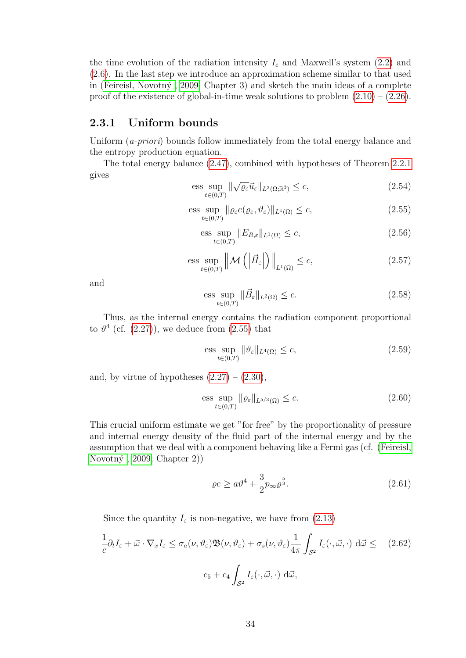the time evolution of the radiation intensity  $I_{\varepsilon}$  and Maxwell's system [\(2.2\)](#page-27-0) and [\(2.6\)](#page-28-2). In the last step we introduce an approximation scheme similar to that used in (Feireisl, Novotný, 2009; Chapter 3) and sketch the main ideas of a complete proof of the existence of global-in-time weak solutions to problem  $(2.10) - (2.26)$  $(2.10) - (2.26)$ .

#### <span id="page-37-4"></span>2.3.1 Uniform bounds

Uniform  $(a\text{-}priori)$  bounds follow immediately from the total energy balance and the entropy production equation.

The total energy balance [\(2.47\)](#page-34-1), combined with hypotheses of Theorem [2.2.1](#page-36-1) gives

<span id="page-37-3"></span>
$$
\underset{t\in(0,T)}{\text{ess sup}} \|\sqrt{\varrho_{\varepsilon}}\vec{u}_{\varepsilon}\|_{L^{2}(\Omega;\mathbb{R}^{3})} \leq c,
$$
\n(2.54)

<span id="page-37-0"></span>
$$
\underset{t\in(0,T)}{\text{ess sup}} \|\varrho_{\varepsilon}e(\varrho_{\varepsilon},\vartheta_{\varepsilon})\|_{L^{1}(\Omega)} \leq c,
$$
\n(2.55)

$$
\underset{t\in(0,T)}{\text{ess sup}}\|E_{R,\varepsilon}\|_{L^{1}(\Omega)} \leq c,\tag{2.56}
$$

$$
\underset{t\in(0,T)}{\text{ess sup}}\left\|\mathcal{M}\left(\left|\vec{H}_{\varepsilon}\right|\right)\right\|_{L^{1}(\Omega)}\leq c,\tag{2.57}
$$

and

<span id="page-37-5"></span>
$$
\underset{t\in(0,T)}{\text{ess sup}}\|\vec{B}_{\varepsilon}\|_{L^{2}(\Omega)}\leq c.\tag{2.58}
$$

Thus, as the internal energy contains the radiation component proportional to  $\vartheta^4$  (cf. [\(2.27\)](#page-31-0)), we deduce from [\(2.55\)](#page-37-0) that

<span id="page-37-2"></span>
$$
\underset{t\in(0,T)}{\text{ess sup}} \|\vartheta_{\varepsilon}\|_{L^{4}(\Omega)} \leq c,
$$
\n(2.59)

and, by virtue of hypotheses  $(2.27) - (2.30)$  $(2.27) - (2.30)$ ,

<span id="page-37-1"></span>
$$
\underset{t\in(0,T)}{\text{ess sup}}\|\varrho_{\varepsilon}\|_{L^{5/3}(\Omega)} \leq c. \tag{2.60}
$$

This crucial uniform estimate we get "for free" by the proportionality of pressure and internal energy density of the fluid part of the internal energy and by the assumption that we deal with a component behaving like a Fermi gas (cf. [\(Feireisl,](#page-99-0) Novotný, 2009; Chapter 2)

$$
\varrho e \ge a v^4 + \frac{3}{2} p_{\infty} \varrho^{\frac{5}{3}}.
$$
\n(2.61)

Since the quantity  $I_{\varepsilon}$  is non-negative, we have from [\(2.13\)](#page-28-1)

$$
\frac{1}{c}\partial_t I_{\varepsilon} + \vec{\omega} \cdot \nabla_x I_{\varepsilon} \le \sigma_a(\nu, \vartheta_{\varepsilon}) \mathfrak{B}(\nu, \vartheta_{\varepsilon}) + \sigma_s(\nu, \vartheta_{\varepsilon}) \frac{1}{4\pi} \int_{\mathcal{S}^2} I_{\varepsilon}(\cdot, \vec{\omega}, \cdot) d\vec{\omega} \le (2.62)
$$

$$
c_5 + c_4 \int_{\mathcal{S}^2} I_{\varepsilon}(\cdot, \vec{\omega}, \cdot) d\vec{\omega},
$$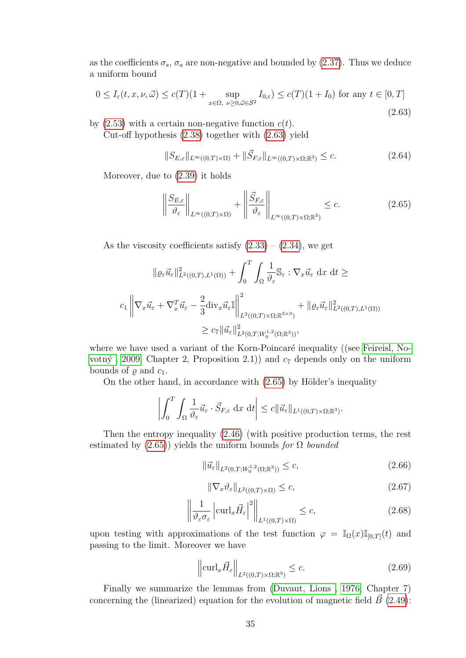as the coefficients  $\sigma_s$ ,  $\sigma_a$  are non-negative and bounded by [\(2.37\)](#page-32-3). Thus we deduce a uniform bound

<span id="page-38-0"></span>
$$
0 \le I_{\varepsilon}(t, x, \nu, \vec{\omega}) \le c(T)(1 + \sup_{x \in \Omega, \ \nu \ge 0, \vec{\omega} \in \mathcal{S}^2} I_{0,\varepsilon}) \le c(T)(1 + I_0) \text{ for any } t \in [0, T]
$$
\n(2.63)

by  $(2.53)$  with a certain non-negative function  $c(t)$ .

Cut-off hypothesis [\(2.38\)](#page-32-4) together with [\(2.63\)](#page-38-0) yield

<span id="page-38-4"></span>
$$
||S_{E,\varepsilon}||_{L^{\infty}((0,T)\times\Omega)} + ||\vec{S}_{F,\varepsilon}||_{L^{\infty}((0,T)\times\Omega;\mathbb{R}^3)} \leq c.
$$
\n(2.64)

Moreover, due to [\(2.39\)](#page-32-2) it holds

<span id="page-38-1"></span>
$$
\left\| \frac{S_{E,\varepsilon}}{\vartheta_{\varepsilon}} \right\|_{L^{\infty}((0,T)\times\Omega)} + \left\| \frac{\vec{S}_{F,\varepsilon}}{\vartheta_{\varepsilon}} \right\|_{L^{\infty}((0,T)\times\Omega;\mathbb{R}^3)} \leq c.
$$
 (2.65)

As the viscosity coefficients satisfy  $(2.33) - (2.34)$  $(2.33) - (2.34)$ , we get

$$
\|\varrho_{\varepsilon}\vec{u}_{\varepsilon}\|_{L^{2}((0,T),L^{1}(\Omega))}^{2} + \int_{0}^{T} \int_{\Omega} \frac{1}{\vartheta_{\varepsilon}} \mathbb{S}_{\varepsilon} : \nabla_{x}\vec{u}_{\varepsilon} dx dt \ge
$$
  

$$
c_{1} \left\|\nabla_{x}\vec{u}_{\varepsilon} + \nabla_{x}^{T}\vec{u}_{\varepsilon} - \frac{2}{3} \text{div}_{x}\vec{u}_{\varepsilon}\mathbb{I}\right\|_{L^{2}((0,T)\times\Omega;\mathbb{R}^{3\times3})}^{2} + \|\varrho_{\varepsilon}\vec{u}_{\varepsilon}\|_{L^{2}((0,T),L^{1}(\Omega))}^{2}
$$
  

$$
\geq c_{7} \|\vec{u}_{\varepsilon}\|_{L^{2}(0,T;W_{0}^{1,2}(\Omega;\mathbb{R}^{3}))}^{2},
$$

where we have used a variant of the Korn-Poincaré inequality ((see [Feireisl, No](#page-99-0)votný, 2009; Chapter 2, Proposition 2.1)) and  $c_7$  depends only on the uniform bounds of  $\varrho$  and  $c_1$ .

On the other hand, in accordance with  $(2.65)$  by Hölder's inequality

$$
\left| \int_0^T \int_{\Omega} \frac{1}{\vartheta_{\varepsilon}} \vec{u}_{\varepsilon} \cdot \vec{S}_{F,\varepsilon} \, dx \, dt \right| \leq c \| \vec{u}_{\varepsilon} \|_{L^1((0,T) \times \Omega; \mathbb{R}^3)}.
$$

Then the entropy inequality [\(2.46\)](#page-34-0) (with positive production terms, the rest estimated by  $(2.65)$ ) yields the uniform bounds for  $\Omega$  bounded

<span id="page-38-2"></span>
$$
\|\vec{u}_{\varepsilon}\|_{L^2(0,T;W_0^{1,2}(\Omega;\mathbb{R}^3))} \leq c,\tag{2.66}
$$

<span id="page-38-3"></span>
$$
\|\nabla_x \vartheta_{\varepsilon}\|_{L^2((0,T)\times\Omega)} \le c,\tag{2.67}
$$

<span id="page-38-5"></span>
$$
\left\| \frac{1}{\vartheta_{\varepsilon} \sigma_{\varepsilon}} \left| \operatorname{curl}_{x} \vec{H}_{\varepsilon} \right|^{2} \right\|_{L^{1}((0,T) \times \Omega)} \leq c,
$$
\n(2.68)

upon testing with approximations of the test function  $\varphi = \mathbb{I}_{\Omega}(x)\mathbb{I}_{[0,T]}(t)$  and passing to the limit. Moreover we have

$$
\left\| \operatorname{curl}_x \vec{H}_{\varepsilon} \right\|_{L^2((0,T)\times\Omega;\mathbb{R}^3)} \le c. \tag{2.69}
$$

Finally we summarize the lemmas from [\(Duvaut, Lions , 1976;](#page-98-1) Chapter 7) concerning the (linearized) equation for the evolution of magnetic field  $\vec{B}$  [\(2.49\)](#page-35-0):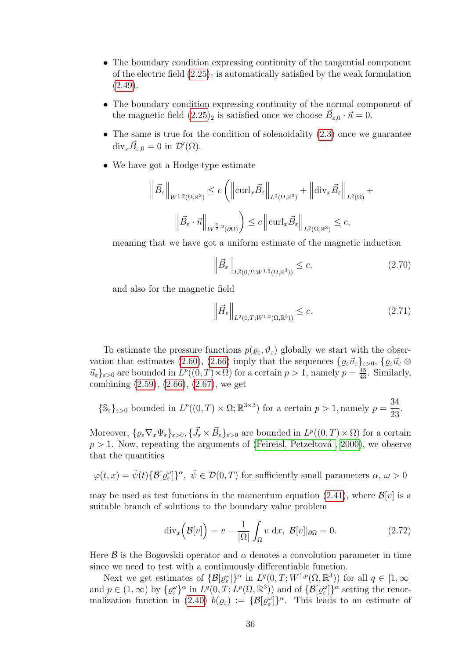- The boundary condition expressing continuity of the tangential component of the electric field  $(2.25)_1$  is automatically satisfied by the weak formulation  $(2.49).$  $(2.49).$
- The boundary condition expressing continuity of the normal component of the magnetic field  $(2.25)_2$  is satisfied once we choose  $\vec{B}_{\varepsilon,0} \cdot \vec{n} = 0$ .
- The same is true for the condition of solenoidality  $(2.3)$  once we guarantee  $\text{div}_x \vec{B}_{\varepsilon,0} = 0$  in  $\mathcal{D}'(\Omega)$ .
- We have got a Hodge-type estimate

$$
\left\|\vec{B}_{\varepsilon}\right\|_{W^{1,2}(\Omega,\mathbb{R}^3)} \leq c \left( \left\|\operatorname{curl}_x \vec{B}_{\varepsilon}\right\|_{L^2(\Omega,\mathbb{R}^3)} + \left\|\operatorname{div}_x \vec{B}_{\varepsilon}\right\|_{L^2(\Omega)} + \left\|\tilde{B}_{\varepsilon} \cdot \vec{n}\right\|_{W^{\frac{1}{2},2}(\partial \Omega)} \right) \leq c \left\|\operatorname{curl}_x \vec{B}_{\varepsilon}\right\|_{L^2(\Omega,\mathbb{R}^3)} \leq c,
$$

meaning that we have got a uniform estimate of the magnetic induction

<span id="page-39-0"></span>
$$
\left\|\vec{B}_{\varepsilon}\right\|_{L^{2}(0,T;W^{1,2}(\Omega,\mathbb{R}^{3}))} \leq c,\tag{2.70}
$$

and also for the magnetic field

$$
\left\| \vec{H}_{\varepsilon} \right\|_{L^2(0,T;W^{1,2}(\Omega,\mathbb{R}^3))} \leq c. \tag{2.71}
$$

To estimate the pressure functions  $p(\varrho_{\varepsilon}, \vartheta_{\varepsilon})$  globally we start with the obser-vation that estimates [\(2.60\)](#page-37-1), [\(2.66\)](#page-38-2) imply that the sequences  $\{ \varrho_{\varepsilon} \vec{u}_{\varepsilon} \}_{\varepsilon>0}$ ,  $\{ \varrho_{\varepsilon} \vec{u}_{\varepsilon} \otimes$  $\vec{u}_{\varepsilon}$   $\}_{\varepsilon>0}$  are bounded in  $L^p((0,T)\times\Omega)$  for a certain  $p>1$ , namely  $p=\frac{45}{43}$ . Similarly, combining [\(2.59\)](#page-37-2), [\(2.66\)](#page-38-2), [\(2.67\)](#page-38-3), we get

$$
\{\mathbb{S}_{\varepsilon}\}_{{\varepsilon}>0}
$$
 bounded in  $L^p((0,T)\times\Omega;\mathbb{R}^{3\times3})$  for a certain  $p>1$ , namely  $p=\frac{34}{23}$ .

Moreover,  $\{\varrho_{\varepsilon} \nabla_x \Psi_{\varepsilon}\}_{{\varepsilon}>0}, \{\vec{J}_{\varepsilon} \times \vec{B}_{\varepsilon}\}_{{\varepsilon}>0}$  are bounded in  $L^p((0,T) \times \Omega)$  for a certain  $p > 1$ . Now, repeating the arguments of (Feireisl, Petzeltová, 2000), we observe that the quantities

$$
\varphi(t,x)=\tilde{\psi}(t)\{\mathcal{B}[\varrho^{\omega}_{\varepsilon}]\}^{\alpha},\ \tilde{\psi}\in\mathcal{D}(0,T)\ \text{for sufficiently small parameters}\ \alpha,\,\omega>0
$$

may be used as test functions in the momentum equation [\(2.41\)](#page-33-0), where  $\mathcal{B}[v]$  is a suitable branch of solutions to the boundary value problem

$$
\operatorname{div}_x\left(\mathcal{B}[v]\right) = v - \frac{1}{|\Omega|} \int_{\Omega} v \, dx, \, \mathcal{B}[v]|_{\partial\Omega} = 0. \tag{2.72}
$$

Here  $\beta$  is the Bogovskii operator and  $\alpha$  denotes a convolution parameter in time since we need to test with a continuously differentiable function.

Next we get estimates of  $\{\mathcal{B}[\varrho^{\omega}_{\varepsilon}]\}^{\alpha}$  in  $L^{q}(0,T;W^{1,p}(\Omega,\mathbb{R}^{3}))$  for all  $q \in [1,\infty]$ and  $p \in (1,\infty)$  by  $\{ \varrho_{\varepsilon}^{\omega} \}^{\alpha}$  in  $L^{q}(0,T;L^{p}(\Omega,\mathbb{R}^{3}))$  and of  $\{ \mathcal{B}[\varrho_{\varepsilon}^{\omega}] \}^{\alpha}$  setting the renor-malization function in [\(2.40\)](#page-32-6)  $b(\varrho_{\varepsilon}) := {\mathcal{B}[\varrho_{\varepsilon}^{\omega}]}\}^{\alpha}$ . This leads to an estimate of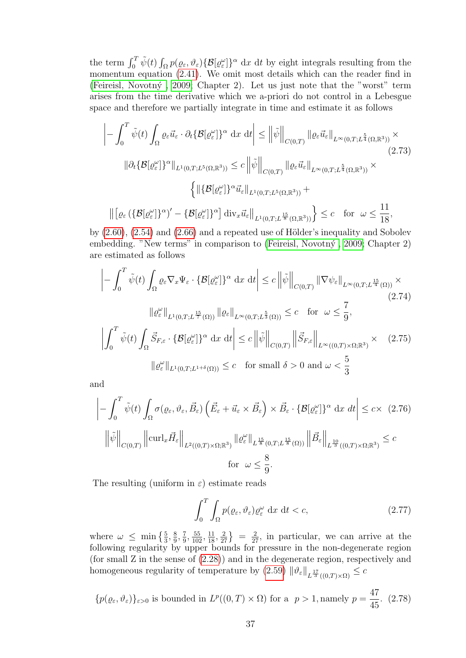the term  $\int_0^T \tilde{\psi}(t) \int_{\Omega} p(\varrho_{\varepsilon}, \vartheta_{\varepsilon}) \{ \mathcal{B}[\varrho_{\varepsilon}^{\omega}] \}^{\alpha} dx dt$  by eight integrals resulting from the momentum equation [\(2.41\)](#page-33-0). We omit most details which can the reader find in (Feireisl, Novotný, 2009; Chapter 2). Let us just note that the "worst" term arises from the time derivative which we a-priori do not control in a Lebesgue space and therefore we partially integrate in time and estimate it as follows

$$
\left| - \int_0^T \tilde{\psi}(t) \int_{\Omega} \varrho_{\varepsilon} \vec{u}_{\varepsilon} \cdot \partial_t \{\mathcal{B}[\varrho_{\varepsilon}^{\omega}] \}^{\alpha} dx dt \right| \leq \left\| \tilde{\psi} \right\|_{C(0,T)} \left\| \varrho_{\varepsilon} \vec{u}_{\varepsilon} \right\|_{L^{\infty}(0,T;L^{\frac{5}{4}}(\Omega,\mathbb{R}^3))} \times \n\|\partial_t \{\mathcal{B}[\varrho_{\varepsilon}^{\omega}] \}^{\alpha} \|_{L^1(0,T;L^5(\Omega,\mathbb{R}^3))} \leq c \left\| \tilde{\psi} \right\|_{C(0,T)} \left\| \varrho_{\varepsilon} \vec{u}_{\varepsilon} \right\|_{L^{\infty}(0,T;L^{\frac{5}{4}}(\Omega,\mathbb{R}^3))} \times \n\left\{ \left\| \{\mathcal{B}[\varrho_{\varepsilon}^{\omega}] \}^{\alpha} \vec{u}_{\varepsilon} \right\|_{L^1(0,T;L^5(\Omega,\mathbb{R}^3))} + \right\| \left[ \varrho_{\varepsilon} \left( \{\mathcal{B}[\varrho_{\varepsilon}^{\omega}] \}^{\alpha} \right)' - \{\mathcal{B}[\varrho_{\varepsilon}^{\omega}] \}^{\alpha} \right] \operatorname{div}_{x} \vec{u}_{\varepsilon} \right\|_{L^1(0,T;L^{\frac{15}{8}}(\Omega,\mathbb{R}^3))} \right\} \leq c \quad \text{for} \quad \omega \leq \frac{11}{18},
$$

by  $(2.60)$ ,  $(2.54)$  and  $(2.66)$  and a repeated use of Hölder's inequality and Sobolev embedding. "New terms" in comparison to (Feireisl, Novotný, 2009; Chapter 2) are estimated as follows

$$
\left| - \int_0^T \tilde{\psi}(t) \int_{\Omega} \varrho_{\varepsilon} \nabla_x \Psi_{\varepsilon} \cdot \{ \mathcal{B}[\varrho_{\varepsilon}^{\omega}] \}^{\alpha} dx dt \right| \leq c \left\| \tilde{\psi} \right\|_{C(0,T)} \left\| \nabla \psi_{\varepsilon} \right\|_{L^{\infty}(0,T;L^{\frac{15}{4}}(\Omega))} \times
$$
\n
$$
\left\| \varrho_{\varepsilon}^{\omega} \right\|_{L^1(0,T;L^{\frac{15}{7}}(\Omega))} \left\| \varrho_{\varepsilon} \right\|_{L^{\infty}(0,T;L^{\frac{5}{3}}(\Omega))} \leq c \quad \text{for} \quad \omega \leq \frac{7}{9},
$$
\n
$$
\left| \int_0^T \tilde{\psi}(t) \int_{\Omega} \vec{S}_{F,\varepsilon} \cdot \{ \mathcal{B}[\varrho_{\varepsilon}^{\omega}] \}^{\alpha} dx dt \right| \leq c \left\| \tilde{\psi} \right\|_{C(0,T)} \left\| \vec{S}_{F,\varepsilon} \right\|_{L^{\infty}((0,T) \times \Omega; \mathbb{R}^3)} \times (2.75)
$$
\n
$$
\left\| \varrho_{\varepsilon}^{\omega} \right\|_{L^1(0,T;L^{1+\delta}(\Omega))} \leq c \quad \text{for small} \quad \delta > 0 \text{ and } \omega < \frac{5}{3}
$$

and

<span id="page-40-0"></span>
$$
\left| - \int_0^T \tilde{\psi}(t) \int_{\Omega} \sigma(\varrho_{\varepsilon}, \vartheta_{\varepsilon}, \vec{B}_{\varepsilon}) \left( \vec{E}_{\varepsilon} + \vec{u}_{\varepsilon} \times \vec{B}_{\varepsilon} \right) \times \vec{B}_{\varepsilon} \cdot \{\mathcal{B}[\varrho^{\omega}_{\varepsilon}]\}^{\alpha} dx dt \right| \le c \times (2.76)
$$
  

$$
\left\| \tilde{\psi} \right\|_{C(0,T)} \left\| \operatorname{curl}_x \vec{H}_{\varepsilon} \right\|_{L^2((0,T) \times \Omega; \mathbb{R}^3)} \| \varrho^{\omega}_{\varepsilon} \|_{L^{\frac{15}{8}}(0,T;L^{\frac{15}{8}}(\Omega))} \left\| \vec{B}_{\varepsilon} \right\|_{L^{\frac{10}{3}}((0,T) \times \Omega; \mathbb{R}^3)} \le c
$$
  
for  $\omega \le \frac{8}{9}.$ 

The resulting (uniform in  $\varepsilon$ ) estimate reads

$$
\int_0^T \int_{\Omega} p(\varrho_{\varepsilon}, \vartheta_{\varepsilon}) \varrho_{\varepsilon}^{\omega} dx dt < c,
$$
\n(2.77)

where  $\omega \leq \min\left\{\frac{5}{3}, \frac{8}{9}\right\}$  $\frac{8}{9}, \frac{7}{9}$  $\left\{\frac{7}{9}, \frac{55}{102}, \frac{11}{18}, \frac{2}{27}\right\} = \frac{2}{27}$ , in particular, we can arrive at the following regularity by upper bounds for pressure in the non-degenerate region (for small Z in the sense of [\(2.28\)](#page-31-3)) and in the degenerate region, respectively and homogeneous regularity of temperature by  $(2.59)$   $\|\vartheta_{\varepsilon}\|_{L^{\frac{17}{3}}((0,T)\times\Omega)} \leq c$ 

$$
\{p(\varrho_{\varepsilon},\vartheta_{\varepsilon})\}_{{\varepsilon}>0} \text{ is bounded in } L^p((0,T)\times\Omega) \text{ for a } p>1, \text{namely } p=\frac{47}{45}. \tag{2.78}
$$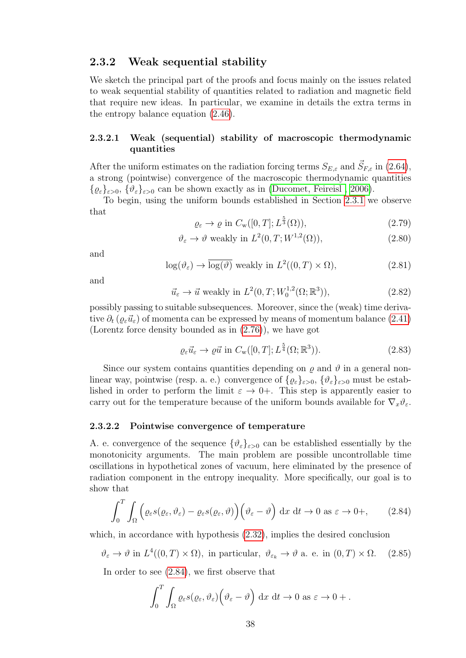#### 2.3.2 Weak sequential stability

We sketch the principal part of the proofs and focus mainly on the issues related to weak sequential stability of quantities related to radiation and magnetic field that require new ideas. In particular, we examine in details the extra terms in the entropy balance equation [\(2.46\)](#page-34-0).

#### 2.3.2.1 Weak (sequential) stability of macroscopic thermodynamic quantities

After the uniform estimates on the radiation forcing terms  $S_{E,\varepsilon}$  and  $\vec{S}_{F,\varepsilon}$  in [\(2.64\)](#page-38-4), a strong (pointwise) convergence of the macroscopic thermodynamic quantities  $\{ \varrho_{\varepsilon} \}_{\varepsilon > 0}, \{ \vartheta_{\varepsilon} \}_{\varepsilon > 0}$  can be shown exactly as in (Ducomet, Feireisl, 2006).

To begin, using the uniform bounds established in Section [2.3.1](#page-37-4) we observe that

<span id="page-41-2"></span>
$$
\varrho_{\varepsilon} \to \varrho \text{ in } C_{\rm w}([0,T]; L^{\frac{5}{3}}(\Omega)), \tag{2.79}
$$

<span id="page-41-4"></span>
$$
\vartheta_{\varepsilon} \to \vartheta \text{ weakly in } L^2(0, T; W^{1,2}(\Omega)), \tag{2.80}
$$

and

<span id="page-41-5"></span>
$$
\log(\vartheta_{\varepsilon}) \to \overline{\log(\vartheta)} \text{ weakly in } L^{2}((0, T) \times \Omega), \tag{2.81}
$$

and

<span id="page-41-3"></span>
$$
\vec{u}_{\varepsilon} \to \vec{u} \text{ weakly in } L^2(0, T; W_0^{1,2}(\Omega; \mathbb{R}^3)), \tag{2.82}
$$

possibly passing to suitable subsequences. Moreover, since the (weak) time derivative  $\partial_t (\varrho_\varepsilon \vec{u}_\varepsilon)$  of momenta can be expressed by means of momentum balance [\(2.41\)](#page-33-0) (Lorentz force density bounded as in [\(2.76\)](#page-40-0)), we have got

$$
\varrho_{\varepsilon}\vec{u}_{\varepsilon} \to \varrho\vec{u} \text{ in } C_{\rm w}([0,T]; L^{\frac{5}{4}}(\Omega; \mathbb{R}^3)).\tag{2.83}
$$

Since our system contains quantities depending on  $\rho$  and  $\vartheta$  in a general nonlinear way, pointwise (resp. a. e.) convergence of  $\{ \varrho_{\varepsilon} \}_{\varepsilon > 0}$ ,  $\{ \vartheta_{\varepsilon} \}_{\varepsilon > 0}$  must be established in order to perform the limit  $\varepsilon \to 0+$ . This step is apparently easier to carry out for the temperature because of the uniform bounds available for  $\nabla_x \vartheta_{\varepsilon}$ .

#### 2.3.2.2 Pointwise convergence of temperature

A. e. convergence of the sequence  $\{\vartheta_{\varepsilon}\}_{{\varepsilon}>0}$  can be established essentially by the monotonicity arguments. The main problem are possible uncontrollable time oscillations in hypothetical zones of vacuum, here eliminated by the presence of radiation component in the entropy inequality. More specifically, our goal is to show that

<span id="page-41-0"></span>
$$
\int_0^T \int_{\Omega} \left( \varrho_{\varepsilon} s(\varrho_{\varepsilon}, \vartheta_{\varepsilon}) - \varrho_{\varepsilon} s(\varrho_{\varepsilon}, \vartheta) \right) \left( \vartheta_{\varepsilon} - \vartheta \right) dx dt \to 0 \text{ as } \varepsilon \to 0+, \qquad (2.84)
$$

which, in accordance with hypothesis [\(2.32\)](#page-32-0), implies the desired conclusion

<span id="page-41-1"></span>
$$
\vartheta_{\varepsilon} \to \vartheta
$$
 in  $L^4((0,T) \times \Omega)$ , in particular,  $\vartheta_{\varepsilon_k} \to \vartheta$  a. e. in  $(0,T) \times \Omega$ . (2.85)

In order to see [\(2.84\)](#page-41-0), we first observe that

$$
\int_0^T \int_{\Omega} \varrho_{\varepsilon} s(\varrho_{\varepsilon}, \vartheta_{\varepsilon}) \Big( \vartheta_{\varepsilon} - \vartheta \Big) dx dt \to 0 \text{ as } \varepsilon \to 0 + .
$$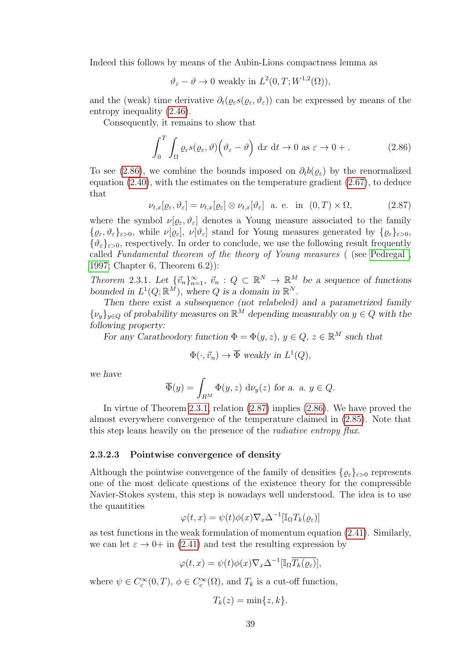Indeed this follows by means of the Aubin-Lions compactness lemma as

$$
\vartheta_{\varepsilon} - \vartheta \to 0
$$
 weakly in  $L^2(0,T;W^{1,2}(\Omega)),$ 

and the (weak) time derivative  $\partial_t(\varrho_{\varepsilon} s(\varrho_{\varepsilon},\vartheta_{\varepsilon}))$  can be expressed by means of the entropy inequality [\(2.46\)](#page-34-0).

Consequently, it remains to show that

<span id="page-42-0"></span>
$$
\int_0^T \int_{\Omega} \varrho_{\varepsilon} s(\varrho_{\varepsilon}, \vartheta) \left(\vartheta_{\varepsilon} - \vartheta\right) dx dt \to 0 \text{ as } \varepsilon \to 0 + .
$$
 (2.86)

To see [\(2.86\)](#page-42-0), we combine the bounds imposed on  $\partial_t b(\varrho_{\varepsilon})$  by the renormalized equation  $(2.40)$ , with the estimates on the temperature gradient  $(2.67)$ , to deduce that

<span id="page-42-2"></span>
$$
\nu_{t,x}[\varrho_{\varepsilon},\vartheta_{\varepsilon}] = \nu_{t,x}[\varrho_{\varepsilon}] \otimes \nu_{t,x}[\vartheta_{\varepsilon}] \quad \text{a. e. in} \quad (0,T) \times \Omega,
$$
\n(2.87)

where the symbol  $\nu[\varrho_{\varepsilon},\vartheta_{\varepsilon}]$  denotes a Young measure associated to the family  $\{\varrho_{\varepsilon}, \vartheta_{\varepsilon}\}_{{\varepsilon}>0}$ , while  $\nu[\varrho_{\varepsilon}], \nu[\vartheta_{\varepsilon}]$  stand for Young measures generated by  $\{\varrho_{\varepsilon}\}_{{\varepsilon}>0}$ ,  $\{\vartheta_{\varepsilon}\}_{{\varepsilon}>0}$ , respectively. In order to conclude, we use the following result frequently called Fundamental theorem of the theory of Young measures ( (see [Pedregal ,](#page-102-0) [1997;](#page-102-0) Chapter 6, Theorem 6.2)):

<span id="page-42-1"></span>Theorem 2.3.1. Let  ${\lbrace \vec{v}_n \rbrace}_{n=1}^{\infty}$ ,  $\vec{v}_n : Q \subset \mathbb{R}^N \to \mathbb{R}^M$  be a sequence of functions bounded in  $L^1(Q;\mathbb{R}^M)$ , where Q is a domain in  $\mathbb{R}^N$ .

Then there exist a subsequence (not relabeled) and a parametrized family  $\{\nu_y\}_{y\in Q}$  of probability measures on  $\mathbb{R}^M$  depending measurably on  $y \in Q$  with the following property:

For any Caratheodory function  $\Phi = \Phi(y, z)$ ,  $y \in Q$ ,  $z \in \mathbb{R}^M$  such that

$$
\Phi(\cdot, \vec{v}_n) \to \overline{\Phi} \text{ weakly in } L^1(Q),
$$

we have

$$
\overline{\Phi}(y) = \int_{R^M} \Phi(y, z) d\nu_y(z) \text{ for a. a. } y \in Q.
$$

In virtue of Theorem [2.3.1,](#page-42-1) relation [\(2.87\)](#page-42-2) implies [\(2.86\)](#page-42-0). We have proved the almost everywhere convergence of the temperature claimed in [\(2.85\)](#page-41-1). Note that this step leans heavily on the presence of the *radiative entropy flux*.

#### 2.3.2.3 Pointwise convergence of density

Although the pointwise convergence of the family of densities  $\{\varrho_{\varepsilon}\}_{{\varepsilon}>0}$  represents one of the most delicate questions of the existence theory for the compressible Navier-Stokes system, this step is nowadays well understood. The idea is to use the quantities

$$
\varphi(t,x) = \psi(t)\phi(x)\nabla_x \Delta^{-1}[\mathbb{I}_{\Omega}T_k(\varrho_{\varepsilon})]
$$

as test functions in the weak formulation of momentum equation [\(2.41\)](#page-33-0). Similarly, we can let  $\varepsilon \to 0+$  in [\(2.41\)](#page-33-0) and test the resulting expression by

$$
\varphi(t,x) = \psi(t)\phi(x)\nabla_x\Delta^{-1}[\mathbb{I}_{\Omega}\overline{T_k(\varrho_{\varepsilon})}],
$$

where  $\psi \in C_c^{\infty}(0,T)$ ,  $\phi \in C_c^{\infty}(\Omega)$ , and  $T_k$  is a cut-off function,

$$
T_k(z) = \min\{z, k\}.
$$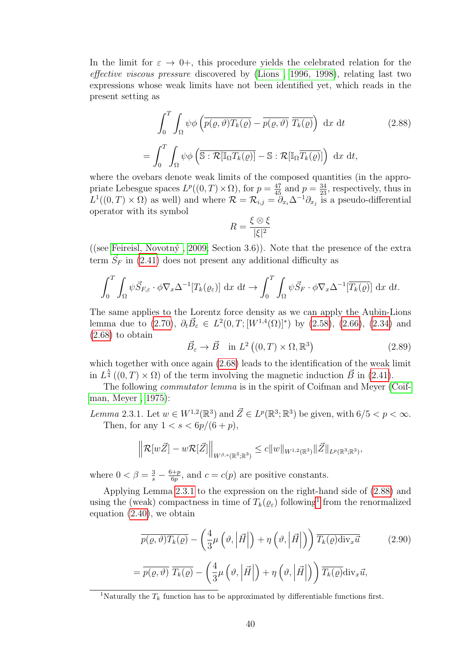In the limit for  $\varepsilon \to 0^+$ , this procedure yields the celebrated relation for the effective viscous pressure discovered by [\(Lions , 1996, 1998\)](#page-101-0), relating last two expressions whose weak limits have not been identified yet, which reads in the present setting as

<span id="page-43-1"></span>
$$
\int_0^T \int_{\Omega} \psi \phi \left( \overline{p(\varrho, \vartheta) T_k(\varrho)} - \overline{p(\varrho, \vartheta)} \, \overline{T_k(\varrho)} \right) dx dt \qquad (2.88)
$$

$$
= \int_0^T \int_{\Omega} \psi \phi \left( \overline{\mathbb{S} : \mathcal{R}[\mathbb{I}_{\Omega} T_k(\varrho)]} - \mathbb{S} : \mathcal{R}[\mathbb{I}_{\Omega} \overline{T_k(\varrho)}] \right) dx dt,
$$

where the ovebars denote weak limits of the composed quantities (in the appropriate Lebesgue spaces  $L^p((0,T)\times\Omega)$ , for  $p=\frac{47}{45}$  and  $p=\frac{34}{23}$ , respectively, thus in  $L^1((0,T)\times\Omega)$  as well) and where  $\mathcal{R}=\mathcal{R}_{i,j}=\partial_{x_i}\Delta^{-1}\partial_{x_j}$  is a pseudo-differential operator with its symbol

$$
R = \frac{\xi \otimes \xi}{|\xi|^2}
$$

((see Feireisl, Novotný, 2009; Section 3.6)). Note that the presence of the extra term  $\vec{S}_F$  in [\(2.41\)](#page-33-0) does not present any additional difficulty as

$$
\int_0^T \int_{\Omega} \psi \vec{S}_{F,\varepsilon} \cdot \phi \nabla_x \Delta^{-1} [T_k(\varrho_{\varepsilon})] \, dx \, dt \to \int_0^T \int_{\Omega} \psi \vec{S}_F \cdot \phi \nabla_x \Delta^{-1} [\overline{T_k(\varrho)}] \, dx \, dt.
$$

The same applies to the Lorentz force density as we can apply the Aubin-Lions lemma due to [\(2.70\)](#page-39-0),  $\partial_t \vec{B}_{\varepsilon} \in L^2(0,T;[W^{1,4}(\Omega)]^*)$  by [\(2.58\)](#page-37-5), [\(2.66\)](#page-38-2), [\(2.34\)](#page-32-5) and [\(2.68\)](#page-38-5) to obtain

<span id="page-43-3"></span>
$$
\vec{B}_{\varepsilon} \to \vec{B} \quad \text{in } L^2\left( (0, T) \times \Omega, \mathbb{R}^3 \right) \tag{2.89}
$$

which together with once again  $(2.68)$  leads to the identification of the weak limit in  $L^{\frac{5}{4}}((0,T)\times\Omega)$  of the term involving the magnetic induction  $\vec{B}$  in [\(2.41\)](#page-33-0).

The following *commutator lemma* is in the spirit of Coifman and Meyer [\(Coif](#page-97-0)[man, Meyer , 1975\)](#page-97-0):

<span id="page-43-0"></span>Lemma 2.3.1. Let  $w \in W^{1,2}(\mathbb{R}^3)$  and  $\vec{Z} \in L^p(\mathbb{R}^3;\mathbb{R}^3)$  be given, with  $6/5 < p < \infty$ . Then, for any  $1 < s < 6p/(6+p)$ ,

$$
\left\| \mathcal{R}[w\vec{Z}] - w\mathcal{R}[\vec{Z}] \right\|_{W^{\beta,s}(\mathbb{R}^3; \mathbb{R}^3)} \leq c \|w\|_{W^{1,2}(\mathbb{R}^3)} \|\vec{Z}\|_{L^p(\mathbb{R}^3; \mathbb{R}^3)},
$$

where  $0 < \beta = \frac{3}{s} - \frac{6+p}{6p}$  $\frac{\partial^{\dagger} p}{\partial p}$ , and  $c = c(p)$  are positive constants.

Applying Lemma [2.3.1](#page-43-0) to the expression on the right-hand side of [\(2.88\)](#page-43-1) and using the (weak) compactness in time of  $T_k(\varrho_\varepsilon)$  following<sup>[1](#page-43-2)</sup> from the renormalized equation [\(2.40\)](#page-32-6), we obtain

<span id="page-43-4"></span>
$$
\overline{p(\varrho,\vartheta)T_{k}(\varrho)} - \left(\frac{4}{3}\mu\left(\vartheta,\left|\vec{H}\right|\right) + \eta\left(\vartheta,\left|\vec{H}\right|\right)\right) \overline{T_{k}(\varrho) \text{div}_{x}\vec{u}} \qquad (2.90)
$$
\n
$$
= \overline{p(\varrho,\vartheta)} \ \overline{T_{k}(\varrho)} - \left(\frac{4}{3}\mu\left(\vartheta,\left|\vec{H}\right|\right) + \eta\left(\vartheta,\left|\vec{H}\right|\right)\right) \overline{T_{k}(\varrho)} \text{div}_{x}\vec{u},
$$

<span id="page-43-2"></span><sup>1</sup>Naturally the  $T_k$  function has to be approximated by differentiable functions first.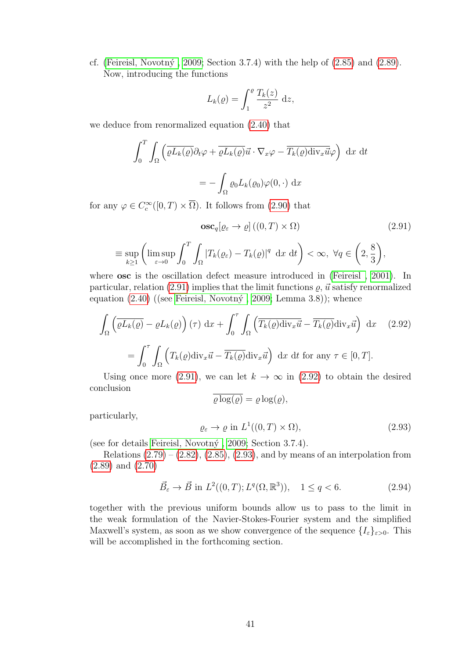cf. (Feireisl, Novotný, 2009; Section 3.7.4) with the help of  $(2.85)$  and  $(2.89)$ . Now, introducing the functions

$$
L_k(\varrho) = \int_1^{\varrho} \frac{T_k(z)}{z^2} \, \mathrm{d}z,
$$

we deduce from renormalized equation [\(2.40\)](#page-32-6) that

$$
\int_0^T \int_{\Omega} \left( \overline{\varrho L_k(\varrho)} \partial_t \varphi + \overline{\varrho L_k(\varrho)} \vec{u} \cdot \nabla_x \varphi - \overline{T_k(\varrho) \operatorname{div}_x \vec{u}} \varphi \right) dx dt
$$

$$
= - \int_{\Omega} \varrho_0 L_k(\varrho_0) \varphi(0, \cdot) dx
$$

for any  $\varphi \in C_c^{\infty}([0, T) \times \overline{\Omega})$ . It follows from [\(2.90\)](#page-43-4) that

<span id="page-44-0"></span>
$$
\mathbf{osc}_{q}[\varrho_{\varepsilon} \to \varrho] \left( (0, T) \times \Omega \right) \tag{2.91}
$$
\n
$$
\sup_{k \ge 1} \left( \limsup_{\varepsilon \to 0} \int_{0}^{T} \int_{\Omega} |T_{k}(\varrho_{\varepsilon}) - T_{k}(\varrho)|^{q} dx dt \right) < \infty, \ \forall q \in \left( 2, \frac{8}{3} \right),
$$

where **osc** is the oscillation defect measure introduced in (Feireisl, 2001). In particular, relation [\(2.91\)](#page-44-0) implies that the limit functions  $\rho$ ,  $\vec{u}$  satisfy renormalized equation  $(2.40)$  ((see Feireisl, Novotný, 2009; Lemma 3.8)); whence

<span id="page-44-1"></span>
$$
\int_{\Omega} \left( \overline{\varrho L_{k}(\varrho)} - \varrho L_{k}(\varrho) \right) (\tau) \, dx + \int_{0}^{\tau} \int_{\Omega} \left( \overline{T_{k}(\varrho)} \overline{\text{div}_{x} \vec{u}} - \overline{T_{k}(\varrho)} \overline{\text{div}_{x} \vec{u}} \right) \, dx \quad (2.92)
$$
\n
$$
= \int_{0}^{\tau} \int_{\Omega} \left( T_{k}(\varrho) \overline{\text{div}_{x} \vec{u}} - \overline{T_{k}(\varrho)} \overline{\text{div}_{x} \vec{u}} \right) \, dx \, dt \text{ for any } \tau \in [0, T].
$$

Using once more [\(2.91\)](#page-44-0), we can let  $k \to \infty$  in [\(2.92\)](#page-44-1) to obtain the desired conclusion

$$
\varrho \log(\varrho) = \varrho \log(\varrho),
$$

particularly,

 $\equiv$ 

<span id="page-44-2"></span>
$$
\varrho_{\varepsilon} \to \varrho \text{ in } L^1((0,T) \times \Omega), \tag{2.93}
$$

(see for details Feireisl, Novotný, 2009; Section 3.7.4).

Relations  $(2.79) - (2.82), (2.85), (2.93),$  $(2.79) - (2.82), (2.85), (2.93),$  $(2.79) - (2.82), (2.85), (2.93),$  $(2.79) - (2.82), (2.85), (2.93),$  $(2.79) - (2.82), (2.85), (2.93),$  $(2.79) - (2.82), (2.85), (2.93),$  $(2.79) - (2.82), (2.85), (2.93),$  and by means of an interpolation from [\(2.89\)](#page-43-3) and [\(2.70\)](#page-39-0)

<span id="page-44-3"></span>
$$
\vec{B}_{\varepsilon} \to \vec{B}
$$
 in  $L^2((0, T); L^q(\Omega, \mathbb{R}^3)), 1 \le q < 6.$  (2.94)

together with the previous uniform bounds allow us to pass to the limit in the weak formulation of the Navier-Stokes-Fourier system and the simplified Maxwell's system, as soon as we show convergence of the sequence  $\{I_{\varepsilon}\}_{{\varepsilon}>0}$ . This will be accomplished in the forthcoming section.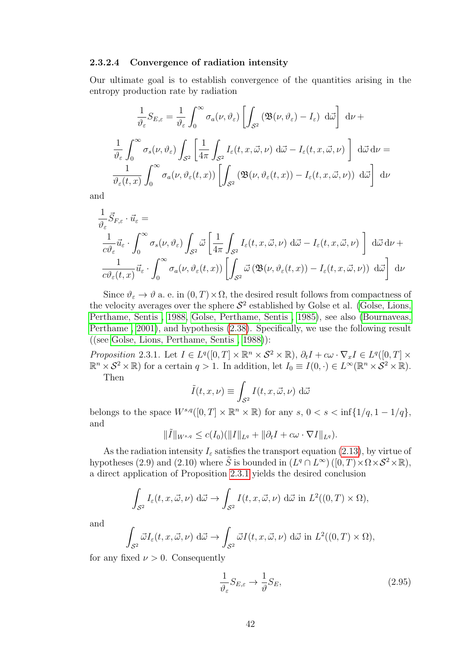#### 2.3.2.4 Convergence of radiation intensity

Our ultimate goal is to establish convergence of the quantities arising in the entropy production rate by radiation

$$
\frac{1}{\vartheta_{\varepsilon}} S_{E,\varepsilon} = \frac{1}{\vartheta_{\varepsilon}} \int_0^\infty \sigma_a(\nu, \vartheta_{\varepsilon}) \left[ \int_{S^2} (\mathfrak{B}(\nu, \vartheta_{\varepsilon}) - I_{\varepsilon}) d\vec{\omega} \right] d\nu +
$$

$$
\frac{1}{\vartheta_{\varepsilon}} \int_0^\infty \sigma_s(\nu, \vartheta_{\varepsilon}) \int_{S^2} \left[ \frac{1}{4\pi} \int_{S^2} I_{\varepsilon}(t, x, \vec{\omega}, \nu) d\vec{\omega} - I_{\varepsilon}(t, x, \vec{\omega}, \nu) \right] d\vec{\omega} d\nu =
$$

$$
\frac{1}{\vartheta_{\varepsilon}(t, x)} \int_0^\infty \sigma_a(\nu, \vartheta_{\varepsilon}(t, x)) \left[ \int_{S^2} (\mathfrak{B}(\nu, \vartheta_{\varepsilon}(t, x)) - I_{\varepsilon}(t, x, \vec{\omega}, \nu)) d\vec{\omega} \right] d\nu
$$

and

$$
\frac{1}{v^2} \vec{S}_{F,\varepsilon} \cdot \vec{u}_{\varepsilon} =
$$
\n
$$
\frac{1}{c v^2_{\varepsilon}} \vec{u}_{\varepsilon} \cdot \int_0^\infty \sigma_s(\nu, \vartheta_{\varepsilon}) \int_{S^2} \vec{\omega} \left[ \frac{1}{4\pi} \int_{S^2} I_{\varepsilon}(t, x, \vec{\omega}, \nu) \, d\vec{\omega} - I_{\varepsilon}(t, x, \vec{\omega}, \nu) \right] \, d\vec{\omega} \, d\nu +
$$
\n
$$
\frac{1}{c v^2_{\varepsilon}(t, x)} \vec{u}_{\varepsilon} \cdot \int_0^\infty \sigma_a(\nu, \vartheta_{\varepsilon}(t, x)) \left[ \int_{S^2} \vec{\omega} \left( \mathfrak{B}(\nu, \vartheta_{\varepsilon}(t, x)) - I_{\varepsilon}(t, x, \vec{\omega}, \nu) \right) \, d\vec{\omega} \right] \, d\nu
$$

Since  $\vartheta_{\varepsilon} \to \vartheta$  a. e. in  $(0, T) \times \Omega$ , the desired result follows from compactness of the velocity averages over the sphere  $S^2$  established by Golse et al. [\(Golse, Lions,](#page-99-3) [Perthame, Sentis , 1988,](#page-99-3) [Golse, Perthame, Sentis , 1985\)](#page-100-0), see also [\(Bournaveas,](#page-96-0) [Perthame , 2001\)](#page-96-0), and hypothesis [\(2.38\)](#page-32-4). Specifically, we use the following result ((see [Golse, Lions, Perthame, Sentis , 1988\)](#page-99-3)):

<span id="page-45-0"></span>Proposition 2.3.1. Let  $I \in L^q([0,T] \times \mathbb{R}^n \times S^2 \times \mathbb{R})$ ,  $\partial_t I + c\omega \cdot \nabla_x I \in L^q([0,T] \times \mathbb{R}^n \times S^2 \times \mathbb{R})$  $\mathbb{R}^n \times S^2 \times \mathbb{R}$  for a certain  $q > 1$ . In addition, let  $I_0 \equiv I(0, \cdot) \in L^{\infty}(\mathbb{R}^n \times S^2 \times \mathbb{R})$ . Then

$$
\tilde{I}(t, x, \nu) \equiv \int_{\mathcal{S}^2} I(t, x, \vec{\omega}, \nu) \, d\vec{\omega}
$$

belongs to the space  $W^{s,q}([0,T] \times \mathbb{R}^n \times \mathbb{R})$  for any  $s, 0 < s < \inf\{1/q, 1-1/q\},$ and

$$
\|\tilde{I}\|_{W^{s,q}} \le c(I_0)(\|I\|_{L^q} + \|\partial_t I + c\omega \cdot \nabla I\|_{L^q}).
$$

As the radiation intensity  $I_{\varepsilon}$  satisfies the transport equation [\(2.13\)](#page-28-1), by virtue of hypotheses (2.9) and (2.10) where  $\tilde{S}$  is bounded in  $(L^q \cap L^{\infty})$  ([0, T)  $\times \Omega \times S^2 \times \mathbb{R}$ ), a direct application of Proposition [2.3.1](#page-45-0) yields the desired conclusion

$$
\int_{\mathcal{S}^2} I_{\varepsilon}(t, x, \vec{\omega}, \nu) \, d\vec{\omega} \to \int_{\mathcal{S}^2} I(t, x, \vec{\omega}, \nu) \, d\vec{\omega} \text{ in } L^2((0, T) \times \Omega),
$$

and

$$
\int_{S^2} \vec{\omega} I_{\varepsilon}(t, x, \vec{\omega}, \nu) \, d\vec{\omega} \to \int_{S^2} \vec{\omega} I(t, x, \vec{\omega}, \nu) \, d\vec{\omega} \text{ in } L^2((0, T) \times \Omega),
$$

for any fixed  $\nu > 0$ . Consequently

<span id="page-45-1"></span>
$$
\frac{1}{\vartheta_{\varepsilon}} S_{E,\varepsilon} \to \frac{1}{\vartheta} S_E,\tag{2.95}
$$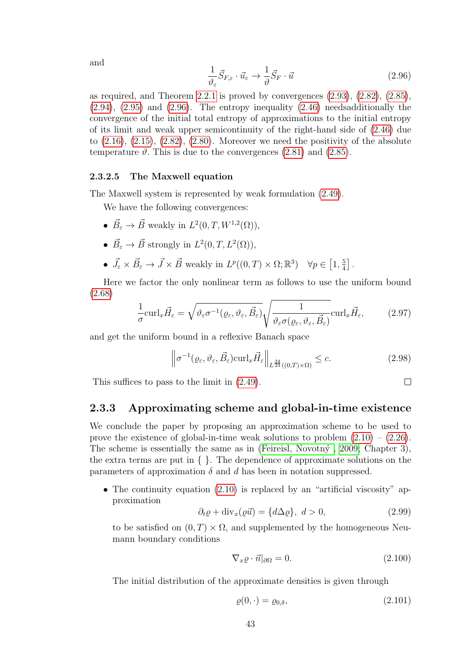<span id="page-46-0"></span>
$$
\frac{1}{\vartheta_{\varepsilon}} \vec{S}_{F,\varepsilon} \cdot \vec{u}_{\varepsilon} \to \frac{1}{\vartheta} \vec{S}_F \cdot \vec{u}
$$
\n(2.96)

as required, and Theorem [2.2.1](#page-36-1) is proved by convergences [\(2.93\)](#page-44-2), [\(2.82\)](#page-41-3), [\(2.85\)](#page-41-1),  $(2.94)$ ,  $(2.95)$  and  $(2.96)$ . The entropy inequality  $(2.46)$  needsadditionally the convergence of the initial total entropy of approximations to the initial entropy of its limit and weak upper semicontinuity of the right-hand side of [\(2.46\)](#page-34-0) due to  $(2.16)$ ,  $(2.15)$ ,  $(2.82)$ ,  $(2.80)$ . Moreover we need the positivity of the absolute temperature  $\vartheta$ . This is due to the convergences [\(2.81\)](#page-41-5) and [\(2.85\)](#page-41-1).

#### 2.3.2.5 The Maxwell equation

The Maxwell system is represented by weak formulation [\(2.49\)](#page-35-0).

We have the following convergences:

- $\vec{B}_{\varepsilon} \to \vec{B}$  weakly in  $L^2(0,T,W^{1,2}(\Omega)),$
- $\vec{B}_{\varepsilon} \to \vec{B}$  strongly in  $L^2(0,T,L^2(\Omega)),$
- $\vec{J}_{\varepsilon} \times \vec{B}_{\varepsilon} \to \vec{J} \times \vec{B}$  weakly in  $L^p((0,T) \times \Omega; \mathbb{R}^3)$   $\forall p \in [1, \frac{5}{4}]$  $\frac{5}{4}$ .

Here we factor the only nonlinear term as follows to use the uniform bound [\(2.68\)](#page-38-5)

$$
\frac{1}{\sigma} \text{curl}_x \vec{H}_{\varepsilon} = \sqrt{\vartheta_{\varepsilon} \sigma^{-1}(\varrho_{\varepsilon}, \vartheta_{\varepsilon}, \vec{B}_{\varepsilon})} \sqrt{\frac{1}{\vartheta_{\varepsilon} \sigma(\varrho_{\varepsilon}, \vartheta_{\varepsilon}, \vec{B}_{\varepsilon})}} \text{curl}_x \vec{H}_{\varepsilon},
$$
(2.97)

and get the uniform bound in a reflexive Banach space

$$
\left\| \sigma^{-1}(\varrho_{\varepsilon}, \vartheta_{\varepsilon}, \vec{B}_{\varepsilon}) \operatorname{curl}_x \vec{H}_{\varepsilon} \right\|_{L^{\frac{34}{23}}((0,T)\times\Omega)} \leq c. \tag{2.98}
$$

 $\Box$ 

This suffices to pass to the limit in [\(2.49\)](#page-35-0).

#### 2.3.3 Approximating scheme and global-in-time existence

We conclude the paper by proposing an approximation scheme to be used to prove the existence of global-in-time weak solutions to problem  $(2.10) - (2.26)$  $(2.10) - (2.26)$ . The scheme is essentially the same as in (Feireisl, Novotn $\acute{y}$ , 2009; Chapter 3), the extra terms are put in  $\{\}$ . The dependence of approximate solutions on the parameters of approximation  $\delta$  and d has been in notation suppressed.

• The continuity equation  $(2.10)$  is replaced by an "artificial viscosity" approximation

$$
\partial_t \varrho + \text{div}_x(\varrho \vec{u}) = \{d \Delta \varrho\}, \ d > 0,\tag{2.99}
$$

to be satisfied on  $(0, T) \times \Omega$ , and supplemented by the homogeneous Neumann boundary conditions

$$
\nabla_x \varrho \cdot \vec{n}|_{\partial \Omega} = 0. \tag{2.100}
$$

The initial distribution of the approximate densities is given through

$$
\varrho(0,\cdot) = \varrho_{0,\delta},\tag{2.101}
$$

and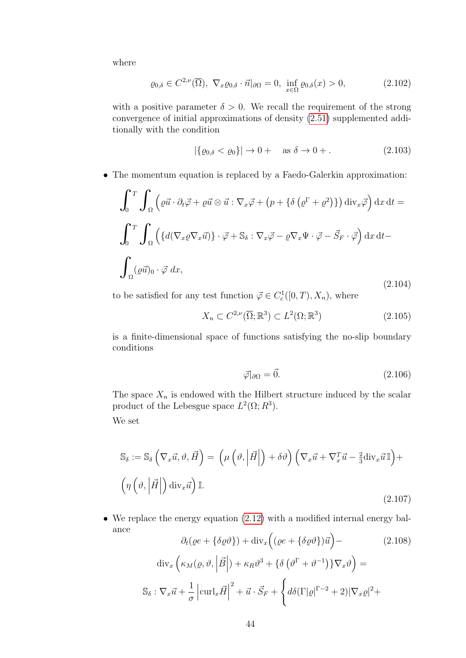where

$$
\varrho_{0,\delta} \in C^{2,\nu}(\overline{\Omega}), \ \nabla_x \varrho_{0,\delta} \cdot \vec{n}|_{\partial\Omega} = 0, \ \inf_{x \in \Omega} \varrho_{0,\delta}(x) > 0, \tag{2.102}
$$

with a positive parameter  $\delta > 0$ . We recall the requirement of the strong convergence of initial approximations of density [\(2.51\)](#page-36-0) supplemented additionally with the condition

$$
|\{\varrho_{0,\delta} < \varrho_0\}| \to 0 + \quad \text{as } \delta \to 0 + . \tag{2.103}
$$

• The momentum equation is replaced by a Faedo-Galerkin approximation:

$$
\int_{0}^{T} \int_{\Omega} \left( \varrho \vec{u} \cdot \partial_{t} \vec{\varphi} + \varrho \vec{u} \otimes \vec{u} : \nabla_{x} \vec{\varphi} + (p + \{\delta (\varrho^{\Gamma} + \varrho^{2})\}) \operatorname{div}_{x} \vec{\varphi} \right) dx dt =
$$
  

$$
\int_{0}^{T} \int_{\Omega} \left( \{ d(\nabla_{x} \varrho \nabla_{x} \vec{u}) \} \cdot \vec{\varphi} + \mathbb{S}_{\delta} : \nabla_{x} \vec{\varphi} - \varrho \nabla_{x} \Psi \cdot \vec{\varphi} - \vec{S}_{F} \cdot \vec{\varphi} \right) dx dt -
$$
  

$$
\int_{\Omega} (\varrho \vec{u})_{0} \cdot \vec{\varphi} dx,
$$
 (2.104)

to be satisfied for any test function  $\vec{\varphi} \in C_c^1([0,T), X_n)$ , where

$$
X_n \subset C^{2,\nu}(\overline{\Omega}; \mathbb{R}^3) \subset L^2(\Omega; \mathbb{R}^3)
$$
\n(2.105)

is a finite-dimensional space of functions satisfying the no-slip boundary conditions

$$
\vec{\varphi}|_{\partial\Omega} = \vec{0}.\tag{2.106}
$$

The space  $X_n$  is endowed with the Hilbert structure induced by the scalar product of the Lebesgue space  $L^2(\Omega; R^3)$ .

We set

$$
S_{\delta} := S_{\delta} \left( \nabla_x \vec{u}, \vartheta, \vec{H} \right) = \left( \mu \left( \vartheta, \left| \vec{H} \right| \right) + \delta \vartheta \right) \left( \nabla_x \vec{u} + \nabla_x^T \vec{u} - \frac{2}{3} \text{div}_x \vec{u} \mathbb{I} \right) + \left( \eta \left( \vartheta, \left| \vec{H} \right| \right) \text{div}_x \vec{u} \right) \mathbb{I}. \tag{2.107}
$$

• We replace the energy equation [\(2.12\)](#page-28-3) with a modified internal energy balance

$$
\partial_t(\varrho e + {\delta \varrho \vartheta}) + \text{div}_x \left( (\varrho e + {\delta \varrho \vartheta}) \vec{u} \right) -
$$
\n
$$
\text{div}_x \left( \kappa_M(\varrho, \vartheta, \left| \vec{B} \right|) + \kappa_R \vartheta^3 + {\delta (\vartheta^{\Gamma} + \vartheta^{-1})} \nabla_x \vartheta \right) =
$$
\n
$$
\mathbb{S}_{\delta} : \nabla_x \vec{u} + \frac{1}{\sigma} \left| \text{curl}_x \vec{H} \right|^2 + \vec{u} \cdot \vec{S}_F + \left\{ d\delta(\Gamma|\varrho|^{\Gamma-2} + 2) |\nabla_x \varrho|^2 + \right\}
$$
\n(2.108)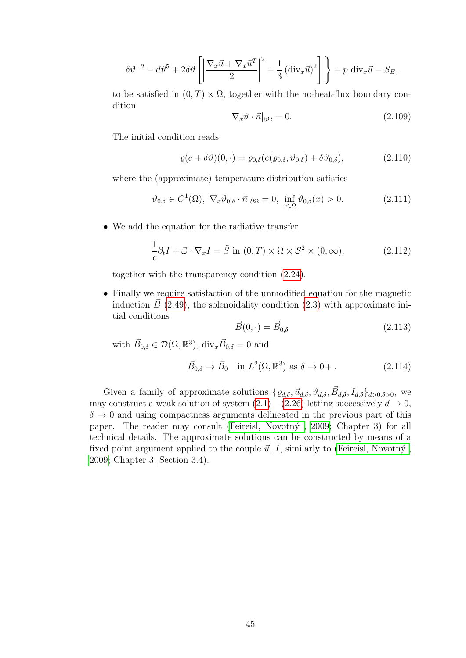$$
\delta \vartheta^{-2} - d\vartheta^{5} + 2\delta \vartheta \left[ \left| \frac{\nabla_{x} \vec{u} + \nabla_{x} \vec{u}^{T}}{2} \right|^{2} - \frac{1}{3} \left( \text{div}_{x} \vec{u} \right)^{2} \right] \bigg\} - p \text{ div}_{x} \vec{u} - S_{E},
$$

to be satisfied in  $(0, T) \times \Omega$ , together with the no-heat-flux boundary condition

$$
\nabla_x \vartheta \cdot \vec{n}|_{\partial \Omega} = 0. \tag{2.109}
$$

The initial condition reads

$$
\varrho(e+\delta\vartheta)(0,\cdot)=\varrho_{0,\delta}(e(\varrho_{0,\delta},\vartheta_{0,\delta})+\delta\vartheta_{0,\delta}),\tag{2.110}
$$

where the (approximate) temperature distribution satisfies

$$
\vartheta_{0,\delta} \in C^1(\overline{\Omega}), \ \nabla_x \vartheta_{0,\delta} \cdot \vec{n}|_{\partial\Omega} = 0, \ \inf_{x \in \Omega} \vartheta_{0,\delta}(x) > 0. \tag{2.111}
$$

• We add the equation for the radiative transfer

$$
\frac{1}{c}\partial_t I + \vec{\omega} \cdot \nabla_x I = \tilde{S} \text{ in } (0, T) \times \Omega \times \mathcal{S}^2 \times (0, \infty), \tag{2.112}
$$

together with the transparency condition [\(2.24\)](#page-30-2).

• Finally we require satisfaction of the unmodified equation for the magnetic induction  $\vec{B}$  [\(2.49\)](#page-35-0), the solenoidality condition [\(2.3\)](#page-27-1) with approximate initial conditions

$$
\vec{B}(0,\cdot) = \vec{B}_{0,\delta} \tag{2.113}
$$

with  $\vec{B}_{0,\delta} \in \mathcal{D}(\Omega,\mathbb{R}^3)$ , div<sub>x</sub> $\vec{B}_{0,\delta} = 0$  and

$$
\vec{B}_{0,\delta} \to \vec{B}_0 \quad \text{in } L^2(\Omega, \mathbb{R}^3) \text{ as } \delta \to 0+ .
$$
 (2.114)

Given a family of approximate solutions  $\{ \varrho_{d,\delta}, \vec{u}_{d,\delta}, \vartheta_{d,\delta}, \vec{B}_{d,\delta}, I_{d,\delta} \}_{d>0,\delta>0}$ , we may construct a weak solution of system  $(2.1) - (2.26)$  $(2.1) - (2.26)$  letting successively  $d \rightarrow 0$ ,  $\delta \rightarrow 0$  and using compactness arguments delineated in the previous part of this paper. The reader may consult (Feireisl, Novotný, 2009; Chapter 3) for all technical details. The approximate solutions can be constructed by means of a fixed point argument applied to the couple  $\vec{u}$ , I, similarly to (Feireisl, Novotný, [2009;](#page-99-0) Chapter 3, Section 3.4).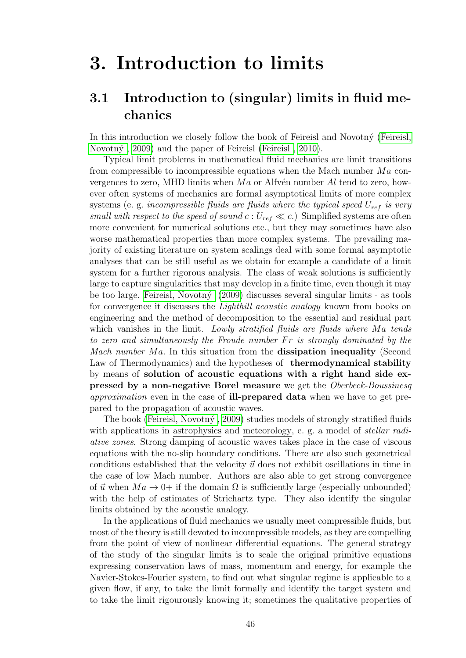# 3. Introduction to limits

# 3.1 Introduction to (singular) limits in fluid mechanics

In this introduction we closely follow the book of Feireisl and Novotný [\(Feireisl,](#page-99-0) Novotný, 2009) and the paper of Feireisl (Feireisl, 2010).

Typical limit problems in mathematical fluid mechanics are limit transitions from compressible to incompressible equations when the Mach number  $Ma$  convergences to zero, MHD limits when  $Ma$  or Alfvén number  $Al$  tend to zero, however often systems of mechanics are formal asymptotical limits of more complex systems (e. g. incompressible fluids are fluids where the typical speed  $U_{ref}$  is very small with respect to the speed of sound  $c: U_{ref} \ll c$ .) Simplified systems are often more convenient for numerical solutions etc., but they may sometimes have also worse mathematical properties than more complex systems. The prevailing majority of existing literature on system scalings deal with some formal asymptotic analyses that can be still useful as we obtain for example a candidate of a limit system for a further rigorous analysis. The class of weak solutions is sufficiently large to capture singularities that may develop in a finite time, even though it may be too large. Feireisl, Novotn $\acute{v}$  (2009) discusses several singular limits - as tools for convergence it discusses the *Lighthill acoustic analogy* known from books on engineering and the method of decomposition to the essential and residual part which vanishes in the limit. Lowly stratified fluids are fluids where  $Ma$  tends to zero and simultaneously the Froude number  $Fr$  is strongly dominated by the *Mach number Ma.* In this situation from the **dissipation inequality** (Second Law of Thermodynamics) and the hypotheses of **thermodynamical stability** by means of solution of acoustic equations with a right hand side expressed by a non-negative Borel measure we get the Oberbeck-Boussinesq approximation even in the case of **ill-prepared data** when we have to get prepared to the propagation of acoustic waves.

The book (Feireisl, Novotný, 2009) studies models of strongly stratified fluids with applications in astrophysics and meteorology, e. g. a model of *stellar radi*ative zones. Strong damping of acoustic waves takes place in the case of viscous equations with the no-slip boundary conditions. There are also such geometrical conditions established that the velocity  $\vec{u}$  does not exhibit oscillations in time in the case of low Mach number. Authors are also able to get strong convergence of  $\vec{u}$  when  $Ma \rightarrow 0+$  if the domain  $\Omega$  is sufficiently large (especially unbounded) with the help of estimates of Strichartz type. They also identify the singular limits obtained by the acoustic analogy.

In the applications of fluid mechanics we usually meet compressible fluids, but most of the theory is still devoted to incompressible models, as they are compelling from the point of view of nonlinear differential equations. The general strategy of the study of the singular limits is to scale the original primitive equations expressing conservation laws of mass, momentum and energy, for example the Navier-Stokes-Fourier system, to find out what singular regime is applicable to a given flow, if any, to take the limit formally and identify the target system and to take the limit rigourously knowing it; sometimes the qualitative properties of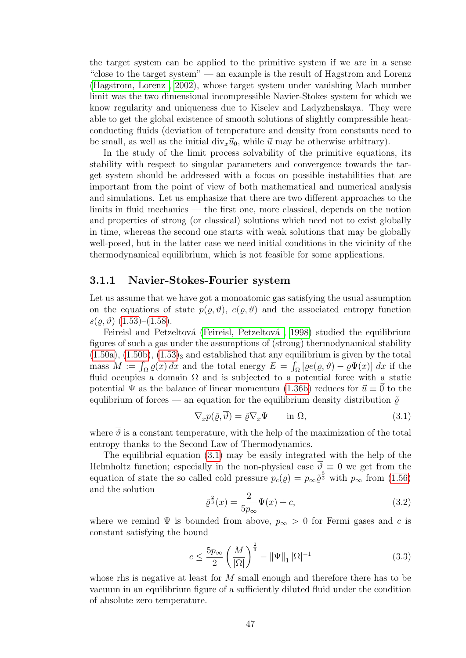the target system can be applied to the primitive system if we are in a sense "close to the target system" — an example is the result of Hagstrom and Lorenz [\(Hagstrom, Lorenz , 2002\)](#page-100-1), whose target system under vanishing Mach number limit was the two dimensional incompressible Navier-Stokes system for which we know regularity and uniqueness due to Kiselev and Ladyzhenskaya. They were able to get the global existence of smooth solutions of slightly compressible heatconducting fluids (deviation of temperature and density from constants need to be small, as well as the initial  $\text{div}_x \vec{u}_0$ , while  $\vec{u}$  may be otherwise arbitrary).

In the study of the limit process solvability of the primitive equations, its stability with respect to singular parameters and convergence towards the target system should be addressed with a focus on possible instabilities that are important from the point of view of both mathematical and numerical analysis and simulations. Let us emphasize that there are two different approaches to the limits in fluid mechanics — the first one, more classical, depends on the notion and properties of strong (or classical) solutions which need not to exist globally in time, whereas the second one starts with weak solutions that may be globally well-posed, but in the latter case we need initial conditions in the vicinity of the thermodynamical equilibrium, which is not feasible for some applications.

#### 3.1.1 Navier-Stokes-Fourier system

Let us assume that we have got a monoatomic gas satisfying the usual assumption on the equations of state  $p(\varrho, \vartheta), e(\varrho, \vartheta)$  and the associated entropy function  $s(\rho, \vartheta)$  [\(1.53\)](#page-23-0)–[\(1.58\)](#page-23-1).

Feireisl and Petzeltová (Feireisl, Petzeltová, 1998) studied the equilibrium figures of such a gas under the assumptions of (strong) thermodynamical stability  $(1.50a)$ ,  $(1.50b)$ ,  $(1.53)<sub>3</sub>$  and established that any equilibrium is given by the total mass  $M := \int_{\Omega} \varrho(x) dx$  and the total energy  $E = \int_{\Omega} [\varrho e(\varrho, \vartheta) - \varrho \Psi(x)] dx$  if the fluid occupies a domain  $\Omega$  and is subjected to a potential force with a static potential  $\Psi$  as the balance of linear momentum [\(1.36b\)](#page-20-0) reduces for  $\vec{u} \equiv \vec{0}$  to the equlibrium of forces — an equation for the equilibrium density distribution  $\tilde{\rho}$ 

<span id="page-50-0"></span>
$$
\nabla_x p(\tilde{\varrho}, \overline{\vartheta}) = \tilde{\varrho} \nabla_x \Psi \qquad \text{in } \Omega,
$$
\n(3.1)

where  $\overline{\vartheta}$  is a constant temperature, with the help of the maximization of the total entropy thanks to the Second Law of Thermodynamics.

The equilibrial equation [\(3.1\)](#page-50-0) may be easily integrated with the help of the Helmholtz function; especially in the non-physical case  $\overline{\vartheta} \equiv 0$  we get from the equation of state the so called cold pressure  $p_c(\varrho) = p_{\infty} \tilde{\varrho}^{\frac{5}{3}}$  with  $p_{\infty}$  from [\(1.56\)](#page-23-2) and the solution

$$
\tilde{\varrho}^{\frac{2}{3}}(x) = \frac{2}{5p_{\infty}}\Psi(x) + c,\tag{3.2}
$$

where we remind  $\Psi$  is bounded from above,  $p_{\infty} > 0$  for Fermi gases and c is constant satisfying the bound

$$
c \le \frac{5p_{\infty}}{2} \left(\frac{M}{|\Omega|}\right)^{\frac{2}{3}} - \|\Psi\|_{1} |\Omega|^{-1}
$$
\n(3.3)

whose rhs is negative at least for M small enough and therefore there has to be vacuum in an equilibrium figure of a sufficiently diluted fluid under the condition of absolute zero temperature.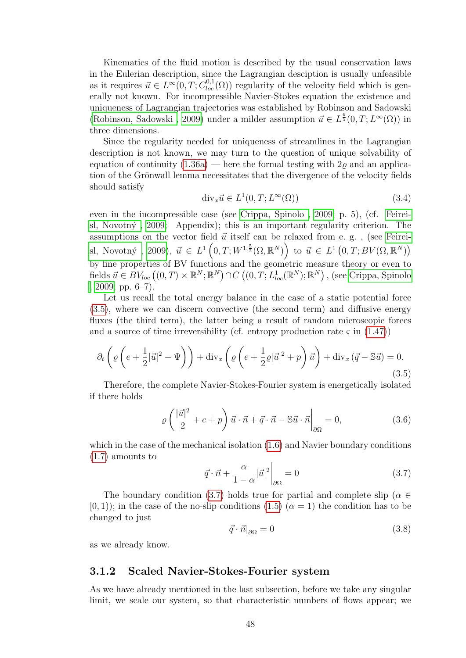Kinematics of the fluid motion is described by the usual conservation laws in the Eulerian description, since the Lagrangian desciption is usually unfeasible as it requires  $\vec{u} \in L^{\infty}(0,T; C_{loc}^{0,1}(\Omega))$  regularity of the velocity field which is generally not known. For incompressible Navier-Stokes equation the existence and uniqueness of Lagrangian trajectories was established by Robinson and Sadowski (Robinson, Sadowski, 2009) under a milder assumption  $\vec{u} \in L^{\frac{6}{5}}(0,T;L^{\infty}(\Omega))$  in three dimensions.

Since the regularity needed for uniqueness of streamlines in the Lagrangian description is not known, we may turn to the question of unique solvability of equation of continuity  $(1.36a)$  — here the formal testing with  $2\varrho$  and an application of the Grönwall lemma necessitates that the divergence of the velocity fields should satisfy

$$
\operatorname{div}_x \vec{u} \in L^1(0, T; L^{\infty}(\Omega))
$$
\n(3.4)

even in the incompressible case (see [Crippa, Spinolo , 2009;](#page-97-1) p. 5), (cf. [Feirei](#page-99-0)sl, Novotný, 2009; Appendix); this is an important regularity criterion. The assumptions on the vector field  $\vec{u}$  itself can be relaxed from e. g., (see [Feirei](#page-99-0)sl, Novotný, 2009),  $\vec{u} \in L^1(0,T;W^{1,\frac{5}{2}}(\Omega,\mathbb{R}^N))$  to  $\vec{u} \in L^1(0,T;BV(\Omega,\mathbb{R}^N))$ by fine properties of BV functions and the geometric measure theory or even to fields  $\vec{u} \in BV_{loc} \left( (0,T) \times \mathbb{R}^N; \mathbb{R}^N \right) \cap C \left( (0,T;L^1_{loc}(\mathbb{R}^N);\mathbb{R}^N \right), \text{ (see Crippa, Spinolo)}$  $\vec{u} \in BV_{loc} \left( (0,T) \times \mathbb{R}^N; \mathbb{R}^N \right) \cap C \left( (0,T;L^1_{loc}(\mathbb{R}^N);\mathbb{R}^N \right), \text{ (see Crippa, Spinolo)}$  $\vec{u} \in BV_{loc} \left( (0,T) \times \mathbb{R}^N; \mathbb{R}^N \right) \cap C \left( (0,T;L^1_{loc}(\mathbb{R}^N);\mathbb{R}^N \right), \text{ (see Crippa, Spinolo)}$ [, 2009;](#page-97-1) pp. 6–7).

Let us recall the total energy balance in the case of a static potential force [\(3.5\)](#page-51-0), where we can discern convective (the second term) and diffusive energy fluxes (the third term), the latter being a result of random microscopic forces and a source of time irreversibility (cf. entropy production rate  $\varsigma$  in [\(1.47\)](#page-21-0))

<span id="page-51-0"></span>
$$
\partial_t \left( \varrho \left( e + \frac{1}{2} |\vec{u}|^2 - \Psi \right) \right) + \text{div}_x \left( \varrho \left( e + \frac{1}{2} \varrho |\vec{u}|^2 + p \right) \vec{u} \right) + \text{div}_x \left( \vec{q} - \mathbb{S} \vec{u} \right) = 0. \tag{3.5}
$$

Therefore, the complete Navier-Stokes-Fourier system is energetically isolated if there holds

$$
\varrho\left(\frac{|\vec{u}|^2}{2} + e + p\right)\vec{u}\cdot\vec{n} + \vec{q}\cdot\vec{n} - \mathbb{S}\vec{u}\cdot\vec{n}\bigg|_{\partial\Omega} = 0,\tag{3.6}
$$

which in the case of the mechanical isolation  $(1.6)$  and Navier boundary conditions [\(1.7\)](#page-12-0) amounts to

<span id="page-51-1"></span>
$$
\vec{q} \cdot \vec{n} + \frac{\alpha}{1 - \alpha} |\vec{u}|^2 \bigg|_{\partial \Omega} = 0 \tag{3.7}
$$

The boundary condition [\(3.7\)](#page-51-1) holds true for partial and complete slip ( $\alpha \in$  $(0, 1)$ ; in the case of the no-slip conditions  $(1.5)$   $(\alpha = 1)$  the condition has to be changed to just

$$
\vec{q} \cdot \vec{n}|_{\partial \Omega} = 0 \tag{3.8}
$$

as we already know.

#### 3.1.2 Scaled Navier-Stokes-Fourier system

As we have already mentioned in the last subsection, before we take any singular limit, we scale our system, so that characteristic numbers of flows appear; we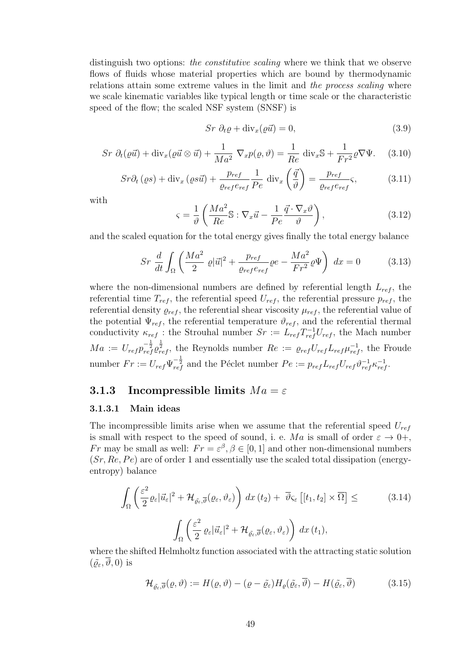distinguish two options: *the constitutive scaling* where we think that we observe flows of fluids whose material properties which are bound by thermodynamic relations attain some extreme values in the limit and the process scaling where we scale kinematic variables like typical length or time scale or the characteristic speed of the flow; the scaled NSF system (SNSF) is

<span id="page-52-6"></span>
$$
Sr \partial_t \varrho + \text{div}_x(\varrho \vec{u}) = 0,\tag{3.9}
$$

<span id="page-52-2"></span>
$$
Sr \partial_t(\varrho \vec{u}) + \text{div}_x(\varrho \vec{u} \otimes \vec{u}) + \frac{1}{Ma^2} \nabla_x p(\varrho, \vartheta) = \frac{1}{Re} \text{div}_x \mathbb{S} + \frac{1}{Fr^2} \varrho \nabla \Psi. \tag{3.10}
$$

<span id="page-52-3"></span>
$$
Sr\partial_t(\varrho s) + \text{div}_x(\varrho s\vec{u}) + \frac{p_{ref}}{\varrho_{ref}e_{ref}}\frac{1}{Pe} \text{ div}_x\left(\frac{\vec{q}}{\vartheta}\right) = \frac{p_{ref}}{\varrho_{ref}e_{ref}}\varsigma,
$$
 (3.11)

with

<span id="page-52-0"></span>
$$
\varsigma = \frac{1}{\vartheta} \left( \frac{Ma^2}{Re} \mathbb{S} : \nabla_x \vec{u} - \frac{1}{Pe} \frac{\vec{q} \cdot \nabla_x \vartheta}{\vartheta} \right),\tag{3.12}
$$

and the scaled equation for the total energy gives finally the total energy balance

<span id="page-52-4"></span>
$$
Sr \frac{d}{dt} \int_{\Omega} \left( \frac{Ma^2}{2} \varrho |\vec{u}|^2 + \frac{p_{ref}}{\varrho_{ref} e_{ref}} \varrho e - \frac{Ma^2}{Fr^2} \varrho \Psi \right) dx = 0 \tag{3.13}
$$

where the non-dimensional numbers are defined by referential length  $L_{ref}$ , the referential time  $T_{ref}$ , the referential speed  $U_{ref}$ , the referential pressure  $p_{ref}$ , the referential density  $\rho_{ref}$ , the referential shear viscosity  $\mu_{ref}$ , the referential value of the potential  $\Psi_{ref}$ , the referential temperature  $\vartheta_{ref}$ , and the referential thermal conductivity  $\kappa_{ref}$ : the Strouhal number  $Sr := L_{ref} T_{ref}^{-1} U_{ref}$ , the Mach number  $Ma := U_{ref} p_{ref}^{-\frac{1}{2}} e_{ref}^{\frac{1}{2}}$ , the Reynolds number  $Re := \varrho_{ref} U_{ref} L_{ref} \mu_{ref}^{-1}$ , the Froude number  $Fr := U_{ref} \Psi_{ref}^{-\frac{1}{2}}$  and the Péclet number  $Pe := p_{ref} L_{ref} V_{ref} \psi_{ref}^{-1} \kappa_{ref}^{-1}$ .

#### 3.1.3 Incompressible limits  $Ma = \varepsilon$

#### 3.1.3.1 Main ideas

The incompressible limits arise when we assume that the referential speed  $U_{ref}$ is small with respect to the speed of sound, i. e. Ma is small of order  $\varepsilon \to 0+,$ Fr may be small as well:  $Fr = \varepsilon^{\beta}, \beta \in [0, 1]$  and other non-dimensional numbers  $(Sr, Re, Pe)$  are of order 1 and essentially use the scaled total dissipation (energyentropy) balance

<span id="page-52-1"></span>
$$
\int_{\Omega} \left( \frac{\varepsilon^2}{2} \varrho_{\varepsilon} |\vec{u}_{\varepsilon}|^2 + \mathcal{H}_{\tilde{\varrho}_{\varepsilon}, \overline{\vartheta}}(\varrho_{\varepsilon}, \vartheta_{\varepsilon}) \right) dx (t_2) + \overline{\vartheta}_{\varsigma_{\varepsilon}} \left[ [t_1, t_2] \times \overline{\Omega} \right] \leq \tag{3.14}
$$
\n
$$
\int_{\Omega} \left( \frac{\varepsilon^2}{2} \varrho_{\varepsilon} |\vec{u}_{\varepsilon}|^2 + \mathcal{H}_{\tilde{\varrho}_{\varepsilon}, \overline{\vartheta}}(\varrho_{\varepsilon}, \vartheta_{\varepsilon}) \right) dx (t_1),
$$

where the shifted Helmholtz function associated with the attracting static solution  $(\tilde{\rho}_{\varepsilon}, \overline{\vartheta}, 0)$  is

<span id="page-52-5"></span>
$$
\mathcal{H}_{\tilde{\varrho}_{\varepsilon},\overline{\vartheta}}(\varrho,\vartheta) := H(\varrho,\vartheta) - (\varrho - \tilde{\varrho}_{\varepsilon})H_{\varrho}(\tilde{\varrho}_{\varepsilon},\overline{\vartheta}) - H(\tilde{\varrho}_{\varepsilon},\overline{\vartheta})
$$
(3.15)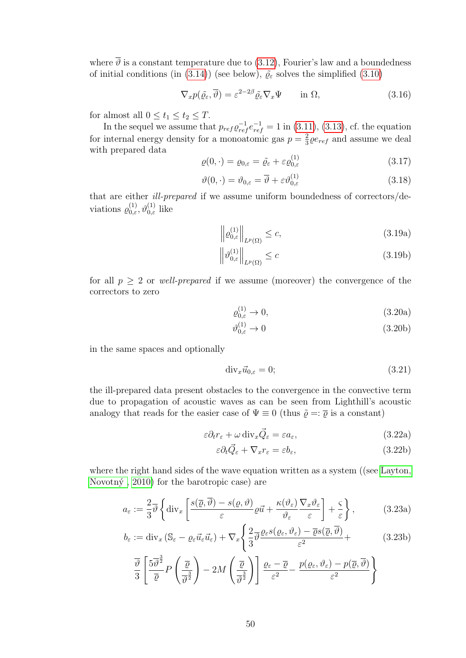where  $\overline{\vartheta}$  is a constant temperature due to [\(3.12\)](#page-52-0), Fourier's law and a boundedness of initial conditions (in [\(3.14\)](#page-52-1)) (see below),  $\tilde{\varrho}_{\varepsilon}$  solves the simplified [\(3.10\)](#page-52-2)

$$
\nabla_x p(\tilde{\varrho}_{\varepsilon}, \overline{\vartheta}) = \varepsilon^{2-2\beta} \tilde{\varrho}_{\varepsilon} \nabla_x \Psi \qquad \text{in } \Omega,
$$
\n(3.16)

for almost all  $0 \le t_1 \le t_2 \le T$ .

In the sequel we assume that  $p_{ref} \rho_{ref}^{-1} = 1$  in [\(3.11\)](#page-52-3), [\(3.13\)](#page-52-4), cf. the equation for internal energy density for a monoatomic gas  $p = \frac{2}{3}$  $\frac{2}{3}\varrho e_{ref}$  and assume we deal with prepared data  $(1)$ 

$$
\varrho(0,\cdot) = \varrho_{0,\varepsilon} = \tilde{\varrho}_{\varepsilon} + \varepsilon \varrho_{0,\varepsilon}^{(1)} \tag{3.17}
$$

$$
\vartheta(0,\cdot) = \vartheta_{0,\varepsilon} = \overline{\vartheta} + \varepsilon \vartheta_{0,\varepsilon}^{(1)} \tag{3.18}
$$

that are either ill-prepared if we assume uniform boundedness of correctors/deviations  $\varrho_{0,\varepsilon}^{(1)}$ ,  $\vartheta_{0,\varepsilon}^{(1)}$  like

$$
\left\| \varrho_{0,\varepsilon}^{(1)} \right\|_{L^p(\Omega)} \le c,\tag{3.19a}
$$

$$
\left\|\vartheta_{0,\varepsilon}^{(1)}\right\|_{L^p(\Omega)} \le c \tag{3.19b}
$$

for all  $p \geq 2$  or *well-prepared* if we assume (moreover) the convergence of the correctors to zero

$$
\varrho_{0,\varepsilon}^{(1)} \to 0,\tag{3.20a}
$$

$$
\vartheta_{0,\varepsilon}^{(1)} \to 0 \tag{3.20b}
$$

in the same spaces and optionally

<span id="page-53-0"></span>
$$
\text{div}_x \vec{u}_{0,\varepsilon} = 0; \tag{3.21}
$$

the ill-prepared data present obstacles to the convergence in the convective term due to propagation of acoustic waves as can be seen from Lighthill's acoustic analogy that reads for the easier case of  $\Psi \equiv 0$  (thus  $\tilde{\varrho} =: \overline{\varrho}$  is a constant)

$$
\varepsilon \partial_t r_\varepsilon + \omega \operatorname{div}_x \vec{Q}_\varepsilon = \varepsilon a_\varepsilon,\tag{3.22a}
$$

<span id="page-53-1"></span>
$$
\varepsilon \partial_t \vec{Q}_{\varepsilon} + \nabla_x r_{\varepsilon} = \varepsilon b_{\varepsilon},\tag{3.22b}
$$

where the right hand sides of the wave equation written as a system ((see [Layton,](#page-101-1) Novotný,  $2010$  for the barotropic case) are

$$
a_{\varepsilon} := \frac{2}{3} \overline{\vartheta} \left\{ \mathrm{div}_x \left[ \frac{s(\overline{\varrho}, \overline{\vartheta}) - s(\varrho, \vartheta)}{\varepsilon} \varrho \vec{u} + \frac{\kappa(\vartheta_{\varepsilon})}{\vartheta_{\varepsilon}} \frac{\nabla_x \vartheta_{\varepsilon}}{\varepsilon} \right] + \frac{\varsigma}{\varepsilon} \right\},\tag{3.23a}
$$

$$
b_{\varepsilon} := \text{div}_x \left( \mathbb{S}_{\varepsilon} - \varrho_{\varepsilon} \vec{u}_{\varepsilon} \vec{u}_{\varepsilon} \right) + \nabla_x \left\{ \frac{2}{3} \overline{\vartheta} \frac{\varrho_{\varepsilon} s(\varrho_{\varepsilon}, \vartheta_{\varepsilon}) - \overline{\varrho} s(\overline{\varrho}, \overline{\vartheta})}{\varepsilon^2} + \right. \tag{3.23b}
$$

$$
\frac{\overline{\vartheta}}{3} \left[ \frac{5\overline{\vartheta}^{\frac{3}{2}}}{\overline{\varrho}} P\left( \frac{\overline{\varrho}}{\overline{\vartheta}^{\frac{3}{2}}} \right) - 2M \left( \frac{\overline{\varrho}}{\overline{\vartheta}^{\frac{3}{2}}} \right) \right] \frac{\varrho_{\varepsilon} - \overline{\varrho}}{\varepsilon^2} - \frac{p(\varrho_{\varepsilon}, \vartheta_{\varepsilon}) - p(\overline{\varrho}, \overline{\vartheta})}{\varepsilon^2} \Bigg\}
$$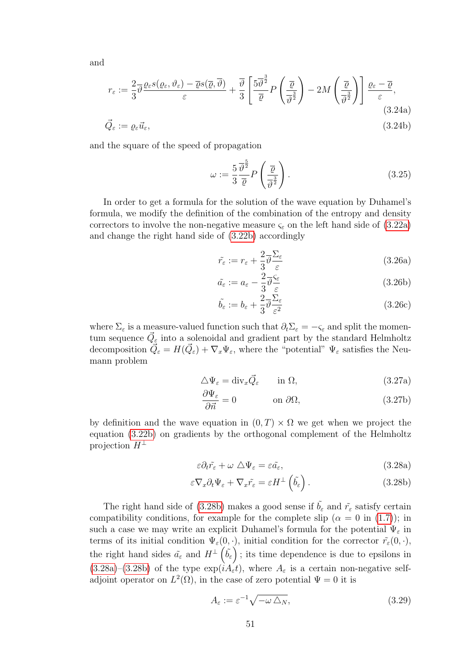and

$$
r_{\varepsilon} := \frac{2}{3} \overline{\vartheta} \frac{\varrho_{\varepsilon} s(\varrho_{\varepsilon}, \vartheta_{\varepsilon}) - \overline{\varrho} s(\overline{\varrho}, \overline{\vartheta})}{\varepsilon} + \frac{\overline{\vartheta}}{3} \left[ \frac{5 \overline{\vartheta}^{\frac{3}{2}}}{\overline{\varrho}} P\left(\frac{\overline{\varrho}}{\overline{\vartheta}^{2}}\right) - 2M\left(\frac{\overline{\varrho}}{\overline{\vartheta}^{2}}\right) \right] \frac{\varrho_{\varepsilon} - \overline{\varrho}}{\varepsilon},
$$
\n(3.24a)\n
$$
\overline{\varrho}_{\varepsilon} := \varrho_{\varepsilon} \overline{u}_{\varepsilon},
$$
\n(3.24b)

and the square of the speed of propagation

<span id="page-54-2"></span>
$$
\omega := \frac{5}{3} \frac{\overline{\vartheta}^{\frac{5}{2}}}{\overline{\varrho}} P\left(\frac{\overline{\varrho}}{\overline{\vartheta}^{\frac{3}{2}}}\right). \tag{3.25}
$$

In order to get a formula for the solution of the wave equation by Duhamel's formula, we modify the definition of the combination of the entropy and density correctors to involve the non-negative measure  $\varsigma_{\varepsilon}$  on the left hand side of [\(3.22a\)](#page-53-0) and change the right hand side of [\(3.22b\)](#page-53-1) accordingly

$$
\tilde{r}_{\varepsilon} := r_{\varepsilon} + \frac{2}{3} \overline{\vartheta} \frac{\Sigma_{\varepsilon}}{\varepsilon}
$$
\n(3.26a)

$$
\tilde{a}_{\varepsilon} := a_{\varepsilon} - \frac{2}{3} \overline{\vartheta} \frac{\varsigma_{\varepsilon}}{\varepsilon}
$$
\n(3.26b)

$$
\tilde{b}_{\varepsilon} := b_{\varepsilon} + \frac{2}{3} \overline{\vartheta} \frac{\Sigma_{\varepsilon}}{\varepsilon^2} \tag{3.26c}
$$

where  $\Sigma_{\varepsilon}$  is a measure-valued function such that  $\partial_t \Sigma_{\varepsilon} = -\varsigma_{\varepsilon}$  and split the momentum sequence  $\vec{Q}_{\varepsilon}$  into a solenoidal and gradient part by the standard Helmholtz decomposition  $\vec{Q}_{\varepsilon} = H(\vec{Q}_{\varepsilon}) + \nabla_x \Psi_{\varepsilon}$ , where the "potential"  $\Psi_{\varepsilon}$  satisfies the Neumann problem

$$
\Delta \Psi_{\varepsilon} = \text{div}_{x} \vec{Q}_{\varepsilon} \qquad \text{in } \Omega, \tag{3.27a}
$$

$$
\frac{\partial \Psi_{\varepsilon}}{\partial \vec{n}} = 0 \qquad \text{on } \partial \Omega,
$$
\n(3.27b)

by definition and the wave equation in  $(0, T) \times \Omega$  we get when we project the equation [\(3.22b\)](#page-53-1) on gradients by the orthogonal complement of the Helmholtz projection  $H^{\perp}$ 

<span id="page-54-1"></span><span id="page-54-0"></span>
$$
\varepsilon \partial_t \tilde{r_\varepsilon} + \omega \Delta \Psi_{\varepsilon} = \varepsilon \tilde{a_\varepsilon},\tag{3.28a}
$$

$$
\varepsilon \nabla_x \partial_t \Psi_\varepsilon + \nabla_x \tilde{r_\varepsilon} = \varepsilon H^\perp \left( \tilde{b_\varepsilon} \right). \tag{3.28b}
$$

The right hand side of [\(3.28b\)](#page-54-0) makes a good sense if  $\tilde{b}_{\varepsilon}$  and  $\tilde{r}_{\varepsilon}$  satisfy certain compatibility conditions, for example for the complete slip ( $\alpha = 0$  in [\(1.7\)](#page-12-0)); in such a case we may write an explicit Duhamel's formula for the potential  $\Psi_{\varepsilon}$  in terms of its initial condition  $\Psi_{\varepsilon}(0, \cdot)$ , initial condition for the corrector  $\tilde{r}_{\varepsilon}(0, \cdot)$ , the right hand sides  $\tilde{a}_{\varepsilon}$  and  $H^{\perp}(\tilde{b}_{\varepsilon})$ ; its time dependence is due to epsilons in  $(3.28a)-(3.28b)$  $(3.28a)-(3.28b)$  $(3.28a)-(3.28b)$  of the type  $\exp(iA_{\varepsilon}t)$ , where  $A_{\varepsilon}$  is a certain non-negative selfadjoint operator on  $L^2(\Omega)$ , in the case of zero potential  $\Psi = 0$  it is

$$
A_{\varepsilon} := \varepsilon^{-1} \sqrt{-\omega \,\Delta_N},\tag{3.29}
$$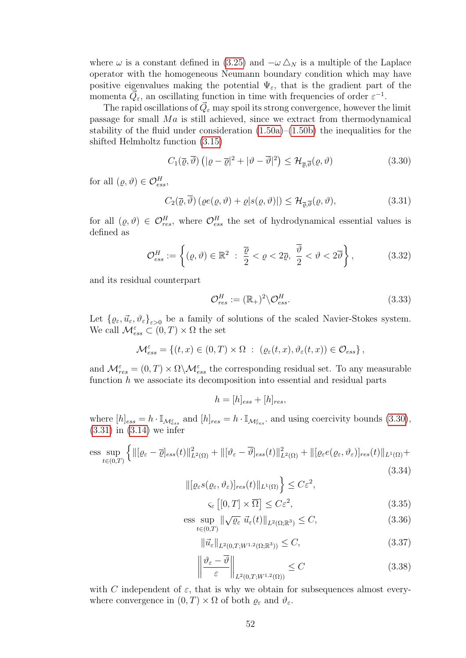where  $\omega$  is a constant defined in [\(3.25\)](#page-54-2) and  $-\omega \Delta_N$  is a multiple of the Laplace operator with the homogeneous Neumann boundary condition which may have positive eigenvalues making the potential  $\Psi_{\varepsilon}$ , that is the gradient part of the momenta  $\vec{Q}_{\varepsilon}$ , an oscillating function in time with frequencies of order  $\varepsilon^{-1}$ .

The rapid oscillations of  $\vec{Q}_{\varepsilon}$  may spoil its strong convergence, however the limit passage for small  $Ma$  is still achieved, since we extract from thermodynamical stability of the fluid under consideration  $(1.50a)$ – $(1.50b)$  the inequalities for the shifted Helmholtz function [\(3.15\)](#page-52-5)

<span id="page-55-0"></span>
$$
C_1(\overline{\varrho}, \overline{\vartheta}) \left( |\varrho - \overline{\varrho}|^2 + |\vartheta - \overline{\vartheta}|^2 \right) \leq \mathcal{H}_{\overline{\varrho}, \overline{\vartheta}}(\varrho, \vartheta)
$$
\n(3.30)

for all  $(\varrho, \vartheta) \in \mathcal{O}_{ess}^H$ ,

<span id="page-55-1"></span>
$$
C_2(\overline{\varrho}, \overline{\vartheta}) \left( \varrho e(\varrho, \vartheta) + \varrho |s(\varrho, \vartheta)| \right) \leq \mathcal{H}_{\overline{\varrho}, \overline{\vartheta}}(\varrho, \vartheta), \tag{3.31}
$$

for all  $(\varrho, \vartheta) \in \mathcal{O}_{res}^H$ , where  $\mathcal{O}_{ess}^H$  the set of hydrodynamical essential values is defined as

$$
\mathcal{O}_{ess}^H := \left\{ (\varrho, \vartheta) \in \mathbb{R}^2 \; : \; \frac{\overline{\varrho}}{2} < \varrho < 2\overline{\varrho}, \; \frac{\overline{\vartheta}}{2} < \vartheta < 2\overline{\vartheta} \right\},\tag{3.32}
$$

and its residual counterpart

$$
\mathcal{O}_{res}^H := (\mathbb{R}_+)^2 \backslash \mathcal{O}_{ess}^H. \tag{3.33}
$$

Let  $\{\varrho_{\varepsilon}, \vec{u}_{\varepsilon}, \vartheta_{\varepsilon}\}_{\varepsilon>0}$  be a family of solutions of the scaled Navier-Stokes system. We call  $\mathcal{M}^{\varepsilon}_{ess} \subset (0,T) \times \Omega$  the set

$$
\mathcal{M}_{ess}^{\varepsilon} = \left\{ (t, x) \in (0, T) \times \Omega : \left( \varrho_{\varepsilon}(t, x), \vartheta_{\varepsilon}(t, x) \right) \in \mathcal{O}_{ess} \right\},
$$

and  $\mathcal{M}_{res}^{\varepsilon} = (0,T) \times \Omega \backslash \mathcal{M}_{ess}^{\varepsilon}$  the corresponding residual set. To any measurable function  $h$  we associate its decomposition into essential and residual parts

$$
h = [h]_{ess} + [h]_{res},
$$

where  $[h]_{ess} = h \cdot \mathbb{I}_{\mathcal{M}_{ess}^{\varepsilon}}$  and  $[h]_{res} = h \cdot \mathbb{I}_{\mathcal{M}_{res}^{\varepsilon}}$  and using coercivity bounds  $(3.30)$ , [\(3.31\)](#page-55-1) in [\(3.14\)](#page-52-1) we infer

ess sup<sub>$$
t \in (0,T)
$$</sub>  $\left\{ \left\| [\varrho_{\varepsilon} - \overline{\varrho}]_{ess}(t) \right\|_{L^2(\Omega)}^2 + \left\| [\vartheta_{\varepsilon} - \overline{\vartheta}]_{ess}(t) \right\|_{L^2(\Omega)}^2 + \left\| [\varrho_{\varepsilon} e(\varrho_{\varepsilon}, \vartheta_{\varepsilon})]_{res}(t) \right\|_{L^1(\Omega)} + \right\}$  (3.34)

$$
\|[\varrho_{\varepsilon} s(\varrho_{\varepsilon},\vartheta_{\varepsilon})]_{res}(t)\|_{L^{1}(\Omega)}\Big\}\leq C\varepsilon^{2},
$$

$$
\varsigma_{\varepsilon} \left[ [0, T] \times \overline{\Omega} \right] \le C \varepsilon^2, \tag{3.35}
$$

$$
\underset{t\in(0,T)}{\text{ess sup}} \|\sqrt{\varrho_{\varepsilon}}\,\,\vec{u}_{\varepsilon}(t)\|_{L^{2}(\Omega;\mathbb{R}^{3})} \leq C,\tag{3.36}
$$

<span id="page-55-2"></span>
$$
\|\vec{u}_{\varepsilon}\|_{L^2(0,T;W^{1,2}(\Omega;\mathbb{R}^3))} \leq C,\tag{3.37}
$$

$$
\left\| \frac{\vartheta_{\varepsilon} - \overline{\vartheta}}{\varepsilon} \right\|_{L^2(0,T;W^{1,2}(\Omega))} \le C \tag{3.38}
$$

with C independent of  $\varepsilon$ , that is why we obtain for subsequences almost everywhere convergence in  $(0, T) \times \Omega$  of both  $\varrho_{\varepsilon}$  and  $\vartheta_{\varepsilon}$ .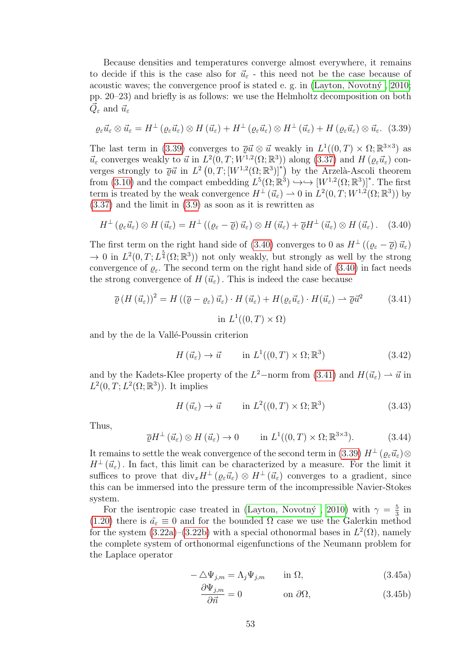Because densities and temperatures converge almost everywhere, it remains to decide if this is the case also for  $\vec{u}_{\varepsilon}$  - this need not be the case because of acoustic waves; the convergence proof is stated e. g. in  $(Layton, Novotný, 2010;$ pp. 20–23) and briefly is as follows: we use the Helmholtz decomposition on both  $\vec{Q}_{\varepsilon}$  and  $\vec{u}_{\varepsilon}$ 

<span id="page-56-0"></span>
$$
\varrho_{\varepsilon}\vec{u}_{\varepsilon}\otimes\vec{u}_{\varepsilon}=H^{\perp}\left(\varrho_{\varepsilon}\vec{u}_{\varepsilon}\right)\otimes H\left(\vec{u}_{\varepsilon}\right)+H^{\perp}\left(\varrho_{\varepsilon}\vec{u}_{\varepsilon}\right)\otimes H^{\perp}\left(\vec{u}_{\varepsilon}\right)+H\left(\varrho_{\varepsilon}\vec{u}_{\varepsilon}\right)\otimes\vec{u}_{\varepsilon}.\tag{3.39}
$$

The last term in [\(3.39\)](#page-56-0) converges to  $\overline{\varrho} \vec{u} \otimes \vec{u}$  weakly in  $L^1((0,T) \times \Omega; \mathbb{R}^{3 \times 3})$  as  $\vec{u}_{\varepsilon}$  converges weakly to  $\vec{u}$  in  $L^2(0,T;W^{1,2}(\Omega;\mathbb{R}^3))$  along  $(3.37)$  and  $H(\varrho_{\varepsilon}\vec{u}_{\varepsilon})$  converges strongly to  $\overline{\varrho} \vec{u}$  in  $L^2(0,T; [W^{1,2}(\Omega;\mathbb{R}^3)]^*)$  by the Arzelà-Ascoli theorem from [\(3.10\)](#page-52-2) and the compact embedding  $L^5(\Omega; \mathbb{R}^3) \hookrightarrow \hookrightarrow [W^{1,2}(\Omega; \mathbb{R}^3)]^*$ . The first term is treated by the weak convergence  $H^{\perp}(\vec{u}_{\varepsilon}) \rightharpoonup 0$  in  $L^2(0,T;W^{1,2}(\Omega;\mathbb{R}^3))$  by [\(3.37\)](#page-55-2) and the limit in [\(3.9\)](#page-52-6) as soon as it is rewritten as

<span id="page-56-1"></span>
$$
H^{\perp}(\varrho_{\varepsilon}\vec{u}_{\varepsilon})\otimes H(\vec{u}_{\varepsilon})=H^{\perp}\left((\varrho_{\varepsilon}-\overline{\varrho})\,\vec{u}_{\varepsilon}\right)\otimes H(\vec{u}_{\varepsilon})+\overline{\varrho}H^{\perp}(\vec{u}_{\varepsilon})\otimes H(\vec{u}_{\varepsilon})\,.
$$
 (3.40)

The first term on the right hand side of [\(3.40\)](#page-56-1) converges to 0 as  $H^{\perp}((\varrho_{\varepsilon}-\overline{\varrho})\,\vec{u}_{\varepsilon})$  $\to 0$  in  $L^2(0,T;L^{\frac{5}{4}}(\Omega;\mathbb{R}^3))$  not only weakly, but strongly as well by the strong convergence of  $\rho_{\varepsilon}$ . The second term on the right hand side of [\(3.40\)](#page-56-1) in fact needs the strong convergence of  $H(\vec{u}_{\varepsilon})$ . This is indeed the case because

<span id="page-56-2"></span>
$$
\overline{\varrho} (H(\vec{u}_{\varepsilon}))^{2} = H((\overline{\varrho} - \varrho_{\varepsilon}) \vec{u}_{\varepsilon}) \cdot H(\vec{u}_{\varepsilon}) + H(\varrho_{\varepsilon} \vec{u}_{\varepsilon}) \cdot H(\vec{u}_{\varepsilon}) \rightharpoonup \overline{\varrho} \vec{u}^{2}
$$
\n
$$
\text{in } L^{1}((0, T) \times \Omega)
$$
\n(3.41)

and by the de la Vallé-Poussin criterion

$$
H(\vec{u}_{\varepsilon}) \to \vec{u} \qquad \text{in } L^{1}((0, T) \times \Omega; \mathbb{R}^{3})
$$
\n(3.42)

and by the Kadets-Klee property of the  $L^2$ -norm from [\(3.41\)](#page-56-2) and  $H(\vec{u}_{\varepsilon}) \to \vec{u}$  in  $L^2(0,T;L^2(\Omega;\mathbb{R}^3))$ . It implies

$$
H(\vec{u}_{\varepsilon}) \to \vec{u} \qquad \text{in } L^{2}((0, T) \times \Omega; \mathbb{R}^{3})
$$
\n(3.43)

Thus,

$$
\overline{\varrho}H^{\perp}(\vec{u}_{\varepsilon})\otimes H(\vec{u}_{\varepsilon})\to 0 \qquad \text{in } L^{1}((0,T)\times\Omega;\mathbb{R}^{3\times3}).\tag{3.44}
$$

It remains to settle the weak convergence of the second term in [\(3.39\)](#page-56-0)  $H^{\perp}(\varrho_{\varepsilon}\vec{u}_{\varepsilon})\otimes$  $H^{\perp}(\vec{u}_{\varepsilon})$ . In fact, this limit can be characterized by a measure. For the limit it suffices to prove that  $\text{div}_x H^{\perp}(\rho_\varepsilon \vec{u}_\varepsilon) \otimes H^{\perp}(\vec{u}_\varepsilon)$  converges to a gradient, since this can be immersed into the pressure term of the incompressible Navier-Stokes system.

For the isentropic case treated in (Layton, Novotný, 2010) with  $\gamma = \frac{5}{3}$  $rac{5}{3}$  in [\(1.20\)](#page-16-0) there is  $\tilde{a}_{\varepsilon} \equiv 0$  and for the bounded  $\Omega$  case we use the Galerkin method for the system  $(3.22a)$ – $(3.22b)$  with a special othonormal bases in  $L^2(\Omega)$ , namely the complete system of orthonormal eigenfunctions of the Neumann problem for the Laplace operator

$$
-\Delta\Psi_{j,m} = \Lambda_j\Psi_{j,m} \quad \text{in } \Omega,\tag{3.45a}
$$

$$
\frac{\partial \Psi_{j,m}}{\partial \vec{n}} = 0 \qquad \text{on } \partial \Omega, \qquad (3.45b)
$$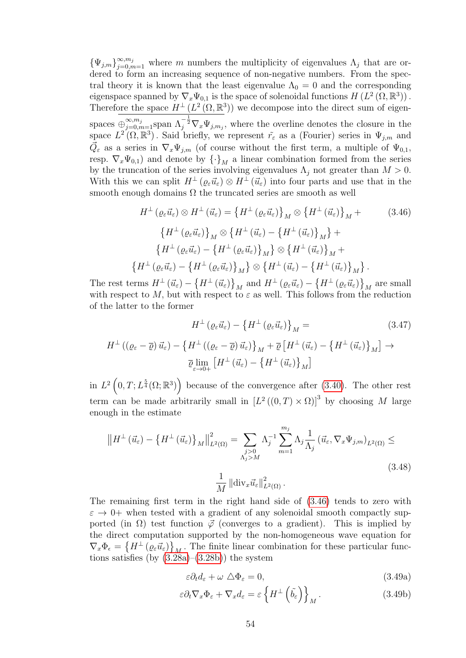$\{\Psi_{j,m}\}_{j=0,m=1}^{\infty,m_j}$  where m numbers the multiplicity of eigenvalues  $\Lambda_j$  that are ordered to form an increasing sequence of non-negative numbers. From the spectral theory it is known that the least eigenvalue  $\Lambda_0 = 0$  and the corresponding eigenspace spanned by  $\nabla_x \Psi_{0,1}$  is the space of solenoidal functions  $H(L^2(\Omega,\mathbb{R}^3))$ . Therefore the space  $H^{\perp}(L^2(\Omega,\mathbb{R}^3))$  we decompose into the direct sum of eigenspaces  $\oplus_{j=0,m=1}^{\infty,m_j}$  span  $\Lambda_j^{-\frac{1}{2}} \nabla_x \Psi_{j,m_j}$ , where the overline denotes the closure in the space  $L^2(\Omega,\mathbb{R}^3)$ . Said briefly, we represent  $\tilde{r}_{\varepsilon}$  as a (Fourier) series in  $\Psi_{j,m}$  and  $\vec{Q}_{\varepsilon}$  as a series in  $\nabla_x \Psi_{j,m}$  (of course without the first term, a multiple of  $\Psi_{0,1}$ , resp.  $\nabla_x \Psi_{0,1}$ ) and denote by  $\{\cdot\}_M$  a linear combination formed from the series by the truncation of the series involving eigenvalues  $\Lambda_j$  not greater than  $M > 0$ . With this we can split  $H^{\perp}(\varrho_{\varepsilon}\vec{u}_{\varepsilon})\otimes H^{\perp}(\vec{u}_{\varepsilon})$  into four parts and use that in the smooth enough domains  $\Omega$  the truncated series are smooth as well

<span id="page-57-0"></span>
$$
H^{\perp}(\varrho_{\varepsilon}\vec{u}_{\varepsilon}) \otimes H^{\perp}(\vec{u}_{\varepsilon}) = \left\{H^{\perp}(\varrho_{\varepsilon}\vec{u}_{\varepsilon})\right\}_{M} \otimes \left\{H^{\perp}(\vec{u}_{\varepsilon})\right\}_{M} + \qquad (3.46)
$$

$$
\left\{H^{\perp}(\varrho_{\varepsilon}\vec{u}_{\varepsilon})\right\}_{M} \otimes \left\{H^{\perp}(\vec{u}_{\varepsilon}) - \left\{H^{\perp}(\vec{u}_{\varepsilon})\right\}_{M}\right\} + \left\{H^{\perp}(\varrho_{\varepsilon}\vec{u}_{\varepsilon}) - \left\{H^{\perp}(\varrho_{\varepsilon}\vec{u}_{\varepsilon})\right\}_{M}\right\} \otimes \left\{H^{\perp}(\vec{u}_{\varepsilon})\right\}_{M} + \left\{H^{\perp}(\varrho_{\varepsilon}\vec{u}_{\varepsilon}) - \left\{H^{\perp}(\varrho_{\varepsilon}\vec{u}_{\varepsilon})\right\}_{M}\right\} \otimes \left\{H^{\perp}(\vec{u}_{\varepsilon}) - \left\{H^{\perp}(\vec{u}_{\varepsilon})\right\}_{M}\right\}.
$$

The rest terms  $H^{\perp}(\vec{u}_{\varepsilon}) - \{H^{\perp}(\vec{u}_{\varepsilon})\}_M$  and  $H^{\perp}(\varrho_{\varepsilon}\vec{u}_{\varepsilon}) - \{H^{\perp}(\varrho_{\varepsilon}\vec{u}_{\varepsilon})\}_M$  are small with respect to M, but with respect to  $\varepsilon$  as well. This follows from the reduction of the latter to the former

$$
H^{\perp}(\varrho_{\varepsilon}\vec{u}_{\varepsilon}) - \left\{H^{\perp}(\varrho_{\varepsilon}\vec{u}_{\varepsilon})\right\}_{M} =
$$
\n
$$
(3.47)
$$
\n
$$
H^{\perp}((\varrho_{\varepsilon} - \overline{\varrho})\vec{u}_{\varepsilon}) - \left\{H^{\perp}((\varrho_{\varepsilon} - \overline{\varrho})\vec{u}_{\varepsilon})\right\}_{M} + \overline{\varrho}\left[H^{\perp}(\vec{u}_{\varepsilon}) - \left\{H^{\perp}(\vec{u}_{\varepsilon})\right\}_{M}\right] \to
$$
\n
$$
\overline{\varrho}\lim_{\varepsilon \to 0+} \left[H^{\perp}(\vec{u}_{\varepsilon}) - \left\{H^{\perp}(\vec{u}_{\varepsilon})\right\}_{M}\right]
$$
\n(3.47)

in  $L^2\left(0,T;L^{\frac{5}{4}}(\Omega;\mathbb{R}^3)\right)$  because of the convergence after [\(3.40\)](#page-56-1). The other rest term can be made arbitrarily small in  $[L^2((0,T)\times\Omega)]^3$  by choosing M large enough in the estimate

$$
\|H^{\perp}(\vec{u}_{\varepsilon}) - \left\{H^{\perp}(\vec{u}_{\varepsilon})\right\}_{M}\|_{L^{2}(\Omega)}^{2} = \sum_{\substack{j>0 \ \Lambda_{j} > M}} \Lambda_{j}^{-1} \sum_{m=1}^{m_{j}} \Lambda_{j} \frac{1}{\Lambda_{j}} \left(\vec{u}_{\varepsilon}, \nabla_{x} \Psi_{j,m}\right)_{L^{2}(\Omega)} \le
$$
\n
$$
\frac{1}{M} \left\| \operatorname{div}_{x} \vec{u}_{\varepsilon} \right\|_{L^{2}(\Omega)}^{2}.
$$
\n(3.48)

The remaining first term in the right hand side of [\(3.46\)](#page-57-0) tends to zero with  $\varepsilon \to 0^+$  when tested with a gradient of any solenoidal smooth compactly supported (in  $\Omega$ ) test function  $\phi$  (converges to a gradient). This is implied by the direct computation supported by the non-homogeneous wave equation for  $\nabla_x \Phi_\epsilon = \left\{ H^\perp \left( \varrho_\varepsilon \vec{u}_\varepsilon \right) \right\}_M$ . The finite linear combination for these particular functions satisfies (by  $(3.\overline{28}a)$ – $(3.28b)$ ) the system

$$
\varepsilon \partial_t d_\varepsilon + \omega \, \Delta \Phi_\varepsilon = 0,\tag{3.49a}
$$

$$
\varepsilon \partial_t \nabla_x \Phi_\varepsilon + \nabla_x d_\varepsilon = \varepsilon \left\{ H^\perp \left( \tilde{b}_\varepsilon \right) \right\}_M. \tag{3.49b}
$$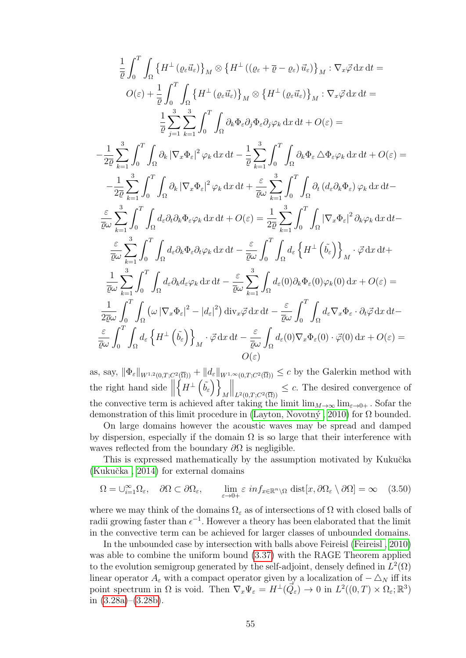$$
\frac{1}{\bar{\varrho}} \int_{0}^{T} \int_{\Omega} \left\{ H^{\perp} \left( \varrho_{\varepsilon} \vec{u}_{\varepsilon} \right) \right\}_{M} \otimes \left\{ H^{\perp} \left( \left( \varrho_{\varepsilon} + \overline{\varrho} - \varrho_{\varepsilon} \right) \vec{u}_{\varepsilon} \right) \right\}_{M} : \nabla_{x} \vec{\varphi} \, dx \, dt =
$$
\n
$$
O(\varepsilon) + \frac{1}{\bar{\varrho}} \int_{0}^{T} \int_{\Omega} \left\{ H^{\perp} \left( \varrho_{\varepsilon} \vec{u}_{\varepsilon} \right) \right\}_{M} \otimes \left\{ H^{\perp} \left( \varrho_{\varepsilon} \vec{u}_{\varepsilon} \right) \right\}_{M} : \nabla_{x} \vec{\varphi} \, dx \, dt =
$$
\n
$$
\frac{1}{\bar{\varrho}} \sum_{j=1}^{3} \sum_{k=1}^{3} \int_{0}^{T} \int_{\Omega} \partial_{k} \Phi_{\varepsilon} \partial_{j} \Phi_{\varepsilon} \partial_{j} \varphi_{k} \, dx \, dt + O(\varepsilon) =
$$
\n
$$
- \frac{1}{2\bar{\varrho}} \sum_{k=1}^{3} \int_{0}^{T} \int_{\Omega} \partial_{k} \left| \nabla_{x} \Phi_{\varepsilon} \right|^{2} \varphi_{k} \, dx \, dt - \frac{1}{\bar{\varrho}} \sum_{k=1}^{3} \int_{0}^{T} \int_{\Omega} \partial_{k} \Phi_{\varepsilon} \Delta \Phi_{\varepsilon} \varphi_{k} \, dx \, dt + O(\varepsilon) =
$$
\n
$$
- \frac{1}{2\bar{\varrho}} \sum_{k=1}^{3} \int_{0}^{T} \int_{\Omega} \partial_{k} \left| \nabla_{x} \Phi_{\varepsilon} \right|^{2} \varphi_{k} \, dx \, dt + \frac{\varepsilon}{\bar{\varrho} \omega} \sum_{k=1}^{3} \int_{0}^{T} \int_{\Omega} \partial_{t} \left( d_{\varepsilon} \partial_{k} \Phi_{\varepsilon} \right) \varphi_{k} \, dx \, dt -
$$
\n
$$
\frac{\
$$

as, say,  $\|\Phi_{\varepsilon}\|_{W^{1,2}(0,T;C^2(\overline{\Omega}))} + \|d_{\varepsilon}\|_{W^{1,\infty}(0,T;C^2(\overline{\Omega}))} \leq c$  by the Galerkin method with the right hand side  $\parallel$  $\left\{H^{\perp}\left(\tilde{b_{\varepsilon}}\right)\right\}$ M  $\left\| \right\|_{L^2(0,T;C^2(\overline{\Omega}))} \leq c$ . The desired convergence of the convective term is achieved after taking the limit  $\lim_{M\to\infty} \lim_{\varepsilon\to 0+}$ . Sofar the demonstration of this limit procedure in (Layton, Novotný, 2010) for  $\Omega$  bounded.

On large domains however the acoustic waves may be spread and damped by dispersion, especially if the domain  $\Omega$  is so large that their interference with waves reflected from the boundary  $\partial\Omega$  is negligible.

This is expressed mathematically by the assumption motivated by Kukučka  $(Kukučka, 2014)$  for external domains

$$
\Omega = \bigcup_{i=1}^{\infty} \Omega_{\varepsilon}, \quad \partial \Omega \subset \partial \Omega_{\varepsilon}, \qquad \lim_{\varepsilon \to 0+} \varepsilon \inf_{x \in \mathbb{R}^n \setminus \Omega} \text{dist}[x, \partial \Omega_{\varepsilon} \setminus \partial \Omega] = \infty \quad (3.50)
$$

where we may think of the domains  $\Omega_{\varepsilon}$  as of intersections of  $\Omega$  with closed balls of radii growing faster than  $\epsilon^{-1}$ . However a theory has been elaborated that the limit in the convective term can be achieved for larger classes of unbounded domains.

In the unbounded case by intersection with balls above Feireisl [\(Feireisl , 2010\)](#page-99-6) was able to combine the uniform bound [\(3.37\)](#page-55-2) with the RAGE Theorem applied to the evolution semigroup generated by the self-adjoint, densely defined in  $L^2(\Omega)$ linear operator  $A_{\varepsilon}$  with a compact operator given by a localization of  $-\triangle_N$  iff its point spectrum in  $\Omega$  is void. Then  $\nabla_x \Psi_\varepsilon = H^\perp(\vec{Q}_\varepsilon) \to 0$  in  $L^2((0,T) \times \Omega_\varepsilon;\mathbb{R}^3)$ in  $(3.28a)$ – $(3.28b)$ .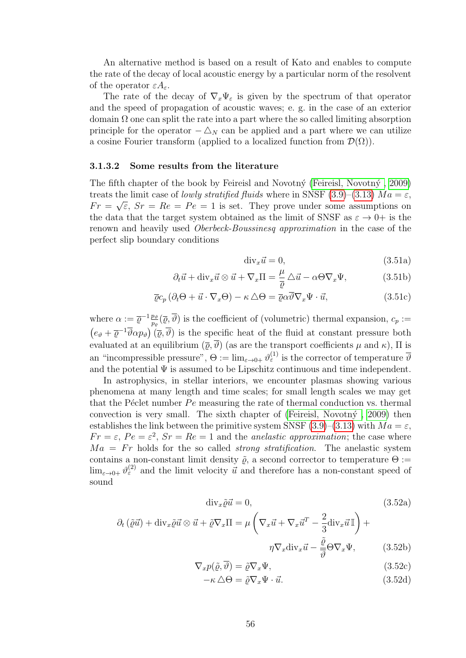An alternative method is based on a result of Kato and enables to compute the rate of the decay of local acoustic energy by a particular norm of the resolvent of the operator  $\varepsilon A_{\varepsilon}$ .

The rate of the decay of  $\nabla_x\Psi_{\varepsilon}$  is given by the spectrum of that operator and the speed of propagation of acoustic waves; e. g. in the case of an exterior domain  $\Omega$  one can split the rate into a part where the so called limiting absorption principle for the operator  $-\Delta_N$  can be applied and a part where we can utilize a cosine Fourier transform (applied to a localized function from  $\mathcal{D}(\Omega)$ ).

#### 3.1.3.2 Some results from the literature

The fifth chapter of the book by Feireisl and Novotn $\acute{\gamma}$  (Feireisl, Novotn $\acute{\gamma}$ , 2009) treats the limit case of *lowly stratified fluids* where in SNSF [\(3.9\)](#page-52-6)–[\(3.13\)](#page-52-4)  $Ma = \varepsilon$ ,  $Fr = \sqrt{\varepsilon}$ ,  $Sr = Re = Pe = 1$  is set. They prove under some assumptions on the data that the target system obtained as the limit of SNSF as  $\varepsilon \to 0^+$  is the renown and heavily used Oberbeck-Boussinesq approximation in the case of the perfect slip boundary conditions

<span id="page-59-1"></span><span id="page-59-0"></span>
$$
\text{div}_x \vec{u} = 0,\tag{3.51a}
$$

$$
\partial_t \vec{u} + \text{div}_x \vec{u} \otimes \vec{u} + \nabla_x \Pi = \frac{\mu}{\overline{\varrho}} \Delta \vec{u} - \alpha \Theta \nabla_x \Psi, \tag{3.51b}
$$

$$
\overline{\varrho}c_p(\partial_t\Theta + \vec{u}\cdot\nabla_x\Theta) - \kappa \,\Delta\Theta = \overline{\varrho}\alpha\overline{\vartheta}\nabla_x\Psi \cdot \vec{u},\tag{3.51c}
$$

where  $\alpha := \overline{\varrho}^{-1} \frac{p_{\vartheta}}{n}$  $\frac{p_{\vartheta}}{p_{\varrho}}(\overline{\varrho},\vartheta)$  is the coefficient of (volumetric) thermal expansion,  $c_p :=$  $(e_{\vartheta} + \overline{\varrho}^{-1} \overline{\vartheta} \alpha p_{\vartheta}) (\overline{\varrho}, \overline{\vartheta})$  is the specific heat of the fluid at constant pressure both evaluated at an equilibrium  $(\overline{\varrho}, \overline{\vartheta})$  (as are the transport coefficients  $\mu$  and  $\kappa$ ),  $\Pi$  is an "incompressible pressure",  $\Theta := \lim_{\varepsilon \to 0+} \vartheta^{(1)}_{\varepsilon}$  is the corrector of temperature  $\overline{\vartheta}$ and the potential  $\Psi$  is assumed to be Lipschitz continuous and time independent.

In astrophysics, in stellar interiors, we encounter plasmas showing various phenomena at many length and time scales; for small length scales we may get that the Péclet number  $Pe$  measuring the rate of thermal conduction vs. thermal convection is very small. The sixth chapter of (Feireisl, Novotn $\acute{y}$ , 2009) then establishes the link between the primitive system SNSF [\(3.9\)](#page-52-6)–[\(3.13\)](#page-52-4) with  $Ma = \varepsilon$ ,  $Fr = \varepsilon$ ,  $Pe = \varepsilon^2$ ,  $Sr = Re = 1$  and the *anelastic approximation*; the case where  $Ma = Fr$  holds for the so called *strong stratification*. The anelastic system contains a non-constant limit density  $\tilde{\varrho}$ , a second corrector to temperature  $\Theta :=$  $\lim_{\varepsilon\to 0+} \vartheta^{(2)}_\varepsilon$  and the limit velocity  $\vec{u}$  and therefore has a non-constant speed of sound

$$
\text{div}_x \tilde{\varrho} \vec{u} = 0,\tag{3.52a}
$$

$$
\partial_t \left( \tilde{\varrho} \vec{u} \right) + \text{div}_x \tilde{\varrho} \vec{u} \otimes \vec{u} + \tilde{\varrho} \nabla_x \Pi = \mu \left( \nabla_x \vec{u} + \nabla_x \vec{u}^T - \frac{2}{3} \text{div}_x \vec{u} \Pi \right) +
$$

$$
\eta \nabla_x \text{div}_x \vec{u} - \frac{\tilde{\varrho}}{\overline{\vartheta}} \Theta \nabla_x \Psi, \tag{3.52b}
$$

$$
\nabla_x p(\tilde{\varrho}, \overline{\vartheta}) = \tilde{\varrho} \nabla_x \Psi,
$$
\n(3.52c)

$$
-\kappa \,\Delta\Theta = \tilde{\varrho}\nabla_x\Psi \cdot \vec{u}.\tag{3.52d}
$$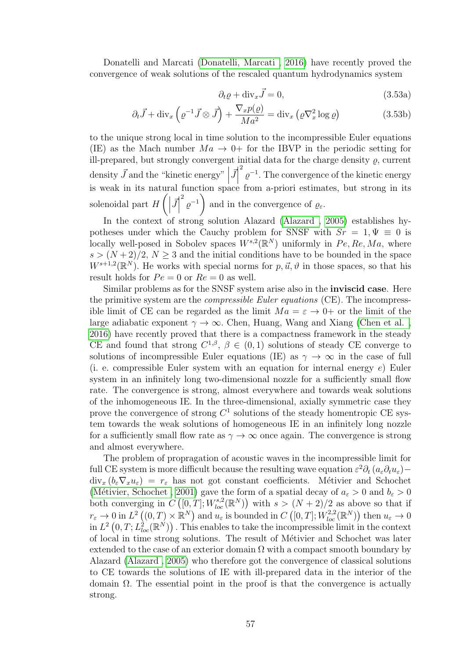Donatelli and Marcati [\(Donatelli, Marcati , 2016\)](#page-97-2) have recently proved the convergence of weak solutions of the rescaled quantum hydrodynamics system

$$
\partial_t \varrho + \text{div}_x \vec{J} = 0,\tag{3.53a}
$$

$$
\partial_t \vec{J} + \text{div}_x \left( \varrho^{-1} \vec{J} \otimes \vec{J} \right) + \frac{\nabla_x p(\varrho)}{Ma^2} = \text{div}_x \left( \varrho \nabla_x^2 \log \varrho \right) \tag{3.53b}
$$

to the unique strong local in time solution to the incompressible Euler equations (IE) as the Mach number  $Ma \rightarrow 0^+$  for the IBVP in the periodic setting for ill-prepared, but strongly convergent initial data for the charge density  $\rho$ , current density  $\vec{J}$  and the "kinetic energy" |  $\vec{J}$ <sup>2</sup>  $\varrho^{-1}$ . The convergence of the kinetic energy is weak in its natural function space from a-priori estimates, but strong in its solenoidal part  $H\left(\Big|\right)$  $\vec{J}$  $\binom{2}{\rho^{-1}}$ and in the convergence of  $\varrho_{\varepsilon}$ .

In the context of strong solution Alazard (Alazard, 2005) establishes hypotheses under which the Cauchy problem for SNSF with  $Sr = 1, \Psi \equiv 0$  is locally well-posed in Sobolev spaces  $W^{s,2}(\mathbb{R}^N)$  uniformly in  $Pe, Re, Ma$ , where  $s > (N+2)/2$ ,  $N \geq 3$  and the initial conditions have to be bounded in the space  $W^{s+1,2}(\mathbb{R}^N)$ . He works with special norms for  $p, \vec{u}, \vartheta$  in those spaces, so that his result holds for  $Pe = 0$  or  $Re = 0$  as well.

Similar problems as for the SNSF system arise also in the inviscid case. Here the primitive system are the *compressible Euler equations* (CE). The incompressible limit of CE can be regarded as the limit  $Ma = \varepsilon \to 0+$  or the limit of the large adiabatic exponent  $\gamma \to \infty$ . Chen, Huang, Wang and Xiang (Chen et al., [2016\)](#page-97-3) have recently proved that there is a compactness framework in the steady CE and found that strong  $C^{1,\beta}$ ,  $\beta \in (0,1)$  solutions of steady CE converge to solutions of incompressible Euler equations (IE) as  $\gamma \to \infty$  in the case of full (i. e. compressible Euler system with an equation for internal energy  $e$ ) Euler system in an infinitely long two-dimensional nozzle for a sufficiently small flow rate. The convergence is strong, almost everywhere and towards weak solutions of the inhomogeneous IE. In the three-dimensional, axially symmetric case they prove the convergence of strong  $C^1$  solutions of the steady homentropic CE system towards the weak solutions of homogeneous IE in an infinitely long nozzle for a sufficiently small flow rate as  $\gamma \to \infty$  once again. The convergence is strong and almost everywhere.

The problem of propragation of acoustic waves in the incompressible limit for full CE system is more difficult because the resulting wave equation  $\varepsilon^2 \partial_t (a_\varepsilon \partial_t u_\varepsilon) \text{div}_x (b_\varepsilon \nabla_x u_\varepsilon) = r_\varepsilon$  has not got constant coefficients. Métivier and Schochet (Métivier, Schochet , 2001) gave the form of a spatial decay of  $a_{\varepsilon} > 0$  and  $b_{\varepsilon} > 0$ both converging in  $C([0,T];W^{s,2}_{loc}(\mathbb{R}^N))$  with  $s>(N+2)/2$  as above so that if  $r_{\varepsilon} \to 0$  in  $L^2((0,T) \times \mathbb{R}^N)$  and  $u_{\varepsilon}$  is bounded in  $C([0,T];W^{2,2}_{loc}(\mathbb{R}^N))$  then  $u_{\varepsilon} \to 0$ in  $L^2(0,T;L^2_{loc}(\mathbb{R}^N))$  . This enables to take the incompressible limit in the context of local in time strong solutions. The result of Métivier and Schochet was later extended to the case of an exterior domain  $\Omega$  with a compact smooth boundary by Alazard [\(Alazard , 2005\)](#page-96-2) who therefore got the convergence of classical solutions to CE towards the solutions of IE with ill-prepared data in the interior of the domain  $\Omega$ . The essential point in the proof is that the convergence is actually strong.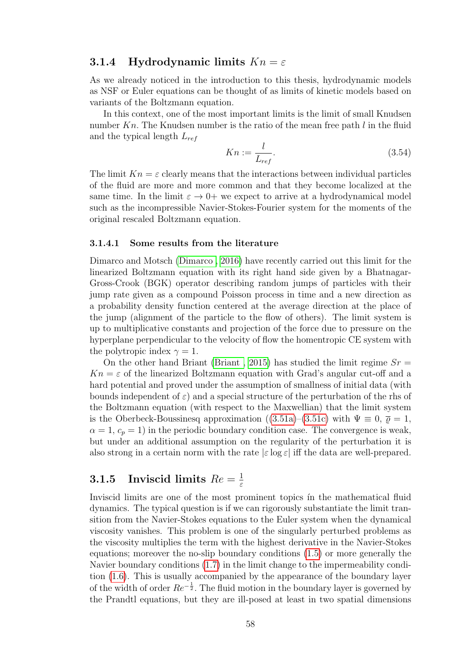#### 3.1.4 Hydrodynamic limits  $Kn = \varepsilon$

As we already noticed in the introduction to this thesis, hydrodynamic models as NSF or Euler equations can be thought of as limits of kinetic models based on variants of the Boltzmann equation.

In this context, one of the most important limits is the limit of small Knudsen number  $Kn$ . The Knudsen number is the ratio of the mean free path  $l$  in the fluid and the typical length  $L_{ref}$ 

$$
Kn := \frac{l}{L_{ref}}.\tag{3.54}
$$

The limit  $Kn = \varepsilon$  clearly means that the interactions between individual particles of the fluid are more and more common and that they become localized at the same time. In the limit  $\varepsilon \to 0^+$  we expect to arrive at a hydrodynamical model such as the incompressible Navier-Stokes-Fourier system for the moments of the original rescaled Boltzmann equation.

#### 3.1.4.1 Some results from the literature

Dimarco and Motsch [\(Dimarco , 2016\)](#page-97-4) have recently carried out this limit for the linearized Boltzmann equation with its right hand side given by a Bhatnagar-Gross-Crook (BGK) operator describing random jumps of particles with their jump rate given as a compound Poisson process in time and a new direction as a probability density function centered at the average direction at the place of the jump (alignment of the particle to the flow of others). The limit system is up to multiplicative constants and projection of the force due to pressure on the hyperplane perpendicular to the velocity of flow the homentropic CE system with the polytropic index  $\gamma = 1$ .

On the other hand Briant (Briant, 2015) has studied the limit regime  $Sr =$  $Kn = \varepsilon$  of the linearized Boltzmann equation with Grad's angular cut-off and a hard potential and proved under the assumption of smallness of initial data (with bounds independent of  $\varepsilon$ ) and a special structure of the perturbation of the rhs of the Boltzmann equation (with respect to the Maxwellian) that the limit system is the Oberbeck-Boussinesq approximation ([\(3.51a\)](#page-59-0)–[\(3.51c\)](#page-59-1) with  $\Psi \equiv 0$ ,  $\bar{\varrho} = 1$ ,  $\alpha = 1, c_p = 1$ ) in the periodic boundary condition case. The convergence is weak, but under an additional assumption on the regularity of the perturbation it is also strong in a certain norm with the rate  $|\varepsilon| \log \varepsilon|$  iff the data are well-prepared.

#### **3.1.5** Inviscid limits  $Re = \frac{1}{\varepsilon}$ ε

Inviscid limits are one of the most prominent topics in the mathematical fluid dynamics. The typical question is if we can rigorously substantiate the limit transition from the Navier-Stokes equations to the Euler system when the dynamical viscosity vanishes. This problem is one of the singularly perturbed problems as the viscosity multiplies the term with the highest derivative in the Navier-Stokes equations; moreover the no-slip boundary conditions [\(1.5\)](#page-11-1) or more generally the Navier boundary conditions [\(1.7\)](#page-12-0) in the limit change to the impermeability condition [\(1.6\)](#page-11-0). This is usually accompanied by the appearance of the boundary layer of the width of order  $Re^{-\frac{1}{2}}$ . The fluid motion in the boundary layer is governed by the Prandtl equations, but they are ill-posed at least in two spatial dimensions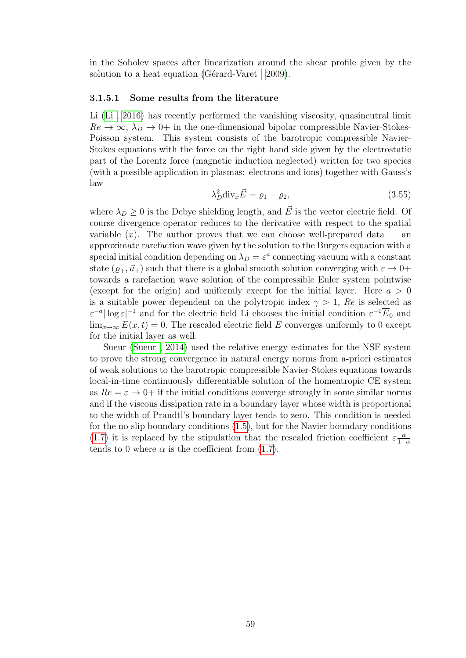in the Sobolev spaces after linearization around the shear profile given by the solution to a heat equation (Gérard-Varet,  $2009$ ).

#### 3.1.5.1 Some results from the literature

Li [\(Li , 2016\)](#page-101-3) has recently performed the vanishing viscosity, quasineutral limit  $Re \to \infty$ ,  $\lambda_D \to 0+$  in the one-dimensional bipolar compressible Navier-Stokes-Poisson system. This system consists of the barotropic compressible Navier-Stokes equations with the force on the right hand side given by the electrostatic part of the Lorentz force (magnetic induction neglected) written for two species (with a possible application in plasmas: electrons and ions) together with Gauss's law

$$
\lambda_D^2 \text{div}_x \vec{E} = \varrho_1 - \varrho_2,\tag{3.55}
$$

where  $\lambda_D \geq 0$  is the Debye shielding length, and  $\vec{E}$  is the vector electric field. Of course divergence operator reduces to the derivative with respect to the spatial variable  $(x)$ . The author proves that we can choose well-prepared data — an approximate rarefaction wave given by the solution to the Burgers equation with a special initial condition depending on  $\lambda_D = \varepsilon^a$  connecting vacuum with a constant state  $(\varrho_+, \vec{u}_+)$  such that there is a global smooth solution converging with  $\varepsilon \to 0+$ towards a rarefaction wave solution of the compressible Euler system pointwise (except for the origin) and uniformly except for the initial layer. Here  $a > 0$ is a suitable power dependent on the polytropic index  $\gamma > 1$ , Re is selected as  $\epsilon^{-a} |\log \epsilon|^{-1}$  and for the electric field Li chooses the initial condition  $\epsilon^{-1} \overline{E}_0$  and  $\lim_{x\to\infty} \overline{E}(x,t) = 0$ . The rescaled electric field  $\overline{E}$  converges uniformly to 0 except for the initial layer as well.

Sueur [\(Sueur , 2014\)](#page-103-0) used the relative energy estimates for the NSF system to prove the strong convergence in natural energy norms from a-priori estimates of weak solutions to the barotropic compressible Navier-Stokes equations towards local-in-time continuously differentiable solution of the homentropic CE system as  $Re = \varepsilon \rightarrow 0^+$  if the initial conditions converge strongly in some similar norms and if the viscous dissipation rate in a boundary layer whose width is proportional to the width of Prandtl's boundary layer tends to zero. This condition is needed for the no-slip boundary conditions [\(1.5\)](#page-11-1), but for the Navier boundary conditions [\(1.7\)](#page-12-0) it is replaced by the stipulation that the rescaled friction coefficient  $\varepsilon \frac{\alpha}{1-\alpha}$  $1-\alpha$ tends to 0 where  $\alpha$  is the coefficient from [\(1.7\)](#page-12-0).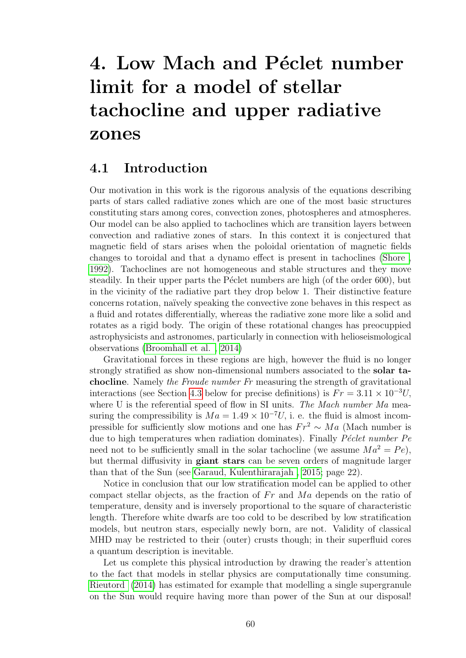# 4. Low Mach and Péclet number limit for a model of stellar tachocline and upper radiative zones

### 4.1 Introduction

Our motivation in this work is the rigorous analysis of the equations describing parts of stars called radiative zones which are one of the most basic structures constituting stars among cores, convection zones, photospheres and atmospheres. Our model can be also applied to tachoclines which are transition layers between convection and radiative zones of stars. In this context it is conjectured that magnetic field of stars arises when the poloidal orientation of magnetic fields changes to toroidal and that a dynamo effect is present in tachoclines [\(Shore ,](#page-103-1) [1992\)](#page-103-1). Tachoclines are not homogeneous and stable structures and they move steadily. In their upper parts the P $\acute{e}$ clet numbers are high (of the order 600), but in the vicinity of the radiative part they drop below 1. Their distinctive feature concerns rotation, naïvely speaking the convective zone behaves in this respect as a fluid and rotates differentially, whereas the radiative zone more like a solid and rotates as a rigid body. The origin of these rotational changes has preocuppied astrophysicists and astronomes, particularly in connection with helioseismological observations [\(Broomhall et al. , 2014\)](#page-97-5)

Gravitational forces in these regions are high, however the fluid is no longer strongly stratified as show non-dimensional numbers associated to the solar tachocline. Namely the Froude number Fr measuring the strength of gravitational interactions (see Section [4.3](#page-71-0) below for precise definitions) is  $Fr = 3.11 \times 10^{-3} U$ , where U is the referential speed of flow in SI units. The Mach number Ma measuring the compressibility is  $Ma = 1.49 \times 10^{-7} U$ , i. e. the fluid is almost incompressible for sufficiently slow motions and one has  $Fr^2 \sim Ma$  (Mach number is due to high temperatures when radiation dominates). Finally  $P\acute{e}clet$  number  $Pe$ need not to be sufficiently small in the solar tachocline (we assume  $Ma^2 = Pe$ ), but thermal diffusivity in giant stars can be seven orders of magnitude larger than that of the Sun (see [Garaud, Kulenthirarajah , 2015;](#page-99-8) page 22).

Notice in conclusion that our low stratification model can be applied to other compact stellar objects, as the fraction of  $Fr$  and  $Ma$  depends on the ratio of temperature, density and is inversely proportional to the square of characteristic length. Therefore white dwarfs are too cold to be described by low stratification models, but neutron stars, especially newly born, are not. Validity of classical MHD may be restricted to their (outer) crusts though; in their superfluid cores a quantum description is inevitable.

Let us complete this physical introduction by drawing the reader's attention to the fact that models in stellar physics are computationally time consuming. [Rieutord \(2014\)](#page-102-2) has estimated for example that modelling a single supergranule on the Sun would require having more than power of the Sun at our disposal!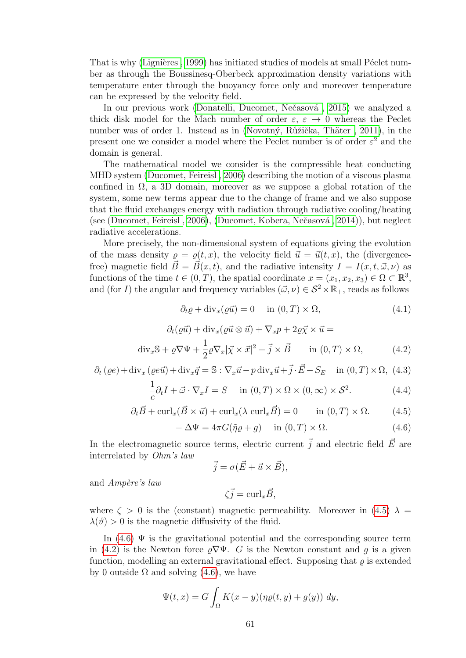That is why (Lignières, 1999) has initiated studies of models at small Péclet number as through the Boussinesq-Oberbeck approximation density variations with temperature enter through the buoyancy force only and moreover temperature can be expressed by the velocity field.

In our previous work (Donatelli, Ducomet, Nečasová, 2015) we analyzed a thick disk model for the Mach number of order  $\varepsilon, \varepsilon \to 0$  whereas the Peclet number was of order 1. Instead as in (Novotný, Růžička, Thäter, 2011), in the present one we consider a model where the Peclet number is of order  $\varepsilon^2$  and the domain is general.

The mathematical model we consider is the compressible heat conducting MHD system [\(Ducomet, Feireisl , 2006\)](#page-98-2) describing the motion of a viscous plasma confined in  $\Omega$ , a 3D domain, moreover as we suppose a global rotation of the system, some new terms appear due to the change of frame and we also suppose that the fluid exchanges energy with radiation through radiative cooling/heating (see (Ducomet, Feireisl, 2006), (Ducomet, Kobera, Nečasová, 2014)), but neglect radiative accelerations.

More precisely, the non-dimensional system of equations giving the evolution of the mass density  $\rho = \rho(t, x)$ , the velocity field  $\vec{u} = \vec{u}(t, x)$ , the (divergencefree) magnetic field  $\vec{B} = \vec{B}(x, t)$ , and the radiative intensity  $I = I(x, t, \vec{\omega}, \nu)$  as functions of the time  $t \in (0, T)$ , the spatial coordinate  $x = (x_1, x_2, x_3) \in \Omega \subset \mathbb{R}^3$ , and (for I) the angular and frequency variables  $(\vec{\omega}, \nu) \in \mathcal{S}^2 \times \mathbb{R}_+$ , reads as follows

<span id="page-64-3"></span>
$$
\partial_t \varrho + \text{div}_x(\varrho \vec{u}) = 0 \quad \text{in } (0, T) \times \Omega,
$$
\n(4.1)

<span id="page-64-2"></span>
$$
\partial_t(\varrho \vec{u}) + \text{div}_x(\varrho \vec{u} \otimes \vec{u}) + \nabla_x p + 2\varrho \vec{\chi} \times \vec{u} =
$$
  
div<sub>x</sub> $\mathbb{S} + \varrho \nabla \Psi + \frac{1}{2} \varrho \nabla_x |\vec{\chi} \times \vec{x}|^2 + \vec{j} \times \vec{B}$  in  $(0, T) \times \Omega$ , (4.2)

<span id="page-64-4"></span>
$$
\partial_t (\varrho e) + \text{div}_x (\varrho e \vec{u}) + \text{div}_x \vec{q} = \mathbb{S} : \nabla_x \vec{u} - p \, \text{div}_x \vec{u} + \vec{j} \cdot \vec{E} - S_E \quad \text{in } (0, T) \times \Omega, \tag{4.3}
$$

<span id="page-64-5"></span>
$$
\frac{1}{c}\partial_t I + \vec{\omega} \cdot \nabla_x I = S \quad \text{in } (0, T) \times \Omega \times (0, \infty) \times \mathcal{S}^2.
$$
 (4.4)

<span id="page-64-0"></span>
$$
\partial_t \vec{B} + \text{curl}_x(\vec{B} \times \vec{u}) + \text{curl}_x(\lambda \text{ curl}_x \vec{B}) = 0 \quad \text{in } (0, T) \times \Omega. \tag{4.5}
$$

<span id="page-64-1"></span>
$$
-\Delta\Psi = 4\pi G(\tilde{\eta}\varrho + g) \quad \text{in } (0, T) \times \Omega.
$$
 (4.6)

In the electromagnetic source terms, electric current  $\vec{j}$  and electric field  $\vec{E}$  are interrelated by Ohm's law

$$
\vec{j} = \sigma(\vec{E} + \vec{u} \times \vec{B}),
$$

and  $Amp\`ere\`s law$ 

 $\zeta \vec{i} = \text{curl}_x \vec{B}$ .

where  $\zeta > 0$  is the (constant) magnetic permeability. Moreover in [\(4.5\)](#page-64-0)  $\lambda =$  $\lambda(\vartheta) > 0$  is the magnetic diffusivity of the fluid.

In  $(4.6)$   $\Psi$  is the gravitational potential and the corresponding source term in [\(4.2\)](#page-64-2) is the Newton force  $\varrho \nabla \Psi$ . G is the Newton constant and q is a given function, modelling an external gravitational effect. Supposing that  $\rho$  is extended by 0 outside  $\Omega$  and solving [\(4.6\)](#page-64-1), we have

$$
\Psi(t,x) = G \int_{\Omega} K(x-y) (\eta \varrho(t,y) + g(y)) \ dy,
$$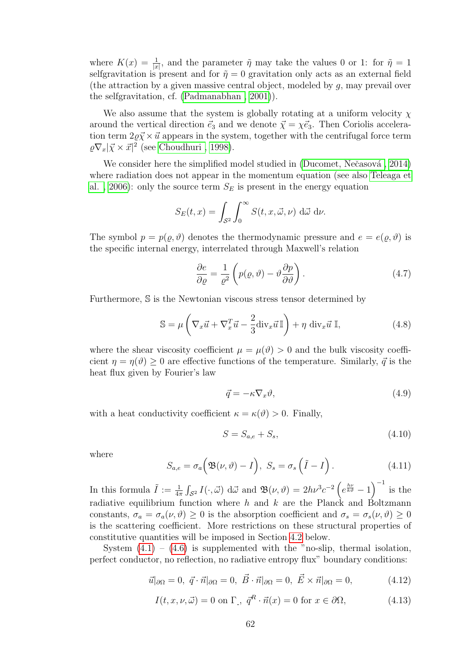where  $K(x) = \frac{1}{|x|}$ , and the parameter  $\tilde{\eta}$  may take the values 0 or 1: for  $\tilde{\eta} = 1$ selfgravitation is present and for  $\tilde{\eta} = 0$  gravitation only acts as an external field (the attraction by a given massive central object, modeled by g, may prevail over the selfgravitation, cf. [\(Padmanabhan , 2001\)](#page-102-4)).

We also assume that the system is globally rotating at a uniform velocity  $\chi$ around the vertical direction  $\vec{e}_3$  and we denote  $\vec{\chi} = \chi \vec{e}_3$ . Then Coriolis acceleration term  $2\rho \vec{\chi} \times \vec{u}$  appears in the system, together with the centrifugal force term  $\sqrt{\varrho \nabla_x} |\vec{\chi} \times \vec{x}|^2$  (see Choudhuri, 1998).

We consider here the simplified model studied in (Ducomet, Nečasová, 2014) where radiation does not appear in the momentum equation (see also [Teleaga et](#page-103-2) al., 2006): only the source term  $S_E$  is present in the energy equation

$$
S_E(t, x) = \int_{\mathcal{S}^2} \int_0^\infty S(t, x, \vec{\omega}, \nu) \, d\vec{\omega} \, d\nu.
$$

The symbol  $p = p(\varrho, \vartheta)$  denotes the thermodynamic pressure and  $e = e(\varrho, \vartheta)$  is the specific internal energy, interrelated through Maxwell's relation

<span id="page-65-1"></span>
$$
\frac{\partial e}{\partial \varrho} = \frac{1}{\varrho^2} \left( p(\varrho, \vartheta) - \vartheta \frac{\partial p}{\partial \vartheta} \right). \tag{4.7}
$$

Furthermore, S is the Newtonian viscous stress tensor determined by

$$
\mathbb{S} = \mu \left( \nabla_x \vec{u} + \nabla_x^T \vec{u} - \frac{2}{3} \text{div}_x \vec{u} \mathbb{I} \right) + \eta \text{ div}_x \vec{u} \mathbb{I}, \tag{4.8}
$$

where the shear viscosity coefficient  $\mu = \mu(\vartheta) > 0$  and the bulk viscosity coefficient  $\eta = \eta(\vartheta) \geq 0$  are effective functions of the temperature. Similarly,  $\vec{q}$  is the heat flux given by Fourier's law

$$
\vec{q} = -\kappa \nabla_x \vartheta,\tag{4.9}
$$

with a heat conductivity coefficient  $\kappa = \kappa(\vartheta) > 0$ . Finally,

$$
S = S_{a,e} + S_s,\tag{4.10}
$$

where

$$
S_{a,e} = \sigma_a \Big( \mathfrak{B}(\nu, \vartheta) - I \Big), \ S_s = \sigma_s \left( \tilde{I} - I \right). \tag{4.11}
$$

In this formula  $\tilde{I} := \frac{1}{4\pi} \int_{\mathcal{S}^2} I(\cdot, \vec{\omega}) \, d\vec{\omega}$  and  $\mathfrak{B}(\nu, \vartheta) = 2h\nu^3 c^{-2} \left(e^{\frac{h\nu}{k\vartheta}} - 1\right)^{-1}$  is the radiative equilibrium function where h and k are the Planck and Boltzmann constants,  $\sigma_a = \sigma_a(\nu, \vartheta) \geq 0$  is the absorption coefficient and  $\sigma_s = \sigma_s(\nu, \vartheta) \geq 0$ is the scattering coefficient. More restrictions on these structural properties of constitutive quantities will be imposed in Section [4.2](#page-66-0) below.

System  $(4.1) - (4.6)$  $(4.1) - (4.6)$  is supplemented with the "no-slip, thermal isolation, perfect conductor, no reflection, no radiative entropy flux" boundary conditions:

<span id="page-65-2"></span>
$$
\vec{u}|_{\partial\Omega} = 0, \ \vec{q} \cdot \vec{n}|_{\partial\Omega} = 0, \ \vec{B} \cdot \vec{n}|_{\partial\Omega} = 0, \ \vec{E} \times \vec{n}|_{\partial\Omega} = 0,\tag{4.12}
$$

<span id="page-65-0"></span>
$$
I(t, x, \nu, \vec{\omega}) = 0 \text{ on } \Gamma_{\text{-}}, \ \vec{q}^R \cdot \vec{n}(x) = 0 \text{ for } x \in \partial\Omega,
$$
 (4.13)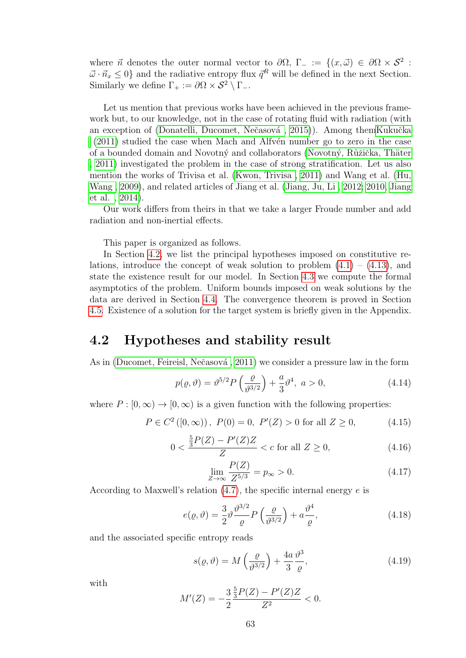where  $\vec{n}$  denotes the outer normal vector to  $\partial\Omega$ ,  $\Gamma_{-} := \{(x,\vec{\omega}) \in \partial\Omega \times \mathcal{S}^2 :$  $\vec{\omega} \cdot \vec{n_x} \leq 0$  and the radiative entropy flux  $\vec{q}^R$  will be defined in the next Section. Similarly we define  $\Gamma_+ := \partial \Omega \times S^2 \setminus \Gamma_-.$ 

Let us mention that previous works have been achieved in the previous framework but, to our knowledge, not in the case of rotating fluid with radiation (with an exception of (Donatelli, Ducomet, Nečasová, 2015)). Among themKukučka  $(2011)$  studied the case when Mach and Alfv $\acute{e}$ n number go to zero in the case of a bounded domain and Novotný and collaborators (Novotný, Růžička, Thäter [, 2011\)](#page-102-3) investigated the problem in the case of strong stratification. Let us also mention the works of Trivisa et al. [\(Kwon, Trivisa , 2011\)](#page-100-4) and Wang et al. [\(Hu,](#page-100-5) [Wang , 2009\)](#page-100-5), and related articles of Jiang et al. [\(Jiang, Ju, Li , 2012;](#page-100-6) [2010,](#page-100-7) [Jiang](#page-100-8) [et al. , 2014\)](#page-100-8).

Our work differs from theirs in that we take a larger Froude number and add radiation and non-inertial effects.

This paper is organized as follows.

In Section [4.2,](#page-66-0) we list the principal hypotheses imposed on constitutive relations, introduce the concept of weak solution to problem  $(4.1) - (4.13)$  $(4.1) - (4.13)$ , and state the existence result for our model. In Section [4.3](#page-71-0) we compute the formal asymptotics of the problem. Uniform bounds imposed on weak solutions by the data are derived in Section [4.4.](#page-77-0) The convergence theorem is proved in Section [4.5.](#page-83-0) Existence of a solution for the target system is briefly given in the Appendix.

## <span id="page-66-0"></span>4.2 Hypotheses and stability result

As in (Ducomet, Feireisl, Nečasová, 2011) we consider a pressure law in the form

<span id="page-66-1"></span>
$$
p(\varrho,\vartheta) = \vartheta^{5/2} P\left(\frac{\varrho}{\vartheta^{3/2}}\right) + \frac{a}{3} \vartheta^4, \ a > 0,
$$
\n(4.14)

where  $P : [0, \infty) \to [0, \infty)$  is a given function with the following properties:

$$
P \in C^{2}([0, \infty)), P(0) = 0, P'(Z) > 0 \text{ for all } Z \ge 0,
$$
 (4.15)

$$
0 < \frac{\frac{5}{3}P(Z) - P'(Z)Z}{Z} < c \text{ for all } Z \ge 0,\tag{4.16}
$$

$$
\lim_{Z \to \infty} \frac{P(Z)}{Z^{5/3}} = p_{\infty} > 0.
$$
\n(4.17)

According to Maxwell's relation  $(4.7)$ , the specific internal energy e is

$$
e(\varrho,\vartheta) = \frac{3}{2}\vartheta \frac{\vartheta^{3/2}}{\varrho} P\left(\frac{\varrho}{\vartheta^{3/2}}\right) + a \frac{\vartheta^4}{\varrho},\tag{4.18}
$$

and the associated specific entropy reads

<span id="page-66-2"></span>
$$
s(\varrho, \vartheta) = M\left(\frac{\varrho}{\vartheta^{3/2}}\right) + \frac{4a}{3} \frac{\vartheta^3}{\varrho},\tag{4.19}
$$

with

$$
M'(Z) = -\frac{3}{2} \frac{\frac{5}{3}P(Z) - P'(Z)Z}{Z^2} < 0.
$$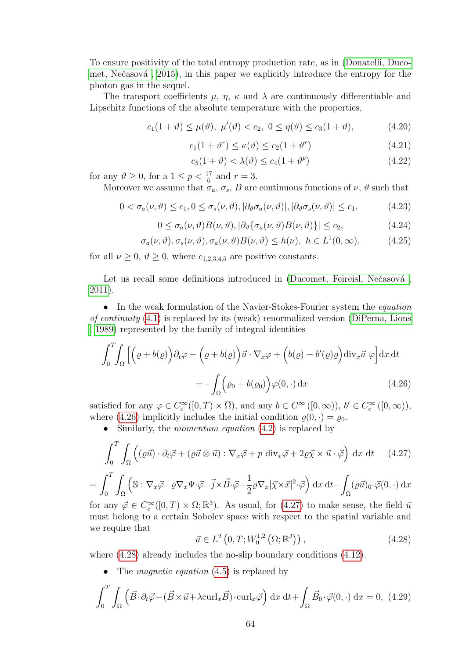To ensure positivity of the total entropy production rate, as in [\(Donatelli, Duco](#page-97-6)met, Nečasová, 2015), in this paper we explicitly introduce the entropy for the photon gas in the sequel.

The transport coefficients  $\mu$ ,  $\eta$ ,  $\kappa$  and  $\lambda$  are continuously differentiable and Lipschitz functions of the absolute temperature with the properties,

<span id="page-67-4"></span>
$$
c_1(1+\vartheta) \le \mu(\vartheta), \ \mu'(\vartheta) < c_2, \ 0 \le \eta(\vartheta) \le c_3(1+\vartheta), \tag{4.20}
$$

$$
c_1(1+\vartheta^r) \le \kappa(\vartheta) \le c_2(1+\vartheta^r) \tag{4.21}
$$

$$
c_5(1+\vartheta) < \lambda(\vartheta) \le c_4(1+\vartheta^p) \tag{4.22}
$$

for any  $\vartheta \ge 0$ , for a  $1 \le p < \frac{17}{6}$  and  $r = 3$ .

Moreover we assume that  $\sigma_a$ ,  $\sigma_s$ , B are continuous functions of  $\nu$ ,  $\vartheta$  such that

$$
0 < \sigma_a(\nu, \vartheta) \le c_1, 0 \le \sigma_s(\nu, \vartheta), |\partial_{\vartheta}\sigma_a(\nu, \vartheta)|, |\partial_{\vartheta}\sigma_s(\nu, \vartheta)| \le c_1,
$$
\n(4.23)

$$
0 \le \sigma_a(\nu, \vartheta) B(\nu, \vartheta), |\partial_{\vartheta} {\sigma_a(\nu, \vartheta) B(\nu, \vartheta)}| \le c_2,
$$
\n(4.24)

<span id="page-67-5"></span>
$$
\sigma_a(\nu,\vartheta), \sigma_s(\nu,\vartheta), \sigma_a(\nu,\vartheta)B(\nu,\vartheta) \le h(\nu), \ h \in L^1(0,\infty). \tag{4.25}
$$

for all  $\nu \geq 0$ ,  $\vartheta \geq 0$ , where  $c_{1,2,3,4,5}$  are positive constants.

Let us recall some definitions introduced in (Ducomet, Feireisl, Nečasová, [2011\)](#page-98-0).

• In the weak formulation of the Navier-Stokes-Fourier system the *equation* of continuity [\(4.1\)](#page-64-3) is replaced by its (weak) renormalized version [\(DiPerna, Lions](#page-97-8) [, 1989\)](#page-97-8) represented by the family of integral identities

<span id="page-67-0"></span>
$$
\int_0^T \int_{\Omega} \left[ \left( \varrho + b(\varrho) \right) \partial_t \varphi + \left( \varrho + b(\varrho) \right) \vec{u} \cdot \nabla_x \varphi + \left( b(\varrho) - b'(\varrho) \varrho \right) \mathrm{div}_x \vec{u} \; \varphi \right] \mathrm{d}x \, \mathrm{d}t
$$
\n
$$
= - \int_{\Omega} \left( \varrho_0 + b(\varrho_0) \right) \varphi(0, \cdot) \, \mathrm{d}x \tag{4.26}
$$

satisfied for any  $\varphi \in C_c^{\infty}([0, T) \times \overline{\Omega})$ , and any  $b \in C^{\infty}([0, \infty))$ ,  $b' \in C_c^{\infty}([0, \infty))$ , where [\(4.26\)](#page-67-0) implicitly includes the initial condition  $\rho(0, \cdot) = \rho_0$ .

Similarly, the *momentum equation* [\(4.2\)](#page-64-2) is replaced by

<span id="page-67-1"></span>
$$
\int_0^T \int_{\Omega} \left( (\varrho \vec{u}) \cdot \partial_t \vec{\varphi} + (\varrho \vec{u} \otimes \vec{u}) : \nabla_x \vec{\varphi} + p \operatorname{div}_x \vec{\varphi} + 2 \varrho \vec{\chi} \times \vec{u} \cdot \vec{\varphi} \right) dx dt \qquad (4.27)
$$

$$
= \int_0^T \int_{\Omega} \left( \mathbb{S} : \nabla_x \vec{\varphi} - \varrho \nabla_x \Psi \cdot \vec{\varphi} - \vec{j} \times \vec{B} \cdot \vec{\varphi} - \frac{1}{2} \varrho \nabla_x |\vec{\chi} \times \vec{x}|^2 \cdot \vec{\varphi} \right) dx dt - \int_{\Omega} (\varrho \vec{u})_0 \cdot \vec{\varphi}(0, \cdot) dx
$$

for any  $\vec{\varphi} \in C_c^{\infty}([0, T) \times \Omega; \mathbb{R}^3)$ . As usual, for [\(4.27\)](#page-67-1) to make sense, the field  $\vec{u}$ must belong to a certain Sobolev space with respect to the spatial variable and we require that

<span id="page-67-2"></span>
$$
\vec{u} \in L^{2}\left(0, T; W_{0}^{1,2}\left(\Omega; \mathbb{R}^{3}\right)\right), \tag{4.28}
$$

where  $(4.28)$  already includes the no-slip boundary conditions  $(4.12)$ .

The *magnetic equation* [\(4.5\)](#page-64-0) is replaced by

<span id="page-67-3"></span>
$$
\int_0^T \int_{\Omega} \left( \vec{B} \cdot \partial_t \vec{\varphi} - (\vec{B} \times \vec{u} + \lambda \operatorname{curl}_x \vec{B}) \cdot \operatorname{curl}_x \vec{\varphi} \right) dx dt + \int_{\Omega} \vec{B}_0 \cdot \vec{\varphi}(0, \cdot) dx = 0, (4.29)
$$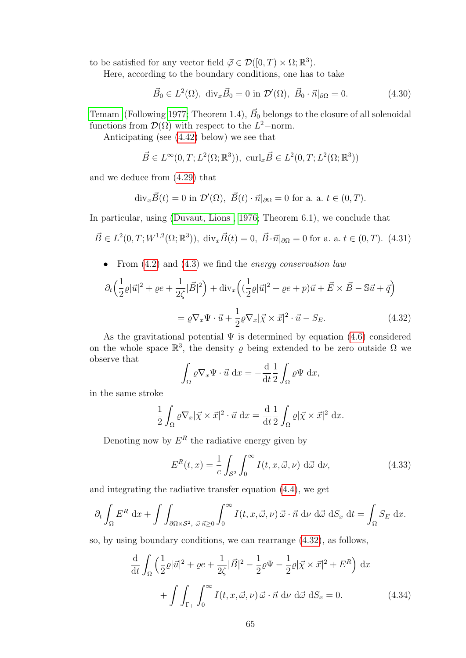to be satisfied for any vector field  $\vec{\varphi} \in \mathcal{D}([0, T) \times \Omega; \mathbb{R}^3)$ .

Here, according to the boundary conditions, one has to take

$$
\vec{B}_0 \in L^2(\Omega), \quad \text{div}_x \vec{B}_0 = 0 \text{ in } \mathcal{D}'(\Omega), \quad \vec{B}_0 \cdot \vec{n}|_{\partial \Omega} = 0. \tag{4.30}
$$

[Temam](#page-103-3) (Following [1977;](#page-103-3) Theorem 1.4),  $\vec{B}_0$  belongs to the closure of all solenoidal functions from  $\mathcal{D}(\Omega)$  with respect to the L<sup>2</sup>-norm.

Anticipating (see [\(4.42\)](#page-70-0) below) we see that

$$
\vec{B} \in L^{\infty}(0,T; L^{2}(\Omega;\mathbb{R}^{3})), \ \operatorname{curl}_{x}\vec{B} \in L^{2}(0,T; L^{2}(\Omega;\mathbb{R}^{3}))
$$

and we deduce from [\(4.29\)](#page-67-3) that

$$
\mathrm{div}_x \vec{B}(t) = 0 \text{ in } \mathcal{D}'(\Omega), \ \vec{B}(t) \cdot \vec{n}|_{\partial \Omega} = 0 \text{ for a. a. } t \in (0, T).
$$

In particular, using [\(Duvaut, Lions , 1976;](#page-98-1) Theorem 6.1), we conclude that

$$
\vec{B} \in L^{2}(0,T;W^{1,2}(\Omega;\mathbb{R}^{3})), \operatorname{div}_{x}\vec{B}(t) = 0, \ \vec{B} \cdot \vec{n}|_{\partial\Omega} = 0 \text{ for a. a. } t \in (0,T). \tag{4.31}
$$

From  $(4.2)$  and  $(4.3)$  we find the *energy conservation law* 

$$
\partial_t \left( \frac{1}{2} \varrho |\vec{u}|^2 + \varrho e + \frac{1}{2\zeta} |\vec{B}|^2 \right) + \text{div}_x \left( \left( \frac{1}{2} \varrho |\vec{u}|^2 + \varrho e + p \right) \vec{u} + \vec{E} \times \vec{B} - \mathbb{S}\vec{u} + \vec{q} \right)
$$

$$
= \varrho \nabla_x \Psi \cdot \vec{u} + \frac{1}{2} \varrho \nabla_x |\vec{\chi} \times \vec{x}|^2 \cdot \vec{u} - S_E. \tag{4.32}
$$

As the gravitational potential  $\Psi$  is determined by equation [\(4.6\)](#page-64-1) considered on the whole space  $\mathbb{R}^3$ , the density  $\varrho$  being extended to be zero outside  $\Omega$  we observe that

<span id="page-68-0"></span>
$$
\int_{\Omega} \varrho \nabla_x \Psi \cdot \vec{u} \, dx = -\frac{d}{dt} \frac{1}{2} \int_{\Omega} \varrho \Psi \, dx,
$$

in the same stroke

$$
\frac{1}{2} \int_{\Omega} \varrho \nabla_x |\vec{\chi} \times \vec{x}|^2 \cdot \vec{u} \, dx = \frac{d}{dt} \frac{1}{2} \int_{\Omega} \varrho |\vec{\chi} \times \vec{x}|^2 \, dx.
$$

Denoting now by  $E^R$  the radiative energy given by

$$
E^{R}(t,x) = \frac{1}{c} \int_{\mathcal{S}^2} \int_0^{\infty} I(t,x,\vec{\omega},\nu) d\vec{\omega} d\nu,
$$
 (4.33)

and integrating the radiative transfer equation [\(4.4\)](#page-64-5), we get

$$
\partial_t \int_{\Omega} E^R dx + \int \int_{\partial \Omega \times S^2, \; \vec{\omega} \cdot \vec{n} \ge 0} \int_0^\infty I(t, x, \vec{\omega}, \nu) \vec{\omega} \cdot \vec{n} \; d\nu \; d\vec{\omega} \; dS_x \; dt = \int_{\Omega} S_E dx.
$$

so, by using boundary conditions, we can rearrange [\(4.32\)](#page-68-0), as follows,

$$
\frac{\mathrm{d}}{\mathrm{d}t} \int_{\Omega} \left( \frac{1}{2} \varrho |\vec{u}|^2 + \varrho e + \frac{1}{2\zeta} |\vec{B}|^2 - \frac{1}{2} \varrho \Psi - \frac{1}{2} \varrho |\vec{\chi} \times \vec{x}|^2 + E^R \right) \mathrm{d}x
$$

$$
+ \int \int_{\Gamma_+} \int_0^\infty I(t, x, \vec{\omega}, \nu) \vec{\omega} \cdot \vec{n} \, \mathrm{d}\nu \, \mathrm{d}\vec{\omega} \, \mathrm{d}S_x = 0. \tag{4.34}
$$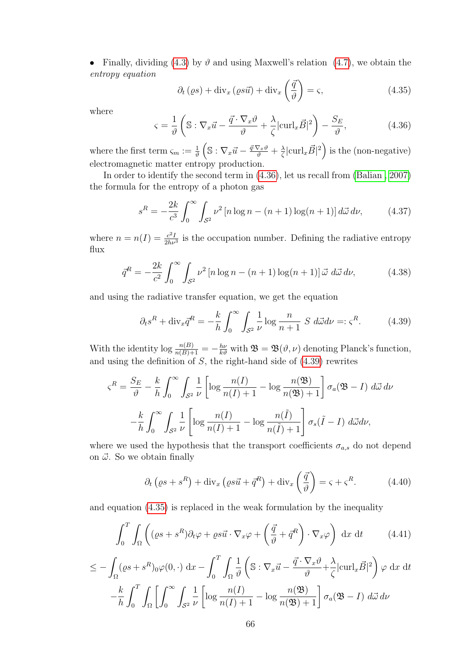• Finally, dividing [\(4.3\)](#page-64-4) by  $\vartheta$  and using Maxwell's relation [\(4.7\)](#page-65-1), we obtain the entropy equation

<span id="page-69-2"></span>
$$
\partial_t (\varrho s) + \text{div}_x (\varrho s \vec{u}) + \text{div}_x \left( \frac{\vec{q}}{\vartheta} \right) = \varsigma,
$$
\n(4.35)

where

<span id="page-69-0"></span>
$$
\varsigma = \frac{1}{\vartheta} \left( \mathbb{S} : \nabla_x \vec{u} - \frac{\vec{q} \cdot \nabla_x \vartheta}{\vartheta} + \frac{\lambda}{\zeta} |\text{curl}_x \vec{B}|^2 \right) - \frac{S_E}{\vartheta},\tag{4.36}
$$

where the first term  $\varsigma_m := \frac{1}{\vartheta} \left( \mathbb{S} : \nabla_x \vec{u} - \frac{\vec{q} \cdot \nabla_x \vec{v}}{\vartheta} + \frac{\lambda}{\zeta} \right)$  $\frac{\lambda}{\zeta}|\text{curl}_x \vec{B}|^2$  is the (non-negative) electromagnetic matter entropy production.

In order to identify the second term in [\(4.36\)](#page-69-0), let us recall from [\(Balian , 2007\)](#page-96-4) the formula for the entropy of a photon gas

$$
s^{R} = -\frac{2k}{c^{3}} \int_{0}^{\infty} \int_{S^{2}} \nu^{2} \left[ n \log n - (n+1) \log(n+1) \right] d\vec{\omega} d\nu, \qquad (4.37)
$$

where  $n = n(I) = \frac{c^2 I}{2h\nu}$  $\frac{c^2I}{2h\nu^3}$  is the occupation number. Defining the radiative entropy flux

$$
\bar{q}^R = -\frac{2k}{c^2} \int_0^\infty \int_{S^2} \nu^2 \left[ n \log n - (n+1) \log(n+1) \right] \vec{\omega} \, d\vec{\omega} \, d\nu,\tag{4.38}
$$

and using the radiative transfer equation, we get the equation

<span id="page-69-1"></span>
$$
\partial_t s^R + \text{div}_x \vec{q}^R = -\frac{k}{h} \int_0^\infty \int_{S^2} \frac{1}{\nu} \log \frac{n}{n+1} S \ d\vec{\omega} d\nu =: \varsigma^R. \tag{4.39}
$$

With the identity  $\log \frac{n(B)}{n(B)+1} = -\frac{h\nu}{k\vartheta}$  with  $\mathfrak{B} = \mathfrak{B}(\vartheta, \nu)$  denoting Planck's function, and using the definition of  $S$ , the right-hand side of  $(4.39)$  rewrites

$$
\varsigma^{R} = \frac{S_{E}}{\vartheta} - \frac{k}{h} \int_{0}^{\infty} \int_{\mathcal{S}^{2}} \frac{1}{\nu} \left[ \log \frac{n(I)}{n(I) + 1} - \log \frac{n(\mathfrak{B})}{n(\mathfrak{B}) + 1} \right] \sigma_{a}(\mathfrak{B} - I) d\vec{\omega} d\nu
$$

$$
- \frac{k}{h} \int_{0}^{\infty} \int_{\mathcal{S}^{2}} \frac{1}{\nu} \left[ \log \frac{n(I)}{n(I) + 1} - \log \frac{n(\tilde{I})}{n(\tilde{I}) + 1} \right] \sigma_{s}(\tilde{I} - I) d\vec{\omega} d\nu,
$$

where we used the hypothesis that the transport coefficients  $\sigma_{a,s}$  do not depend on  $\vec{\omega}$ . So we obtain finally

$$
\partial_t \left( \varrho s + s^R \right) + \text{div}_x \left( \varrho s \vec{u} + \vec{q}^R \right) + \text{div}_x \left( \frac{\vec{q}}{\vartheta} \right) = \varsigma + \varsigma^R. \tag{4.40}
$$

and equation [\(4.35\)](#page-69-2) is replaced in the weak formulation by the inequality

<span id="page-69-3"></span>
$$
\int_0^T \int_{\Omega} \left( (\varrho s + s^R) \partial_t \varphi + \varrho s \vec{u} \cdot \nabla_x \varphi + \left( \frac{\vec{q}}{\vartheta} + \vec{q}^R \right) \cdot \nabla_x \varphi \right) dx dt \qquad (4.41)
$$

$$
\leq -\int_{\Omega} (\varrho s + s^R)_{0} \varphi(0, \cdot) \, dx - \int_{0}^{T} \int_{\Omega} \frac{1}{\vartheta} \left( \mathbb{S} : \nabla_x \vec{u} - \frac{\vec{q} \cdot \nabla_x \vartheta}{\vartheta} + \frac{\lambda}{\zeta} |\text{curl}_x \vec{B}|^2 \right) \varphi \, dx \, dt
$$

$$
- \frac{k}{h} \int_{0}^{T} \int_{\Omega} \left[ \int_{0}^{\infty} \int_{S^2} \frac{1}{\nu} \left[ \log \frac{n(I)}{n(I) + 1} - \log \frac{n(\mathfrak{B})}{n(\mathfrak{B}) + 1} \right] \sigma_a(\mathfrak{B} - I) \, d\vec{\omega} \, d\nu
$$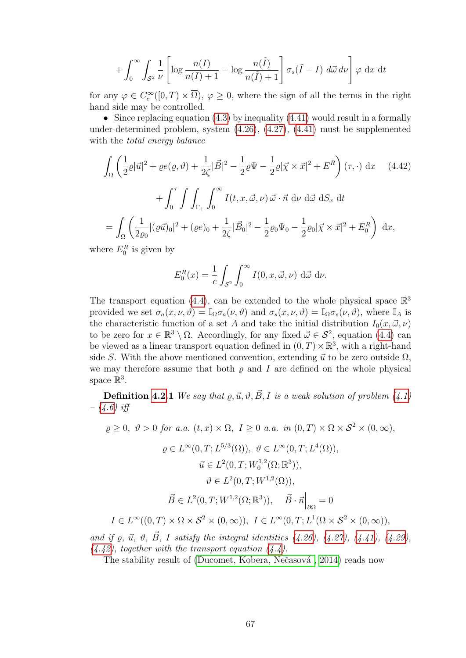$$
+\int_0^\infty \int_{S^2} \frac{1}{\nu} \left[ \log \frac{n(I)}{n(I)+1} - \log \frac{n(\tilde{I})}{n(\tilde{I})+1} \right] \sigma_s(\tilde{I}-I) \ d\vec{\omega} \ d\nu \right] \varphi \ dx dt
$$

for any  $\varphi \in C_c^{\infty}([0,T) \times \overline{\Omega})$ ,  $\varphi \geq 0$ , where the sign of all the terms in the right hand side may be controlled.

• Since replacing equation  $(4.3)$  by inequality  $(4.41)$  would result in a formally under-determined problem, system [\(4.26\)](#page-67-0), [\(4.27\)](#page-67-1), [\(4.41\)](#page-69-3) must be supplemented with the total energy balance

<span id="page-70-0"></span>
$$
\int_{\Omega} \left( \frac{1}{2} \varrho |\vec{u}|^2 + \varrho e(\varrho, \vartheta) + \frac{1}{2\zeta} |\vec{B}|^2 - \frac{1}{2} \varrho \Psi - \frac{1}{2} \varrho |\vec{\chi} \times \vec{x}|^2 + E^R \right) (\tau, \cdot) dx \quad (4.42)
$$

$$
+ \int_0^{\tau} \int \int_{\Gamma_+} \int_0^{\infty} I(t, x, \vec{\omega}, \nu) \vec{\omega} \cdot \vec{n} d\nu d\vec{\omega} dS_x dt
$$

$$
= \int_{\Omega} \left( \frac{1}{2\varrho_0} |(\varrho \vec{u})_0|^2 + (\varrho e)_0 + \frac{1}{2\zeta} |\vec{B}_0|^2 - \frac{1}{2} \varrho_0 \Psi_0 - \frac{1}{2} \varrho_0 |\vec{\chi} \times \vec{x}|^2 + E_0^R \right) dx,
$$

where  $E_0^R$  is given by

$$
E_0^R(x) = \frac{1}{c} \int_{\mathcal{S}^2} \int_0^\infty I(0, x, \vec{\omega}, \nu) \, d\vec{\omega} \, d\nu.
$$

The transport equation [\(4.4\)](#page-64-5), can be extended to the whole physical space  $\mathbb{R}^3$ provided we set  $\sigma_a(x,\nu,\vartheta) = \mathbb{I}_{\Omega} \sigma_a(\nu,\vartheta)$  and  $\sigma_s(x,\nu,\vartheta) = \mathbb{I}_{\Omega} \sigma_s(\nu,\vartheta)$ , where  $\mathbb{I}_A$  is the characteristic function of a set A and take the initial distribution  $I_0(x, \vec{\omega}, \nu)$ to be zero for  $x \in \mathbb{R}^3 \setminus \Omega$ . Accordingly, for any fixed  $\vec{\omega} \in \mathcal{S}^2$ , equation [\(4.4\)](#page-64-5) can be viewed as a linear transport equation defined in  $(0, T) \times \mathbb{R}^3$ , with a right-hand side S. With the above mentioned convention, extending  $\vec{u}$  to be zero outside  $\Omega$ , we may therefore assume that both  $\rho$  and I are defined on the whole physical space  $\mathbb{R}^3$ .

**Definition [4.2.](#page-66-0)1** We say that  $\varrho, \vec{u}, \vartheta, \vec{B}, I$  is a weak solution of problem [\(4.1\)](#page-64-3)  $-$  [\(4.6\)](#page-64-1) iff

$$
\varrho \ge 0, \ \vartheta > 0 \ \text{for a.a. } (t, x) \times \Omega, \ I \ge 0 \ \text{a.a. in } (0, T) \times \Omega \times \mathcal{S}^2 \times (0, \infty),
$$

$$
\varrho \in L^{\infty}(0, T; L^{5/3}(\Omega)), \quad \vartheta \in L^{\infty}(0, T; L^{4}(\Omega)),
$$

$$
\vec{u} \in L^{2}(0, T; W_{0}^{1,2}(\Omega; \mathbb{R}^{3})),
$$

$$
\vartheta \in L^{2}(0, T; W^{1,2}(\Omega)),
$$

$$
\vec{B} \in L^{2}(0, T; W^{1,2}(\Omega; \mathbb{R}^{3})), \quad \vec{B} \cdot \vec{n}\Big|_{\partial\Omega} = 0
$$

$$
I \in L^{\infty}((0, T) \times \Omega \times \mathcal{S}^{2} \times (0, \infty)), \quad I \in L^{\infty}(0, T; L^{1}(\Omega \times \mathcal{S}^{2} \times (0, \infty)),
$$

and if  $\varrho, \vec{u}, \vartheta, \vec{B}, I$  satisfy the integral identities [\(4.26\)](#page-67-0), [\(4.27\)](#page-67-1), [\(4.41\)](#page-69-3), [\(4.29\)](#page-67-3),  $(4.42)$ , together with the transport equation  $(4.4)$ .

The stability result of (Ducomet, Kobera, Nečasová, 2014) reads now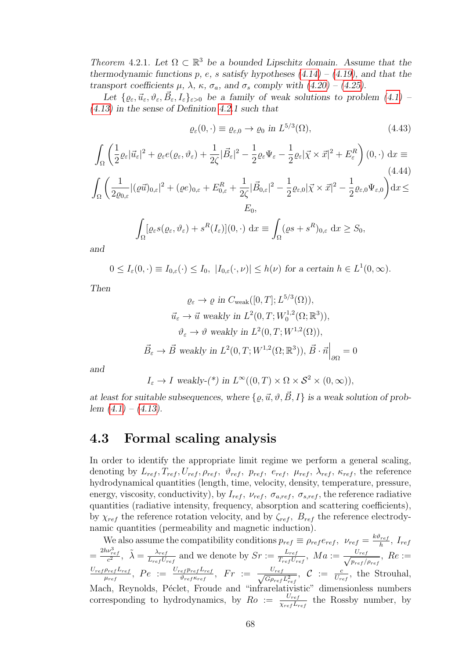Theorem 4.2.1. Let  $\Omega \subset \mathbb{R}^3$  be a bounded Lipschitz domain. Assume that the thermodynamic functions p, e, s satisfy hypotheses  $(4.14) - (4.19)$  $(4.14) - (4.19)$  $(4.14) - (4.19)$ , and that the transport coefficients  $\mu$ ,  $\lambda$ ,  $\kappa$ ,  $\sigma_a$ , and  $\sigma_s$  comply with [\(4.20\)](#page-67-4) – [\(4.25\)](#page-67-5).

Let  $\{ \varrho_{\varepsilon}, \vec{u}_{\varepsilon}, \vartheta_{\varepsilon}, \vec{B}_{\varepsilon}, I_{\varepsilon} \}_{\varepsilon > 0}$  be a family of weak solutions to problem  $(4.1)$  -[\(4.13\)](#page-65-0) in the sense of Definition [4.2.](#page-66-0)1 such that

$$
\varrho_{\varepsilon}(0,\cdot) \equiv \varrho_{\varepsilon,0} \to \varrho_0 \text{ in } L^{5/3}(\Omega),\tag{4.43}
$$

$$
\int_{\Omega} \left( \frac{1}{2} \varrho_{\varepsilon} |\vec{u}_{\varepsilon}|^{2} + \varrho_{\varepsilon} e(\varrho_{\varepsilon}, \vartheta_{\varepsilon}) + \frac{1}{2\zeta} |\vec{B}_{\varepsilon}|^{2} - \frac{1}{2} \varrho_{\varepsilon} \Psi_{\varepsilon} - \frac{1}{2} \varrho_{\varepsilon} |\vec{\chi} \times \vec{x}|^{2} + E_{\varepsilon}^{R} \right) (0, \cdot) dx \equiv
$$
\n
$$
\int_{\Omega} \left( \frac{1}{2 \varrho_{0,\varepsilon}} |(\varrho \vec{u})_{0,\varepsilon}|^{2} + (\varrho e)_{0,\varepsilon} + E_{0,\varepsilon}^{R} + \frac{1}{2\zeta} |\vec{B}_{0,\varepsilon}|^{2} - \frac{1}{2} \varrho_{\varepsilon,0} |\vec{\chi} \times \vec{x}|^{2} - \frac{1}{2} \varrho_{\varepsilon,0} \Psi_{\varepsilon,0} \right) dx \leq
$$
\n
$$
E_{0},
$$
\n
$$
\int_{\Omega} [\varrho_{\varepsilon} s(\varrho_{\varepsilon}, \vartheta_{\varepsilon}) + s^{R}(I_{\varepsilon})](0, \cdot) dx \equiv \int_{\Omega} (\varrho s + s^{R})_{0,\varepsilon} dx \geq S_{0},
$$

and

$$
0 \leq I_{\varepsilon}(0,\cdot) \equiv I_{0,\varepsilon}(\cdot) \leq I_0, \ |I_{0,\varepsilon}(\cdot,\nu)| \leq h(\nu) \text{ for a certain } h \in L^1(0,\infty).
$$

Then

$$
\varrho_{\varepsilon} \to \varrho \text{ in } C_{\text{weak}}([0, T]; L^{5/3}(\Omega)),
$$
  

$$
\vec{u}_{\varepsilon} \to \vec{u} \text{ weakly in } L^{2}(0, T; W_{0}^{1,2}(\Omega; \mathbb{R}^{3})),
$$
  

$$
\vartheta_{\varepsilon} \to \vartheta \text{ weakly in } L^{2}(0, T; W^{1,2}(\Omega)),
$$
  

$$
\vec{B}_{\varepsilon} \to \vec{B} \text{ weakly in } L^{2}(0, T; W^{1,2}(\Omega; \mathbb{R}^{3})), \vec{B} \cdot \vec{n}\Big|_{\partial\Omega} = 0
$$

and

$$
I_{\varepsilon} \to I
$$
 weakly-(\*) in  $L^{\infty}((0,T) \times \Omega \times S^2 \times (0,\infty)),$ 

at least for suitable subsequences, where  $\{\rho, \vec{u}, \vartheta, \vec{B}, I\}$  is a weak solution of problem  $(4.1) - (4.13)$  $(4.1) - (4.13)$  $(4.1) - (4.13)$ .

### <span id="page-71-0"></span>4.3 Formal scaling analysis

In order to identify the appropriate limit regime we perform a general scaling, denoting by  $L_{ref}$ ,  $T_{ref}$ ,  $U_{ref}$ ,  $\rho_{ref}$ ,  $\vartheta_{ref}$ ,  $p_{ref}$ ,  $e_{ref}$ ,  $\mu_{ref}$ ,  $\lambda_{ref}$ ,  $\kappa_{ref}$ , the reference hydrodynamical quantities (length, time, velocity, density, temperature, pressure, energy, viscosity, conductivity), by  $I_{ref}$ ,  $\nu_{ref}$ ,  $\sigma_{a,ref}$ ,  $\sigma_{s,ref}$ , the reference radiative quantities (radiative intensity, frequency, absorption and scattering coefficients), by  $\chi_{ref}$  the reference rotation velocity, and by  $\zeta_{ref}$ ,  $B_{ref}$  the reference electrodynamic quantities (permeability and magnetic induction).

We also assume the compatibility conditions  $p_{ref} \equiv \rho_{ref} e_{ref}$ ,  $\nu_{ref} = \frac{k \vartheta_{ref}}{h}$  $\frac{r_{ref}}{h}$ , I<sub>ref</sub>  $=\frac{2h\nu_{ref}^3}{c^2},\ \ \tilde{\lambda}=\frac{\lambda_{ref}}{L_{ref}U_{3}}$  $\frac{\lambda_{ref}}{L_{ref}U_{ref}}$  and we denote by  $Sr := \frac{L_{ref}}{T_{ref}U_{ref}}$  $\frac{L_{ref}}{T_{ref}U_{ref}}, \ Ma := \frac{U_{ref}}{\sqrt{p_{ref}}}$  $\frac{U_{ref}}{p_{ref}/\rho_{ref}}, Re :=$  $U_{ref}\rho_{ref}L_{ref}$  $\frac{\rho_{ref}L_{ref}}{\mu_{ref}},\;Pe\;:=\;\frac{U_{ref}p_{ref}L_{ref}}{\vartheta_{ref}\kappa_{ref}}$  $\frac{e_{\text{f}} p_{\text{ref}} L_{\text{ref}}}{\vartheta_{\text{ref}} \kappa_{\text{ref}}}, \quad F r \ := \ \frac{U_{\text{ref}}}{\sqrt{G \rho_{\text{ref}}}}$  $\frac{U_{ref}}{G\rho_{ref}L_{ref}^2}$ ,  $C = \frac{c}{U_{ref}}$ , the Strouhal, Mach, Reynolds, Péclet, Froude and "infrarelativistic" dimensionless numbers corresponding to hydrodynamics, by  $Ro := \frac{U_{ref}}{V_{ref}}$  $\frac{U_{ref}}{\chi_{ref} L_{ref}}$  the Rossby number, by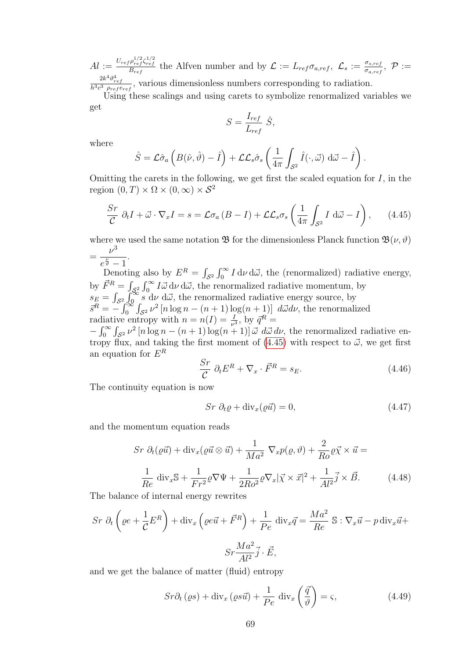$Al := \frac{U_{ref} \rho_{ref}^{1/2} \zeta_{ref}^{1/2}}{B_{ref}}$  the Alfven number and by  $\mathcal{L} := L_{ref} \sigma_{a,ref}, \ \mathcal{L}_{s} := \frac{\sigma_{s,ref}}{\sigma_{a,ref}}$  $\frac{\sigma_{s,ref}}{\sigma_{a,ref}}, \,\, \mathcal{P}:=$  $\frac{2k^4\vartheta_{ref}^4}{h^3c^3 \rho_{ref}e_{ref}}$ , various dimensionless numbers corresponding to radiation.

Using these scalings and using carets to symbolize renormalized variables we get

$$
S = \frac{I_{ref}}{L_{ref}} \hat{S},
$$

where

$$
\hat{S} = \mathcal{L}\hat{\sigma}_a \left( B(\hat{\nu}, \hat{\vartheta}) - \hat{I} \right) + \mathcal{L}\mathcal{L}_s \hat{\sigma}_s \left( \frac{1}{4\pi} \int_{\mathcal{S}^2} \hat{I}(\cdot, \vec{\omega}) \, d\vec{\omega} - \hat{I} \right).
$$

Omitting the carets in the following, we get first the scaled equation for  $I$ , in the region  $(0, T) \times \Omega \times (0, \infty) \times S^2$ 

<span id="page-72-0"></span>
$$
\frac{Sr}{C} \partial_t I + \vec{\omega} \cdot \nabla_x I = s = \mathcal{L}\sigma_a (B - I) + \mathcal{L}\mathcal{L}_s \sigma_s \left(\frac{1}{4\pi} \int_{S^2} I \, d\vec{\omega} - I\right), \qquad (4.45)
$$

where we used the same notation  $\mathfrak{B}$  for the dimensionless Planck function  $\mathfrak{B}(\nu, \vartheta)$ =  $\nu^3$  $e^{\frac{\nu}{\vartheta}}-1$ .

Denoting also by  $E^R = \int_{S^2} \int_0^\infty I \, d\nu \, d\vec{\omega}$ , the (renormalized) radiative energy, by  $\vec{F}^R = \int_{\mathcal{S}^2} \int_0^\infty I \vec{\omega} \, d\nu \, d\vec{\omega}$ , the renormalized radiative momentum, by  $s_E = \int_{\mathcal{S}^2} \int_{0}^{\infty} s \, d\nu \, d\vec{\omega}$ , the renormalized radiative energy source, by  $\vec{s}^R = -\int_0^{\infty} \int_{\mathcal{S}^2} \nu^2 \left[ n \log n - (n+1) \log(n+1) \right] d\vec{\omega} d\nu$ , the renormalized radiative entropy with  $n = n(I) = \frac{I}{\nu^3}$ , by  $\vec{q}^R =$  $-\int_0^\infty \int_{S^2} \nu^2 [n \log n - (n+1) \log(n+1)] \vec{\omega} \ d\vec{\omega} d\nu$ , the renormalized radiative entropy flux, and taking the first moment of  $(4.45)$  with respect to  $\vec{\omega}$ , we get first an equation for  $E^R$ 

$$
\frac{Sr}{C} \partial_t E^R + \nabla_x \cdot \vec{F}^R = s_E. \tag{4.46}
$$

The continuity equation is now

<span id="page-72-1"></span>
$$
Sr \partial_t \varrho + \text{div}_x(\varrho \vec{u}) = 0,\tag{4.47}
$$

and the momentum equation reads

<span id="page-72-2"></span>
$$
Sr \partial_t(\varrho \vec{u}) + \text{div}_x(\varrho \vec{u} \otimes \vec{u}) + \frac{1}{Ma^2} \nabla_x p(\varrho, \vartheta) + \frac{2}{Ro} \varrho \vec{\chi} \times \vec{u} =
$$
  

$$
\frac{1}{Re} \text{div}_x \mathbb{S} + \frac{1}{Fr^2} \varrho \nabla \Psi + \frac{1}{2Ro^2} \varrho \nabla_x |\vec{\chi} \times \vec{x}|^2 + \frac{1}{Al^2} \vec{j} \times \vec{B}.
$$
 (4.48)

The balance of internal energy rewrites

$$
Sr \partial_t \left( \varrho e + \frac{1}{\mathcal{C}} E^R \right) + \text{div}_x \left( \varrho e \vec{u} + \vec{F}^R \right) + \frac{1}{Pe} \text{ div}_x \vec{q} = \frac{Ma^2}{Re} \mathbb{S} : \nabla_x \vec{u} - p \text{ div}_x \vec{u} +
$$

$$
Sr \frac{Ma^2}{Al^2} \vec{j} \cdot \vec{E},
$$

and we get the balance of matter (fluid) entropy

<span id="page-72-3"></span>
$$
Sr\partial_t(\varrho s) + \text{div}_x(\varrho s\vec{u}) + \frac{1}{Pe} \text{ div}_x\left(\frac{\vec{q}}{\vartheta}\right) = \varsigma,
$$
 (4.49)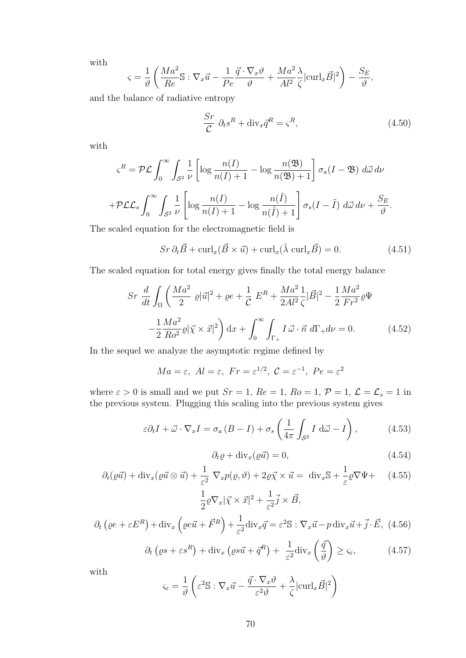with

$$
\varsigma = \frac{1}{\vartheta} \left( \frac{Ma^2}{Re} \mathbb{S} : \nabla_x \vec{u} - \frac{1}{Pe} \frac{\vec{q} \cdot \nabla_x \vartheta}{\vartheta} + \frac{Ma^2}{Al^2} \frac{\lambda}{\zeta} |\text{curl}_x \vec{B}|^2 \right) - \frac{S_E}{\vartheta},
$$

and the balance of radiative entropy

<span id="page-73-4"></span>
$$
\frac{Sr}{C} \partial_t s^R + \text{div}_x \bar{q}^R = \varsigma^R,
$$
\n(4.50)

with

$$
\varsigma^{R} = \mathcal{PL} \int_{0}^{\infty} \int_{\mathcal{S}^{2}} \frac{1}{\nu} \left[ \log \frac{n(I)}{n(I) + 1} - \log \frac{n(\mathfrak{B})}{n(\mathfrak{B}) + 1} \right] \sigma_{a}(I - \mathfrak{B}) \ d\vec{\omega} \ d\nu
$$

$$
+ \mathcal{PL} \mathcal{L}_{s} \int_{0}^{\infty} \int_{\mathcal{S}^{2}} \frac{1}{\nu} \left[ \log \frac{n(I)}{n(I) + 1} - \log \frac{n(\tilde{I})}{n(\tilde{I}) + 1} \right] \sigma_{s}(I - \tilde{I}) \ d\vec{\omega} \ d\nu + \frac{S_{E}}{\vartheta}.
$$

The scaled equation for the electromagnetic field is

<span id="page-73-5"></span>
$$
Sr \partial_t \vec{B} + \text{curl}_x(\vec{B} \times \vec{u}) + \text{curl}_x(\tilde{\lambda} \text{ curl}_x \vec{B}) = 0.
$$
 (4.51)

The scaled equation for total energy gives finally the total energy balance

<span id="page-73-6"></span>
$$
Sr \frac{d}{dt} \int_{\Omega} \left( \frac{Ma^2}{2} \varrho |\vec{u}|^2 + \varrho e + \frac{1}{C} E^R + \frac{Ma^2}{2Al^2} \frac{1}{\zeta} |\vec{B}|^2 - \frac{1}{2} \frac{Ma^2}{Fr^2} \varrho \Psi - \frac{1}{2} \frac{Ma^2}{Ro^2} \varrho |\vec{\chi} \times \vec{x}|^2 \right) dx + \int_0^\infty \int_{\Gamma_+} I \, \vec{\omega} \cdot \vec{n} \, d\Gamma_+ d\nu = 0. \tag{4.52}
$$

In the sequel we analyze the asymptotic regime defined by

$$
Ma = \varepsilon, \ Al = \varepsilon, \ Fr = \varepsilon^{1/2}, \ \mathcal{C} = \varepsilon^{-1}, \ Pe = \varepsilon^2
$$

where  $\varepsilon > 0$  is small and we put  $Sr = 1$ ,  $Re = 1$ ,  $Ro = 1$ ,  $\mathcal{P} = 1$ ,  $\mathcal{L} = \mathcal{L}_s = 1$  in the previous system. Plugging this scaling into the previous system gives

<span id="page-73-2"></span>
$$
\varepsilon \partial_t I + \vec{\omega} \cdot \nabla_x I = \sigma_a (B - I) + \sigma_s \left( \frac{1}{4\pi} \int_{S^2} I \, d\vec{\omega} - I \right), \tag{4.53}
$$

<span id="page-73-1"></span>
$$
\partial_t \varrho + \text{div}_x(\varrho \vec{u}) = 0, \tag{4.54}
$$

<span id="page-73-0"></span>
$$
\partial_t(\varrho \vec{u}) + \text{div}_x(\varrho \vec{u} \otimes \vec{u}) + \frac{1}{\varepsilon^2} \nabla_x p(\varrho, \vartheta) + 2\varrho \vec{\chi} \times \vec{u} = \text{div}_x \mathbb{S} + \frac{1}{\varepsilon} \varrho \nabla \Psi + \quad (4.55)
$$

$$
\frac{1}{2} \varrho \nabla_x |\vec{\chi} \times \vec{x}|^2 + \frac{1}{\varepsilon^2} \vec{j} \times \vec{B},
$$

<span id="page-73-3"></span>
$$
\frac{1}{2}\rho\nabla_x|\vec{\chi}\times\vec{x}|^2 + \frac{1}{\varepsilon^2}\vec{j}\times\vec{B},
$$
  

$$
\partial_t\left(\varrho e + \varepsilon E^R\right) + \text{div}_x\left(\varrho e\vec{u} + \vec{F}^R\right) + \frac{1}{\varepsilon^2}\text{div}_x\vec{q} = \varepsilon^2\mathbb{S} : \nabla_x\vec{u} - p\,\text{div}_x\vec{u} + \vec{j} \cdot \vec{E}, \tag{4.56}
$$

$$
\partial_t \left( \varrho s + \varepsilon s^R \right) + \text{div}_x \left( \varrho s \vec{u} + \vec{q}^R \right) + \frac{1}{\varepsilon^2} \text{div}_x \left( \frac{\vec{q}}{\vartheta} \right) \ge \varsigma_{\varepsilon},\tag{4.57}
$$

with

$$
\varsigma_{\varepsilon} = \frac{1}{\vartheta} \left( \varepsilon^2 \mathbb{S} : \nabla_x \vec{u} - \frac{\vec{q} \cdot \nabla_x \vartheta}{\varepsilon^2 \vartheta} + \frac{\lambda}{\zeta} |\text{curl}_x \vec{B}|^2 \right)
$$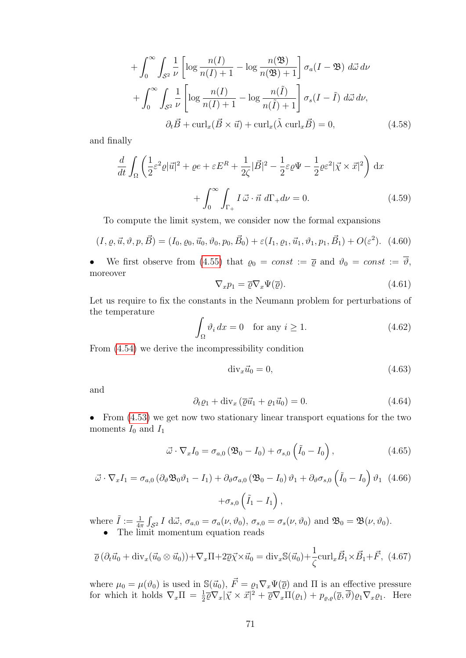$$
+\int_0^\infty \int_{S^2} \frac{1}{\nu} \left[ \log \frac{n(I)}{n(I) + 1} - \log \frac{n(\mathfrak{B})}{n(\mathfrak{B}) + 1} \right] \sigma_a (I - \mathfrak{B}) \ d\vec{\omega} \ d\nu
$$

$$
+\int_0^\infty \int_{S^2} \frac{1}{\nu} \left[ \log \frac{n(I)}{n(I) + 1} - \log \frac{n(\tilde{I})}{n(\tilde{I}) + 1} \right] \sigma_s (I - \tilde{I}) \ d\vec{\omega} \ d\nu,
$$

$$
\partial_t \vec{B} + \text{curl}_x (\vec{B} \times \vec{u}) + \text{curl}_x (\tilde{\lambda} \ \text{curl}_x \vec{B}) = 0,
$$
(4.58)

and finally

$$
\frac{d}{dt} \int_{\Omega} \left( \frac{1}{2} \varepsilon^2 \varrho |\vec{u}|^2 + \varrho e + \varepsilon E^R + \frac{1}{2\zeta} |\vec{B}|^2 - \frac{1}{2} \varepsilon \varrho \Psi - \frac{1}{2} \varrho \varepsilon^2 |\vec{\chi} \times \vec{x}|^2 \right) dx
$$

$$
+ \int_0^\infty \int_{\Gamma_+} I \vec{\omega} \cdot \vec{n} d\Gamma_+ d\nu = 0.
$$
(4.59)

To compute the limit system, we consider now the formal expansions

$$
(I, \varrho, \vec{u}, \vartheta, p, \vec{B}) = (I_0, \varrho_0, \vec{u}_0, \vartheta_0, p_0, \vec{B}_0) + \varepsilon (I_1, \varrho_1, \vec{u}_1, \vartheta_1, p_1, \vec{B}_1) + O(\varepsilon^2).
$$
 (4.60)

We first observe from [\(4.55\)](#page-73-0) that  $\varrho_0 = const := \overline{\varrho}$  and  $\vartheta_0 = const := \overline{\vartheta}$ , moreover

<span id="page-74-0"></span>
$$
\nabla_x p_1 = \overline{\varrho} \nabla_x \Psi(\overline{\varrho}). \tag{4.61}
$$

Let us require to fix the constants in the Neumann problem for perturbations of the temperature

<span id="page-74-4"></span>
$$
\int_{\Omega} \vartheta_i \, dx = 0 \quad \text{for any } i \ge 1. \tag{4.62}
$$

From [\(4.54\)](#page-73-1) we derive the incompressibility condition

$$
\operatorname{div}_x \vec{u}_0 = 0,\tag{4.63}
$$

and

<span id="page-74-1"></span>
$$
\partial_t \varrho_1 + \text{div}_x \left( \overline{\varrho} \vec{u}_1 + \varrho_1 \vec{u}_0 \right) = 0. \tag{4.64}
$$

• From  $(4.53)$  we get now two stationary linear transport equations for the two moments  $I_0$  and  $I_1$ 

<span id="page-74-3"></span>
$$
\vec{\omega} \cdot \nabla_x I_0 = \sigma_{a,0} \left( \mathfrak{B}_0 - I_0 \right) + \sigma_{s,0} \left( \tilde{I}_0 - I_0 \right), \qquad (4.65)
$$

<span id="page-74-2"></span>
$$
\vec{\omega} \cdot \nabla_x I_1 = \sigma_{a,0} \left( \partial_{\theta} \mathfrak{B}_0 \vartheta_1 - I_1 \right) + \partial_{\theta} \sigma_{a,0} \left( \mathfrak{B}_0 - I_0 \right) \vartheta_1 + \partial_{\theta} \sigma_{s,0} \left( \tilde{I}_0 - I_0 \right) \vartheta_1 \tag{4.66}
$$

$$
+ \sigma_{s,0} \left( \tilde{I}_1 - I_1 \right),
$$

where  $\tilde{I} := \frac{1}{4\pi} \int_{\mathcal{S}^2} I \, d\vec{\omega}, \, \sigma_{a,0} = \sigma_a(\nu, \vartheta_0), \, \sigma_{s,0} = \sigma_s(\nu, \vartheta_0)$  and  $\mathfrak{B}_0 = \mathfrak{B}(\nu, \vartheta_0)$ . • The limit momentum equation reads

$$
\overline{\varrho}\left(\partial_t \vec{u}_0 + \text{div}_x(\vec{u}_0 \otimes \vec{u}_0)\right) + \nabla_x \Pi + 2\overline{\varrho}\vec{\chi} \times \vec{u}_0 = \text{div}_x \mathbb{S}(\vec{u}_0) + \frac{1}{\zeta} \text{curl}_x \vec{B}_1 \times \vec{B}_1 + \vec{F}, \ (4.67)
$$

where  $\mu_0 = \mu(\vartheta_0)$  is used in  $\mathbb{S}(\vec{u}_0), \vec{F} = \varrho_1 \nabla_x \Psi(\vec{\varrho})$  and  $\Pi$  is an effective pressure for which it holds  $\nabla_x \Pi = \frac{1}{2} \overline{\varrho} \nabla_x |\vec{\chi} \times \vec{x}|^2 + \overline{\varrho} \nabla_x \Pi(\varrho_1) + p_{\varrho, \varrho}(\overline{\varrho}, \overline{\vartheta}) \varrho_1 \nabla_x \varrho_1$ . Here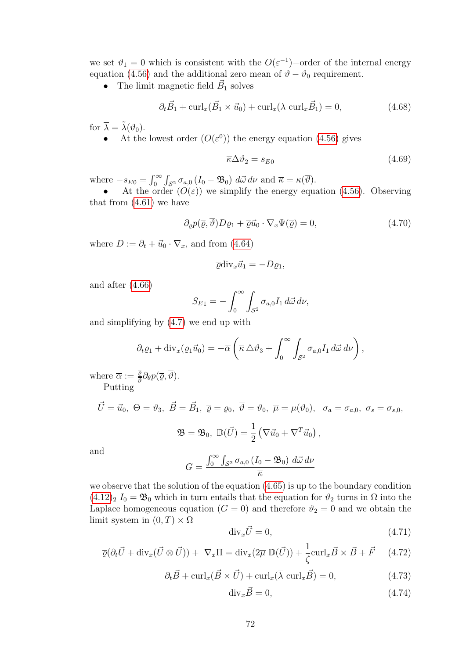we set  $\vartheta_1 = 0$  which is consistent with the  $O(\varepsilon^{-1})$ -order of the internal energy equation [\(4.56\)](#page-73-3) and the additional zero mean of  $\vartheta - \vartheta_0$  requirement.

• The limit magnetic field  $\vec{B}_1$  solves

$$
\partial_t \vec{B}_1 + \text{curl}_x(\vec{B}_1 \times \vec{u}_0) + \text{curl}_x(\overline{\lambda} \text{ curl}_x \vec{B}_1) = 0,
$$
\n(4.68)

for  $\overline{\lambda} = \tilde{\lambda}(\vartheta_0)$ .

• At the lowest order  $(O(\varepsilon^{0}))$  the energy equation [\(4.56\)](#page-73-3) gives

<span id="page-75-1"></span>
$$
\overline{\kappa}\Delta\vartheta_2 = s_{E0} \tag{4.69}
$$

where  $-s_{E0} = \int_0^\infty \int_{S^2} \sigma_{a,0} (I_0 - \mathfrak{B}_0) d\vec{\omega} d\nu$  and  $\bar{\kappa} = \kappa(\bar{\vartheta}).$ 

• At the order  $(O(\varepsilon))$  we simplify the energy equation [\(4.56\)](#page-73-3). Observing that from  $(4.61)$  we have

$$
\partial_{\varrho}p(\overline{\varrho},\overline{\vartheta})D\varrho_1 + \overline{\varrho}\overline{u}_0 \cdot \nabla_x\Psi(\overline{\varrho}) = 0, \qquad (4.70)
$$

where  $D := \partial_t + \vec{u}_0 \cdot \nabla_x$ , and from [\(4.64\)](#page-74-1)

$$
\overline{\varrho} \text{div}_x \vec{u}_1 = -D \varrho_1,
$$

and after [\(4.66\)](#page-74-2)

$$
S_{E1} = -\int_0^\infty \int_{S^2} \sigma_{a,0} I_1 d\vec{\omega} d\nu,
$$

and simplifying by [\(4.7\)](#page-65-0) we end up with

$$
\partial_t \varrho_1 + \mathrm{div}_x(\varrho_1 \vec{u}_0) = -\overline{\alpha} \left( \overline{\kappa} \, \Delta \vartheta_3 + \int_0^\infty \int_{S^2} \sigma_{a,0} I_1 \, d\vec{\omega} \, d\nu \right),
$$

where  $\overline{\alpha} := \frac{\overline{\varrho}}{\overline{\omega}}$  $\frac{\varrho}{\vartheta} \partial_\theta p(\overline{\varrho},\vartheta).$ Putting

$$
\vec{U} = \vec{u}_0, \ \Theta = \vartheta_3, \ \vec{B} = \vec{B}_1, \ \overline{\varrho} = \varrho_0, \ \overline{\vartheta} = \vartheta_0, \ \overline{\mu} = \mu(\vartheta_0), \ \sigma_a = \sigma_{a,0}, \ \sigma_s = \sigma_{s,0},
$$

$$
\mathfrak{B} = \mathfrak{B}_0, \ \mathbb{D}(\vec{U}) = \frac{1}{2} \left( \nabla \vec{u}_0 + \nabla^T \vec{u}_0 \right),
$$

and

$$
G = \frac{\int_0^\infty \int_{\mathcal{S}^2} \sigma_{a,0} \left( I_0 - \mathfrak{B}_0 \right) d\vec{\omega} d\nu}{\overline{\kappa}}
$$

we observe that the solution of the equation [\(4.65\)](#page-74-3) is up to the boundary condition  $(4.12)<sub>2</sub> I<sub>0</sub> = \mathfrak{B}<sub>0</sub>$  $(4.12)<sub>2</sub> I<sub>0</sub> = \mathfrak{B}<sub>0</sub>$  which in turn entails that the equation for  $\vartheta<sub>2</sub>$  turns in  $\Omega$  into the Laplace homogeneous equation  $(G = 0)$  and therefore  $\vartheta_2 = 0$  and we obtain the limit system in  $(0, T) \times \Omega$ 

<span id="page-75-0"></span>
$$
\operatorname{div}_x \vec{U} = 0,\tag{4.71}
$$

<span id="page-75-2"></span>
$$
\overline{\varrho}(\partial_t \vec{U} + \text{div}_x(\vec{U} \otimes \vec{U})) + \nabla_x \Pi = \text{div}_x(2\overline{\mu} \ \mathbb{D}(\vec{U})) + \frac{1}{\zeta} \text{curl}_x \vec{B} \times \vec{B} + \vec{F} \tag{4.72}
$$

<span id="page-75-3"></span>
$$
\partial_t \vec{B} + \operatorname{curl}_x(\vec{B} \times \vec{U}) + \operatorname{curl}_x(\overline{\lambda} \operatorname{curl}_x \vec{B}) = 0, \tag{4.73}
$$

<span id="page-75-4"></span>
$$
\text{div}_x \vec{B} = 0,\tag{4.74}
$$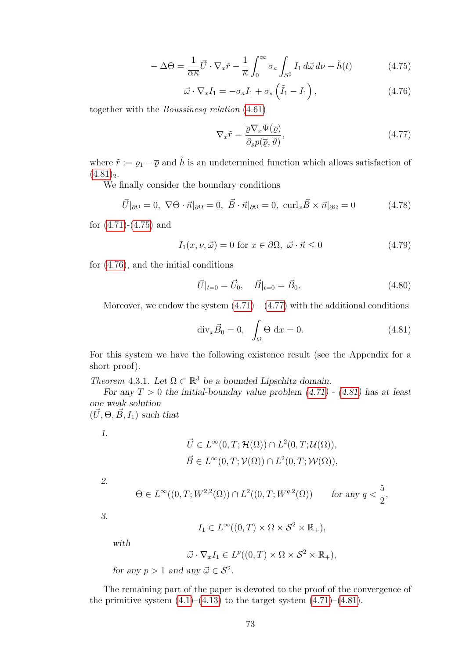<span id="page-76-1"></span>
$$
-\Delta\Theta = \frac{1}{\overline{\alpha}\kappa}\vec{U}\cdot\nabla_x\tilde{r} - \frac{1}{\overline{\kappa}}\int_0^\infty \sigma_a \int_{\mathcal{S}^2} I_1 d\vec{\omega} \,d\nu + \tilde{h}(t) \tag{4.75}
$$

<span id="page-76-2"></span>
$$
\vec{\omega} \cdot \nabla_x I_1 = -\sigma_a I_1 + \sigma_s \left(\tilde{I}_1 - I_1\right), \qquad (4.76)
$$

together with the Boussinesq relation [\(4.61\)](#page-74-0)

<span id="page-76-3"></span>
$$
\nabla_x \tilde{r} = \frac{\overline{\varrho} \nabla_x \Psi(\overline{\varrho})}{\partial_{\varrho} p(\overline{\varrho}, \overline{\vartheta})},\tag{4.77}
$$

where  $\tilde{r} := \varrho_1 - \overline{\varrho}$  and  $\tilde{h}$  is an undetermined function which allows satisfaction of  $(4.81)<sub>2</sub>$  $(4.81)<sub>2</sub>$ .

We finally consider the boundary conditions

$$
\vec{U}|_{\partial\Omega} = 0, \ \nabla\Theta \cdot \vec{n}|_{\partial\Omega} = 0, \ \vec{B} \cdot \vec{n}|_{\partial\Omega} = 0, \ \text{curl}_x \vec{B} \times \vec{n}|_{\partial\Omega} = 0 \tag{4.78}
$$

for [\(4.71\)](#page-75-0)-[\(4.75\)](#page-76-1) and

$$
I_1(x, \nu, \vec{\omega}) = 0 \text{ for } x \in \partial\Omega, \ \vec{\omega} \cdot \vec{n} \le 0 \tag{4.79}
$$

for [\(4.76\)](#page-76-2), and the initial conditions

<span id="page-76-4"></span>
$$
\vec{U}|_{t=0} = \vec{U}_0, \quad \vec{B}|_{t=0} = \vec{B}_0.
$$
\n(4.80)

Moreover, we endow the system  $(4.71) - (4.77)$  $(4.71) - (4.77)$  with the additional conditions

<span id="page-76-0"></span>
$$
\operatorname{div}_x \vec{B}_0 = 0, \quad \int_{\Omega} \Theta \, \mathrm{d}x = 0. \tag{4.81}
$$

For this system we have the following existence result (see the Appendix for a short proof).

<span id="page-76-5"></span>Theorem 4.3.1. Let  $\Omega \subset \mathbb{R}^3$  be a bounded Lipschitz domain.

For any  $T > 0$  the initial-bounday value problem  $(4.71)$  -  $(4.81)$  has at least one weak solution

 $(\vec{U}, \Theta, \vec{B}, I_1)$  such that

1.

$$
\vec{U} \in L^{\infty}(0, T; \mathcal{H}(\Omega)) \cap L^{2}(0, T; \mathcal{U}(\Omega)),
$$
  

$$
\vec{B} \in L^{\infty}(0, T; \mathcal{V}(\Omega)) \cap L^{2}(0, T; \mathcal{W}(\Omega)),
$$

2.

$$
\Theta \in L^{\infty}((0,T;W^{2,2}(\Omega)) \cap L^{2}((0,T;W^{q,2}(\Omega)) \quad \text{for any } q < \frac{5}{2},
$$

3.

$$
I_1 \in L^{\infty}((0,T) \times \Omega \times S^2 \times \mathbb{R}_+),
$$

with

$$
\vec{\omega} \cdot \nabla_x I_1 \in L^p((0,T) \times \Omega \times S^2 \times \mathbb{R}_+),
$$

for any  $p > 1$  and any  $\vec{\omega} \in \mathcal{S}^2$ .

The remaining part of the paper is devoted to the proof of the convergence of the primitive system  $(4.1)$ – $(4.13)$  to the target system  $(4.71)$ – $(4.81)$ .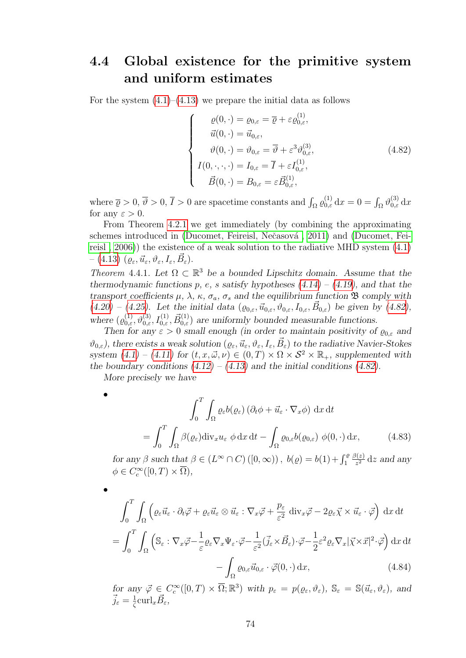## 4.4 Global existence for the primitive system and uniform estimates

For the system  $(4.1)$ – $(4.13)$  we prepare the initial data as follows

<span id="page-77-0"></span>
$$
\begin{cases}\n\varrho(0,\cdot) = \varrho_{0,\varepsilon} = \overline{\varrho} + \varepsilon \varrho_{0,\varepsilon}^{(1)}, \\
\vec{u}(0,\cdot) = \vec{u}_{0,\varepsilon}, \\
\vartheta(0,\cdot) = \vartheta_{0,\varepsilon} = \overline{\vartheta} + \varepsilon^3 \vartheta_{0,\varepsilon}^{(3)}, \\
I(0,\cdot,\cdot,\cdot) = I_{0,\varepsilon} = \overline{I} + \varepsilon I_{0,\varepsilon}^{(1)}, \\
\vec{B}(0,\cdot) = B_{0,\varepsilon} = \varepsilon \vec{B}_{0,\varepsilon}^{(1)},\n\end{cases}
$$
\n(4.82)

where  $\overline{\varrho} > 0$ ,  $\overline{\vartheta} > 0$ ,  $\overline{I} > 0$  are spacetime constants and  $\int_{\Omega} \varrho_{0,\varepsilon}^{(1)} dx = 0 = \int_{\Omega} \vartheta_{0,\varepsilon}^{(3)} dx$ for any  $\varepsilon > 0$ .

From Theorem [4.2.1](#page-71-0) we get immediately (by combining the approximating schemes introduced in (Ducomet, Feireisl, Nečasová, 2011) and [\(Ducomet, Fei](#page-98-1)[reisl , 2006\)](#page-98-1)) the existence of a weak solution to the radiative MHD system [\(4.1\)](#page-64-0)  $-$  [\(4.13\)](#page-65-2)  $(\varrho_\varepsilon, \vec{u}_\varepsilon, \vartheta_\varepsilon, I_\varepsilon, \vec{B}_\varepsilon).$ 

<span id="page-77-1"></span>Theorem 4.4.1. Let  $\Omega \subset \mathbb{R}^3$  be a bounded Lipschitz domain. Assume that the thermodynamic functions p, e, s satisfy hypotheses  $(4.14) - (4.19)$  $(4.14) - (4.19)$  $(4.14) - (4.19)$ , and that the transport coefficients  $\mu$ ,  $\lambda$ ,  $\kappa$ ,  $\sigma_a$ ,  $\sigma_s$  and the equilibrium function  $\mathfrak B$  comply with  $(4.20) - (4.25)$  $(4.20) - (4.25)$  $(4.20) - (4.25)$ . Let the initial data  $(\varrho_{0,\varepsilon}, \vec{u}_{0,\varepsilon}, \vartheta_{0,\varepsilon}, I_{0,\varepsilon}, \vec{B}_{0,\varepsilon})$  be given by  $(4.82)$ , where  $(\varrho_{0,\varepsilon}^{(1)}, \vartheta_{0,\varepsilon}^{(3)}, I_{0,\varepsilon}^{(1)}, \vec{B}_{0,\varepsilon}^{(1)})$  are uniformly bounded measurable functions.

Then for any  $\varepsilon > 0$  small enough (in order to maintain positivity of  $\rho_{0,\varepsilon}$  and  $\vartheta_{0,\varepsilon}$ ), there exists a weak solution  $(\varrho_{\varepsilon}, \vec{u}_{\varepsilon}, \vartheta_{\varepsilon}, I_{\varepsilon}, \vec{B}_{\varepsilon})$  to the radiative Navier-Stokes system  $(4.1) - (4.11)$  $(4.1) - (4.11)$  $(4.1) - (4.11)$  for  $(t, x, \vec{\omega}, \nu) \in (0, T) \times \Omega \times S^2 \times \mathbb{R}_+$ , supplemented with the boundary conditions  $(4.12) - (4.13)$  $(4.12) - (4.13)$  $(4.12) - (4.13)$  and the initial conditions  $(4.82)$ .

More precisely we have

•

•

<span id="page-77-2"></span>
$$
\int_0^T \int_{\Omega} \varrho_{\varepsilon} b(\varrho_{\varepsilon}) \left( \partial_t \phi + \vec{u}_{\varepsilon} \cdot \nabla_x \phi \right) dx dt
$$

$$
= \int_0^T \int_{\Omega} \beta(\varrho_{\varepsilon}) \operatorname{div}_x u_{\varepsilon} \phi dx dt - \int_{\Omega} \varrho_{0,\varepsilon} b(\varrho_{0,\varepsilon}) \phi(0, \cdot) dx, \tag{4.83}
$$

for any  $\beta$  such that  $\beta \in (L^{\infty} \cap C) ([0, \infty))$ ,  $b(\rho) = b(1) + \int_{1}^{\rho}$  $\beta(z)$  $\frac{\partial(z)}{z^2}$  dz and any  $\phi \in C_c^{\infty}([0, T) \times \overline{\Omega}),$ 

$$
\int_{0}^{T} \int_{\Omega} \left( \varrho_{\varepsilon} \vec{u}_{\varepsilon} \cdot \partial_{t} \vec{\varphi} + \varrho_{\varepsilon} \vec{u}_{\varepsilon} \otimes \vec{u}_{\varepsilon} : \nabla_{x} \vec{\varphi} + \frac{p_{\varepsilon}}{\varepsilon^{2}} \operatorname{div}_{x} \vec{\varphi} - 2 \varrho_{\varepsilon} \vec{\chi} \times \vec{u}_{\varepsilon} \cdot \vec{\varphi} \right) dx dt
$$

$$
= \int_{0}^{T} \int_{\Omega} \left( \mathbb{S}_{\varepsilon} : \nabla_{x} \vec{\varphi} - \frac{1}{\varepsilon} \varrho_{\varepsilon} \nabla_{x} \Psi_{\varepsilon} \cdot \vec{\varphi} - \frac{1}{\varepsilon^{2}} (\vec{j}_{\varepsilon} \times \vec{B}_{\varepsilon}) \cdot \vec{\varphi} - \frac{1}{2} \varepsilon^{2} \varrho_{\varepsilon} \nabla_{x} |\vec{\chi} \times \vec{x}|^{2} \cdot \vec{\varphi} \right) dx dt
$$

$$
- \int_{\Omega} \varrho_{0,\varepsilon} \vec{u}_{0,\varepsilon} \cdot \vec{\varphi}(0, \cdot) dx, \qquad (4.84)
$$

<span id="page-77-3"></span>for any  $\vec{\varphi} \in C_c^{\infty}([0,T) \times \overline{\Omega}; \mathbb{R}^3)$  with  $p_{\varepsilon} = p(\varrho_{\varepsilon}, \vartheta_{\varepsilon}), \mathbb{S}_{\varepsilon} = \mathbb{S}(\vec{u}_{\varepsilon}, \vartheta_{\varepsilon}),$  and  $\vec{j}_\varepsilon = \frac{1}{\zeta}$  $\frac{1}{\zeta} \text{curl}_x \vec{B}_\varepsilon,$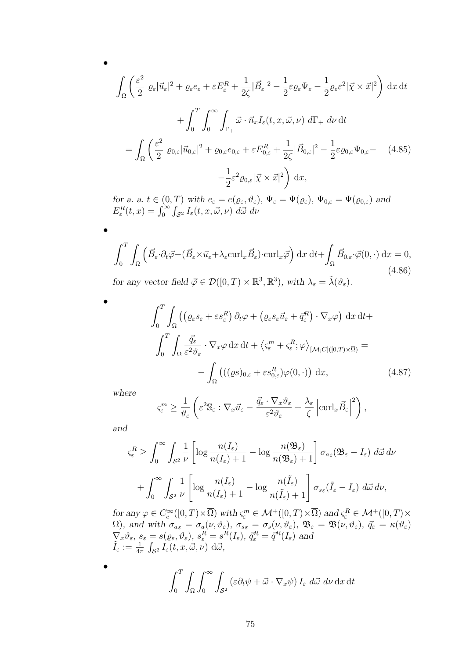$$
\int_{\Omega} \left( \frac{\varepsilon^2}{2} \varrho_{\varepsilon} |\vec{u}_{\varepsilon}|^2 + \varrho_{\varepsilon} e_{\varepsilon} + \varepsilon E_{\varepsilon}^R + \frac{1}{2\zeta} |\vec{B}_{\varepsilon}|^2 - \frac{1}{2} \varepsilon \varrho_{\varepsilon} \Psi_{\varepsilon} - \frac{1}{2} \varrho_{\varepsilon} \varepsilon^2 |\vec{\chi} \times \vec{x}|^2 \right) dx dt
$$

$$
+ \int_0^T \int_0^\infty \int_{\Gamma_+} \vec{\omega} \cdot \vec{n}_x I_{\varepsilon}(t, x, \vec{\omega}, \nu) d\Gamma_+ d\nu dt
$$

$$
= \int_{\Omega} \left( \frac{\varepsilon^2}{2} \varrho_{0,\varepsilon} |\vec{u}_{0,\varepsilon}|^2 + \varrho_{0,\varepsilon} e_{0,\varepsilon} + \varepsilon E_{0,\varepsilon}^R + \frac{1}{2\zeta} |\vec{B}_{0,\varepsilon}|^2 - \frac{1}{2} \varepsilon \varrho_{0,\varepsilon} \Psi_{0,\varepsilon} - (4.85)
$$

$$
- \frac{1}{2} \varepsilon^2 \varrho_{0,\varepsilon} |\vec{\chi} \times \vec{x}|^2 \right) dx,
$$

<span id="page-78-1"></span>for a. a.  $t \in (0,T)$  with  $e_{\varepsilon} = e(\varrho_{\varepsilon}, \vartheta_{\varepsilon}), \Psi_{\varepsilon} = \Psi(\varrho_{\varepsilon}), \Psi_{0,\varepsilon} = \Psi(\varrho_{0,\varepsilon})$  and  $E_{\varepsilon}^{R}(t,x) = \int_{0}^{\infty} \int_{\mathcal{S}^{2}} I_{\varepsilon}(t,x,\vec{\omega},\nu) d\vec{\omega} d\nu$ 

<span id="page-78-2"></span>
$$
\int_0^T \int_{\Omega} \left( \vec{B}_{\varepsilon} \cdot \partial_t \vec{\varphi} - (\vec{B}_{\varepsilon} \times \vec{u}_{\varepsilon} + \lambda_{\varepsilon} \operatorname{curl}_x \vec{B}_{\varepsilon}) \cdot \operatorname{curl}_x \vec{\varphi} \right) dx dt + \int_{\Omega} \vec{B}_{0,\varepsilon} \cdot \vec{\varphi}(0, \cdot) dx = 0,
$$
  
for any vector field  $\vec{\varphi} \in \mathcal{D}([0, T) \times \mathbb{R}^3, \mathbb{R}^3)$ , with  $\lambda_{\varepsilon} = \tilde{\lambda}(\vartheta_{\varepsilon})$ . (4.86)

$$
\int_0^T \int_{\Omega} \left( \left( \varrho_{\varepsilon} s_{\varepsilon} + \varepsilon s_{\varepsilon}^R \right) \partial_t \varphi + \left( \varrho_{\varepsilon} s_{\varepsilon} \vec{u}_{\varepsilon} + \vec{q}_{\varepsilon}^R \right) \cdot \nabla_x \varphi \right) dx dt +
$$

$$
\int_0^T \int_{\Omega} \frac{\vec{q}_{\varepsilon}}{\varepsilon^2 \vartheta_{\varepsilon}} \cdot \nabla_x \varphi dx dt + \left\langle \varsigma_{\varepsilon}^m + \varsigma_{\varepsilon}^R; \varphi \right\rangle_{\left[ \mathcal{M}; C \right] \left( [0, T) \times \overline{\Omega} \right)} =
$$

$$
- \int_{\Omega} \left( \left( (\varrho s)_{0, \varepsilon} + \varepsilon s_{0, \varepsilon}^R \right) \varphi(0, \cdot) \right) dx, \tag{4.87}
$$

where

•

•

•

<span id="page-78-0"></span>
$$
\varsigma_{\varepsilon}^{m} \geq \frac{1}{\vartheta_{\varepsilon}} \left( \varepsilon^{2} \mathbb{S}_{\varepsilon} : \nabla_{x} \vec{u}_{\varepsilon} - \frac{\vec{q}_{\varepsilon} \cdot \nabla_{x} \vartheta_{\varepsilon}}{\varepsilon^{2} \vartheta_{\varepsilon}} + \frac{\lambda_{\varepsilon}}{\zeta} \left| \operatorname{curl}_{x} \vec{B}_{\varepsilon} \right|^{2} \right),
$$

and

•

$$
\varsigma_{\varepsilon}^{R} \geq \int_{0}^{\infty} \int_{\mathcal{S}^{2}} \frac{1}{\nu} \left[ \log \frac{n(I_{\varepsilon})}{n(I_{\varepsilon}) + 1} - \log \frac{n(\mathfrak{B}_{\varepsilon})}{n(\mathfrak{B}_{\varepsilon}) + 1} \right] \sigma_{a\varepsilon}(\mathfrak{B}_{\varepsilon} - I_{\varepsilon}) \ d\vec{\omega} \ d\nu
$$

$$
+ \int_{0}^{\infty} \int_{\mathcal{S}^{2}} \frac{1}{\nu} \left[ \log \frac{n(I_{\varepsilon})}{n(I_{\varepsilon}) + 1} - \log \frac{n(\tilde{I}_{\varepsilon})}{n(\tilde{I}_{\varepsilon}) + 1} \right] \sigma_{s\varepsilon}(\tilde{I}_{\varepsilon} - I_{\varepsilon}) \ d\vec{\omega} \ d\nu,
$$

for any  $\varphi \in C_c^{\infty}([0,T)\times\overline{\Omega})$  with  $\varsigma_{\varepsilon}^m \in \mathcal{M}^+([0,T)\times\overline{\Omega})$  and  $\varsigma_{\varepsilon}^R \in \mathcal{M}^+([0,T)\times\overline{\Omega})$  $\Omega$ ), and with  $\sigma_{a_{\varepsilon}} = \sigma_a(\nu, \vartheta_{\varepsilon})$ ,  $\sigma_{s_{\varepsilon}} = \sigma_s(\nu, \vartheta_{\varepsilon})$ ,  $\mathfrak{B}_{\varepsilon} = \mathfrak{B}(\nu, \vartheta_{\varepsilon})$ ,  $\vec{q}_{\varepsilon} = \kappa(\vartheta_{\varepsilon})$  $\nabla_x \vartheta_{\varepsilon}, s_{\varepsilon} = s(\varrho_{\varepsilon}, \vartheta_{\varepsilon}), s_{\varepsilon}^R = s^R(I_{\varepsilon}), \, \vec{q}_{\varepsilon}^R = \vec{q}^R(I_{\varepsilon})$  and  $\tilde{I}_\varepsilon := \frac{1}{4\pi} \int_{\mathcal{S}^2} I_\varepsilon(t, x, \vec{\omega}, \nu) \; \mathrm{d}\vec{\omega},$ 

$$
\int_0^T \int_{\Omega} \int_0^\infty \int_{S^2} \left( \varepsilon \partial_t \psi + \vec{\omega} \cdot \nabla_x \psi \right) I_{\varepsilon} d\vec{\omega} d\nu \, \mathrm{d}x \, \mathrm{d}t
$$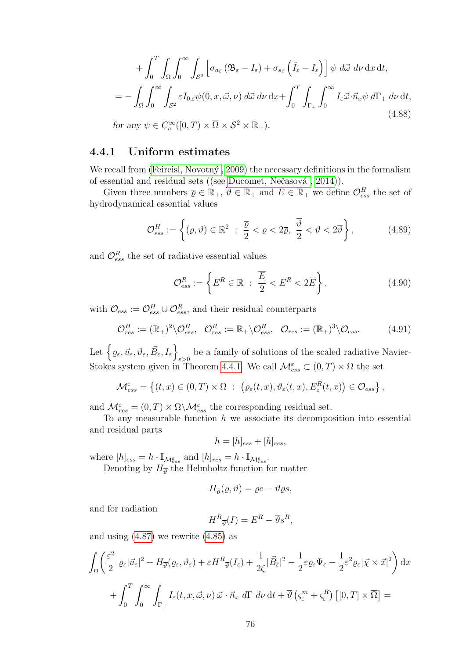<span id="page-79-2"></span>
$$
+ \int_0^T \int_{\Omega} \int_0^\infty \int_{\mathcal{S}^2} \left[ \sigma_{a_{\varepsilon}} (\mathfrak{B}_{\varepsilon} - I_{\varepsilon}) + \sigma_{s_{\varepsilon}} \left( \tilde{I}_{\varepsilon} - I_{\varepsilon} \right) \right] \psi \, d\vec{\omega} \, d\nu \, dx \, dt,
$$
  
= 
$$
- \int_{\Omega} \int_0^\infty \int_{\mathcal{S}^2} \varepsilon I_{0,\varepsilon} \psi(0, x, \vec{\omega}, \nu) \, d\vec{\omega} \, d\nu \, dx + \int_0^T \int_{\Gamma_+} \int_0^\infty I_{\varepsilon} \vec{\omega} \cdot \vec{n}_x \psi \, d\Gamma_+ \, d\nu \, dt,
$$
  
for any  $\psi \in C_c^\infty([0, T) \times \overline{\Omega} \times \mathcal{S}^2 \times \mathbb{R}_+).$  (4.88)

#### 4.4.1 Uniform estimates

We recall from (Feireisl, Novotný, 2009) the necessary definitions in the formalism of essential and residual sets ((see Ducomet, Nečasová, 2014)).

Given three numbers  $\overline{\varrho} \in \mathbb{R}_+$ ,  $\overline{\vartheta} \in \mathbb{R}_+$  and  $\overline{E} \in \mathbb{R}_+$  we define  $\mathcal{O}^H_{ess}$  the set of hydrodynamical essential values

<span id="page-79-0"></span>
$$
\mathcal{O}_{ess}^H := \left\{ (\varrho, \vartheta) \in \mathbb{R}^2 \ : \ \frac{\overline{\varrho}}{2} < \varrho < 2\overline{\varrho}, \ \frac{\overline{\vartheta}}{2} < \vartheta < 2\overline{\vartheta} \right\},\tag{4.89}
$$

and  $\mathcal{O}^R_{ess}$  the set of radiative essential values

$$
\mathcal{O}_{ess}^R := \left\{ E^R \in \mathbb{R} \; : \; \frac{\overline{E}}{2} < E^R < 2\overline{E} \right\},\tag{4.90}
$$

with  $\mathcal{O}_{ess} := \mathcal{O}_{ess}^H \cup \mathcal{O}_{ess}^R$ , and their residual counterparts

<span id="page-79-1"></span>
$$
\mathcal{O}_{res}^H := (\mathbb{R}_+)^2 \backslash \mathcal{O}_{ess}^H, \quad \mathcal{O}_{res}^R := \mathbb{R}_+ \backslash \mathcal{O}_{ess}^R, \quad \mathcal{O}_{res} := (\mathbb{R}_+)^3 \backslash \mathcal{O}_{ess}. \tag{4.91}
$$

Let  $\left\{ \varrho_{\varepsilon},\vec{u}_{\varepsilon},\vartheta_{\varepsilon},\vec{B}_{\varepsilon},I_{\varepsilon}\right\}$ be a family of solutions of the scaled radiative Navier-Stokes system given in Theorem [4.4.1.](#page-77-1) We call  $\mathcal{M}_{ess}^{\varepsilon} \subset (0,T) \times \Omega$  the set

$$
\mathcal{M}_{ess}^{\varepsilon} = \left\{ (t, x) \in (0, T) \times \Omega : \left( \varrho_{\varepsilon}(t, x), \vartheta_{\varepsilon}(t, x), E_{\varepsilon}^{R}(t, x) \right) \in \mathcal{O}_{ess} \right\},\,
$$

and  $\mathcal{M}_{res}^{\varepsilon} = (0, T) \times \Omega \backslash \mathcal{M}_{ess}^{\varepsilon}$  the corresponding residual set.

To any measurable function  $h$  we associate its decomposition into essential and residual parts

$$
h = [h]_{ess} + [h]_{res},
$$

where  $[h]_{ess} = h \cdot \mathbb{I}_{\mathcal{M}_{ess}^{\varepsilon}}$  and  $[h]_{res} = h \cdot \mathbb{I}_{\mathcal{M}_{res}^{\varepsilon}}$ .

Denoting by  $H_{\overline{\vartheta}}$  the Helmholtz function for matter

$$
H_{\overline{\vartheta}}(\varrho,\vartheta)=\varrho e-\overline{\vartheta}\varrho s,
$$

and for radiation

$$
H^R_{\overline{\vartheta}}(I) = E^R - \overline{\vartheta} s^R,
$$

and using  $(4.87)$  we rewrite  $(4.85)$  as

$$
\int_{\Omega} \left( \frac{\varepsilon^2}{2} \varrho_{\varepsilon} |\vec{u}_{\varepsilon}|^2 + H_{\overline{\vartheta}}(\varrho_{\varepsilon}, \vartheta_{\varepsilon}) + \varepsilon H^R_{\overline{\vartheta}}(I_{\varepsilon}) + \frac{1}{2\zeta} |\vec{B}_{\varepsilon}|^2 - \frac{1}{2} \varepsilon \varrho_{\varepsilon} \Psi_{\varepsilon} - \frac{1}{2} \varepsilon^2 \varrho_{\varepsilon} |\vec{\chi} \times \vec{x}|^2 \right) dx
$$

$$
+ \int_0^T \int_0^\infty \int_{\Gamma_+} I_{\varepsilon}(t, x, \vec{\omega}, \nu) \vec{\omega} \cdot \vec{n}_x d\Gamma d\nu dt + \overline{\vartheta} (\varsigma_{\varepsilon}^m + \varsigma_{\varepsilon}^R) \left[ [0, T] \times \overline{\Omega} \right] =
$$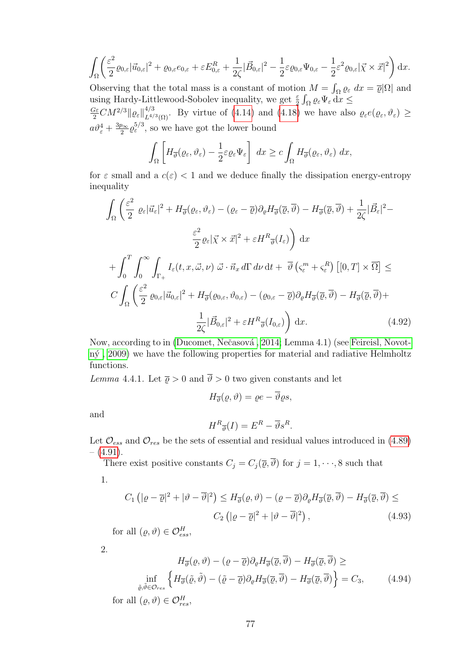$$
\int_{\Omega} \left( \frac{\varepsilon^2}{2} \varrho_{0,\varepsilon} |\vec{u}_{0,\varepsilon}|^2 + \varrho_{0,\varepsilon} e_{0,\varepsilon} + \varepsilon E_{0,\varepsilon}^R + \frac{1}{2\zeta} |\vec{B}_{0,\varepsilon}|^2 - \frac{1}{2} \varepsilon \varrho_{0,\varepsilon} \Psi_{0,\varepsilon} - \frac{1}{2} \varepsilon^2 \varrho_{0,\varepsilon} |\vec{\chi} \times \vec{x}|^2 \right) dx.
$$

Observing that the total mass is a constant of motion  $M = \int_{\Omega} \varrho_{\varepsilon} dx = \overline{\varrho} |\Omega|$  and using Hardy-Littlewood-Sobolev inequality, we get  $\frac{\varepsilon}{2} \int_{\Omega} \varrho_{\varepsilon} \Psi_{\varepsilon} dx \leq$  $\frac{G\varepsilon}{2}CM^{2/3} \|\varrho_{\varepsilon}\|_{L^{4/3}(\Omega)}^{4/3}$ . By virtue of [\(4.14\)](#page-66-0) and [\(4.18\)](#page-66-2) we have also  $\varrho_{\varepsilon}e(\varrho_{\varepsilon},\vartheta_{\varepsilon}) \geq$ 

 $a\vartheta_{\varepsilon}^4+\frac{3p_{\infty}}{2}$  $\frac{\partial \infty}{2} \varrho_{\varepsilon}^{5/3}$ , so we have got the lower bound

$$
\int_{\Omega} \left[ H_{\overline{\vartheta}}(\varrho_{\varepsilon}, \vartheta_{\varepsilon}) - \frac{1}{2} \varepsilon \varrho_{\varepsilon} \Psi_{\varepsilon} \right] dx \geq c \int_{\Omega} H_{\overline{\vartheta}}(\varrho_{\varepsilon}, \vartheta_{\varepsilon}) dx,
$$

for  $\varepsilon$  small and a  $c(\varepsilon) < 1$  and we deduce finally the dissipation energy-entropy inequality

$$
\int_{\Omega} \left( \frac{\varepsilon^2}{2} \varrho_{\varepsilon} |\vec{u}_{\varepsilon}|^2 + H_{\overline{\vartheta}}(\varrho_{\varepsilon}, \vartheta_{\varepsilon}) - (\varrho_{\varepsilon} - \overline{\varrho}) \partial_{\varrho} H_{\overline{\vartheta}}(\overline{\varrho}, \overline{\vartheta}) - H_{\overline{\vartheta}}(\overline{\varrho}, \overline{\vartheta}) + \frac{1}{2\zeta} |\vec{B}_{\varepsilon}|^2 - \frac{\varepsilon^2}{2} \varrho_{\varepsilon} |\vec{\chi} \times \vec{x}|^2 + \varepsilon H^R_{\overline{\vartheta}}(I_{\varepsilon}) \right) dx
$$
  
+ 
$$
\int_{0}^{T} \int_{0}^{\infty} \int_{\Gamma_{+}} I_{\varepsilon}(t, x, \vec{\omega}, \nu) \vec{\omega} \cdot \vec{n}_x d\Gamma d\nu dt + \overline{\vartheta} (\varsigma_{\varepsilon}^{m} + \varsigma_{\varepsilon}^{R}) \left[ [0, T] \times \overline{\Omega} \right] \leq
$$
  

$$
C \int_{\Omega} \left( \frac{\varepsilon^2}{2} \varrho_{0,\varepsilon} |\vec{u}_{0,\varepsilon}|^2 + H_{\overline{\vartheta}}(\varrho_{0,\varepsilon}, \vartheta_{0,\varepsilon}) - (\varrho_{0,\varepsilon} - \overline{\varrho}) \partial_{\varrho} H_{\overline{\vartheta}}(\overline{\varrho}, \overline{\vartheta}) - H_{\overline{\vartheta}}(\overline{\varrho}, \overline{\vartheta}) + \frac{1}{2\zeta} |\vec{B}_{0,\varepsilon}|^2 + \varepsilon H^R_{\overline{\vartheta}}(I_{0,\varepsilon}) \right) dx.
$$
 (4.92)

Now, according to in (Ducomet, Nečasová, 2014; Lemma 4.1) (see [Feireisl, Novot](#page-99-0)[n´y , 2009\)](#page-99-0) we have the following properties for material and radiative Helmholtz functions.

<span id="page-80-1"></span>Lemma 4.4.1. Let  $\bar{\varrho} > 0$  and  $\bar{\vartheta} > 0$  two given constants and let

<span id="page-80-0"></span>
$$
H_{\overline{\vartheta}}(\varrho,\vartheta)=\varrho e-\overline{\vartheta}\varrho s,
$$

and

<span id="page-80-3"></span>
$$
H^R_{\overline{\vartheta}}(I) = E^R - \overline{\vartheta} s^R.
$$

Let  $\mathcal{O}_{ess}$  and  $\mathcal{O}_{res}$  be the sets of essential and residual values introduced in [\(4.89\)](#page-79-0)  $-$  [\(4.91\)](#page-79-1).

There exist positive constants  $C_j = C_j(\overline{\varrho}, \overline{\vartheta})$  for  $j = 1, \dots, 8$  such that 1.

$$
C_1 \left( |\varrho - \overline{\varrho}|^2 + |\vartheta - \overline{\vartheta}|^2 \right) \le H_{\overline{\vartheta}}(\varrho, \vartheta) - (\varrho - \overline{\varrho}) \partial_{\varrho} H_{\overline{\vartheta}}(\overline{\varrho}, \overline{\vartheta}) - H_{\overline{\vartheta}}(\overline{\varrho}, \overline{\vartheta}) \le
$$
  

$$
C_2 \left( |\varrho - \overline{\varrho}|^2 + |\vartheta - \overline{\vartheta}|^2 \right), \tag{4.93}
$$

for all  $(\varrho, \vartheta) \in \mathcal{O}_{ess}^H$ ,

2.

<span id="page-80-2"></span>
$$
H_{\overline{\vartheta}}(\varrho, \vartheta) - (\varrho - \overline{\varrho}) \partial_{\varrho} H_{\overline{\vartheta}}(\overline{\varrho}, \vartheta) - H_{\overline{\vartheta}}(\overline{\varrho}, \vartheta) \ge
$$
  

$$
\inf_{\tilde{\varrho}, \tilde{\vartheta} \in \mathcal{O}_{res}} \left\{ H_{\overline{\vartheta}}(\tilde{\varrho}, \tilde{\vartheta}) - (\tilde{\varrho} - \overline{\varrho}) \partial_{\varrho} H_{\overline{\vartheta}}(\overline{\varrho}, \overline{\vartheta}) - H_{\overline{\vartheta}}(\overline{\varrho}, \overline{\vartheta}) \right\} = C_3,
$$
(4.94)

for all  $(\varrho, \vartheta) \in \mathcal{O}_{res}^H$ ,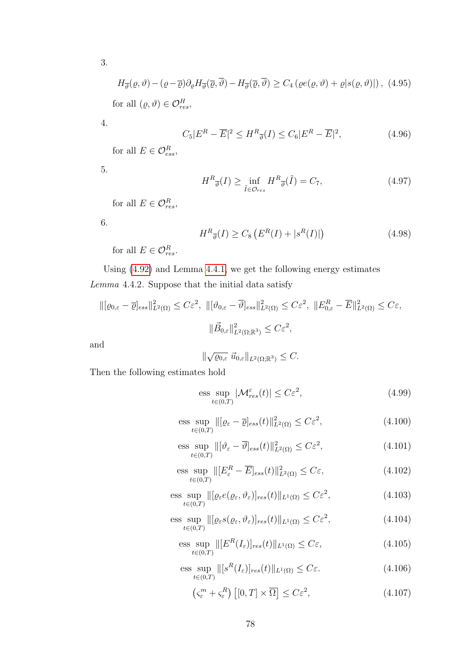3.

<span id="page-81-7"></span> $H_{\overline{\vartheta}}(\varrho,\vartheta)-(\varrho-\overline{\varrho})\partial_{\varrho}H_{\overline{\vartheta}}(\overline{\varrho},\vartheta)-H_{\overline{\vartheta}}(\overline{\varrho},\vartheta)\geq C_4\left(\varrho e(\varrho,\vartheta)+\varrho|s(\varrho,\vartheta)|\right),$  (4.95) for all  $(\varrho, \vartheta) \in \mathcal{O}_{res}^H$ ,

4.

<span id="page-81-4"></span>
$$
C_5|E^R - \overline{E}|^2 \le H^R_{\overline{\vartheta}}(I) \le C_6|E^R - \overline{E}|^2,\tag{4.96}
$$

for all  $E \in \mathcal{O}^R_{\text{ess}},$ 

5.

$$
H^{R}_{\overline{\vartheta}}(I) \ge \inf_{\tilde{I} \in \mathcal{O}_{res}} H^{R}_{\overline{\vartheta}}(\tilde{I}) = C_{7},\tag{4.97}
$$

for all  $E \in \mathcal{O}_{res}^R$ ,

6.

<span id="page-81-10"></span>
$$
H^{R}_{\overline{\vartheta}}(I) \geq C_{8} \left( E^{R}(I) + |s^{R}(I)| \right) \tag{4.98}
$$

for all  $E \in \mathcal{O}_{res}^R$ .

<span id="page-81-12"></span>Using [\(4.92\)](#page-80-0) and Lemma [4.4.1,](#page-80-1) we get the following energy estimates Lemma 4.4.2. Suppose that the initial data satisfy

$$
\|[\varrho_{0,\varepsilon} - \overline{\varrho}]_{ess}\|_{L^2(\Omega)}^2 \le C\varepsilon^2, \ \|[\vartheta_{0,\varepsilon} - \overline{\vartheta}]_{ess}\|_{L^2(\Omega)}^2 \le C\varepsilon^2, \ \|E_{0,\varepsilon}^R - \overline{E}\|_{L^2(\Omega)}^2 \le C\varepsilon,
$$
  

$$
\|\vec{B}_{0,\varepsilon}\|_{L^2(\Omega;\mathbb{R}^3)}^2 \le C\varepsilon^2,
$$

and

$$
\|\sqrt{\varrho_{0,\varepsilon}}\,\,\vec{u}_{0,\varepsilon}\|_{L^2(\Omega;\mathbb{R}^3)}\leq C.
$$

Then the following estimates hold

<span id="page-81-0"></span>
$$
\underset{t\in(0,T)}{\text{ess sup}} |\mathcal{M}_{res}^{\varepsilon}(t)| \le C\varepsilon^2,\tag{4.99}
$$

<span id="page-81-1"></span>
$$
\underset{t\in(0,T)}{\text{ess sup}} \left\| \left[\varrho_{\varepsilon} - \overline{\varrho} \right]_{ess}(t) \right\|_{L^2(\Omega)}^2 \le C\varepsilon^2,\tag{4.100}
$$

<span id="page-81-2"></span>
$$
\underset{t\in(0,T)}{\text{ess sup}} \left\| \left[\vartheta_{\varepsilon} - \overline{\vartheta} \right]_{\text{ess}}(t) \right\|_{L^2(\Omega)}^2 \le C\varepsilon^2,\tag{4.101}
$$

<span id="page-81-3"></span>
$$
\underset{t\in(0,T)}{\text{ess sup}}\|[E_{\varepsilon}^{R}-\overline{E}]_{ess}(t)\|_{L^{2}(\Omega)}^{2} \leq C\varepsilon,\tag{4.102}
$$

<span id="page-81-5"></span>
$$
\underset{t\in(0,T)}{\text{ess sup}} \, \|[ \varrho_{\varepsilon}e(\varrho_{\varepsilon},\vartheta_{\varepsilon})]_{res}(t)\|_{L^{1}(\Omega)} \leq C\varepsilon^{2},\tag{4.103}
$$

<span id="page-81-6"></span>
$$
\underset{t\in(0,T)}{\text{ess sup}} \|[ \varrho_{\varepsilon} s(\varrho_{\varepsilon}, \vartheta_{\varepsilon})]_{res}(t) \|_{L^{1}(\Omega)} \leq C \varepsilon^{2}, \tag{4.104}
$$

<span id="page-81-8"></span>
$$
\underset{t\in(0,T)}{\text{ess sup}} \, \|[E^R(I_\varepsilon)]_{res}(t)\|_{L^1(\Omega)} \le C\varepsilon,\tag{4.105}
$$

<span id="page-81-9"></span>
$$
\underset{t\in(0,T)}{\text{ess sup}} \|[s^R(I_\varepsilon)]_{res}(t)\|_{L^1(\Omega)} \le C\varepsilon. \tag{4.106}
$$

<span id="page-81-11"></span>
$$
\left(\zeta_{\varepsilon}^{m} + \zeta_{\varepsilon}^{R}\right) \left[ [0, T] \times \overline{\Omega} \right] \le C \varepsilon^{2},\tag{4.107}
$$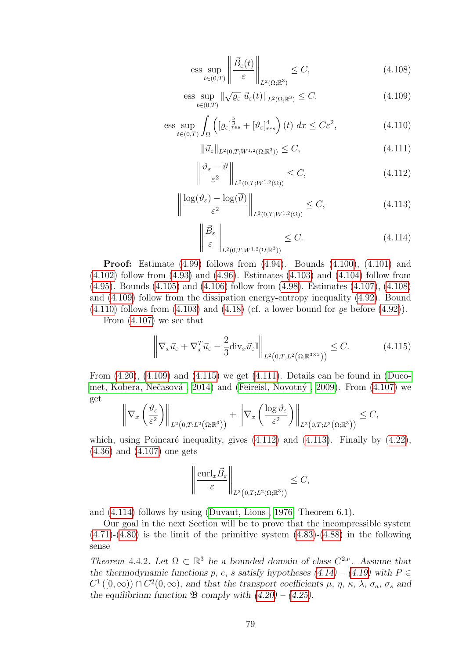<span id="page-82-0"></span>
$$
\underset{t\in(0,T)}{\text{ess sup}} \left\| \frac{\vec{B}_{\varepsilon}(t)}{\varepsilon} \right\|_{L^2(\Omega;\mathbb{R}^3)} \le C,\tag{4.108}
$$

<span id="page-82-1"></span>
$$
\underset{t\in(0,T)}{\text{ess sup}} \|\sqrt{\varrho_{\varepsilon}}\,\,\vec{u}_{\varepsilon}(t)\|_{L^{2}(\Omega;\mathbb{R}^{3})} \leq C. \tag{4.109}
$$

<span id="page-82-2"></span>
$$
\underset{t\in(0,T)}{\text{ess sup}} \int_{\Omega} \left( [\varrho_{\varepsilon}]_{res}^{\frac{5}{3}} + [\vartheta_{\varepsilon}]_{res}^{4} \right) (t) \, dx \le C\varepsilon^{2},\tag{4.110}
$$

<span id="page-82-4"></span>
$$
\|\vec{u}_{\varepsilon}\|_{L^{2}(0,T;W^{1,2}(\Omega;\mathbb{R}^{3}))} \leq C,
$$
\n(4.111)

<span id="page-82-5"></span>
$$
\left\| \frac{\vartheta_{\varepsilon} - \overline{\vartheta}}{\varepsilon^2} \right\|_{L^2(0,T;W^{1,2}(\Omega))} \le C,\tag{4.112}
$$

<span id="page-82-6"></span>
$$
\left\| \frac{\log(\vartheta_{\varepsilon}) - \log(\overline{\vartheta})}{\varepsilon^2} \right\|_{L^2(0,T;W^{1,2}(\Omega))} \le C,\tag{4.113}
$$

<span id="page-82-7"></span>
$$
\left\| \frac{\vec{B}_{\varepsilon}}{\varepsilon} \right\|_{L^2(0,T;W^{1,2}(\Omega;\mathbb{R}^3))} \leq C. \tag{4.114}
$$

**Proof:** Estimate  $(4.99)$  follows from  $(4.94)$ . Bounds  $(4.100)$ ,  $(4.101)$  and  $(4.102)$  follow from  $(4.93)$  and  $(4.96)$ . Estimates  $(4.103)$  and  $(4.104)$  follow from [\(4.95\)](#page-81-7). Bounds [\(4.105\)](#page-81-8) and [\(4.106\)](#page-81-9) follow from [\(4.98\)](#page-81-10). Estimates [\(4.107\)](#page-81-11), [\(4.108\)](#page-82-0) and [\(4.109\)](#page-82-1) follow from the dissipation energy-entropy inequality [\(4.92\)](#page-80-0). Bound  $(4.110)$  follows from  $(4.103)$  and  $(4.18)$  (cf. a lower bound for  $\rho e$  before  $(4.92)$ ).

From [\(4.107\)](#page-81-11) we see that

<span id="page-82-3"></span>
$$
\left\| \nabla_x \vec{u}_{\varepsilon} + \nabla_x^T \vec{u}_{\varepsilon} - \frac{2}{3} \text{div}_x \vec{u}_{\varepsilon} \mathbb{I} \right\|_{L^2\left(0, T; L^2\left(\Omega; \mathbb{R}^{3 \times 3}\right)\right)} \le C. \tag{4.115}
$$

From  $(4.20)$ ,  $(4.109)$  and  $(4.115)$  we get  $(4.111)$ . Details can be found in [\(Duco-](#page-98-3)met, Kobera, Nečasová, 2014) and (Feireisl, Novotný, 2009). From [\(4.107\)](#page-81-11) we get

$$
\left\|\nabla_x\left(\frac{\vartheta_{\varepsilon}}{\varepsilon^2}\right)\right\|_{L^2\left(0,T;L^2\left(\Omega;\mathbb{R}^3\right)\right)} + \left\|\nabla_x\left(\frac{\log\vartheta_{\varepsilon}}{\varepsilon^2}\right)\right\|_{L^2\left(0,T;L^2\left(\Omega;\mathbb{R}^3\right)\right)} \leq C,
$$

which, using Poincaré inequality, gives  $(4.112)$  and  $(4.113)$ . Finally by  $(4.22)$ , [\(4.36\)](#page-69-0) and [\(4.107\)](#page-81-11) one gets

$$
\left\|\frac{\mathrm{curl}_x\vec{B}_\varepsilon}{\varepsilon}\right\|_{L^2\left(0,T;L^2(\Omega;\mathbb{R}^3)\right)}\leq C,
$$

and [\(4.114\)](#page-82-7) follows by using [\(Duvaut, Lions , 1976;](#page-98-4) Theorem 6.1).

Our goal in the next Section will be to prove that the incompressible system  $(4.71)-(4.80)$  $(4.71)-(4.80)$  $(4.71)-(4.80)$  is the limit of the primitive system  $(4.83)-(4.88)$  $(4.83)-(4.88)$  in the following sense

<span id="page-82-8"></span>Theorem 4.4.2. Let  $\Omega \subset \mathbb{R}^3$  be a bounded domain of class  $C^{2,\nu}$ . Assume that the thermodynamic functions p, e, s satisfy hypotheses  $(4.14) - (4.19)$  $(4.14) - (4.19)$  $(4.14) - (4.19)$  with  $P \in$  $C^1([0,\infty)) \cap C^2(0,\infty)$ , and that the transport coefficients  $\mu$ ,  $\eta$ ,  $\kappa$ ,  $\lambda$ ,  $\sigma_a$ ,  $\sigma_s$  and the equilibrium function  $\mathfrak{B}$  comply with  $(4.20) - (4.25)$  $(4.20) - (4.25)$  $(4.20) - (4.25)$ .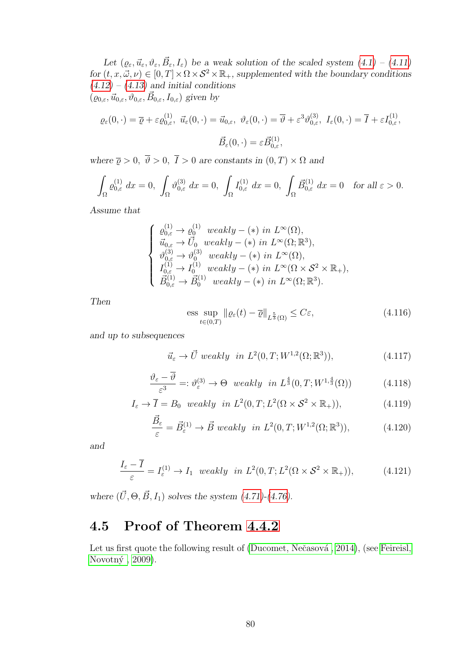Let  $(\varrho_{\varepsilon}, \vec{u}_{\varepsilon}, \vartheta_{\varepsilon}, \vec{B}_{\varepsilon}, I_{\varepsilon})$  be a weak solution of the scaled system  $(4.1) - (4.11)$  $(4.1) - (4.11)$  $(4.1) - (4.11)$ for  $(t, x, \vec{\omega}, \nu) \in [0, T] \times \Omega \times S^2 \times \mathbb{R}_+$ , supplemented with the boundary conditions  $(4.12) - (4.13)$  $(4.12) - (4.13)$  $(4.12) - (4.13)$  and initial conditions  $(\varrho_{0,\varepsilon}, \vec{u}_{0,\varepsilon}, \vartheta_{0,\varepsilon}, \vec{B}_{0,\varepsilon}, I_{0,\varepsilon})$  given by

$$
\varrho_{\varepsilon}(0,\cdot) = \overline{\varrho} + \varepsilon \varrho_{0,\varepsilon}^{(1)}, \quad \vec{u}_{\varepsilon}(0,\cdot) = \vec{u}_{0,\varepsilon}, \quad \vartheta_{\varepsilon}(0,\cdot) = \overline{\vartheta} + \varepsilon^3 \vartheta_{0,\varepsilon}^{(3)}, \quad I_{\varepsilon}(0,\cdot) = \overline{I} + \varepsilon I_{0,\varepsilon}^{(1)},
$$
\n
$$
\vec{B}_{\varepsilon}(0,\cdot) = \varepsilon \vec{B}_{0,\varepsilon}^{(1)},
$$

where  $\overline{\varrho} > 0$ ,  $\overline{\vartheta} > 0$ ,  $\overline{I} > 0$  are constants in  $(0, T) \times \Omega$  and

$$
\int_{\Omega} \varrho_{0,\varepsilon}^{(1)} dx = 0, \int_{\Omega} \vartheta_{0,\varepsilon}^{(3)} dx = 0, \int_{\Omega} I_{0,\varepsilon}^{(1)} dx = 0, \int_{\Omega} \vec{B}_{0,\varepsilon}^{(1)} dx = 0 \text{ for all } \varepsilon > 0.
$$

Assume that

$$
\begin{cases}\n\varrho_{0,\varepsilon}^{(1)} \to \varrho_0^{(1)} \text{ weakly } - (*) \text{ in } L^{\infty}(\Omega), \\
\vec{u}_{0,\varepsilon} \to \vec{U}_0 \text{ weakly } - (*) \text{ in } L^{\infty}(\Omega; \mathbb{R}^3), \\
\vartheta_{0,\varepsilon}^{(3)} \to \vartheta_0^{(3)} \text{ weakly } - (*) \text{ in } L^{\infty}(\Omega), \\
I_{0,\varepsilon}^{(1)} \to I_0^{(1)} \text{ weakly } - (*) \text{ in } L^{\infty}(\Omega \times S^2 \times \mathbb{R}_+), \\
\vec{B}_{0,\varepsilon}^{(1)} \to \vec{B}_0^{(1)} \text{ weakly } - (*) \text{ in } L^{\infty}(\Omega; \mathbb{R}^3).\n\end{cases}
$$

Then

<span id="page-83-0"></span>
$$
\underset{t\in(0,T)}{\mathrm{ess}}\sup\limits\|\varrho_{\varepsilon}(t)-\overline{\varrho}\|_{L^{\frac{5}{3}}(\Omega)}\leq C\varepsilon,\tag{4.116}
$$

and up to subsequences

<span id="page-83-1"></span>
$$
\vec{u}_{\varepsilon} \to \vec{U} \text{ weakly in } L^2(0, T; W^{1,2}(\Omega; \mathbb{R}^3)), \tag{4.117}
$$

<span id="page-83-5"></span>
$$
\frac{\vartheta_{\varepsilon} - \vartheta}{\varepsilon^3} =: \vartheta_{\varepsilon}^{(3)} \to \Theta \quad weakly \quad in \ L^{\frac{4}{3}}(0, T; W^{1, \frac{4}{3}}(\Omega)) \tag{4.118}
$$

<span id="page-83-4"></span>
$$
I_{\varepsilon} \to \overline{I} = B_0 \text{ weakly in } L^2(0, T; L^2(\Omega \times S^2 \times \mathbb{R}_+)), \tag{4.119}
$$

<span id="page-83-2"></span>
$$
\frac{\vec{B}_{\varepsilon}}{\varepsilon} = \vec{B}_{\varepsilon}^{(1)} \to \vec{B} \ weakly \ in \ L^{2}(0, T; W^{1,2}(\Omega; \mathbb{R}^{3})), \tag{4.120}
$$

and

<span id="page-83-3"></span>
$$
\frac{I_{\varepsilon} - \overline{I}}{\varepsilon} = I_{\varepsilon}^{(1)} \to I_1 \quad weakly \quad in \ L^2(0, T; L^2(\Omega \times S^2 \times \mathbb{R}_+)), \tag{4.121}
$$

where  $(\vec{U}, \Theta, \vec{B}, I_1)$  solves the system  $(4.71)$ - $(4.76)$ .

### 4.5 Proof of Theorem [4.4.2](#page-82-8)

Let us first quote the following result of (Ducomet, Nečasová, 2014), (see [Feireisl,](#page-99-0) Novotný,  $2009$ ).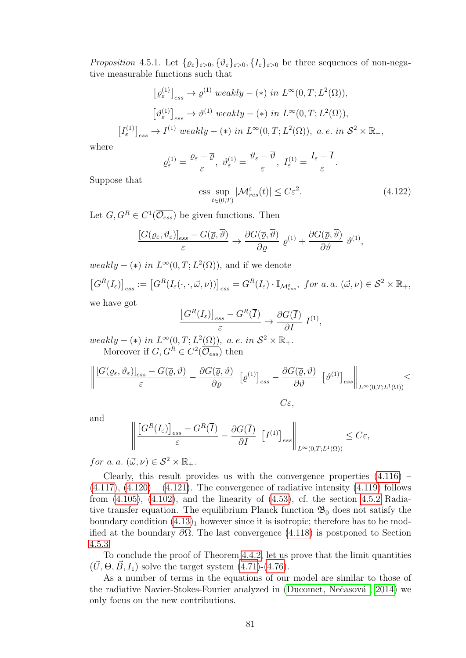<span id="page-84-0"></span>*Proposition* 4.5.1. Let  $\{ \varrho_{\varepsilon} \}_{\varepsilon > 0}, \{ \vartheta_{\varepsilon} \}_{\varepsilon > 0}, \{ I_{\varepsilon} \}_{\varepsilon > 0}$  be three sequences of non-negative measurable functions such that

$$
[\varrho_{\varepsilon}^{(1)}]_{ess} \to \varrho^{(1)} \ weakly - (*) \ in \ L^{\infty}(0, T; L^{2}(\Omega)),
$$

$$
[\vartheta_{\varepsilon}^{(1)}]_{ess} \to \vartheta^{(1)} \ weakly - (*) \ in \ L^{\infty}(0, T; L^{2}(\Omega)),
$$

$$
[I_{\varepsilon}^{(1)}]_{ess} \to I^{(1)} \ weakly - (*) \ in \ L^{\infty}(0, T; L^{2}(\Omega)), \ a.e. \ in \ \mathcal{S}^{2} \times \mathbb{R}_{+},
$$

where

$$
\varrho_{\varepsilon}^{(1)} = \frac{\varrho_{\varepsilon} - \overline{\varrho}}{\varepsilon}, \ \vartheta_{\varepsilon}^{(1)} = \frac{\vartheta_{\varepsilon} - \overline{\vartheta}}{\varepsilon}, \ I_{\varepsilon}^{(1)} = \frac{I_{\varepsilon} - \overline{I}}{\varepsilon}.
$$

Suppose that

$$
\underset{t\in(0,T)}{\text{ess sup}} |\mathcal{M}_{res}^{\varepsilon}(t)| \le C\varepsilon^2. \tag{4.122}
$$

Let  $G, G^R \in C^1(\overline{\mathcal{O}_{ess}})$  be given functions. Then

$$
\frac{[G(\varrho_{\varepsilon},\vartheta_{\varepsilon})]_{ess}-G(\overline{\varrho},\overline{\vartheta})}{\varepsilon}\rightarrow \frac{\partial G(\overline{\varrho},\overline{\vartheta})}{\partial \varrho}\varrho^{(1)}+\frac{\partial G(\overline{\varrho},\overline{\vartheta})}{\partial \vartheta}\vartheta^{(1)},
$$

 $weakly - (*)$  in  $L^{\infty}(0,T; L^{2}(\Omega))$ , and if we denote

$$
\left[G^{R}(I_{\varepsilon})\right]_{ess} := \left[G^{R}(I_{\varepsilon}(\cdot,\cdot,\vec{\omega},\nu))\right]_{ess} = G^{R}(I_{\varepsilon}) \cdot \mathbb{I}_{\mathcal{M}_{ess}^{\varepsilon}}, \text{ for a. a. } (\vec{\omega},\nu) \in \mathcal{S}^{2} \times \mathbb{R}_{+},
$$

we have got

$$
\frac{\left[G^R(I_{\varepsilon})\right]_{ess} - G^R(\overline{I})}{\varepsilon} \to \frac{\partial G(\overline{I})}{\partial I} I^{(1)},
$$

weakly – (\*) in  $L^{\infty}(0,T; L^{2}(\Omega))$ , a.e. in  $S^{2} \times \mathbb{R}_{+}$ . Moreover if  $G, G^R \in C^2(\overline{\mathcal{O}_{ess}})$  then

$$
\left\| \frac{[G(\varrho_{\varepsilon},\vartheta_{\varepsilon})]_{ess} - G(\overline{\varrho},\overline{\vartheta})}{\varepsilon} - \frac{\partial G(\overline{\varrho},\overline{\vartheta})}{\partial \varrho} \left[ \varrho^{(1)} \right]_{ess} - \frac{\partial G(\overline{\varrho},\overline{\vartheta})}{\partial \vartheta} \left[ \vartheta^{(1)} \right]_{ess} \right\|_{L^{\infty}(0,T;L^{1}(\Omega))} \leq
$$
  
 $C_{\varepsilon},$ 

and

$$
\left\| \frac{\left[G^R(I_{\varepsilon})\right]_{ess} - G^R(\overline{I})}{\varepsilon} - \frac{\partial G(\overline{I})}{\partial I} \left[I^{(1)}\right]_{ess} \right\|_{L^{\infty}(0,T;L^1(\Omega))} \le C\varepsilon,
$$

for a.a.  $(\vec{\omega}, \nu) \in \mathcal{S}^2 \times \mathbb{R}_+$ .

Clearly, this result provides us with the convergence properties  $(4.116)$  $(4.117)$ ,  $(4.120) - (4.121)$  $(4.120) - (4.121)$ . The convergence of radiative intensity  $(4.119)$  follows from  $(4.105)$ ,  $(4.102)$ , and the linearity of  $(4.53)$ , cf. the section  $4.5.2$  Radiative transfer equation. The equilibrium Planck function  $\mathfrak{B}_0$  does not satisfy the boundary condition  $(4.13)<sub>1</sub>$  however since it is isotropic; therefore has to be modified at the boundary  $\partial\Omega$ . The last convergence [\(4.118\)](#page-83-5) is postponed to Section [4.5.3.](#page-87-0)

To conclude the proof of Theorem [4.4.2,](#page-82-8) let us prove that the limit quantities  $(\vec{U}, \Theta, \vec{B}, I_1)$  solve the target system  $(4.71)$ - $(4.76)$ .

As a number of terms in the equations of our model are similar to those of the radiative Navier-Stokes-Fourier analyzed in (Ducomet, Nečasová, 2014) we only focus on the new contributions.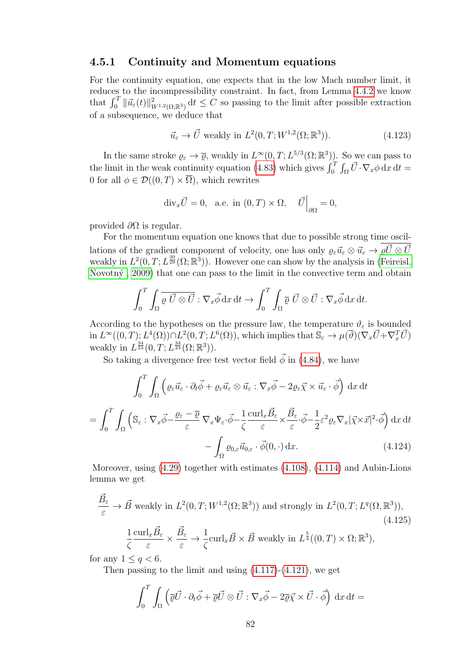#### 4.5.1 Continuity and Momentum equations

For the continuity equation, one expects that in the low Mach number limit, it reduces to the incompressibility constraint. In fact, from Lemma [4.4.2](#page-81-12) we know that  $\int_0^T \|\vec{u}_{\varepsilon}(t)\|_{W^{1,2}(\Omega;\mathbb{R}^3)}^2 dt \leq C$  so passing to the limit after possible extraction of a subsequence, we deduce that

<span id="page-85-0"></span>
$$
\vec{u}_{\varepsilon} \to \vec{U} \text{ weakly in } L^2(0, T; W^{1,2}(\Omega; \mathbb{R}^3)). \tag{4.123}
$$

In the same stroke  $\varrho_{\varepsilon} \to \overline{\varrho}$ , weakly in  $L^{\infty}(0,T; L^{5/3}(\Omega;\mathbb{R}^3))$ . So we can pass to the limit in the weak continuity equation [\(4.83\)](#page-77-2) which gives  $\int_0^T \int_{\Omega} \vec{U} \cdot \nabla_x \phi \,dx \,dt =$ 0 for all  $\phi \in \mathcal{D}((0,T) \times \overline{\Omega})$ , which rewrites

$$
\mathrm{div}_x \vec{U} = 0, \quad \text{a.e. in } (0, T) \times \Omega, \quad \vec{U} \Big|_{\partial \Omega} = 0,
$$

provided  $\partial\Omega$  is regular.

For the momentum equation one knows that due to possible strong time oscillations of the gradient component of velocity, one has only  $\varrho_{\varepsilon}\vec{u}_{\varepsilon}\otimes\vec{u}_{\varepsilon}\to \varrho\vec{U}\otimes\vec{U}$ weakly in  $L^2(0,T;L^{\frac{30}{29}}(\Omega;\mathbb{R}^3))$ . However one can show by the analysis in [\(Feireisl,](#page-99-0) Novotn $\acute{v}$ , 2009) that one can pass to the limit in the convective term and obtain

$$
\int_0^T \int_{\Omega} \overline{\varrho \, \vec{U} \otimes \vec{U}} : \nabla_x \vec{\phi} \, dx \, dt \to \int_0^T \int_{\Omega} \overline{\varrho} \, \vec{U} \otimes \vec{U} : \nabla_x \vec{\phi} \, dx \, dt.
$$

According to the hypotheses on the pressure law, the temperature  $\vartheta_{\varepsilon}$  is bounded  $\text{Im } L^{\infty}((0,T); L^{4}(\Omega)) \cap L^{2}(0,T; L^{6}(\Omega)), \text{ which implies that } \mathbb{S}_{\varepsilon} \to \mu(\overline{\vartheta})(\nabla_{x}\vec{U} + \nabla_{x}^{T}\vec{U})$ weakly in  $L^{\frac{34}{23}}(0,T;L^{\frac{34}{23}}(\Omega;\mathbb{R}^3)).$ 

So taking a divergence free test vector field  $\vec{\phi}$  in [\(4.84\)](#page-77-3), we have

$$
\int_{0}^{T} \int_{\Omega} \left( \varrho_{\varepsilon} \vec{u}_{\varepsilon} \cdot \partial_{t} \vec{\phi} + \varrho_{\varepsilon} \vec{u}_{\varepsilon} \otimes \vec{u}_{\varepsilon} : \nabla_{x} \vec{\phi} - 2 \varrho_{\varepsilon} \vec{\chi} \times \vec{u}_{\varepsilon} \cdot \vec{\phi} \right) dx dt
$$

$$
= \int_{0}^{T} \int_{\Omega} \left( \mathbb{S}_{\varepsilon} : \nabla_{x} \vec{\phi} - \frac{\varrho_{\varepsilon} - \overline{\varrho}}{\varepsilon} \nabla_{x} \Psi_{\varepsilon} \cdot \vec{\phi} - \frac{1}{\zeta} \frac{\mathrm{curl}_{x} \vec{B}_{\varepsilon}}{\varepsilon} \times \frac{\vec{B}_{\varepsilon}}{\varepsilon} \cdot \vec{\phi} - \frac{1}{2} \varepsilon^{2} \varrho_{\varepsilon} \nabla_{x} |\vec{\chi} \times \vec{x}|^{2} \cdot \vec{\phi} \right) dx dt
$$

$$
- \int_{\Omega} \varrho_{0,\varepsilon} \vec{u}_{0,\varepsilon} \cdot \vec{\phi}(0, \cdot) dx. \tag{4.124}
$$

Moreover, using [\(4.29\)](#page-67-3) together with estimates [\(4.108\)](#page-82-0), [\(4.114\)](#page-82-7) and Aubin-Lions lemma we get

<span id="page-85-1"></span>
$$
\frac{\vec{B}_{\varepsilon}}{\varepsilon} \to \vec{B} \text{ weakly in } L^{2}(0, T; W^{1,2}(\Omega; \mathbb{R}^{3})) \text{ and strongly in } L^{2}(0, T; L^{q}(\Omega, \mathbb{R}^{3})),
$$
\n
$$
\frac{1}{\zeta} \frac{\mathrm{curl}_{x} \vec{B}_{\varepsilon}}{\varepsilon} \times \frac{\vec{B}_{\varepsilon}}{\varepsilon} \to \frac{1}{\zeta} \mathrm{curl}_{x} \vec{B} \times \vec{B} \text{ weakly in } L^{\frac{5}{4}}((0, T) \times \Omega; \mathbb{R}^{3}),
$$
\n(4.125)

for any  $1 \leq q < 6$ .

Then passing to the limit and using  $(4.117)-(4.121)$  $(4.117)-(4.121)$ , we get

$$
\int_0^T \int_{\Omega} \left( \overline{\varrho} \vec{U} \cdot \partial_t \vec{\phi} + \overline{\varrho} \vec{U} \otimes \vec{U} : \nabla_x \vec{\phi} - 2 \overline{\varrho} \vec{\chi} \times \vec{U} \cdot \vec{\phi} \right) dx dt =
$$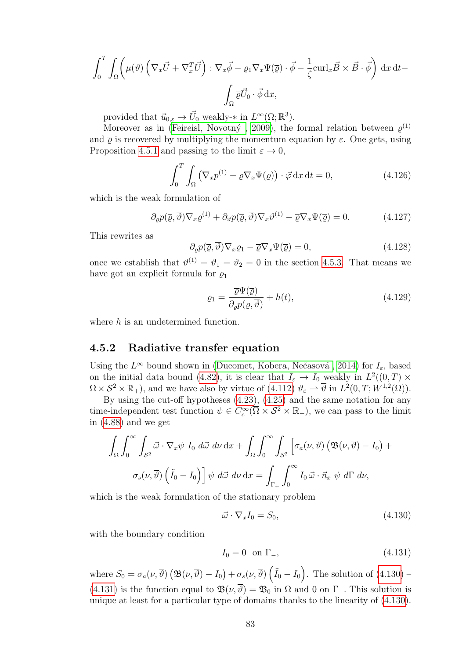$$
\int_0^T \int_{\Omega} \left( \mu(\overline{\vartheta}) \left( \nabla_x \overrightarrow{U} + \nabla_x^T \overrightarrow{U} \right) : \nabla_x \overrightarrow{\phi} - \varrho_1 \nabla_x \Psi(\overrightarrow{\varrho}) \cdot \overrightarrow{\phi} - \frac{1}{\zeta} \operatorname{curl}_x \overrightarrow{B} \times \overrightarrow{B} \cdot \overrightarrow{\phi} \right) dx dt -
$$

$$
\int_{\Omega} \overrightarrow{\varrho} \overrightarrow{U}_0 \cdot \overrightarrow{\phi} dx,
$$

provided that  $\vec{u}_{0,\varepsilon} \to \vec{U}_0$  weakly- $*$  in  $L^{\infty}(\Omega;\mathbb{R}^3)$ .

Moreover as in (Feireisl, Novotný, 2009), the formal relation between  $\varrho^{(1)}$ and  $\bar{\rho}$  is recovered by multiplying the momentum equation by  $\varepsilon$ . One gets, using Proposition [4.5.1](#page-84-0) and passing to the limit  $\varepsilon \to 0$ ,

$$
\int_0^T \int_{\Omega} \left( \nabla_x p^{(1)} - \overline{\varrho} \nabla_x \Psi(\overline{\varrho}) \right) \cdot \vec{\varphi} \, dx \, dt = 0, \tag{4.126}
$$

which is the weak formulation of

$$
\partial_{\varrho} p(\overline{\varrho}, \overline{\vartheta}) \nabla_x \varrho^{(1)} + \partial_{\vartheta} p(\overline{\varrho}, \overline{\vartheta}) \nabla_x \vartheta^{(1)} - \overline{\varrho} \nabla_x \Psi(\overline{\varrho}) = 0. \tag{4.127}
$$

This rewrites as

<span id="page-86-3"></span>
$$
\partial_{\varrho}p(\overline{\varrho},\overline{\vartheta})\nabla_{x}\varrho_{1} - \overline{\varrho}\nabla_{x}\Psi(\overline{\varrho}) = 0, \qquad (4.128)
$$

once we establish that  $\vartheta^{(1)} = \vartheta_1 = \vartheta_2 = 0$  in the section [4.5.3.](#page-87-0) That means we have got an explicit formula for  $\rho_1$ 

$$
\varrho_1 = \frac{\overline{\varrho}\Psi(\overline{\varrho})}{\partial_{\varrho}p(\overline{\varrho}, \overline{\vartheta})} + h(t),\tag{4.129}
$$

where h is an undetermined function.

#### <span id="page-86-0"></span>4.5.2 Radiative transfer equation

Using the  $L^{\infty}$  bound shown in (Ducomet, Kobera, Nečasová, 2014) for  $I_{\varepsilon}$ , based on the initial data bound [\(4.82\)](#page-77-0), it is clear that  $I_{\varepsilon} \to I_0$  weakly in  $L^2((0,T) \times$  $\Omega \times S^2 \times \mathbb{R}_+$ , and we have also by virtue of  $(4.112)$   $\vartheta_{\varepsilon} \to \overline{\vartheta}$  in  $L^2(0,T;W^{1,2}(\Omega))$ .

By using the cut-off hypotheses [\(4.23\)](#page-67-4), [\(4.25\)](#page-67-1) and the same notation for any time-independent test function  $\psi \in C_c^{\infty}(\overline{\Omega} \times S^2 \times \mathbb{R}_+),$  we can pass to the limit in [\(4.88\)](#page-79-2) and we get

$$
\int_{\Omega} \int_0^{\infty} \int_{S^2} \vec{\omega} \cdot \nabla_x \psi \, I_0 \, d\vec{\omega} \, d\nu \, dx + \int_{\Omega} \int_0^{\infty} \int_{S^2} \left[ \sigma_a(\nu, \overline{\vartheta}) \left( \mathfrak{B}(\nu, \overline{\vartheta}) - I_0 \right) + \sigma_s(\nu, \overline{\vartheta}) \left( \tilde{I}_0 - I_0 \right) \right] \psi \, d\vec{\omega} \, d\nu \, dx = \int_{\Gamma_+} \int_0^{\infty} I_0 \, \vec{\omega} \cdot \vec{n}_x \, \psi \, d\Gamma \, d\nu,
$$

which is the weak formulation of the stationary problem

<span id="page-86-1"></span>
$$
\vec{\omega} \cdot \nabla_x I_0 = S_0,\tag{4.130}
$$

with the boundary condition

<span id="page-86-2"></span>
$$
I_0 = 0 \quad \text{on } \Gamma_-, \tag{4.131}
$$

where  $S_0 = \sigma_a(\nu, \overline{\vartheta}) \left( \mathfrak{B}(\nu, \overline{\vartheta}) - I_0 \right) + \sigma_s(\nu, \overline{\vartheta}) \left( \tilde{I}_0 - I_0 \right)$ . The solution of  $(4.130)$  -[\(4.131\)](#page-86-2) is the function equal to  $\mathfrak{B}(\nu, \overline{\vartheta}) = \mathfrak{B}_0$  in  $\Omega$  and 0 on  $\Gamma$ <sub>-</sub>. This solution is unique at least for a particular type of domains thanks to the linearity of [\(4.130\)](#page-86-1).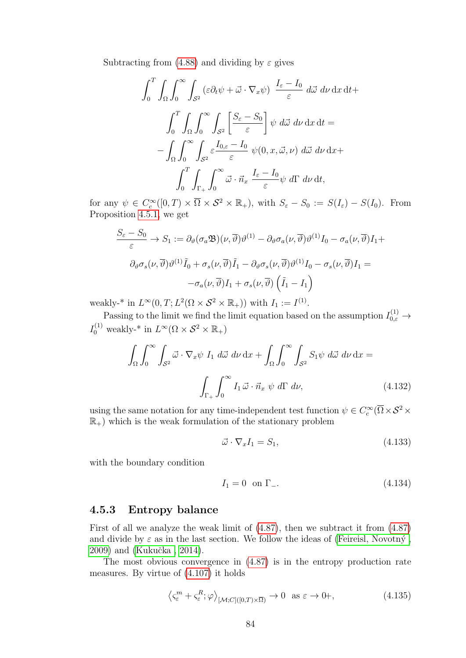Subtracting from  $(4.88)$  and dividing by  $\varepsilon$  gives

$$
\int_0^T \int_{\Omega} \int_0^\infty \int_{S^2} (\varepsilon \partial_t \psi + \vec{\omega} \cdot \nabla_x \psi) \frac{I_{\varepsilon} - I_0}{\varepsilon} d\vec{\omega} d\nu dx dt +
$$

$$
\int_0^T \int_{\Omega} \int_0^\infty \int_{S^2} \left[ \frac{S_{\varepsilon} - S_0}{\varepsilon} \right] \psi d\vec{\omega} d\nu dx dt =
$$

$$
- \int_{\Omega} \int_0^\infty \int_{S^2} \varepsilon \frac{I_{0,\varepsilon} - I_0}{\varepsilon} \psi(0, x, \vec{\omega}, \nu) d\vec{\omega} d\nu dx +
$$

$$
\int_0^T \int_{\Gamma_+} \int_0^\infty \vec{\omega} \cdot \vec{n}_x \frac{I_{\varepsilon} - I_0}{\varepsilon} \psi d\Gamma d\nu dt,
$$

for any  $\psi \in C_c^{\infty}([0,T) \times \overline{\Omega} \times S^2 \times \mathbb{R}_+),$  with  $S_{\varepsilon} - S_0 := S(I_{\varepsilon}) - S(I_0)$ . From Proposition [4.5.1,](#page-84-0) we get

$$
\frac{S_{\varepsilon} - S_0}{\varepsilon} \to S_1 := \partial_{\vartheta} (\sigma_a \mathfrak{B})(\nu, \overline{\vartheta}) \vartheta^{(1)} - \partial_{\vartheta} \sigma_a(\nu, \overline{\vartheta}) \vartheta^{(1)} I_0 - \sigma_a(\nu, \overline{\vartheta}) I_1 +
$$
  

$$
\partial_{\vartheta} \sigma_s(\nu, \overline{\vartheta}) \vartheta^{(1)} \tilde{I}_0 + \sigma_s(\nu, \overline{\vartheta}) \tilde{I}_1 - \partial_{\vartheta} \sigma_s(\nu, \overline{\vartheta}) \vartheta^{(1)} I_0 - \sigma_s(\nu, \overline{\vartheta}) I_1 =
$$
  

$$
-\sigma_a(\nu, \overline{\vartheta}) I_1 + \sigma_s(\nu, \overline{\vartheta}) \left(\tilde{I}_1 - I_1\right)
$$

weakly-\* in  $L^{\infty}(0,T; L^2(\Omega \times S^2 \times \mathbb{R}_+))$  with  $I_1 := I^{(1)}$ .

Passing to the limit we find the limit equation based on the assumption  $I_{0,\varepsilon}^{(1)} \to$  $I_0^{(1)}$  weakly-\* in  $L^{\infty}(\Omega \times S^2 \times \mathbb{R}_+)$ 

$$
\int_{\Omega} \int_0^{\infty} \int_{S^2} \vec{\omega} \cdot \nabla_x \psi I_1 \ d\vec{\omega} \ d\nu \ dx + \int_{\Omega} \int_0^{\infty} \int_{S^2} S_1 \psi \ d\vec{\omega} \ d\nu \ dx =
$$
\n
$$
\int_{\Gamma_+} \int_0^{\infty} I_1 \vec{\omega} \cdot \vec{n}_x \ \psi \ d\Gamma \ d\nu,
$$
\n(4.132)

using the same notation for any time-independent test function  $\psi \in C_c^{\infty}(\overline{\Omega} \times S^2 \times$  $\mathbb{R}_+$ ) which is the weak formulation of the stationary problem

<span id="page-87-1"></span>
$$
\vec{\omega} \cdot \nabla_x I_1 = S_1,\tag{4.133}
$$

with the boundary condition

$$
I_1 = 0 \quad \text{on } \Gamma_-.
$$
\n
$$
(4.134)
$$

#### <span id="page-87-0"></span>4.5.3 Entropy balance

First of all we analyze the weak limit of [\(4.87\)](#page-78-0), then we subtract it from [\(4.87\)](#page-78-0) and divide by  $\varepsilon$  as in the last section. We follow the ideas of (Feireisl, Novotný, [2009\)](#page-99-1) and (Kukučka, 2014).

The most obvious convergence in [\(4.87\)](#page-78-0) is in the entropy production rate measures. By virtue of [\(4.107\)](#page-81-11) it holds

$$
\left\langle \zeta_{\varepsilon}^{m} + \zeta_{\varepsilon}^{R}; \varphi \right\rangle_{\left[ \mathcal{M}; C\right] \left( [0, T) \times \overline{\Omega} \right)} \to 0 \quad \text{as } \varepsilon \to 0+, \tag{4.135}
$$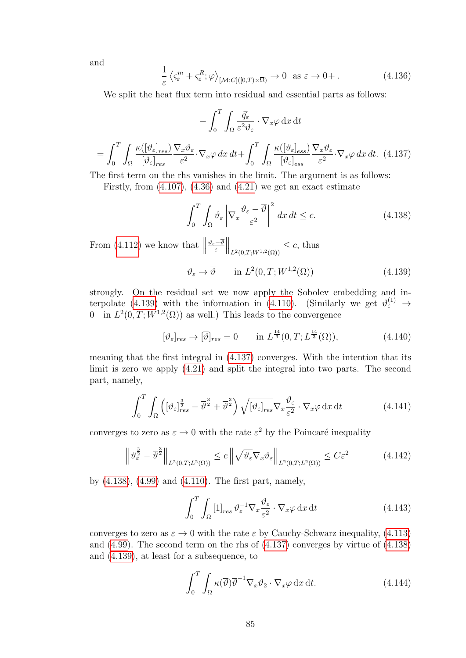and

<span id="page-88-3"></span>
$$
\frac{1}{\varepsilon} \left\langle \zeta_{\varepsilon}^{m} + \zeta_{\varepsilon}^{R}; \varphi \right\rangle_{\left[\mathcal{M}; C\right] \left([0, T) \times \overline{\Omega}\right)} \to 0 \quad \text{as } \varepsilon \to 0+.
$$
\n(4.136)

We split the heat flux term into residual and essential parts as follows:

$$
-\int_{0}^{T} \int_{\Omega} \frac{\vec{q}_{\varepsilon}}{\varepsilon^{2} \vartheta_{\varepsilon}} \cdot \nabla_{x} \varphi \,dx \,dt
$$

$$
= \int_{0}^{T} \int_{\Omega} \frac{\kappa([\vartheta_{\varepsilon}]_{res})}{[\vartheta_{\varepsilon}]_{res}} \frac{\nabla_{x} \vartheta_{\varepsilon}}{\varepsilon^{2}} \cdot \nabla_{x} \varphi \,dx \,dt + \int_{0}^{T} \int_{\Omega} \frac{\kappa([\vartheta_{\varepsilon}]_{ess})}{[\vartheta_{\varepsilon}]_{ess}} \frac{\nabla_{x} \vartheta_{\varepsilon}}{\varepsilon^{2}} \cdot \nabla_{x} \varphi \,dx \,dt. \tag{4.137}
$$

<span id="page-88-1"></span>The first term on the rhs vanishes in the limit. The argument is as follows:

Firstly, from  $(4.107)$ ,  $(4.36)$  and  $(4.21)$  we get an exact estimate

<span id="page-88-2"></span>
$$
\int_0^T \int_{\Omega} \vartheta_{\varepsilon} \left| \nabla_x \frac{\vartheta_{\varepsilon} - \overline{\vartheta}}{\varepsilon^2} \right|^2 dx dt \le c.
$$
 (4.138)

From  $(4.112)$  we know that  $\parallel$  $\vartheta_{\varepsilon}-\vartheta$ ε  $\Big\|_{L^2(0,T;W^{1,2}(\Omega))} \leq c$ , thus

<span id="page-88-0"></span>
$$
\vartheta_{\varepsilon} \to \overline{\vartheta} \qquad \text{in } L^2(0, T; W^{1,2}(\Omega)) \tag{4.139}
$$

strongly. On the residual set we now apply the Sobolev embedding and in-terpolate [\(4.139\)](#page-88-0) with the information in [\(4.110\)](#page-82-2). (Similarly we get  $\vartheta_{\varepsilon}^{(1)} \to$ 0 in  $L^2(0,T;W^{1,2}(\Omega))$  as well.) This leads to the convergence

$$
[\vartheta_{\varepsilon}]_{res} \to [\overline{\vartheta}]_{res} = 0 \qquad \text{in } L^{\frac{14}{3}}(0,T;L^{\frac{14}{3}}(\Omega)), \tag{4.140}
$$

meaning that the first integral in [\(4.137\)](#page-88-1) converges. With the intention that its limit is zero we apply [\(4.21\)](#page-67-5) and split the integral into two parts. The second part, namely,

$$
\int_0^T \int_{\Omega} \left( [\vartheta_{\varepsilon}]_{res}^{\frac{3}{2}} - \overline{\vartheta}^{\frac{3}{2}} + \overline{\vartheta}^{\frac{3}{2}} \right) \sqrt{[\vartheta_{\varepsilon}]_{res}} \nabla_x \frac{\vartheta_{\varepsilon}}{\varepsilon^2} \cdot \nabla_x \varphi \, dx \, dt \tag{4.141}
$$

converges to zero as  $\varepsilon \to 0$  with the rate  $\varepsilon^2$  by the Poincaré inequality

$$
\left\|\vartheta_{\varepsilon}^{\frac{3}{2}} - \overline{\vartheta}^{\frac{3}{2}}\right\|_{L^{2}(0,T;L^{2}(\Omega))} \leq c \left\|\sqrt{\vartheta_{\varepsilon}} \nabla_{x} \vartheta_{\varepsilon}\right\|_{L^{2}(0,T;L^{2}(\Omega))} \leq C \varepsilon^{2}
$$
(4.142)

by [\(4.138\)](#page-88-2), [\(4.99\)](#page-81-0) and [\(4.110\)](#page-82-2). The first part, namely,

$$
\int_0^T \int_{\Omega} [1]_{res} \,\vartheta_{\varepsilon}^{-1} \nabla_x \frac{\vartheta_{\varepsilon}}{\varepsilon^2} \cdot \nabla_x \varphi \,dx \,dt \tag{4.143}
$$

converges to zero as  $\varepsilon \to 0$  with the rate  $\varepsilon$  by Cauchy-Schwarz inequality, [\(4.113\)](#page-82-6) and [\(4.99\)](#page-81-0). The second term on the rhs of [\(4.137\)](#page-88-1) converges by virtue of [\(4.138\)](#page-88-2) and [\(4.139\)](#page-88-0), at least for a subsequence, to

$$
\int_0^T \int_{\Omega} \kappa(\overline{\vartheta}) \overline{\vartheta}^{-1} \nabla_x \vartheta_2 \cdot \nabla_x \varphi \,dx \,dt. \tag{4.144}
$$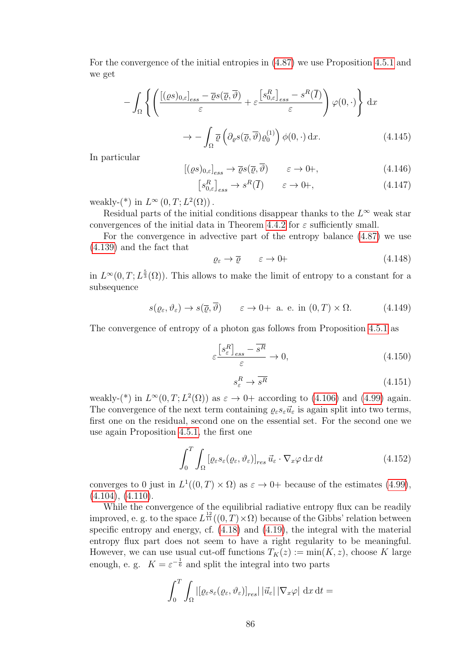For the convergence of the initial entropies in [\(4.87\)](#page-78-0) we use Proposition [4.5.1](#page-84-0) and we get

$$
- \int_{\Omega} \left\{ \left( \frac{\left[ (\varrho s)_{0,\varepsilon} \right]_{ess} - \overline{\varrho} s(\overline{\varrho}, \overline{\vartheta})}{\varepsilon} + \varepsilon \frac{\left[ s_{0,\varepsilon}^{R} \right]_{ess} - s^{R}(\overline{I})}{\varepsilon} \right) \varphi(0, \cdot) \right\} dx
$$

$$
\to - \int_{\Omega} \overline{\varrho} \left( \partial_{\varrho} s(\overline{\varrho}, \overline{\vartheta}) \varrho_{0}^{(1)} \right) \varphi(0, \cdot) dx. \tag{4.145}
$$

In particular

<span id="page-89-3"></span>
$$
[(\varrho s)_{0,\varepsilon}]_{ess} \to \overline{\varrho} s(\overline{\varrho}, \overline{\vartheta}) \qquad \varepsilon \to 0+, \qquad (4.146)
$$

$$
[s_{0,\varepsilon}^R]_{ess} \to s^R(\overline{I}) \qquad \varepsilon \to 0+, \tag{4.147}
$$

weakly- $(*)$  in  $L^{\infty}(0,T; L^{2}(\Omega))$ .

Residual parts of the initial conditions disappear thanks to the  $L^{\infty}$  weak star convergences of the initial data in Theorem [4.4.2](#page-82-8) for  $\varepsilon$  sufficiently small.

For the convergence in advective part of the entropy balance [\(4.87\)](#page-78-0) we use [\(4.139\)](#page-88-0) and the fact that

<span id="page-89-1"></span>
$$
\varrho_{\varepsilon} \to \overline{\varrho} \qquad \varepsilon \to 0 \tag{4.148}
$$

in  $L^{\infty}(0,T; L^{\frac{5}{3}}(\Omega))$ . This allows to make the limit of entropy to a constant for a subsequence

$$
s(\varrho_{\varepsilon}, \vartheta_{\varepsilon}) \to s(\overline{\varrho}, \overline{\vartheta}) \qquad \varepsilon \to 0+
$$
 a. e. in  $(0, T) \times \Omega$ . (4.149)

The convergence of entropy of a photon gas follows from Proposition [4.5.1](#page-84-0) as

<span id="page-89-2"></span>
$$
\varepsilon \frac{\left[s_{\varepsilon}^{R}\right]_{ess} - \overline{s^{R}}}{\varepsilon} \to 0, \tag{4.150}
$$

$$
s_{\varepsilon}^R \to \overline{s^R} \tag{4.151}
$$

weakly-(\*) in  $L^{\infty}(0,T; L^2(\Omega))$  as  $\varepsilon \to 0+$  according to [\(4.106\)](#page-81-9) and [\(4.99\)](#page-81-0) again. The convergence of the next term containing  $\varrho_{\varepsilon} s_{\varepsilon} \vec{u}_{\varepsilon}$  is again split into two terms, first one on the residual, second one on the essential set. For the second one we use again Proposition [4.5.1,](#page-84-0) the first one

<span id="page-89-0"></span>
$$
\int_0^T \int_{\Omega} \left[ \varrho_{\varepsilon} s_{\varepsilon} (\varrho_{\varepsilon}, \vartheta_{\varepsilon}) \right]_{res} \vec{u}_{\varepsilon} \cdot \nabla_x \varphi \, dx \, dt \tag{4.152}
$$

converges to 0 just in  $L^1((0,T) \times \Omega)$  as  $\varepsilon \to 0+$  because of the estimates [\(4.99\)](#page-81-0),  $(4.104), (4.110).$  $(4.104), (4.110).$  $(4.104), (4.110).$  $(4.104), (4.110).$ 

While the convergence of the equilibrial radiative entropy flux can be readily improved, e. g. to the space  $L^{\frac{12}{11}}((0,T)\times\Omega)$  because of the Gibbs' relation between specific entropy and energy, cf. [\(4.18\)](#page-66-2) and [\(4.19\)](#page-66-1), the integral with the material entropy flux part does not seem to have a right regularity to be meaningful. However, we can use usual cut-off functions  $T_K(z) := \min(K, z)$ , choose K large enough, e. g.  $K = \varepsilon^{-\frac{1}{6}}$  and split the integral into two parts

$$
\int_0^T \int_{\Omega} |[\varrho_{\varepsilon} s_{\varepsilon}(\varrho_{\varepsilon}, \vartheta_{\varepsilon})]_{res}| \, |\vec{u}_{\varepsilon}| \, |\nabla_x \varphi| \, dx \, dt =
$$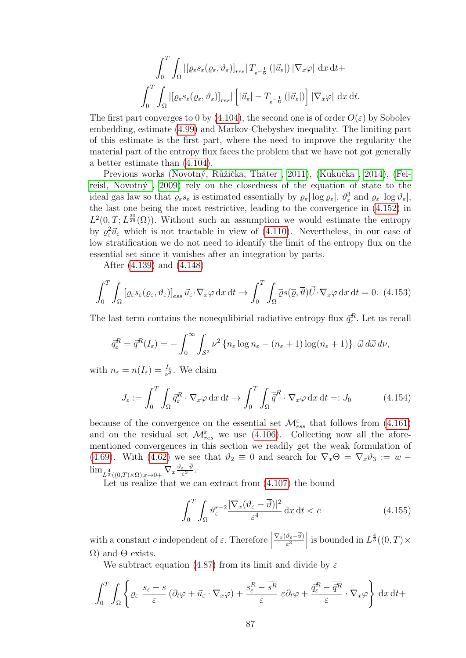$$
\int_0^T \int_{\Omega} |[\varrho_{\varepsilon} s_{\varepsilon}(\varrho_{\varepsilon}, \vartheta_{\varepsilon})]_{res}| T_{\varepsilon^{-\frac{1}{6}}}(|\vec{u}_{\varepsilon}|) |\nabla_x \varphi| dx dt +
$$
  

$$
\int_0^T \int_{\Omega} |[\varrho_{\varepsilon} s_{\varepsilon}(\varrho_{\varepsilon}, \vartheta_{\varepsilon})]_{res}| [\vec{u}_{\varepsilon}| - T_{\varepsilon^{-\frac{1}{6}}}(|\vec{u}_{\varepsilon}|)] |\nabla_x \varphi| dx dt.
$$

The first part converges to 0 by [\(4.104\)](#page-81-6), the second one is of order  $O(\varepsilon)$  by Sobolev embedding, estimate [\(4.99\)](#page-81-0) and Markov-Chebyshev inequality. The limiting part of this estimate is the first part, where the need to improve the regularity the material part of the entropy flux faces the problem that we have not got generally a better estimate than [\(4.104\)](#page-81-6).

Previous works (Novotný, Růžička, Thäter, 2011), (Kukučka, 2014), [\(Fei](#page-99-1)reisl, Novotný, 2009) rely on the closedness of the equation of state to the ideal gas law so that  $\varrho_{\varepsilon} s_{\varepsilon}$  is estimated essentially by  $\varrho_{\varepsilon}$  | log  $\varrho_{\varepsilon}$ |,  $\vartheta_{\varepsilon}^3$  and  $\varrho_{\varepsilon}$ | log  $\vartheta_{\varepsilon}$ |, the last one being the most restrictive, leading to the convergence in [\(4.152\)](#page-89-0) in  $L^2(0,T; L^{\frac{30}{29}}(\Omega))$ . Without such an assumption we would estimate the entropy by  $\varrho_{\varepsilon}^2 \vec{u}_{\varepsilon}$  which is not tractable in view of [\(4.110\)](#page-82-2). Nevertheless, in our case of low stratification we do not need to identify the limit of the entropy flux on the essential set since it vanishes after an integration by parts.

After [\(4.139\)](#page-88-0) and [\(4.148\)](#page-89-1)

$$
\int_0^T \int_{\Omega} \left[ \varrho_{\varepsilon} s_{\varepsilon} (\varrho_{\varepsilon}, \vartheta_{\varepsilon}) \right]_{\varepsilon s s} \vec{u}_{\varepsilon} \cdot \nabla_x \varphi \, dx \, dt \to \int_0^T \int_{\Omega} \overline{\varrho} s(\overline{\varrho}, \overline{\vartheta}) \vec{U} \cdot \nabla_x \varphi \, dx \, dt = 0. \tag{4.153}
$$

The last term contains the nonequlibirial radiative entropy flux  $\vec{q}_{\varepsilon}^R$ . Let us recall

$$
\bar{q}_{\varepsilon}^R = \bar{q}^R(I_{\varepsilon}) = -\int_0^{\infty} \int_{S^2} \nu^2 \left\{ n_{\varepsilon} \log n_{\varepsilon} - (n_{\varepsilon} + 1) \log (n_{\varepsilon} + 1) \right\} \, \vec{\omega} \, d\vec{\omega} \, d\nu,
$$

with  $n_{\varepsilon} = n(I_{\varepsilon}) = \frac{I_{\varepsilon}}{\nu^3}$ . We claim

$$
J_{\varepsilon} := \int_0^T \int_{\Omega} \vec{q}_{\varepsilon}^R \cdot \nabla_x \varphi \, dx \, dt \to \int_0^T \int_{\Omega} \vec{\bar{q}}^R \cdot \nabla_x \varphi \, dx \, dt =: J_0 \tag{4.154}
$$

because of the convergence on the essential set  $\mathcal{M}^{\varepsilon}_{ess}$  that follows from [\(4.161\)](#page-92-0) and on the residual set  $\mathcal{M}_{res}^{\varepsilon}$  we use [\(4.106\)](#page-81-9). Collecting now all the aforementioned convergences in this section we readily get the weak formulation of [\(4.69\)](#page-75-1). With [\(4.62\)](#page-74-4) we see that  $\vartheta_2 \equiv 0$  and search for  $\nabla_x \Theta = \nabla_x \vartheta_3 := w \lim_{L^{\frac{4}{3}}((0,T)\times\Omega),\varepsilon\to0+} \nabla_x \frac{\vartheta_\varepsilon-\vartheta}{\varepsilon^3}$  $\frac{\varepsilon-\vartheta}{\varepsilon^3}$ .

Let us realize that we can extract from [\(4.107\)](#page-81-11) the bound

$$
\int_0^T \int_{\Omega} \vartheta_{\varepsilon}^{r-2} \frac{|\nabla_x (\vartheta_{\varepsilon} - \overline{\vartheta})|^2}{\varepsilon^4} \, \mathrm{d}x \, \mathrm{d}t < c \tag{4.155}
$$

with a constant c independent of  $\varepsilon$ . Therefore  $\nabla_x(\vartheta_\varepsilon-\vartheta)$  $\frac{\vartheta_{\varepsilon}-\overline{\vartheta}}{\varepsilon^3}$ is bounded in  $L^{\frac{4}{3}}((0,T)\times$  $\Omega$ ) and  $\Theta$  exists.

We subtract equation [\(4.87\)](#page-78-0) from its limit and divide by  $\varepsilon$ 

$$
\int_0^T \int_{\Omega} \left\{ \varrho_{\varepsilon} \frac{s_{\varepsilon} - \overline{s}}{\varepsilon} \left( \partial_t \varphi + \overrightarrow{u}_{\varepsilon} \cdot \nabla_x \varphi \right) + \frac{s_{\varepsilon}^R - \overline{s^R}}{\varepsilon} \varepsilon \partial_t \varphi + \frac{\overrightarrow{q}_{\varepsilon}^R - \overrightarrow{q^R}}{\varepsilon} \cdot \nabla_x \varphi \right\} \, \mathrm{d}x \, \mathrm{d}t +
$$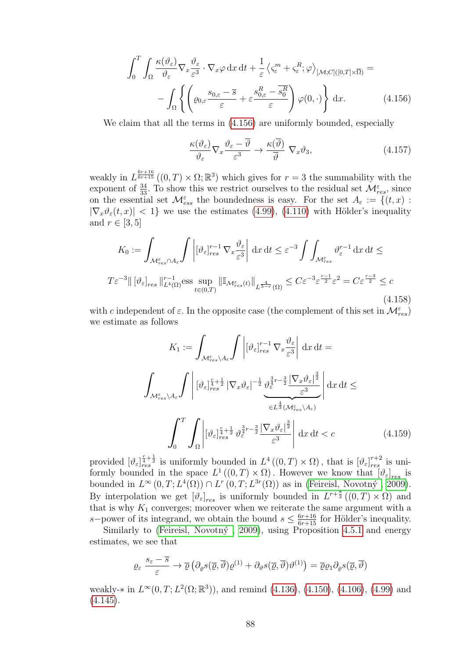<span id="page-91-0"></span>
$$
\int_0^T \int_{\Omega} \frac{\kappa(\vartheta_{\varepsilon})}{\vartheta_{\varepsilon}} \nabla_x \frac{\vartheta_{\varepsilon}}{\varepsilon^3} \cdot \nabla_x \varphi \, dx \, dt + \frac{1}{\varepsilon} \left\langle \varsigma_{\varepsilon}^m + \varsigma_{\varepsilon}^R; \varphi \right\rangle_{\left[ \mathcal{M}; C\right] \left( [0, T] \times \overline{\Omega} \right)} =
$$

$$
- \int_{\Omega} \left\{ \left( \varrho_{0,\varepsilon} \frac{s_{0,\varepsilon} - \overline{s}}{\varepsilon} + \varepsilon \frac{s_{0,\varepsilon}^R - \overline{s_0^R}}{\varepsilon} \right) \varphi(0, \cdot) \right\} \, dx. \tag{4.156}
$$

We claim that all the terms in [\(4.156\)](#page-91-0) are uniformly bounded, especially

$$
\frac{\kappa(\vartheta_{\varepsilon})}{\vartheta_{\varepsilon}} \nabla_x \frac{\vartheta_{\varepsilon} - \overline{\vartheta}}{\varepsilon^3} \to \frac{\kappa(\overline{\vartheta})}{\overline{\vartheta}} \nabla_x \vartheta_3, \tag{4.157}
$$

weakly in  $L^{\frac{6r+16}{6r+15}}((0,T)\times\Omega;\mathbb{R}^3)$  which gives for  $r=3$  the summability with the exponent of  $\frac{34}{33}$ . To show this we restrict ourselves to the residual set  $\mathcal{M}_{res}^{\varepsilon}$ , since on the essential set  $\mathcal{M}_{ess}^{\varepsilon}$  the boundedness is easy. For the set  $A_{\varepsilon} := \{(t,x) :$  $|\nabla_x \vartheta_{\varepsilon}(t,x)| < 1$  we use the estimates [\(4.99\)](#page-81-0), [\(4.110\)](#page-82-2) with Hölder's inequality and  $r \in [3, 5]$ 

$$
K_0 := \int_{\mathcal{M}_{res}^{\varepsilon} \cap A_{\varepsilon}} \int \left| [\vartheta_{\varepsilon}]_{res}^{r-1} \nabla_x \frac{\vartheta_{\varepsilon}}{\varepsilon^3} \right| dx dt \leq \varepsilon^{-3} \int \int_{\mathcal{M}_{res}^{\varepsilon}} \vartheta_{\varepsilon}^{r-1} dx dt \leq
$$
  

$$
T \varepsilon^{-3} || [\vartheta_{\varepsilon}]_{res} ||_{L^4(\Omega)}^{r-1} \text{ess} \sup_{t \in (0,T)} || \mathbb{I}_{\mathcal{M}_{res}^{\varepsilon}(t)} ||_{L^{\frac{4}{5-r}}(\Omega)} \leq C \varepsilon^{-3} \varepsilon^{\frac{r-1}{2}} \varepsilon^2 = C \varepsilon^{\frac{r-3}{2}} \leq c
$$
(4.158)

with c independent of  $\varepsilon$ . In the opposite case (the complement of this set in  $\mathcal{M}_{res}^{\varepsilon}$ ) we estimate as follows

$$
K_{1} := \int_{\mathcal{M}_{res}^{\varepsilon} \setminus A_{\varepsilon}} \int \left| [\vartheta_{\varepsilon}]_{res}^{r-1} \nabla_{x} \frac{\vartheta_{\varepsilon}}{\varepsilon^{3}} \right| dx dt =
$$
  

$$
\int_{\mathcal{M}_{res}^{\varepsilon} \setminus A_{\varepsilon}} \int \left| [\vartheta_{\varepsilon}]_{res}^{\frac{r}{4} + \frac{1}{2}} |\nabla_{x} \vartheta_{\varepsilon}|^{-\frac{1}{2}} \frac{\vartheta_{\varepsilon}^{\frac{3}{4}r - \frac{3}{2}} |\nabla_{x} \vartheta_{\varepsilon}|^{\frac{3}{2}}}{\varepsilon^{3}} \right| dx dt \le
$$
  

$$
\int_{0}^{T} \int_{\Omega} \left| [\vartheta_{\varepsilon}]_{res}^{\frac{r}{4} + \frac{1}{2}} \vartheta_{\varepsilon}^{\frac{3}{4}r - \frac{3}{2}} \frac{|\nabla_{x} \vartheta_{\varepsilon}|^{\frac{3}{2}}}{\varepsilon^{3}} \right| dx dt < c \qquad (4.159)
$$

provided  $[\vartheta_{\varepsilon}]_{res}^{\frac{r}{4}+\frac{1}{2}}$  is uniformly bounded in  $L^4((0,T)\times\Omega)$ , that is  $[\vartheta_{\varepsilon}]_{res}^{r+2}$  is uniformly bounded in the space  $L^1((0,T)\times\Omega)$ . However we know that  $[\vartheta_{\varepsilon}]_{res}$  is bounded in  $L^{\infty}(0,T; L^{4}(\Omega)) \cap L^{r}(0,T; L^{3r}(\Omega))$  as in (Feireisl, Novotný, 2009). By interpolation we get  $[\vartheta_{\varepsilon}]_{res}$  is uniformly bounded in  $L^{r+\frac{8}{3}}((0,T)\times\Omega)$  and that is why  $K_1$  converges; moreover when we reiterate the same argument with a s–power of its integrand, we obtain the bound  $s \leq \frac{6r+16}{6r+15}$  for Hölder's inequality.

Similarly to (Feireisl, Novotný, 2009), using Proposition [4.5.1](#page-84-0) and energy estimates, we see that

$$
\varrho_{\varepsilon} \xrightarrow{\mathcal{S}_{\varepsilon} - \overline{\mathcal{S}}} \to \overline{\varrho} \left( \partial_{\varrho} s(\overline{\varrho}, \overline{\vartheta}) \varrho^{(1)} + \partial_{\vartheta} s(\overline{\varrho}, \overline{\vartheta}) \vartheta^{(1)} \right) = \overline{\varrho} \varrho_1 \partial_{\varrho} s(\overline{\varrho}, \overline{\vartheta})
$$

weakly- $*$  in  $L^{\infty}(0,T; L^{2}(\Omega;\mathbb{R}^{3}))$ , and remind [\(4.136\)](#page-88-3), [\(4.150\)](#page-89-2), [\(4.106\)](#page-81-9), [\(4.99\)](#page-81-0) and  $(4.145).$  $(4.145).$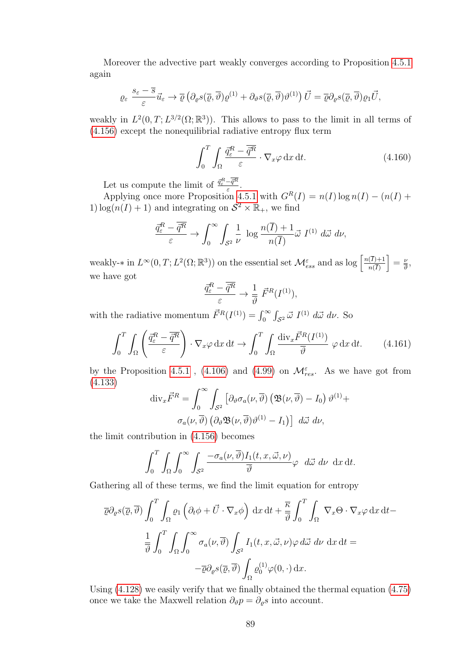Moreover the advective part weakly converges according to Proposition [4.5.1](#page-84-0) again

$$
\varrho_{\varepsilon} \xrightarrow[\varepsilon]{s_{\varepsilon} - \overline{s}} \overrightarrow{u}_{\varepsilon} \to \overline{\varrho} \left( \partial_{\varrho} s(\overline{\varrho}, \overline{\vartheta}) \varrho^{(1)} + \partial_{\vartheta} s(\overline{\varrho}, \overline{\vartheta}) \vartheta^{(1)} \right) \overrightarrow{U} = \overline{\varrho} \partial_{\varrho} s(\overline{\varrho}, \overline{\vartheta}) \varrho_1 \overrightarrow{U},
$$

weakly in  $L^2(0,T; L^{3/2}(\Omega;\mathbb{R}^3))$ . This allows to pass to the limit in all terms of [\(4.156\)](#page-91-0) except the nonequilibrial radiative entropy flux term

$$
\int_0^T \int_{\Omega} \frac{\vec{q}_{\varepsilon}^R - \overline{\vec{q}^R}}{\varepsilon} \cdot \nabla_x \varphi \, dx \, dt. \tag{4.160}
$$

Let us compute the limit of  $\frac{\vec{q}_{\varepsilon}^R - \vec{q}^R}{\varepsilon}$  $\frac{-q^{n}}{\varepsilon}$ .

Applying once more Proposition [4.5.1](#page-84-0) with  $G^{R}(I) = n(I) \log n(I) - (n(I) +$ 1)  $\log(n(I) + 1)$  and integrating on  $S^2 \times \mathbb{R}_+$ , we find

$$
\frac{\vec{q}_{\varepsilon}^R - \overline{\vec{q}^R}}{\varepsilon} \to \int_0^\infty \int_{S^2} \frac{1}{\nu} \log \frac{n(\overline{I}) + 1}{n(\overline{I})} \vec{\omega} I^{(1)} d\vec{\omega} d\nu,
$$

weakly-\* in  $L^{\infty}(0,T; L^{2}(\Omega;\mathbb{R}^{3}))$  on the essential set  $\mathcal{M}^{\varepsilon}_{ess}$  and as log  $\left[\frac{n(\overline{I})+1}{n(\overline{I})}\right]$  $n(I)$  $=\frac{\nu}{\bar{N}}$  $\frac{\nu}{\vartheta}$ , we have got

$$
\frac{\vec{q}_{\varepsilon}^R - \overline{\vec{q}^R}}{\varepsilon} \to \frac{1}{\overline{\vartheta}} \ \vec{F}^R(I^{(1)}),
$$

with the radiative momentum  $\vec{F}^R(I^{(1)}) = \int_0^\infty \int_{S^2} \vec{\omega} I^{(1)} d\vec{\omega} d\nu$ . So

<span id="page-92-0"></span>
$$
\int_0^T \int_{\Omega} \left( \frac{\vec{q}_{\varepsilon}^R - \overline{\vec{q}^R}}{\varepsilon} \right) \cdot \nabla_x \varphi \, dx \, dt \to \int_0^T \int_{\Omega} \frac{\text{div}_x \vec{F}^R(I^{(1)})}{\overline{\vartheta}} \, \varphi \, dx \, dt. \tag{4.161}
$$

by the Proposition [4.5.1](#page-84-0), [\(4.106\)](#page-81-9) and [\(4.99\)](#page-81-0) on  $\mathcal{M}_{res}^{\varepsilon}$ . As we have got from [\(4.133\)](#page-87-1)

$$
\operatorname{div}_{x} \vec{F}^{R} = \int_{0}^{\infty} \int_{S^{2}} \left[ \partial_{\vartheta} \sigma_{a}(\nu, \overline{\vartheta}) \left( \mathfrak{B}(\nu, \overline{\vartheta}) - I_{0} \right) \vartheta^{(1)} + \sigma_{a}(\nu, \overline{\vartheta}) \left( \partial_{\vartheta} \mathfrak{B}(\nu, \overline{\vartheta}) \vartheta^{(1)} - I_{1} \right) \right] d\vec{\omega} d\nu,
$$

the limit contribution in [\(4.156\)](#page-91-0) becomes

$$
\int_0^T \int_{\Omega} \int_0^\infty \int_{S^2} \frac{-\sigma_a(\nu, \overline{\vartheta}) I_1(t, x, \vec{\omega}, \nu)}{\overline{\vartheta}} \varphi \ d\vec{\omega} \ d\nu \ \mathrm{d}x \, \mathrm{d}t.
$$

Gathering all of these terms, we find the limit equation for entropy

$$
\overline{\varrho}\partial_{\varrho}s(\overline{\varrho},\overline{\vartheta})\int_{0}^{T}\int_{\Omega}\varrho_{1}\left(\partial_{t}\phi+\overrightarrow{U}\cdot\nabla_{x}\phi\right)dx dt + \frac{\overline{\kappa}}{\overline{\vartheta}}\int_{0}^{T}\int_{\Omega}\nabla_{x}\Theta\cdot\nabla_{x}\varphi dx dt -
$$

$$
\frac{1}{\overline{\vartheta}}\int_{0}^{T}\int_{\Omega}\int_{0}^{\infty}\sigma_{a}(\nu,\overline{\vartheta})\int_{\mathcal{S}^{2}}I_{1}(t,x,\overrightarrow{\omega},\nu)\varphi d\overrightarrow{\omega} d\nu dx dt =
$$

$$
-\overline{\varrho}\partial_{\varrho}s(\overline{\varrho},\overline{\vartheta})\int_{\Omega}\varrho_{0}^{(1)}\varphi(0,\cdot) dx.
$$

Using [\(4.128\)](#page-86-3) we easily verify that we finally obtained the thermal equation [\(4.75\)](#page-76-1) once we take the Maxwell relation  $\partial_{\vartheta} p = \partial_{\varrho} s$  into account.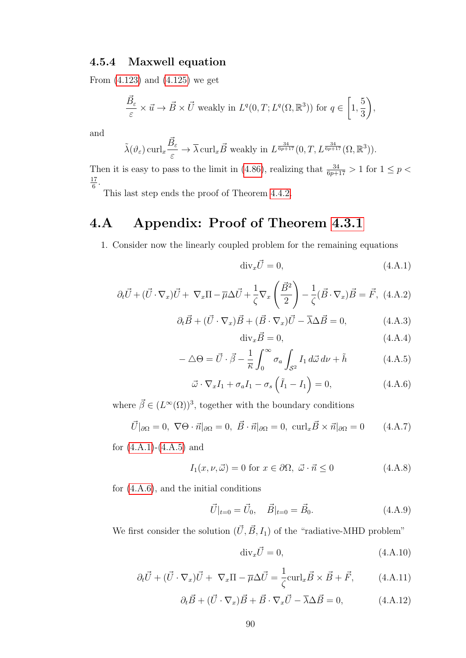#### 4.5.4 Maxwell equation

From [\(4.123\)](#page-85-0) and [\(4.125\)](#page-85-1) we get

$$
\frac{\vec{B}_{\varepsilon}}{\varepsilon} \times \vec{u} \to \vec{B} \times \vec{U} \text{ weakly in } L^{q}(0,T; L^{q}(\Omega,\mathbb{R}^{3})) \text{ for } q \in \left[1, \frac{5}{3}\right),
$$

and

$$
\tilde{\lambda}(\vartheta_{\varepsilon}) \operatorname{curl}_{x} \frac{\vec{B}_{\varepsilon}}{\varepsilon} \to \overline{\lambda} \operatorname{curl}_{x} \vec{B} \text{ weakly in } L^{\frac{34}{6p+17}}(0,T, L^{\frac{34}{6p+17}}(\Omega,\mathbb{R}^{3})).
$$

Then it is easy to pass to the limit in [\(4.86\)](#page-78-2), realizing that  $\frac{34}{6p+17} > 1$  for  $1 \le p <$ 17  $\frac{17}{6}$ .

This last step ends the proof of Theorem [4.4.2.](#page-82-8)

### 4.A Appendix: Proof of Theorem [4.3.1](#page-76-5)

1. Consider now the linearly coupled problem for the remaining equations

$$
\text{div}_x \vec{U} = 0,\tag{4.A.1}
$$

$$
\partial_t \vec{U} + (\vec{U} \cdot \nabla_x) \vec{U} + \nabla_x \Pi - \overline{\mu} \Delta \vec{U} + \frac{1}{\zeta} \nabla_x \left( \frac{\vec{B}^2}{2} \right) - \frac{1}{\zeta} (\vec{B} \cdot \nabla_x) \vec{B} = \vec{F}, \ (4.A.2)
$$

$$
\partial_t \vec{B} + (\vec{U} \cdot \nabla_x) \vec{B} + (\vec{B} \cdot \nabla_x) \vec{U} - \overline{\lambda} \Delta \vec{B} = 0, \qquad (4.A.3)
$$

$$
\text{div}_x \vec{B} = 0,\tag{4.A.4}
$$

$$
-\Delta\Theta = \vec{U} \cdot \vec{\beta} - \frac{1}{\overline{\kappa}} \int_0^\infty \sigma_a \int_{\mathcal{S}^2} I_1 \, d\vec{\omega} \, d\nu + \tilde{h} \tag{4.A.5}
$$

$$
\vec{\omega} \cdot \nabla_x I_1 + \sigma_a I_1 - \sigma_s \left( \tilde{I}_1 - I_1 \right) = 0, \qquad (4.A.6)
$$

where  $\vec{\beta} \in (L^{\infty}(\Omega))^3$ , together with the boundary conditions

$$
\vec{U}|_{\partial\Omega} = 0, \ \nabla\Theta \cdot \vec{n}|_{\partial\Omega} = 0, \ \vec{B} \cdot \vec{n}|_{\partial\Omega} = 0, \ \text{curl}_x \vec{B} \times \vec{n}|_{\partial\Omega} = 0 \tag{4.A.7}
$$

for  $(4.A.1)-(4.A.5)$  $(4.A.1)-(4.A.5)$  and

$$
I_1(x, \nu, \vec{\omega}) = 0 \text{ for } x \in \partial\Omega, \ \vec{\omega} \cdot \vec{n} \le 0 \tag{4.A.8}
$$

for [\(4.A.6\)](#page-64-2), and the initial conditions

$$
\vec{U}|_{t=0} = \vec{U}_0, \quad \vec{B}|_{t=0} = \vec{B}_0.
$$
\n(4.A.9)

We first consider the solution  $(\vec{U}, \vec{B}, I_1)$  of the "radiative-MHD problem"

$$
\text{div}_x \vec{U} = 0,\tag{4.A.10}
$$

$$
\partial_t \vec{U} + (\vec{U} \cdot \nabla_x) \vec{U} + \nabla_x \Pi - \overline{\mu} \Delta \vec{U} = \frac{1}{\zeta} \text{curl}_x \vec{B} \times \vec{B} + \vec{F}, \qquad (4. A. 11)
$$

$$
\partial_t \vec{B} + (\vec{U} \cdot \nabla_x) \vec{B} + \vec{B} \cdot \nabla_x \vec{U} - \overline{\lambda} \Delta \vec{B} = 0, \qquad (4. A.12)
$$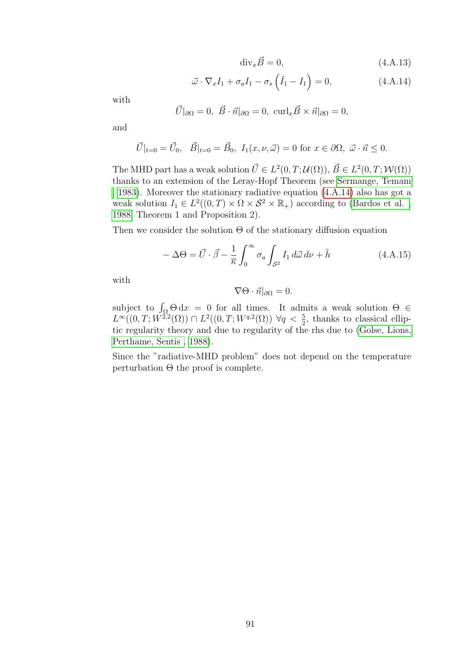$$
\text{div}_x \vec{B} = 0,\tag{4.A.13}
$$

<span id="page-94-0"></span>
$$
\vec{\omega} \cdot \nabla_x I_1 + \sigma_a I_1 - \sigma_s \left( \tilde{I}_1 - I_1 \right) = 0, \qquad (4. A. 14)
$$

with

$$
\vec{U}|_{\partial\Omega} = 0, \ \vec{B} \cdot \vec{n}|_{\partial\Omega} = 0, \ \operatorname{curl}_x \vec{B} \times \vec{n}|_{\partial\Omega} = 0,
$$

and

$$
\vec{U}|_{t=0} = \vec{U}_0, \quad \vec{B}|_{t=0} = \vec{B}_0, \ I_1(x,\nu,\vec{\omega}) = 0 \text{ for } x \in \partial\Omega, \ \vec{\omega} \cdot \vec{n} \le 0.
$$

The MHD part has a weak solution  $\vec{U} \in L^2(0,T; \mathcal{U}(\Omega)), \vec{B} \in L^2(0,T; \mathcal{W}(\Omega))$ thanks to an extension of the Leray-Hopf Theorem (see [Sermange, Temam](#page-103-0) [, 1983\)](#page-103-0). Moreover the stationary radiative equation [\(4.A.14\)](#page-94-0) also has got a weak solution  $I_1 \in L^2((0,T) \times \Omega \times S^2 \times \mathbb{R}_+)$  according to (Bardos et al., [1988;](#page-96-0) Theorem 1 and Proposition 2).

Then we consider the solution  $\Theta$  of the stationary diffusion equation

$$
-\Delta\Theta = \vec{U} \cdot \vec{\beta} - \frac{1}{\overline{\kappa}} \int_0^\infty \sigma_a \int_{\mathcal{S}^2} I_1 \, d\vec{\omega} \, d\nu + \tilde{h} \tag{4.A.15}
$$

with

$$
\nabla \Theta \cdot \vec{n}|_{\partial \Omega} = 0.
$$

subject to  $\int_{\Omega} \Theta \, dx = 0$  for all times. It admits a weak solution  $\Theta \in$  $L^{\infty}((0,T;W^{\tilde{2,2}}(\Omega)) \cap L^2((0,T;W^{q,2}(\Omega)) \ \forall q<\frac{5}{2},$  thanks to classical elliptic regularity theory and due to regularity of the rhs due to [\(Golse, Lions,](#page-99-2) [Perthame, Sentis , 1988\)](#page-99-2).

Since the "radiative-MHD problem" does not depend on the temperature perturbation  $\Theta$  the proof is complete.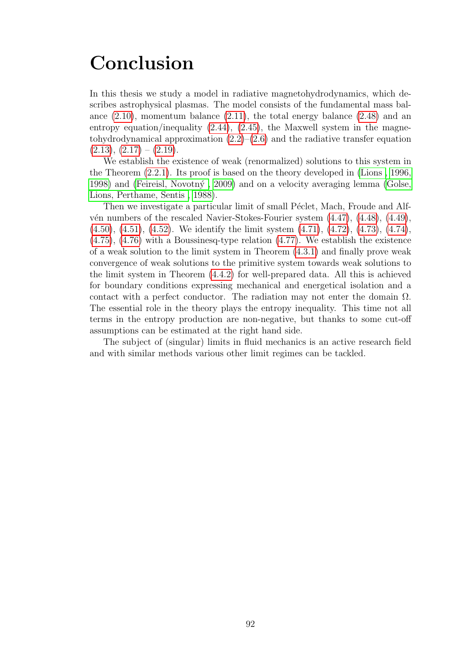## Conclusion

In this thesis we study a model in radiative magnetohydrodynamics, which describes astrophysical plasmas. The model consists of the fundamental mass balance  $(2.10)$ , momentum balance  $(2.11)$ , the total energy balance  $(2.48)$  and an entropy equation/inequality  $(2.44)$ ,  $(2.45)$ , the Maxwell system in the magnetohydrodynamical approximation  $(2.2)$ – $(2.6)$  and the radiative transfer equation  $(2.13), (2.17) - (2.19).$  $(2.13), (2.17) - (2.19).$  $(2.13), (2.17) - (2.19).$  $(2.13), (2.17) - (2.19).$  $(2.13), (2.17) - (2.19).$  $(2.13), (2.17) - (2.19).$ 

We establish the existence of weak (renormalized) solutions to this system in the Theorem [\(2.2.1\)](#page-36-0). Its proof is based on the theory developed in [\(Lions , 1996,](#page-101-0) [1998\)](#page-101-0) and (Feireisl, Novotný, 2009) and on a velocity averaging lemma [\(Golse,](#page-99-2) [Lions, Perthame, Sentis , 1988\)](#page-99-2).

Then we investigate a particular limit of small Péclet, Mach, Froude and Alfvén numbers of the rescaled Navier-Stokes-Fourier system  $(4.47)$ ,  $(4.48)$ ,  $(4.49)$ , [\(4.50\)](#page-73-4), [\(4.51\)](#page-73-5), [\(4.52\)](#page-73-6). We identify the limit system [\(4.71\)](#page-75-0), [\(4.72\)](#page-75-2), [\(4.73\)](#page-75-3), [\(4.74\)](#page-75-4), [\(4.75\)](#page-76-1), [\(4.76\)](#page-76-2) with a Boussinesq-type relation [\(4.77\)](#page-76-3). We establish the existence of a weak solution to the limit system in Theorem [\(4.3.1\)](#page-76-5) and finally prove weak convergence of weak solutions to the primitive system towards weak solutions to the limit system in Theorem [\(4.4.2\)](#page-82-8) for well-prepared data. All this is achieved for boundary conditions expressing mechanical and energetical isolation and a contact with a perfect conductor. The radiation may not enter the domain  $\Omega$ . The essential role in the theory plays the entropy inequality. This time not all terms in the entropy production are non-negative, but thanks to some cut-off assumptions can be estimated at the right hand side.

The subject of (singular) limits in fluid mechanics is an active research field and with similar methods various other limit regimes can be tackled.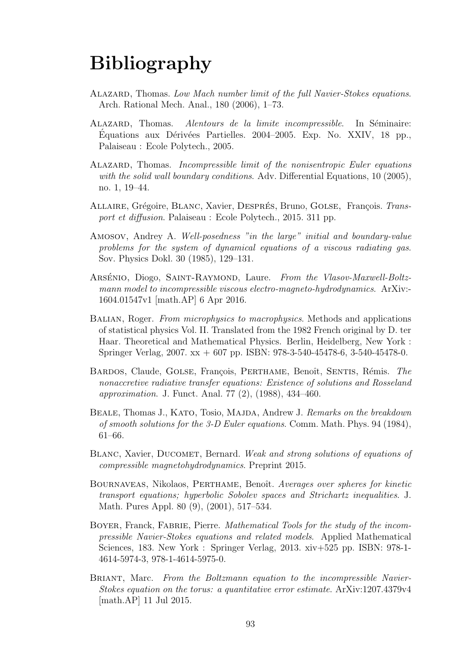## Bibliography

- ALAZARD, Thomas. Low Mach number limit of the full Navier-Stokes equations. Arch. Rational Mech. Anal., 180 (2006), 1–73.
- ALAZARD, Thomas. Alentours de la limite incompressible. In Séminaire:  $\acute{E}$ quations aux Dérivées Partielles. 2004–2005. Exp. No. XXIV, 18 pp., Palaiseau : Ecole Polytech., 2005.
- ALAZARD, Thomas. Incompressible limit of the nonisentropic Euler equations with the solid wall boundary conditions. Adv. Differential Equations, 10 (2005), no. 1, 19–44.
- ALLAIRE, Grégoire, BLANC, Xavier, DESPRÉS, Bruno, GOLSE, François. Transport et diffusion. Palaiseau : Ecole Polytech., 2015. 311 pp.
- Amosov, Andrey A. Well-posedness "in the large" initial and boundary-value problems for the system of dynamical equations of a viscous radiating gas. Sov. Physics Dokl. 30 (1985), 129–131.
- ARSÉNIO, Diogo, SAINT-RAYMOND, Laure. From the Vlasov-Maxwell-Boltzmann model to incompressible viscous electro-magneto-hydrodynamics. ArXiv:- 1604.01547v1 [math.AP] 6 Apr 2016.
- Balian, Roger. From microphysics to macrophysics. Methods and applications of statistical physics Vol. II. Translated from the 1982 French original by D. ter Haar. Theoretical and Mathematical Physics. Berlin, Heidelberg, New York : Springer Verlag, 2007. xx + 607 pp. ISBN: 978-3-540-45478-6, 3-540-45478-0.
- <span id="page-96-0"></span>BARDOS, Claude, GOLSE, François, PERTHAME, Benoît, SENTIS, Rémis. The nonaccretive radiative transfer equations: Existence of solutions and Rosseland approximation. J. Funct. Anal. 77 (2), (1988), 434–460.
- BEALE, Thomas J., KATO, Tosio, MAJDA, Andrew J. Remarks on the breakdown of smooth solutions for the 3-D Euler equations. Comm. Math. Phys. 94 (1984), 61–66.
- BLANC, Xavier, DUCOMET, Bernard. Weak and strong solutions of equations of compressible magnetohydrodynamics. Preprint 2015.
- BOURNAVEAS, Nikolaos, PERTHAME, Benoît. Averages over spheres for kinetic transport equations; hyperbolic Sobolev spaces and Strichartz inequalities. J. Math. Pures Appl. 80 (9), (2001), 517–534.
- BOYER, Franck, FABRIE, Pierre. Mathematical Tools for the study of the incompressible Navier-Stokes equations and related models. Applied Mathematical Sciences, 183. New York : Springer Verlag, 2013. xiv+525 pp. ISBN: 978-1- 4614-5974-3, 978-1-4614-5975-0.
- BRIANT, Marc. From the Boltzmann equation to the incompressible Navier-Stokes equation on the torus: a quantitative error estimate. ArXiv:1207.4379v4 [math.AP] 11 Jul 2015.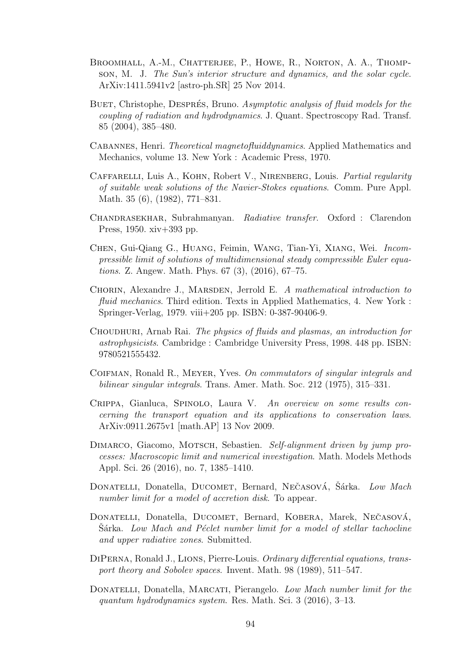- BROOMHALL, A.-M., CHATTERJEE, P., HOWE, R., NORTON, A. A., THOMPson, M. J. The Sun's interior structure and dynamics, and the solar cycle. ArXiv:1411.5941v2 [astro-ph.SR] 25 Nov 2014.
- BUET, Christophe, DESPRÉS, Bruno. Asymptotic analysis of fluid models for the coupling of radiation and hydrodynamics. J. Quant. Spectroscopy Rad. Transf. 85 (2004), 385–480.
- Cabannes, Henri. Theoretical magnetofluiddynamics. Applied Mathematics and Mechanics, volume 13. New York : Academic Press, 1970.
- CAFFARELLI, Luis A., KOHN, Robert V., NIRENBERG, Louis. Partial regularity of suitable weak solutions of the Navier-Stokes equations. Comm. Pure Appl. Math. 35 (6), (1982), 771–831.
- Chandrasekhar, Subrahmanyan. Radiative transfer. Oxford : Clarendon Press, 1950. xiv+393 pp.
- Chen, Gui-Qiang G., Huang, Feimin, Wang, Tian-Yi, Xiang, Wei. Incompressible limit of solutions of multidimensional steady compressible Euler equations. Z. Angew. Math. Phys. 67 (3), (2016), 67–75.
- CHORIN, Alexandre J., MARSDEN, Jerrold E. A mathematical introduction to fluid mechanics. Third edition. Texts in Applied Mathematics, 4. New York : Springer-Verlag, 1979. viii+205 pp. ISBN: 0-387-90406-9.
- Choudhuri, Arnab Rai. The physics of fluids and plasmas, an introduction for astrophysicists. Cambridge : Cambridge University Press, 1998. 448 pp. ISBN: 9780521555432.
- COIFMAN, Ronald R., MEYER, Yves. On commutators of singular integrals and bilinear singular integrals. Trans. Amer. Math. Soc. 212 (1975), 315–331.
- Crippa, Gianluca, Spinolo, Laura V. An overview on some results concerning the transport equation and its applications to conservation laws. ArXiv:0911.2675v1 [math.AP] 13 Nov 2009.
- DIMARCO, Giacomo, MOTSCH, Sebastien. Self-alignment driven by jump processes: Macroscopic limit and numerical investigation. Math. Models Methods Appl. Sci. 26 (2016), no. 7, 1385–1410.
- DONATELLI, Donatella, DUCOMET, Bernard, NEČASOVÁ, Šárka. Low Mach number limit for a model of accretion disk. To appear.
- DONATELLI, Donatella, DUCOMET, Bernard, KOBERA, Marek, NEČASOVÁ, Sárka. Low Mach and Péclet number limit for a model of stellar tachocline and upper radiative zones. Submitted.
- DiPerna, Ronald J., Lions, Pierre-Louis. Ordinary differential equations, transport theory and Sobolev spaces. Invent. Math. 98 (1989), 511–547.
- DONATELLI, Donatella, MARCATI, Pierangelo. Low Mach number limit for the quantum hydrodynamics system. Res. Math. Sci. 3 (2016), 3–13.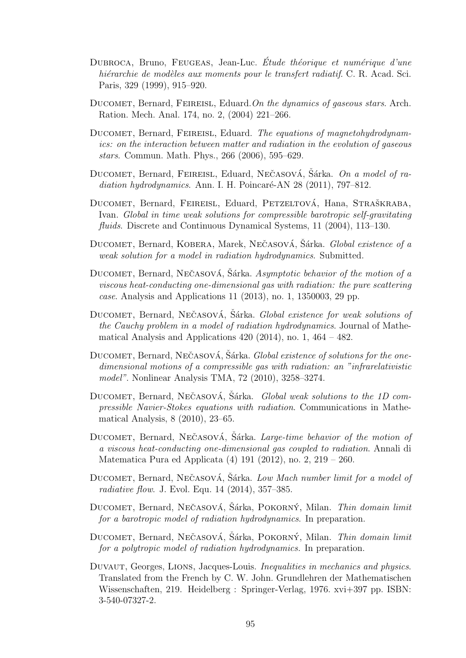- DUBROCA, Bruno, FEUGEAS, Jean-Luc. Étude théorique et numérique d'une hiérarchie de modèles aux moments pour le transfert radiatif. C. R. Acad. Sci. Paris, 329 (1999), 915–920.
- DUCOMET, Bernard, FEIREISL, Eduard. On the dynamics of gaseous stars. Arch. Ration. Mech. Anal. 174, no. 2, (2004) 221–266.
- <span id="page-98-1"></span>DUCOMET, Bernard, FEIREISL, Eduard. The equations of magnetohydrodynamics: on the interaction between matter and radiation in the evolution of gaseous stars. Commun. Math. Phys., 266 (2006), 595–629.
- <span id="page-98-0"></span>DUCOMET, Bernard, FEIREISL, Eduard, NEČASOVÁ, Šárka. On a model of radiation hydrodynamics. Ann. I. H. Poincaré-AN  $28$  (2011), 797–812.
- DUCOMET, Bernard, FEIREISL, Eduard, PETZELTOVÁ, Hana, STRAŠKRABA, Ivan. Global in time weak solutions for compressible barotropic self-gravitating fluids. Discrete and Continuous Dynamical Systems, 11 (2004), 113–130.
- <span id="page-98-3"></span>DUCOMET, Bernard, KOBERA, Marek, NEČASOVÁ, Šárka. *Global existence of a* weak solution for a model in radiation hydrodynamics. Submitted.
- DUCOMET, Bernard, NEČASOVÁ, Šárka. Asymptotic behavior of the motion of a viscous heat-conducting one-dimensional gas with radiation: the pure scattering case. Analysis and Applications 11 (2013), no. 1, 1350003, 29 pp.
- DUCOMET, Bernard, NEČASOVÁ, Šárka. *Global existence for weak solutions of* the Cauchy problem in a model of radiation hydrodynamics. Journal of Mathematical Analysis and Applications  $420$  (2014), no. 1,  $464 - 482$ .
- DUCOMET, Bernard, NEČASOVÁ, Šárka. *Global existence of solutions for the one*dimensional motions of a compressible gas with radiation: an "infrarelativistic model". Nonlinear Analysis TMA, 72 (2010), 3258–3274.
- DUCOMET, Bernard, NECASOVÁ, Sárka. *Global weak solutions to the 1D com*pressible Navier-Stokes equations with radiation. Communications in Mathematical Analysis, 8 (2010), 23–65.
- DUCOMET, Bernard, NEČASOVÁ, Šárka. Large-time behavior of the motion of a viscous heat-conducting one-dimensional gas coupled to radiation. Annali di Matematica Pura ed Applicata (4) 191 (2012), no. 2, 219 – 260.
- <span id="page-98-2"></span>DUCOMET, Bernard, NEČASOVÁ, Šárka. Low Mach number limit for a model of radiative flow. J. Evol. Equ. 14 (2014), 357–385.
- DUCOMET, Bernard, NEČASOVÁ, Sárka, POKORNÝ, Milan. Thin domain limit for a barotropic model of radiation hydrodynamics. In preparation.
- DUCOMET, Bernard, NEČASOVÁ, Šárka, POKORNÝ, Milan. *Thin domain limit* for a polytropic model of radiation hydrodynamics. In preparation.
- <span id="page-98-4"></span>DUVAUT, Georges, LIONS, Jacques-Louis. *Inequalities in mechanics and physics*. Translated from the French by C. W. John. Grundlehren der Mathematischen Wissenschaften, 219. Heidelberg : Springer-Verlag, 1976. xvi+397 pp. ISBN: 3-540-07327-2.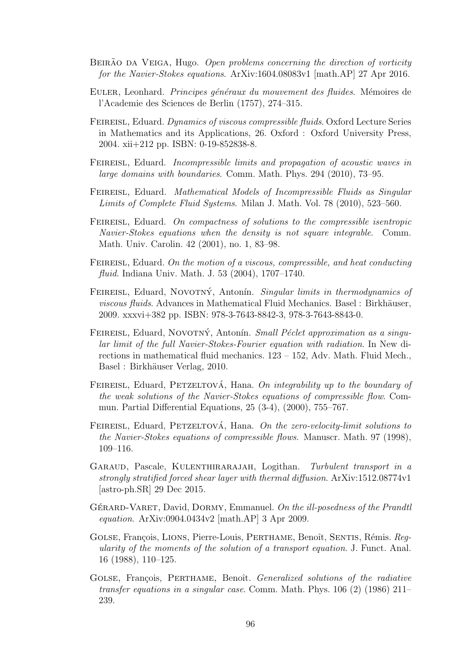- BEIRÃO DA VEIGA, Hugo. Open problems concerning the direction of vorticity for the Navier-Stokes equations. ArXiv:1604.08083v1 [math.AP] 27 Apr 2016.
- EULER, Leonhard. Principes généraux du mouvement des fluides. Mémoires de l'Academie des Sciences de Berlin (1757), 274–315.
- Feireisl, Eduard. Dynamics of viscous compressible fluids. Oxford Lecture Series in Mathematics and its Applications, 26. Oxford : Oxford University Press, 2004. xii+212 pp. ISBN: 0-19-852838-8.
- FEIREISL, Eduard. Incompressible limits and propagation of acoustic waves in large domains with boundaries. Comm. Math. Phys. 294 (2010), 73–95.
- FEIREISL, Eduard. Mathematical Models of Incompressible Fluids as Singular Limits of Complete Fluid Systems. Milan J. Math. Vol. 78 (2010), 523–560.
- FEIREISL, Eduard. On compactness of solutions to the compressible isentropic Navier-Stokes equations when the density is not square integrable. Comm. Math. Univ. Carolin. 42 (2001), no. 1, 83–98.
- FEIREISL, Eduard. On the motion of a viscous, compressible, and heat conducting fluid. Indiana Univ. Math. J. 53 (2004), 1707–1740.
- <span id="page-99-0"></span>FEIREISL, Eduard, NOVOTNÝ, Antonín. Singular limits in thermodynamics of viscous fluids. Advances in Mathematical Fluid Mechanics. Basel : Birkhäuser, 2009. xxxvi+382 pp. ISBN: 978-3-7643-8842-3, 978-3-7643-8843-0.
- <span id="page-99-1"></span>FEIREISL, Eduard, NOVOTNÝ, Antonín. Small Péclet approximation as a singular limit of the full Navier-Stokes-Fourier equation with radiation. In New directions in mathematical fluid mechanics. 123 – 152, Adv. Math. Fluid Mech., Basel : Birkhäuser Verlag, 2010.
- FEIREISL, Eduard, PETZELTOVÁ, Hana. On integrability up to the boundary of the weak solutions of the Navier-Stokes equations of compressible flow. Commun. Partial Differential Equations, 25 (3-4), (2000), 755–767.
- FEIREISL, Eduard, PETZELTOVÁ, Hana. On the zero-velocity-limit solutions to the Navier-Stokes equations of compressible flows. Manuscr. Math. 97 (1998), 109–116.
- GARAUD, Pascale, KULENTHIRARAJAH, Logithan. Turbulent transport in a strongly stratified forced shear layer with thermal diffusion. ArXiv:1512.08774v1 [astro-ph.SR] 29 Dec 2015.
- GÉRARD-VARET, David, DORMY, Emmanuel. On the *ill-posedness of the Prandtl* equation. ArXiv:0904.0434v2 [math.AP] 3 Apr 2009.
- <span id="page-99-2"></span>GOLSE, François, LIONS, Pierre-Louis, PERTHAME, Benoît, SENTIS, Rémis. Regularity of the moments of the solution of a transport equation. J. Funct. Anal. 16 (1988), 110–125.
- GOLSE, François, PERTHAME, Benoît. Generalized solutions of the radiative transfer equations in a singular case. Comm. Math. Phys.  $106(2)$  (1986)  $211-$ 239.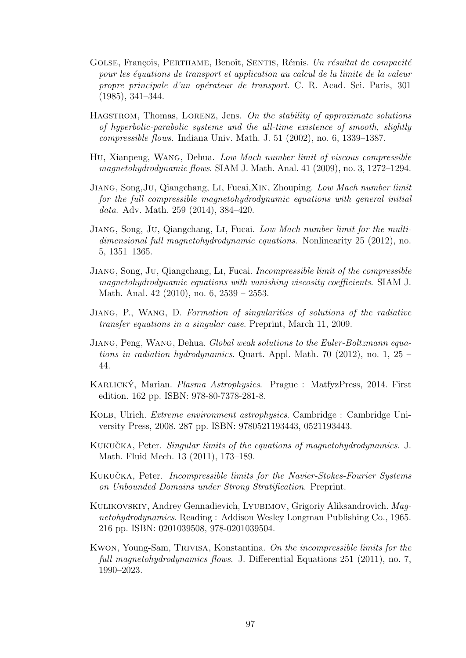- GOLSE, François, PERTHAME, Benoît, SENTIS, Rémis. Un résultat de compacité pour les équations de transport et application au calcul de la limite de la valeur propre principale d'un opérateur de transport. C. R. Acad. Sci. Paris, 301 (1985), 341–344.
- HAGSTROM, Thomas, LORENZ, Jens. On the stability of approximate solutions of hyperbolic-parabolic systems and the all-time existence of smooth, slightly compressible flows. Indiana Univ. Math. J. 51 (2002), no. 6, 1339–1387.
- Hu, Xianpeng, Wang, Dehua. Low Mach number limit of viscous compressible magnetohydrodynamic flows. SIAM J. Math. Anal. 41 (2009), no. 3, 1272–1294.
- Jiang, Song,Ju, Qiangchang, Li, Fucai,Xin, Zhouping. Low Mach number limit for the full compressible magnetohydrodynamic equations with general initial data. Adv. Math. 259 (2014), 384–420.
- Jiang, Song, Ju, Qiangchang, Li, Fucai. Low Mach number limit for the multidimensional full magnetohydrodynamic equations. Nonlinearity 25 (2012), no. 5, 1351–1365.
- Jiang, Song, Ju, Qiangchang, Li, Fucai. Incompressible limit of the compressible magnetohydrodynamic equations with vanishing viscosity coefficients. SIAM J. Math. Anal. 42 (2010), no. 6, 2539 – 2553.
- Jiang, P., Wang, D. Formation of singularities of solutions of the radiative transfer equations in a singular case. Preprint, March 11, 2009.
- Jiang, Peng, Wang, Dehua. Global weak solutions to the Euler-Boltzmann equations in radiation hydrodynamics. Quart. Appl. Math. 70 (2012), no. 1, 25 – 44.
- KARLICKÝ, Marian. Plasma Astrophysics. Prague : MatfyzPress, 2014. First edition. 162 pp. ISBN: 978-80-7378-281-8.
- Kolb, Ulrich. Extreme environment astrophysics. Cambridge : Cambridge University Press, 2008. 287 pp. ISBN: 9780521193443, 0521193443.
- KUKUČKA, Peter. Singular limits of the equations of magnetohydrodynamics. J. Math. Fluid Mech. 13 (2011), 173–189.
- <span id="page-100-0"></span>KUKUČKA, Peter. *Incompressible limits for the Navier-Stokes-Fourier Systems* on Unbounded Domains under Strong Stratification. Preprint.
- KULIKOVSKIY, Andrey Gennadievich, LYUBIMOV, Grigoriy Aliksandrovich. Maqnetohydrodynamics. Reading : Addison Wesley Longman Publishing Co., 1965. 216 pp. ISBN: 0201039508, 978-0201039504.
- Kwon, Young-Sam, Trivisa, Konstantina. On the incompressible limits for the full magnetohydrodynamics flows. J. Differential Equations 251 (2011), no. 7, 1990–2023.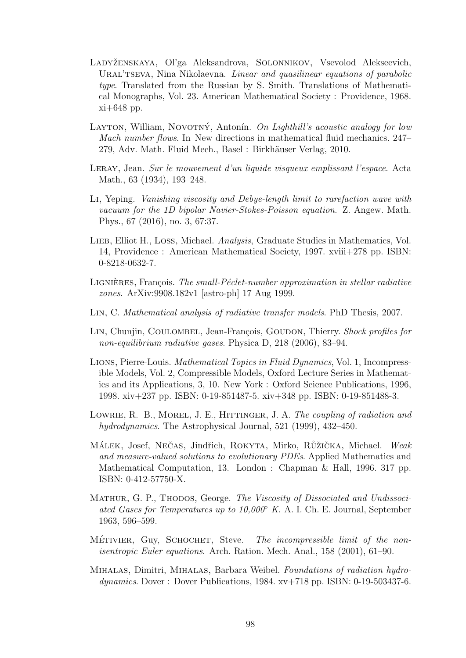- LADYŽENSKAYA, Ol'ga Aleksandrova, SOLONNIKOV, Vsevolod Alekseevich, URAL'TSEVA, Nina Nikolaevna. Linear and quasilinear equations of parabolic type. Translated from the Russian by S. Smith. Translations of Mathematical Monographs, Vol. 23. American Mathematical Society : Providence, 1968. xi+648 pp.
- LAYTON, William, NOVOTNÝ, Antonín. On Lighthill's acoustic analogy for low Mach number flows. In New directions in mathematical fluid mechanics. 247– 279, Adv. Math. Fluid Mech., Basel : Birkhäuser Verlag, 2010.
- Leray, Jean. Sur le mouvement d'un liquide visqueux emplissant l'espace. Acta Math., 63 (1934), 193–248.
- Li, Yeping. Vanishing viscosity and Debye-length limit to rarefaction wave with vacuum for the 1D bipolar Navier-Stokes-Poisson equation. Z. Angew. Math. Phys., 67 (2016), no. 3, 67:37.
- LIEB, Elliot H., LOSS, Michael. *Analysis*, Graduate Studies in Mathematics, Vol. 14, Providence : American Mathematical Society, 1997. xviii+278 pp. ISBN: 0-8218-0632-7.
- LIGNIERES, François. The small-Péclet-number approximation in stellar radiative zones. ArXiv:9908.182v1 [astro-ph] 17 Aug 1999.
- Lin, C. Mathematical analysis of radiative transfer models. PhD Thesis, 2007.
- LIN, Chunjin, COULOMBEL, Jean-François, GOUDON, Thierry. Shock profiles for non-equilibrium radiative gases. Physica D, 218 (2006), 83–94.
- <span id="page-101-0"></span>Lions, Pierre-Louis. Mathematical Topics in Fluid Dynamics, Vol. 1, Incompressible Models, Vol. 2, Compressible Models, Oxford Lecture Series in Mathematics and its Applications, 3, 10. New York : Oxford Science Publications, 1996, 1998. xiv+237 pp. ISBN: 0-19-851487-5. xiv+348 pp. ISBN: 0-19-851488-3.
- LOWRIE, R. B., MOREL, J. E., HITTINGER, J. A. The coupling of radiation and hydrodynamics. The Astrophysical Journal, 521 (1999), 432–450.
- MÁLEK, Josef, NEČAS, Jindřich, ROKYTA, Mirko, RŮŽIČKA, Michael. Weak and measure-valued solutions to evolutionary PDEs. Applied Mathematics and Mathematical Computation, 13. London : Chapman & Hall, 1996. 317 pp. ISBN: 0-412-57750-X.
- MATHUR, G. P., THODOS, George. The Viscosity of Dissociated and Undissociated Gases for Temperatures up to  $10,000\degree$  K. A. I. Ch. E. Journal, September 1963, 596–599.
- MÉTIVIER, Guy, SCHOCHET, Steve. The incompressible limit of the nonisentropic Euler equations. Arch. Ration. Mech. Anal., 158 (2001), 61–90.
- Mihalas, Dimitri, Mihalas, Barbara Weibel. Foundations of radiation hydrodynamics. Dover : Dover Publications, 1984. xv+718 pp. ISBN: 0-19-503437-6.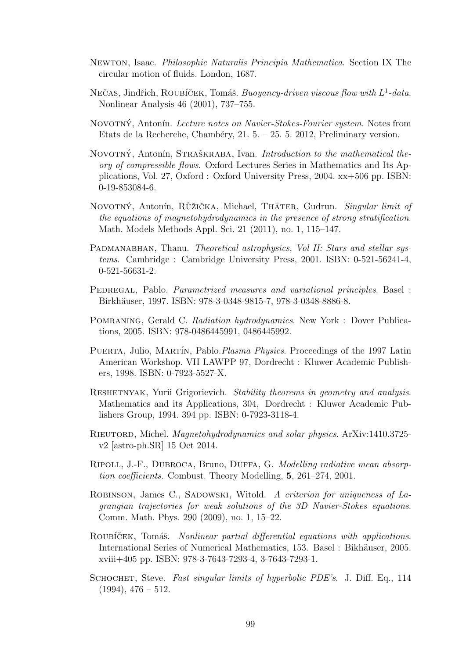- Newton, Isaac. Philosophie Naturalis Principia Mathematica. Section IX The circular motion of fluids. London, 1687.
- NEČAS, Jindřich, ROUBÍČEK, Tomáš. Buoyancy-driven viscous flow with  $L^1$ -data. Nonlinear Analysis 46 (2001), 737–755.
- NOVOTNÝ, Antonín. Lecture notes on Navier-Stokes-Fourier system. Notes from Etats de la Recherche, Chambéry, 21. 5. – 25. 5. 2012, Preliminary version.
- NOVOTNÝ, Antonín, STRAŠKRABA, Ivan. Introduction to the mathematical theory of compressible flows. Oxford Lectures Series in Mathematics and Its Applications, Vol. 27, Oxford : Oxford University Press, 2004. xx+506 pp. ISBN: 0-19-853084-6.
- <span id="page-102-0"></span>NOVOTNÝ, Antonín, RŮŽIČKA, Michael, THÄTER, Gudrun. Singular limit of the equations of magnetohydrodynamics in the presence of strong stratification. Math. Models Methods Appl. Sci. 21 (2011), no. 1, 115–147.
- PADMANABHAN, Thanu. Theoretical astrophysics, Vol II: Stars and stellar systems. Cambridge : Cambridge University Press, 2001. ISBN: 0-521-56241-4, 0-521-56631-2.
- PEDREGAL, Pablo. Parametrized measures and variational principles. Basel : Birkhäuser, 1997. ISBN: 978-3-0348-9815-7, 978-3-0348-8886-8.
- Pomraning, Gerald C. Radiation hydrodynamics. New York : Dover Publications, 2005. ISBN: 978-0486445991, 0486445992.
- PUERTA, Julio, MARTÍN, Pablo.*Plasma Physics*. Proceedings of the 1997 Latin American Workshop. VII LAWPP 97, Dordrecht : Kluwer Academic Publishers, 1998. ISBN: 0-7923-5527-X.
- RESHETNYAK, Yurii Grigorievich. Stability theorems in geometry and analysis. Mathematics and its Applications, 304, Dordrecht : Kluwer Academic Publishers Group, 1994. 394 pp. ISBN: 0-7923-3118-4.
- Rieutord, Michel. Magnetohydrodynamics and solar physics. ArXiv:1410.3725 v2 [astro-ph.SR] 15 Oct 2014.
- Ripoll, J.-F., Dubroca, Bruno, Duffa, G. Modelling radiative mean absorption coefficients. Combust. Theory Modelling, 5, 261–274, 2001.
- ROBINSON, James C., SADOWSKI, Witold. A criterion for uniqueness of Lagrangian trajectories for weak solutions of the 3D Navier-Stokes equations. Comm. Math. Phys. 290 (2009), no. 1, 15–22.
- ROUBÍČEK, Tomáš. Nonlinear partial differential equations with applications. International Series of Numerical Mathematics, 153. Basel : Bikhäuser, 2005. xviii+405 pp. ISBN: 978-3-7643-7293-4, 3-7643-7293-1.
- SCHOCHET, Steve. Fast singular limits of hyperbolic PDE's. J. Diff. Eq., 114  $(1994), 476 - 512.$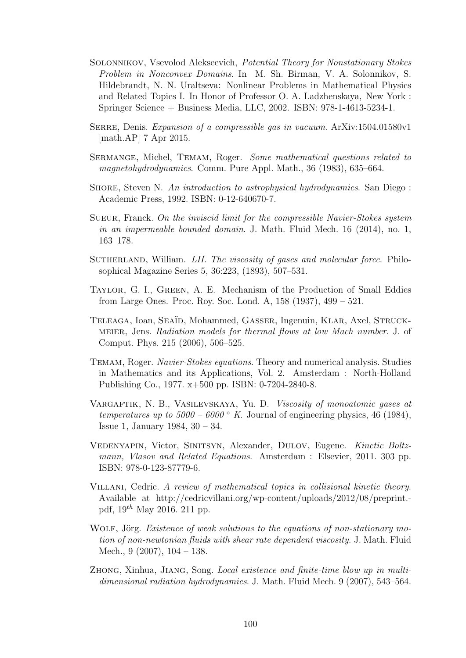- Solonnikov, Vsevolod Alekseevich, Potential Theory for Nonstationary Stokes Problem in Nonconvex Domains. In M. Sh. Birman, V. A. Solonnikov, S. Hildebrandt, N. N. Uraltseva: Nonlinear Problems in Mathematical Physics and Related Topics I. In Honor of Professor O. A. Ladzhenskaya, New York : Springer Science + Business Media, LLC, 2002. ISBN: 978-1-4613-5234-1.
- Serre, Denis. Expansion of a compressible gas in vacuum. ArXiv:1504.01580v1 [math.AP] 7 Apr 2015.
- <span id="page-103-0"></span>Sermange, Michel, Temam, Roger. Some mathematical questions related to magnetohydrodynamics. Comm. Pure Appl. Math., 36 (1983), 635–664.
- SHORE, Steven N. An introduction to astrophysical hydrodynamics. San Diego: Academic Press, 1992. ISBN: 0-12-640670-7.
- Sueur, Franck. On the inviscid limit for the compressible Navier-Stokes system in an impermeable bounded domain. J. Math. Fluid Mech. 16 (2014), no. 1, 163–178.
- SUTHERLAND, William. *LII. The viscosity of gases and molecular force*. Philosophical Magazine Series 5, 36:223, (1893), 507–531.
- Taylor, G. I., Green, A. E. Mechanism of the Production of Small Eddies from Large Ones. Proc. Roy. Soc. Lond. A, 158 (1937), 499 – 521.
- TELEAGA, Ioan, SEAÏD, Mohammed, GASSER, Ingenuin, KLAR, Axel, STRUCKmeier, Jens. Radiation models for thermal flows at low Mach number. J. of Comput. Phys. 215 (2006), 506–525.
- Temam, Roger. Navier-Stokes equations. Theory and numerical analysis. Studies in Mathematics and its Applications, Vol. 2. Amsterdam : North-Holland Publishing Co., 1977. x+500 pp. ISBN: 0-7204-2840-8.
- VARGAFTIK, N. B., VASILEVSKAYA, Yu. D. Viscosity of monoatomic gases at temperatures up to  $5000 - 6000^\circ$  K. Journal of engineering physics, 46 (1984), Issue 1, January 1984, 30 – 34.
- Vedenyapin, Victor, Sinitsyn, Alexander, Dulov, Eugene. Kinetic Boltzmann, Vlasov and Related Equations. Amsterdam : Elsevier, 2011. 303 pp. ISBN: 978-0-123-87779-6.
- Villani, Cedric. A review of mathematical topics in collisional kinetic theory. Available at http://cedricvillani.org/wp-content/uploads/2012/08/preprint. pdf,  $19^{th}$  May 2016. 211 pp.
- WOLF, Jörg. Existence of weak solutions to the equations of non-stationary motion of non-newtonian fluids with shear rate dependent viscosity. J. Math. Fluid Mech., 9 (2007), 104 – 138.
- Zhong, Xinhua, Jiang, Song. Local existence and finite-time blow up in multidimensional radiation hydrodynamics. J. Math. Fluid Mech. 9 (2007), 543–564.